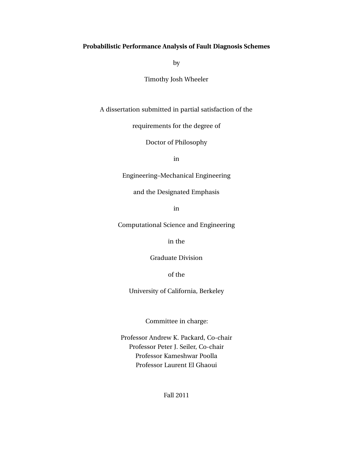## **Probabilistic Performance Analysis of Fault Diagnosis Schemes**

by

Timothy Josh Wheeler

A dissertation submitted in partial satisfaction of the

requirements for the degree of

Doctor of Philosophy

in

Engineering–Mechanical Engineering

and the Designated Emphasis

in

Computational Science and Engineering

in the

Graduate Division

of the

University of California, Berkeley

Committee in charge:

Professor Andrew K. Packard, Co-chair Professor Peter J. Seiler, Co-chair Professor Kameshwar Poolla Professor Laurent El Ghaoui

Fall 2011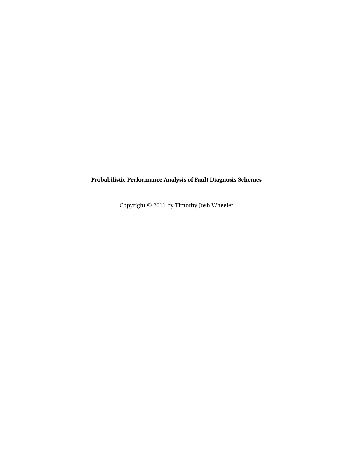**Probabilistic Performance Analysis of Fault Diagnosis Schemes**

Copyright © 2011 by Timothy Josh Wheeler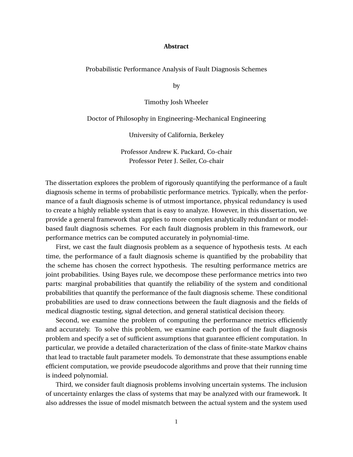#### **Abstract**

Probabilistic Performance Analysis of Fault Diagnosis Schemes

by

Timothy Josh Wheeler

Doctor of Philosophy in Engineering–Mechanical Engineering

University of California, Berkeley

Professor Andrew K. Packard, Co-chair Professor Peter J. Seiler, Co-chair

The dissertation explores the problem of rigorously quantifying the performance of a fault diagnosis scheme in terms of probabilistic performance metrics. Typically, when the performance of a fault diagnosis scheme is of utmost importance, physical redundancy is used to create a highly reliable system that is easy to analyze. However, in this dissertation, we provide a general framework that applies to more complex analytically redundant or modelbased fault diagnosis schemes. For each fault diagnosis problem in this framework, our performance metrics can be computed accurately in polynomial-time.

First, we cast the fault diagnosis problem as a sequence of hypothesis tests. At each time, the performance of a fault diagnosis scheme is quantified by the probability that the scheme has chosen the correct hypothesis. The resulting performance metrics are joint probabilities. Using Bayes rule, we decompose these performance metrics into two parts: marginal probabilities that quantify the reliability of the system and conditional probabilities that quantify the performance of the fault diagnosis scheme. These conditional probabilities are used to draw connections between the fault diagnosis and the fields of medical diagnostic testing, signal detection, and general statistical decision theory.

Second, we examine the problem of computing the performance metrics efficiently and accurately. To solve this problem, we examine each portion of the fault diagnosis problem and specify a set of sufficient assumptions that guarantee efficient computation. In particular, we provide a detailed characterization of the class of finite-state Markov chains that lead to tractable fault parameter models. To demonstrate that these assumptions enable efficient computation, we provide pseudocode algorithms and prove that their running time is indeed polynomial.

Third, we consider fault diagnosis problems involving uncertain systems. The inclusion of uncertainty enlarges the class of systems that may be analyzed with our framework. It also addresses the issue of model mismatch between the actual system and the system used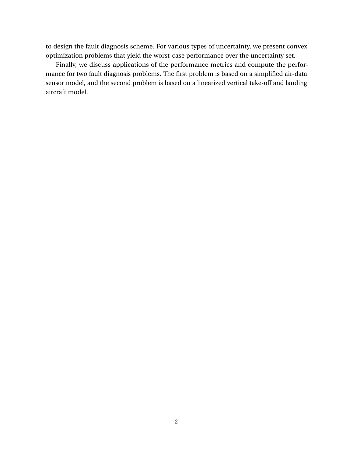to design the fault diagnosis scheme. For various types of uncertainty, we present convex optimization problems that yield the worst-case performance over the uncertainty set.

Finally, we discuss applications of the performance metrics and compute the performance for two fault diagnosis problems. The first problem is based on a simplified air-data sensor model, and the second problem is based on a linearized vertical take-off and landing aircraft model.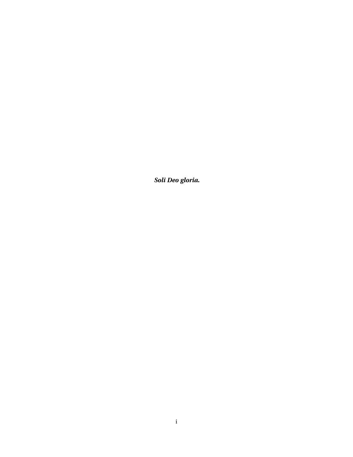*Soli Deo gloria.*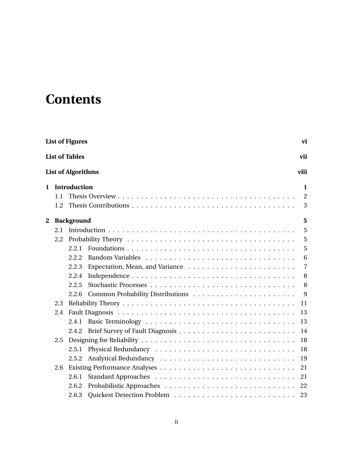# **Contents**

|   |     | <b>List of Figures</b>    | vi             |
|---|-----|---------------------------|----------------|
|   |     | <b>List of Tables</b>     | vii            |
|   |     | <b>List of Algorithms</b> | viii           |
| 1 |     | Introduction              | 1              |
|   | 1.1 |                           | 2              |
|   | 1.2 |                           | 3              |
| 2 |     | <b>Background</b>         | 5              |
|   | 2.1 |                           | 5              |
|   | 2.2 |                           | 5              |
|   |     | 2.2.1                     | 5              |
|   |     | 2.2.2                     | 6              |
|   |     | 2.2.3                     | $\overline{7}$ |
|   |     | 2.2.4                     | 8              |
|   |     | 2.2.5                     | 8              |
|   |     | 2.2.6                     | 9              |
|   | 2.3 |                           | 11             |
|   | 2.4 |                           | 13             |
|   |     | 2.4.1                     | 13             |
|   |     | 2.4.2                     | 14             |
|   | 2.5 |                           | 18             |
|   |     | 2.5.1                     | 18             |
|   |     | 2.5.2                     | 19             |
|   | 2.6 |                           | 21             |
|   |     | 2.6.1                     | 21             |
|   |     | 2.6.2                     | 22             |
|   |     | 2.6.3                     | 23             |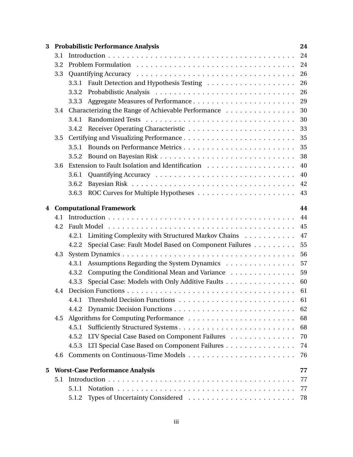| 3 |     | <b>Probabilistic Performance Analysis</b>                      | 24 |  |  |
|---|-----|----------------------------------------------------------------|----|--|--|
|   | 3.1 |                                                                | 24 |  |  |
|   | 3.2 | 24                                                             |    |  |  |
|   | 3.3 |                                                                | 26 |  |  |
|   |     | 3.3.1                                                          | 26 |  |  |
|   |     | 3.3.2                                                          | 26 |  |  |
|   |     | 3.3.3                                                          | 29 |  |  |
|   | 3.4 | Characterizing the Range of Achievable Performance             | 30 |  |  |
|   |     | 3.4.1                                                          | 30 |  |  |
|   |     | 3.4.2                                                          | 33 |  |  |
|   | 3.5 |                                                                | 35 |  |  |
|   |     | 3.5.1                                                          | 35 |  |  |
|   |     | 3.5.2                                                          | 38 |  |  |
|   | 3.6 |                                                                | 40 |  |  |
|   |     | 3.6.1                                                          | 40 |  |  |
|   |     | 3.6.2                                                          | 42 |  |  |
|   |     | 3.6.3                                                          | 43 |  |  |
| 4 |     | <b>Computational Framework</b>                                 | 44 |  |  |
|   | 4.1 |                                                                | 44 |  |  |
|   | 4.2 |                                                                | 45 |  |  |
|   |     | Limiting Complexity with Structured Markov Chains<br>4.2.1     | 47 |  |  |
|   |     | Special Case: Fault Model Based on Component Failures<br>4.2.2 | 55 |  |  |
|   | 4.3 |                                                                | 56 |  |  |
|   |     | Assumptions Regarding the System Dynamics<br>4.3.1             | 57 |  |  |
|   |     | Computing the Conditional Mean and Variance<br>4.3.2           | 59 |  |  |
|   |     | Special Case: Models with Only Additive Faults<br>4.3.3        | 60 |  |  |
|   | 4.4 |                                                                | 61 |  |  |
|   |     | 4.4.1                                                          | 61 |  |  |
|   |     |                                                                | 62 |  |  |
|   | 4.5 |                                                                | 68 |  |  |
|   |     | 4.5.1                                                          | 68 |  |  |
|   |     | LTV Special Case Based on Component Failures<br>4.5.2          | 70 |  |  |
|   |     | LTI Special Case Based on Component Failures<br>4.5.3          | 74 |  |  |
|   | 4.6 |                                                                | 76 |  |  |
| 5 |     | <b>Worst-Case Performance Analysis</b>                         | 77 |  |  |
|   | 5.1 |                                                                | 77 |  |  |
|   |     | 5.1.1                                                          | 77 |  |  |
|   |     | 5.1.2                                                          | 78 |  |  |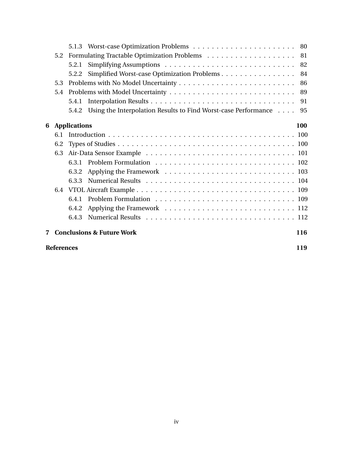|   | 5.2                      |                                                                      | 81  |  |
|---|--------------------------|----------------------------------------------------------------------|-----|--|
|   |                          | 5.2.1                                                                | 82  |  |
|   |                          | Simplified Worst-case Optimization Problems<br>5.2.2                 | 84  |  |
|   | 5.3                      |                                                                      | 86  |  |
|   | 5.4                      |                                                                      |     |  |
|   |                          | 5.4.1                                                                | 91  |  |
|   |                          | 5.4.2 Using the Interpolation Results to Find Worst-case Performance | 95  |  |
| 6 |                          | <b>Applications</b>                                                  | 100 |  |
|   | 6.1                      |                                                                      |     |  |
|   | 6.2                      |                                                                      |     |  |
|   | 6.3                      |                                                                      |     |  |
|   |                          | 6.3.1                                                                |     |  |
|   |                          | 6.3.2                                                                |     |  |
|   |                          | 6.3.3                                                                |     |  |
|   | 6.4                      |                                                                      |     |  |
|   |                          | 6.4.1                                                                |     |  |
|   |                          | 6.4.2                                                                |     |  |
|   |                          | 6.4.3                                                                |     |  |
| 7 |                          | <b>Conclusions &amp; Future Work</b>                                 | 116 |  |
|   | <b>References</b><br>119 |                                                                      |     |  |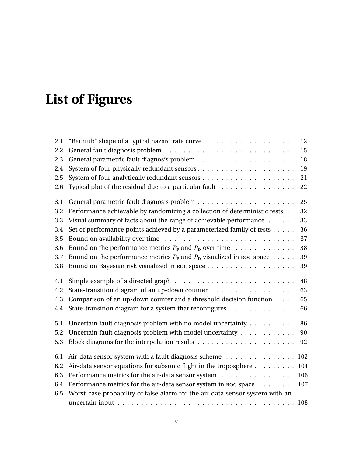# <span id="page-8-0"></span>**List of Figures**

| 2.1 |                                                                                                  | 12 |
|-----|--------------------------------------------------------------------------------------------------|----|
| 2.2 |                                                                                                  | 15 |
| 2.3 |                                                                                                  | 18 |
| 2.4 |                                                                                                  | 19 |
| 2.5 |                                                                                                  | 21 |
| 2.6 | Typical plot of the residual due to a particular fault                                           | 22 |
| 3.1 |                                                                                                  | 25 |
| 3.2 | Performance achievable by randomizing a collection of deterministic tests                        | 32 |
| 3.3 | Visual summary of facts about the range of achievable performance $\dots \dots$                  | 33 |
| 3.4 | Set of performance points achieved by a parameterized family of tests                            | 36 |
| 3.5 |                                                                                                  | 37 |
| 3.6 | Bound on the performance metrics $P_F$ and $P_D$ over time                                       | 38 |
| 3.7 | Bound on the performance metrics $P_F$ and $P_D$ visualized in ROC space                         | 39 |
| 3.8 |                                                                                                  | 39 |
| 4.1 | Simple example of a directed graph $\dots \dots \dots \dots \dots \dots \dots \dots \dots \dots$ | 48 |
| 4.2 |                                                                                                  | 63 |
| 4.3 | Comparison of an up-down counter and a threshold decision function $\dots$                       | 65 |
| 4.4 | State-transition diagram for a system that reconfigures                                          | 66 |
| 5.1 | Uncertain fault diagnosis problem with no model uncertainty                                      | 86 |
| 5.2 | Uncertain fault diagnosis problem with model uncertainty                                         | 90 |
| 5.3 |                                                                                                  | 92 |
| 6.1 | Air-data sensor system with a fault diagnosis scheme 102                                         |    |
| 6.2 | Air-data sensor equations for subsonic flight in the troposphere 104                             |    |
| 6.3 | Performance metrics for the air-data sensor system 106                                           |    |
| 6.4 | Performance metrics for the air-data sensor system in ROC space 107                              |    |
| 6.5 | Worst-case probability of false alarm for the air-data sensor system with an                     |    |
|     |                                                                                                  |    |
|     |                                                                                                  |    |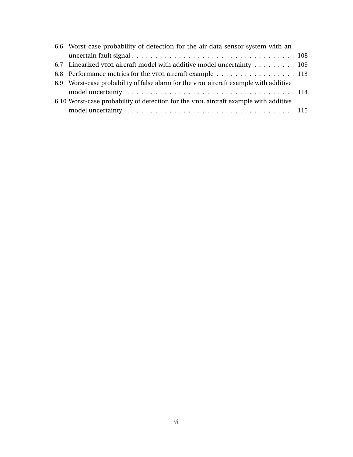| 6.6 Worst-case probability of detection for the air-data sensor system with an         |  |  |  |  |
|----------------------------------------------------------------------------------------|--|--|--|--|
|                                                                                        |  |  |  |  |
| 6.7 Linearized vrol aircraft model with additive model uncertainty 109                 |  |  |  |  |
| 6.8 Performance metrics for the vrol aircraft example 113                              |  |  |  |  |
| 6.9 Worst-case probability of false alarm for the vrole aircraft example with additive |  |  |  |  |
|                                                                                        |  |  |  |  |
| 6.10 Worst-case probability of detection for the vrol aircraft example with additive   |  |  |  |  |
|                                                                                        |  |  |  |  |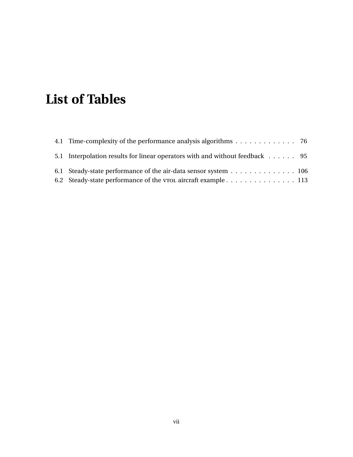# <span id="page-10-0"></span>**List of Tables**

| 4.1 Time-complexity of the performance analysis algorithms 76                |  |
|------------------------------------------------------------------------------|--|
| 5.1 Interpolation results for linear operators with and without feedback  95 |  |
| 6.1 Steady-state performance of the air-data sensor system 106               |  |
| 6.2 Steady-state performance of the vrol aircraft example 113                |  |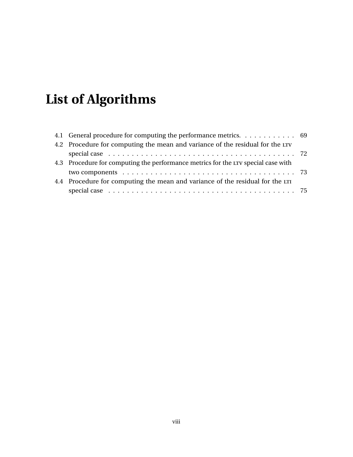# <span id="page-11-0"></span>**List of Algorithms**

| 4.1 General procedure for computing the performance metrics. 69                   |  |
|-----------------------------------------------------------------------------------|--|
| 4.2 Procedure for computing the mean and variance of the residual for the LTV     |  |
|                                                                                   |  |
| 4.3 Procedure for computing the performance metrics for the LTV special case with |  |
|                                                                                   |  |
| 4.4 Procedure for computing the mean and variance of the residual for the LTI     |  |
|                                                                                   |  |
|                                                                                   |  |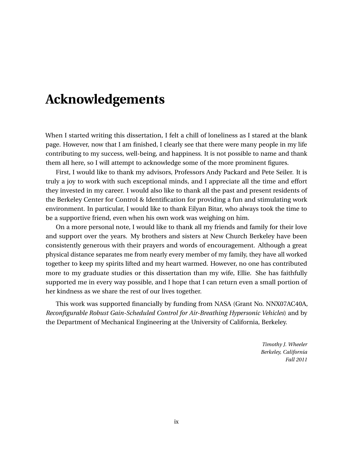# **Acknowledgements**

When I started writing this dissertation, I felt a chill of loneliness as I stared at the blank page. However, now that I am finished, I clearly see that there were many people in my life contributing to my success, well-being, and happiness. It is not possible to name and thank them all here, so I will attempt to acknowledge some of the more prominent figures.

First, I would like to thank my advisors, Professors Andy Packard and Pete Seiler. It is truly a joy to work with such exceptional minds, and I appreciate all the time and effort they invested in my career. I would also like to thank all the past and present residents of the Berkeley Center for Control & Identification for providing a fun and stimulating work environment. In particular, I would like to thank Eilyan Bitar, who always took the time to be a supportive friend, even when his own work was weighing on him.

On a more personal note, I would like to thank all my friends and family for their love and support over the years. My brothers and sisters at New Church Berkeley have been consistently generous with their prayers and words of encouragement. Although a great physical distance separates me from nearly every member of my family, they have all worked together to keep my spirits lifted and my heart warmed. However, no one has contributed more to my graduate studies or this dissertation than my wife, Ellie. She has faithfully supported me in every way possible, and I hope that I can return even a small portion of her kindness as we share the rest of our lives together.

This work was supported financially by funding from NASA (Grant No. NNX07AC40A, *Reconfigurable Robust Gain-Scheduled Control for Air-Breathing Hypersonic Vehicles*) and by the Department of Mechanical Engineering at the University of California, Berkeley.

> *Timothy J. Wheeler Berkeley, California Fall 2011*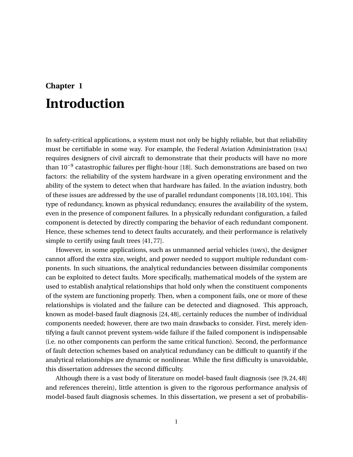# <span id="page-13-0"></span>**Chapter 1 Introduction**

In safety-critical applications, a system must not only be highly reliable, but that reliability must be certifiable in some way. For example, the Federal Aviation Administration (faa) requires designers of civil aircraft to demonstrate that their products will have no more than 10<sup>-9</sup> catastrophic failures per flight-hour [\[18\]](#page-132-0). Such demonstrations are based on two factors: the reliability of the system hardware in a given operating environment and the ability of the system to detect when that hardware has failed. In the aviation industry, both of these issues are addressed by the use of parallel redundant components [\[18,](#page-132-0)[103,](#page-138-0)[104\]](#page-138-1). This type of redundancy, known as physical redundancy, ensures the availability of the system, even in the presence of component failures. In a physically redundant configuration, a failed component is detected by directly comparing the behavior of each redundant component. Hence, these schemes tend to detect faults accurately, and their performance is relatively simple to certify using fault trees [\[41,](#page-134-0) [77\]](#page-136-0).

However, in some applications, such as unmanned aerial vehicles (uavs), the designer cannot afford the extra size, weight, and power needed to support multiple redundant components. In such situations, the analytical redundancies between dissimilar components can be exploited to detect faults. More specifically, mathematical models of the system are used to establish analytical relationships that hold only when the constituent components of the system are functioning properly. Then, when a component fails, one or more of these relationships is violated and the failure can be detected and diagnosed. This approach, known as model-based fault diagnosis [\[24,](#page-132-1) [48\]](#page-134-1), certainly reduces the number of individual components needed; however, there are two main drawbacks to consider. First, merely identifying a fault cannot prevent system-wide failure if the failed component is indispensable (i.e. no other components can perform the same critical function). Second, the performance of fault detection schemes based on analytical redundancy can be difficult to quantify if the analytical relationships are dynamic or nonlinear. While the first difficulty is unavoidable, this dissertation addresses the second difficulty.

Although there is a vast body of literature on model-based fault diagnosis (see [\[9,](#page-131-1) [24,](#page-132-1) [48\]](#page-134-1) and references therein), little attention is given to the rigorous performance analysis of model-based fault diagnosis schemes. In this dissertation, we present a set of probabilis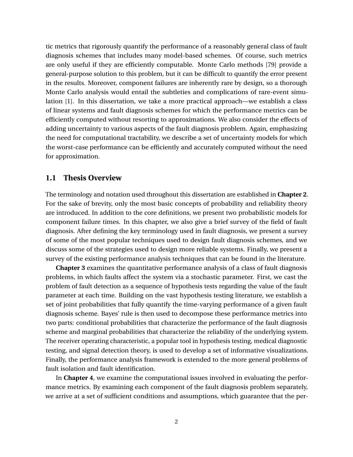tic metrics that rigorously quantify the performance of a reasonably general class of fault diagnosis schemes that includes many model-based schemes. Of course, such metrics are only useful if they are efficiently computable. Monte Carlo methods [\[79\]](#page-136-1) provide a general-purpose solution to this problem, but it can be difficult to quantify the error present in the results. Moreover, component failures are inherently rare by design, so a thorough Monte Carlo analysis would entail the subtleties and complications of rare-event simulation [\[1\]](#page-131-2). In this dissertation, we take a more practical approach—we establish a class of linear systems and fault diagnosis schemes for which the performance metrics can be efficiently computed without resorting to approximations. We also consider the effects of adding uncertainty to various aspects of the fault diagnosis problem. Again, emphasizing the need for computational tractability, we describe a set of uncertainty models for which the worst-case performance can be efficiently and accurately computed without the need for approximation.

## <span id="page-14-0"></span>**1.1 Thesis Overview**

The terminology and notation used throughout this dissertation are established in **Chapter [2](#page-17-0)**. For the sake of brevity, only the most basic concepts of probability and reliability theory are introduced. In addition to the core definitions, we present two probabilistic models for component failure times. In this chapter, we also give a brief survey of the field of fault diagnosis. After defining the key terminology used in fault diagnosis, we present a survey of some of the most popular techniques used to design fault diagnosis schemes, and we discuss some of the strategies used to design more reliable systems. Finally, we present a survey of the existing performance analysis techniques that can be found in the literature.

**Chapter [3](#page-36-0)** examines the quantitative performance analysis of a class of fault diagnosis problems, in which faults affect the system via a stochastic parameter. First, we cast the problem of fault detection as a sequence of hypothesis tests regarding the value of the fault parameter at each time. Building on the vast hypothesis testing literature, we establish a set of joint probabilities that fully quantify the time-varying performance of a given fault diagnosis scheme. Bayes' rule is then used to decompose these performance metrics into two parts: conditional probabilities that characterize the performance of the fault diagnosis scheme and marginal probabilities that characterize the reliability of the underlying system. The receiver operating characteristic, a popular tool in hypothesis testing, medical diagnostic testing, and signal detection theory, is used to develop a set of informative visualizations. Finally, the performance analysis framework is extended to the more general problems of fault isolation and fault identification.

In **Chapter [4](#page-56-0)**, we examine the computational issues involved in evaluating the performance metrics. By examining each component of the fault diagnosis problem separately, we arrive at a set of sufficient conditions and assumptions, which guarantee that the per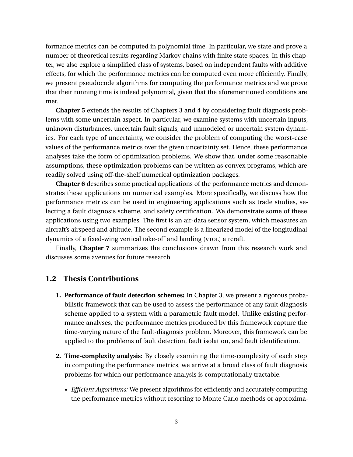formance metrics can be computed in polynomial time. In particular, we state and prove a number of theoretical results regarding Markov chains with finite state spaces. In this chapter, we also explore a simplified class of systems, based on independent faults with additive effects, for which the performance metrics can be computed even more efficiently. Finally, we present pseudocode algorithms for computing the performance metrics and we prove that their running time is indeed polynomial, given that the aforementioned conditions are met.

**Chapter [5](#page-89-0)** extends the results of Chapters [3](#page-36-0) and [4](#page-56-0) by considering fault diagnosis problems with some uncertain aspect. In particular, we examine systems with uncertain inputs, unknown disturbances, uncertain fault signals, and unmodeled or uncertain system dynamics. For each type of uncertainty, we consider the problem of computing the worst-case values of the performance metrics over the given uncertainty set. Hence, these performance analyses take the form of optimization problems. We show that, under some reasonable assumptions, these optimization problems can be written as convex programs, which are readily solved using off-the-shelf numerical optimization packages.

**Chapter [6](#page-112-0)** describes some practical applications of the performance metrics and demonstrates these applications on numerical examples. More specifically, we discuss how the performance metrics can be used in engineering applications such as trade studies, selecting a fault diagnosis scheme, and safety certification. We demonstrate some of these applications using two examples. The first is an air-data sensor system, which measures an aircraft's airspeed and altitude. The second example is a linearized model of the longitudinal dynamics of a fixed-wing vertical take-off and landing (vrol) aircraft.

Finally, **Chapter [7](#page-128-0)** summarizes the conclusions drawn from this research work and discusses some avenues for future research.

## <span id="page-15-0"></span>**1.2 Thesis Contributions**

- **1. Performance of fault detection schemes:** In Chapter [3,](#page-36-0) we present a rigorous probabilistic framework that can be used to assess the performance of any fault diagnosis scheme applied to a system with a parametric fault model. Unlike existing performance analyses, the performance metrics produced by this framework capture the time-varying nature of the fault-diagnosis problem. Moreover, this framework can be applied to the problems of fault detection, fault isolation, and fault identification.
- **2. Time-complexity analysis:** By closely examining the time-complexity of each step in computing the performance metrics, we arrive at a broad class of fault diagnosis problems for which our performance analysis is computationally tractable.
	- *Efficient Algorithms:* We present algorithms for efficiently and accurately computing the performance metrics without resorting to Monte Carlo methods or approxima-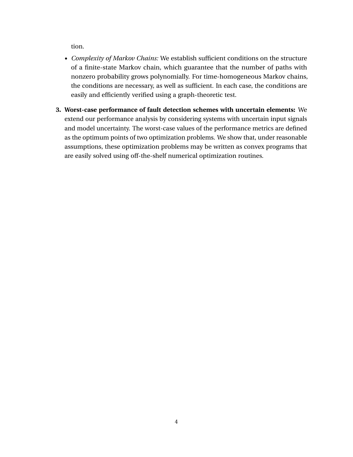tion.

- *Complexity of Markov Chains:* We establish sufficient conditions on the structure of a finite-state Markov chain, which guarantee that the number of paths with nonzero probability grows polynomially. For time-homogeneous Markov chains, the conditions are necessary, as well as sufficient. In each case, the conditions are easily and efficiently verified using a graph-theoretic test.
- **3. Worst-case performance of fault detection schemes with uncertain elements:** We extend our performance analysis by considering systems with uncertain input signals and model uncertainty. The worst-case values of the performance metrics are defined as the optimum points of two optimization problems. We show that, under reasonable assumptions, these optimization problems may be written as convex programs that are easily solved using off-the-shelf numerical optimization routines.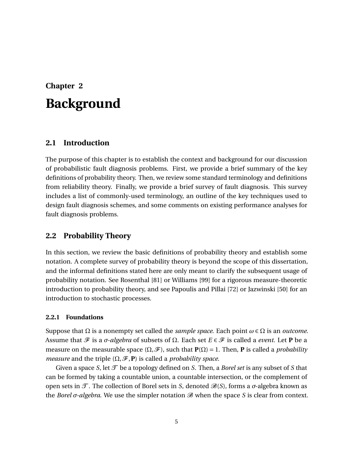# <span id="page-17-0"></span>**Chapter 2 Background**

# <span id="page-17-1"></span>**2.1 Introduction**

The purpose of this chapter is to establish the context and background for our discussion of probabilistic fault diagnosis problems. First, we provide a brief summary of the key definitions of probability theory. Then, we review some standard terminology and definitions from reliability theory. Finally, we provide a brief survey of fault diagnosis. This survey includes a list of commonly-used terminology, an outline of the key techniques used to design fault diagnosis schemes, and some comments on existing performance analyses for fault diagnosis problems.

## <span id="page-17-2"></span>**2.2 Probability Theory**

In this section, we review the basic definitions of probability theory and establish some notation. A complete survey of probability theory is beyond the scope of this dissertation, and the informal definitions stated here are only meant to clarify the subsequent usage of probability notation. See Rosenthal [\[81\]](#page-136-2) or Williams [\[99\]](#page-138-2) for a rigorous measure-theoretic introduction to probability theory, and see Papoulis and Pillai [\[72\]](#page-136-3) or Jazwinski [\[50\]](#page-134-2) for an introduction to stochastic processes.

## <span id="page-17-3"></span>**2.2.1 Foundations**

Suppose that  $\Omega$  is a nonempty set called the *sample space*. Each point  $\omega \in \Omega$  is an *outcome*. Assume that  $\mathcal F$  is a  $\sigma$ -algebra of subsets of  $\Omega$ . Each set  $E \in \mathcal F$  is called a *event*. Let **P** be a measure on the measurable space  $(Ω, ℑ)$ , such that **. Then, <b>P** is called a *probability measure* and the triple  $(\Omega, \mathcal{F}, P)$  is called a *probability space*.

Given a space *S*, let  $\mathcal{T}$  be a topology defined on *S*. Then, a *Borel set* is any subset of *S* that can be formed by taking a countable union, a countable intersection, or the complement of open sets in T . The collection of Borel sets in *S*, denoted B(*S*), forms a *σ*-algebra known as the *Borel σ*-*algebra*. We use the simpler notation  $\mathcal{B}$  when the space *S* is clear from context.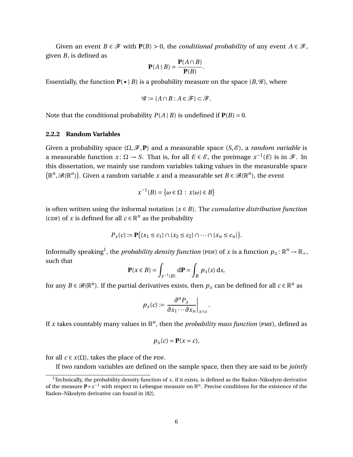Given an event *B* ∈  $\mathcal F$  with **P**(*B*) > 0, the *conditional probability* of any event *A* ∈  $\mathcal F$ , given *B*, is defined as **P**(*A* ∩*B*)

$$
\mathbf{P}(A \mid B) = \frac{\mathbf{P}(A \cap B)}{\mathbf{P}(B)}.
$$

Essentially, the function  $P(\bullet | B)$  is a probability measure on the space  $(B, \mathscr{G})$ , where

$$
\mathcal{G} := \{A \cap B : A \in \mathcal{F}\} \subset \mathcal{F}.
$$

Note that the conditional probability  $P(A | B)$  is undefined if  $P(B) = 0$ .

#### <span id="page-18-0"></span>**2.2.2 Random Variables**

Given a probability space  $(\Omega, \mathcal{F}, P)$  and a measurable space  $(S, \mathcal{E})$ , a *random variable* is a measurable function  $x: \Omega \to S$ . That is, for all  $E \in \mathscr{E}$ , the preimage  $x^{-1}(E)$  is in  $\mathscr{F}$ . In this dissertation, we mainly use random variables taking values in the measurable space  $(\mathbb{R}^n, \mathcal{B}(\mathbb{R}^n))$ . Given a random variable *x* and a measurable set *B*  $\in \mathcal{B}(\mathbb{R}^n)$ , the event

$$
x^{-1}(B) = \{ \omega \in \Omega : x(\omega) \in B \}
$$

is often written using the informal notation {*x* ∈ *B*}. The *cumulative distribution function* (CDF) of *x* is defined for all  $c \in \mathbb{R}^n$  as the probability

$$
P_x(c) := \mathbf{P}(\{x_1 \le c_1\} \cap \{x_2 \le c_2\} \cap \dots \cap \{x_n \le c_n\}).
$$

Informally speaking<sup>[1](#page-18-1)</sup>, the *probability density function* (PDF) of *x* is a function  $p_x \colon \mathbb{R}^n \to \mathbb{R}_+$ , such that

$$
\mathbf{P}(x \in B) = \int_{x^{-1}(B)} d\mathbf{P} = \int_B p_x(s) \, ds,
$$

for any  $B \in \mathscr{B}(\mathbb{R}^n)$ . If the partial derivatives exists, then  $p_x$  can be defined for all  $c \in \mathbb{R}^n$  as

$$
p_x(c) := \frac{\partial^n P_x}{\partial x_1 \cdots \partial x_n}\bigg|_{x=c}.
$$

If x takes countably many values in  $\mathbb{R}^n$ , then the *probability mass function* (PMF), defined as

$$
p_x(c) = \mathbf{P}(x = c),
$$

for all  $c \in x(\Omega)$ , takes the place of the PDF.

If two random variables are defined on the sample space, then they are said to be *jointly*

<span id="page-18-1"></span><sup>&</sup>lt;sup>1</sup>Technically, the probability density function of  $x$ , if it exists, is defined as the Radon–Nikodym derivative of the measure **P**∘  $x^{-1}$  with respect to Lebesgue measure on  $\mathbb{R}^n$ . Precise conditions for the existence of the Radon–Nikodym derivative can found in [\[82\]](#page-137-0).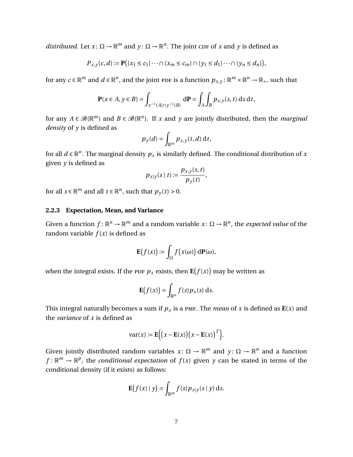*distributed*. Let  $x: \Omega \to \mathbb{R}^m$  and  $y: \Omega \to \mathbb{R}^n$ . The joint corp of *x* and *y* is defined as

$$
P_{x,y}(c,d) := \mathbf{P}(\{x_1 \le c_1\} \cdots \cap \{x_m \le c_m\} \cap \{y_1 \le d_1\} \cdots \cap \{y_n \le d_n\}),
$$

for any  $c \in \mathbb{R}^m$  and  $d \in \mathbb{R}^n$ , and the joint ppf is a function  $p_{x,y} \colon \mathbb{R}^m \times \mathbb{R}^n \to \mathbb{R}_+$ , such that

$$
\mathbf{P}(x \in A, y \in B) = \int_{x^{-1}(A) \cap y^{-1}(B)} d\mathbf{P} = \int_{A} \int_{B} p_{x,y}(s,t) \, ds \, dt,
$$

for any  $A \in \mathcal{B}(\mathbb{R}^m)$  and  $B \in \mathcal{B}(\mathbb{R}^n)$ . If *x* and *y* are jointly distributed, then the *marginal density* of *y* is defined as

$$
p_{y}(d) = \int_{\mathbb{R}^m} p_{x,y}(t, d) dt,
$$

for all  $d \in \mathbb{R}^n$ . The marginal density  $p_x$  is similarly defined. The conditional distribution of  $x$ given *y* is defined as

$$
p_{x|y}(s \mid t) := \frac{p_{x,y}(s,t)}{p_y(t)},
$$

for all  $s \in \mathbb{R}^m$  and all  $t \in \mathbb{R}^n$ , such that  $p_y(t) > 0$ .

#### <span id="page-19-0"></span>**2.2.3 Expectation, Mean, and Variance**

Given a function  $f: \mathbb{R}^n \to \mathbb{R}^m$  and a random variable  $x: \Omega \to \mathbb{R}^n$ , the *expected value* of the random variable  $f(x)$  is defined as

$$
\mathbf{E}(f(x)) \coloneqq \int_{\Omega} f(x(\omega)) \, d\mathbf{P}(\omega),
$$

when the integral exists. If the <code>p</code>DF  $p_x$  exists, then  $\mathbf{E}\big(f(x)\big)$  may be written as

$$
\mathbf{E}\big(f(x)\big)=\int_{\mathbb{R}^n}f(s)p_x(s)\,\mathrm{d}s.
$$

This integral naturally becomes a sum if  $p_x$  is a pmf. The *mean* of x is defined as  $E(x)$  and the *variance* of *x* is defined as

$$
var(x) := \mathbf{E}\Big(\big(x - \mathbf{E}(x)\big)\big(x - \mathbf{E}(x)\big)^T\Big).
$$

Given jointly distributed random variables  $x: \Omega \to \mathbb{R}^m$  and  $y: \Omega \to \mathbb{R}^n$  and a function  $f: \mathbb{R}^m \to \mathbb{R}^p$ , the *conditional expectation* of  $f(x)$  given *y* can be stated in terms of the conditional density (if it exists) as follows:

$$
\mathbf{E}\big(f(x)\mid y\big)=\int_{\mathbb{R}^m}f(s)p_{x|y}(s\mid y)\,\mathrm{d}s.
$$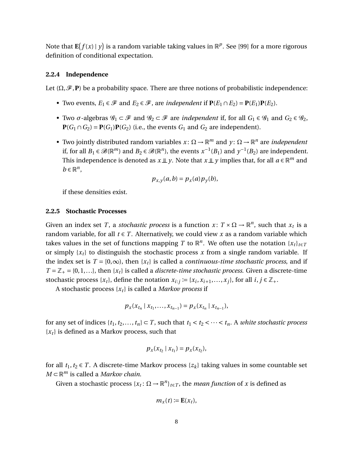Note that  $\mathbf{E}(f(x) | y)$  is a random variable taking values in  $\mathbb{R}^p$ . See [\[99\]](#page-138-2) for a more rigorous definition of conditional expectation.

#### <span id="page-20-0"></span>**2.2.4 Independence**

Let  $(\Omega, \mathcal{F}, P)$  be a probability space. There are three notions of probabilistic independence:

- Two events,  $E_1 \in \mathcal{F}$  and  $E_2 \in \mathcal{F}$ , are *independent* if  $P(E_1 \cap E_2) = P(E_1)P(E_2)$ .
- Two  $\sigma$ -algebras  $\mathscr{G}_1 \subset \mathscr{F}$  and  $\mathscr{G}_2 \subset \mathscr{F}$  are *independent* if, for all  $G_1 \in \mathscr{G}_1$  and  $G_2 \in \mathscr{G}_2$ , **P**( $G_1$  ∩  $G_2$ ) = **P**( $G_1$ )**P**( $G_2$ ) (i.e., the events  $G_1$  and  $G_2$  are independent).
- Two jointly distributed random variables  $x: \Omega \to \mathbb{R}^m$  and  $y: \Omega \to \mathbb{R}^n$  are *independent* if, for all  $B_1 \in \mathcal{B}(\mathbb{R}^m)$  and  $B_2 \in \mathcal{B}(\mathbb{R}^n)$ , the events  $x^{-1}(B_1)$  and  $y^{-1}(B_2)$  are independent. This independence is denoted as  $x \perp y$ . Note that  $x \perp y$  implies that, for all  $a \in \mathbb{R}^m$  and  $b \in \mathbb{R}^n$ ,

$$
p_{x,y}(a,b) = p_x(a)p_y(b),
$$

if these densities exist.

#### <span id="page-20-1"></span>**2.2.5 Stochastic Processes**

Given an index set *T*, a *stochastic process* is a function  $x: T \times \Omega \to \mathbb{R}^n$ , such that  $x_t$  is a random variable, for all  $t \in T$ . Alternatively, we could view x as a random variable which takes values in the set of functions mapping *T* to  $\mathbb{R}^n$ . We often use the notation  $\{x_t\}_{t\in\mathcal{I}}$ or simply  $\{x_t\}$  to distinguish the stochastic process x from a single random variable. If the index set is  $T = [0, \infty)$ , then  $\{x_t\}$  is called a *continuous-time stochastic process*, and if  $T = \mathbb{Z}_+ = \{0,1,\ldots\}$ , then  $\{x_t\}$  is called a *discrete-time stochastic process*. Given a discrete-time stochastic process  $\{x_t\}$ , define the notation  $x_{i:j} := \{x_i, x_{i+1}, \ldots, x_j\}$ , for all  $i, j \in \mathbb{Z}_+$ .

A stochastic process {*xt*} is called a *Markov process* if

$$
p_x(x_{t_n} | x_{t_1},...,x_{t_{n-1}}) = p_x(x_{t_n} | x_{t_{n-1}}),
$$

for any set of indices  $\{t_1, t_2, \ldots, t_n\} \subset T$ , such that  $t_1 < t_2 < \cdots < t_n$ . A *white stochastic process*  ${x_t}$  is defined as a Markov process, such that

$$
p_x(x_{t_2} \mid x_{t_1}) = p_x(x_{t_2}),
$$

for all  $t_1, t_2 \in T$ . A discrete-time Markov process  $\{z_k\}$  taking values in some countable set *M* ⊂ R *<sup>m</sup>* is called a *Markov chain*.

Given a stochastic process  $\{x_t: \Omega \to \mathbb{R}^n\}_{t \in T}$ , the *mean function* of *x* is defined as

$$
m_x(t) := \mathbf{E}(x_t),
$$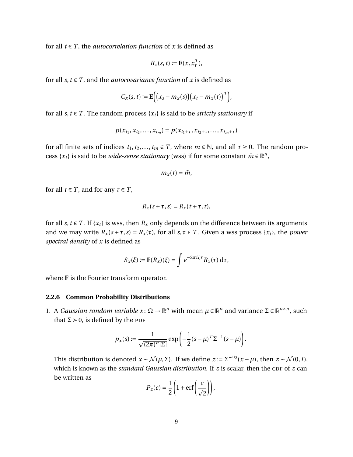for all  $t \in T$ , the *autocorrelation function* of *x* is defined as

$$
R_x(s,t) := \mathbf{E}(x_s x_t^T),
$$

for all  $s, t \in T$ , and the *autocovariance function* of *x* is defined as

$$
C_x(s,t) := \mathbf{E}\Big[\big(x_s - m_x(s)\big)\big(x_t - m_x(t)\big)^T\Big]
$$

,

for all *s*, *t*  $\in$  *T*. The random process { $x_t$ } is said to be *strictly stationary* if

$$
p(x_{t_1}, x_{t_2}, \ldots, x_{t_m}) = p(x_{t_1 + \tau}, x_{t_2 + \tau}, \ldots, x_{t_m + \tau})
$$

for all finite sets of indices  $t_1, t_2, \ldots, t_m \in T$ , where  $m \in \mathbb{N}$ , and all  $\tau \geq 0$ . The random process  $\{x_t\}$  is said to be *wide-sense stationary* (wss) if for some constant  $\bar{m} \in \mathbb{R}^n$ ,

$$
m_x(t)=\bar{m},
$$

for all  $t \in T$ , and for any  $\tau \in T$ ,

$$
R_x(s+\tau,s)=R_x(t+\tau,t),
$$

for all *s*, *t*  $\in$  *T*. If {*x*<sub>*t*</sub>} is wss, then *R*<sub>*x*</sub> only depends on the difference between its arguments and we may write  $R_x(s + \tau, s) = R_x(\tau)$ , for all  $s, \tau \in T$ . Given a wss process  $\{x_t\}$ , the *power spectral density* of *x* is defined as

$$
S_x(\xi) := \mathbf{F}(R_x)(\xi) = \int e^{-2\pi i \xi \tau} R_x(\tau) \, \mathrm{d}\tau,
$$

where **F** is the Fourier transform operator.

#### <span id="page-21-0"></span>**2.2.6 Common Probability Distributions**

1. A *Gaussian random variable*  $x$ : Ω → ℝ<sup>*n*</sup> with mean  $μ ∈ ℝ<sup>n</sup>$  and variance Σ ∈ ℝ<sup>*n*×*n*</sup>, such that  $\Sigma > 0$ , is defined by the PDF

$$
p_{x}(s) \coloneqq \frac{1}{\sqrt{(2\pi)^{n}|\Sigma|}} \exp\left(-\frac{1}{2}(s-\mu)^{T}\Sigma^{-1}(s-\mu)\right).
$$

This distribution is denoted  $x \sim \mathcal{N}(\mu, \Sigma)$ . If we define  $z \coloneqq \Sigma^{-1/2} (x - \mu)$ , then  $z \sim \mathcal{N}(0, I)$ , which is known as the *standard Gaussian distribution*. If *z* is scalar, then the CDF of *z* can be written as

$$
P_z(c) = \frac{1}{2} \left( 1 + \text{erf}\left(\frac{c}{\sqrt{2}}\right) \right),
$$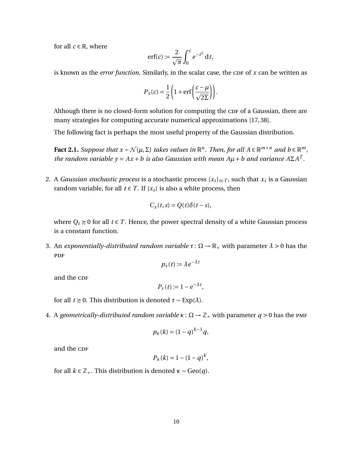for all  $c \in \mathbb{R}$ , where

$$
\mathrm{erf}(c) := \frac{2}{\sqrt{\pi}} \int_0^c e^{-t^2} \, \mathrm{d}t,
$$

is known as the *error function*. Similarly, in the scalar case, the CDF of *x* can be written as

$$
P_X(c) = \frac{1}{2} \left( 1 + \text{erf}\left(\frac{c - \mu}{\sqrt{2\Sigma}}\right) \right).
$$

Although there is no closed-form solution for computing the CDF of a Gaussian, there are many strategies for computing accurate numerical approximations [\[17,](#page-132-2) [38\]](#page-133-0).

The following fact is perhaps the most useful property of the Gaussian distribution.

**Fact 2.1.** Suppose that  $x \sim \mathcal{N}(\mu, \Sigma)$  takes values in  $\mathbb{R}^n$ . Then, for all  $A \in \mathbb{R}^{m \times n}$  and  $b \in \mathbb{R}^m$ , *the random variable y* =  $Ax + b$  *is also Gaussian with mean*  $A\mu + b$  *and variance*  $A\Sigma A^{T}$ *.* 

2. A *Gaussian stochastic process* is a stochastic process  $\{x_t\}_{t\in T}$ , such that  $x_t$  is a Gaussian random variable, for all  $t \in T$ . If  $\{x_t\}$  is also a white process, then

$$
C_x(t,s) = Q(t)\delta(t-s),
$$

where  $Q_t \geq 0$  for all  $t \in T$ . Hence, the power spectral density of a white Gaussian process is a constant function.

3. An *exponentially-distributed random variable τ*: Ω → R<sup>+</sup> with parameter *λ* > 0 has the **PDF** 

$$
p_{\tau}(t) \coloneqq \lambda e^{-\lambda t}
$$

and the CDF

$$
P_{\tau}(t) \coloneqq 1 - e^{-\lambda t},
$$

for all *t* ≥ 0. This distribution is denoted  $\tau \sim \text{Exp}(\lambda)$ .

4. A *geometrically-distributed random variable*  $\kappa : \Omega \to \mathbb{Z}_+$  with parameter  $q > 0$  has the PMF

$$
p_K(k) = (1-q)^{k-1}q,
$$

and the CDF

$$
P_K(k) = 1 - (1 - q)^k,
$$

for all  $k \in \mathbb{Z}_+$ . This distribution is denoted  $\kappa \sim \text{Geo}(q)$ .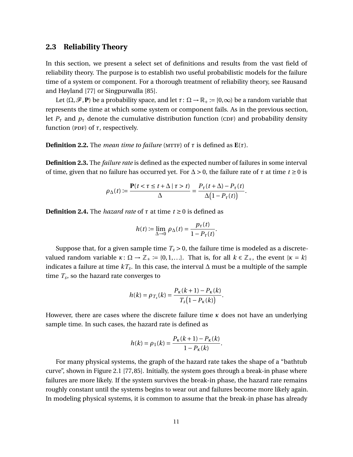#### <span id="page-23-0"></span>**2.3 Reliability Theory**

In this section, we present a select set of definitions and results from the vast field of reliability theory. The purpose is to establish two useful probabilistic models for the failure time of a system or component. For a thorough treatment of reliability theory, see Rausand and Høyland [\[77\]](#page-136-0) or Singpurwalla [\[85\]](#page-137-1).

Let  $(\Omega, \mathcal{F}, P)$  be a probability space, and let  $\tau : \Omega \to \mathbb{R}_+ := [0, \infty)$  be a random variable that represents the time at which some system or component fails. As in the previous section, let  $P_{\tau}$  and  $p_{\tau}$  denote the cumulative distribution function (cDF) and probability density function (PDF) of  $\tau$ , respectively.

**Definition 2.2.** The *mean time to failure* (MTTF) of  $\tau$  is defined as  $\mathbf{E}(\tau)$ .

**Definition 2.3.** The *failure rate* is defined as the expected number of failures in some interval of time, given that no failure has occurred yet. For  $\Delta > 0$ , the failure rate of  $\tau$  at time  $t \ge 0$  is

$$
\rho_{\Delta}(t) := \frac{\mathbf{P}(t < \tau \leq t + \Delta \mid \tau > t)}{\Delta} = \frac{P_{\tau}(t + \Delta) - P_{\tau}(t)}{\Delta \left(1 - P_{\tau}(t)\right)}.
$$

**Definition 2.4.** The *hazard rate* of  $\tau$  at time  $t \ge 0$  is defined as

$$
h(t) := \lim_{\Delta \to 0} \rho_{\Delta}(t) = \frac{p_{\tau}(t)}{1 - P_{\tau}(t)}.
$$

Suppose that, for a given sample time  $T_s > 0$ , the failure time is modeled as a discretevalued random variable  $\kappa: \Omega \to \mathbb{Z}_+ := \{0,1,\ldots\}$ . That is, for all  $k \in \mathbb{Z}_+$ , the event  $\{\kappa = k\}$ indicates a failure at time  $kT_s.$  In this case, the interval ∆ must be a multiple of the sample time  $T_s$ , so the hazard rate converges to

$$
h(k) = \rho_{T_s}(k) = \frac{P_{\kappa}(k+1) - P_{\kappa}(k)}{T_s(1 - P_{\kappa}(k))}.
$$

However, there are cases where the discrete failure time *κ* does not have an underlying sample time. In such cases, the hazard rate is defined as

$$
h(k) = \rho_1(k) = \frac{P_{\kappa}(k+1) - P_{\kappa}(k)}{1 - P_{\kappa}(k)}
$$

.

For many physical systems, the graph of the hazard rate takes the shape of a "bathtub curve", shown in Figure [2.1](#page-24-0) [\[77,](#page-136-0)[85\]](#page-137-1). Initially, the system goes through a break-in phase where failures are more likely. If the system survives the break-in phase, the hazard rate remains roughly constant until the systems begins to wear out and failures become more likely again. In modeling physical systems, it is common to assume that the break-in phase has already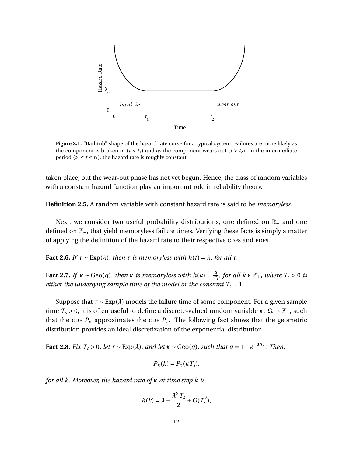<span id="page-24-0"></span>

**Figure 2.1.** "Bathtub" shape of the hazard rate curve for a typical system. Failures are more likely as the component is broken in ( $t < t_1$ ) and as the component wears out ( $t > t_2$ ). In the intermediate period ( $t_1 \le t \le t_2$ ), the hazard rate is roughly constant.

taken place, but the wear-out phase has not yet begun. Hence, the class of random variables with a constant hazard function play an important role in reliability theory.

**Definition 2.5.** A random variable with constant hazard rate is said to be *memoryless*.

Next, we consider two useful probability distributions, one defined on  $\mathbb{R}_+$  and one defined on  $\mathbb{Z}_+$ , that yield memoryless failure times. Verifying these facts is simply a matter of applying the definition of the hazard rate to their respective cores and pors.

**Fact 2.6.** *If*  $\tau \sim \text{Exp}(\lambda)$ *, then*  $\tau$  *is memoryless with*  $h(t) = \lambda$ *, for all t.* 

**Fact 2.7.** *If*  $\kappa \sim \text{Geo}(q)$ , then  $\kappa$  *is memoryless with*  $h(k) = \frac{q}{T}$  $\frac{q}{T_s}$ , for all  $k \in \mathbb{Z}_+$ , where  $T_s > 0$  is *either the underlying sample time of the model or the constant*  $T_s = 1$ *.* 

Suppose that  $\tau \sim \text{Exp}(\lambda)$  models the failure time of some component. For a given sample time  $T_s > 0$ , it is often useful to define a discrete-valued random variable  $κ : Ω \rightarrow \mathbb{Z}_+$ , such that the cDF  $P_k$  approximates the cDF  $P_{\tau}$ . The following fact shows that the geometric distribution provides an ideal discretization of the exponential distribution.

**Fact 2.8.** *Fix*  $T_s > 0$ *, let*  $\tau \sim \text{Exp}(\lambda)$ *, and let*  $\kappa \sim \text{Geo}(q)$ *, such that*  $q = 1 - e^{-\lambda T_s}$ *. Then,* 

$$
P_K(k) = P_\tau(kT_s),
$$

*for all k. Moreover, the hazard rate of κ at time step k is*

$$
h(k) = \lambda - \frac{\lambda^2 T_s}{2} + O(T_s^2),
$$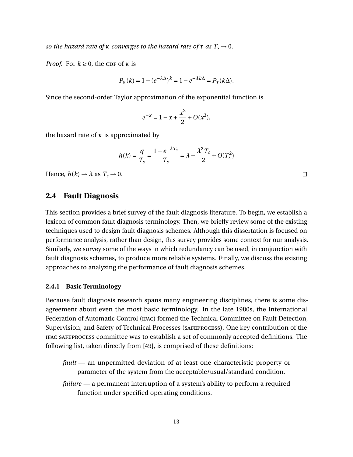*so the hazard rate of κ converges to the hazard rate of*  $\tau$  *as*  $T_s \rightarrow 0$ *.* 

*Proof.* For  $k \geq 0$ , the CDF of *κ* is

$$
P_K(k) = 1 - (e^{-\lambda \Delta})^k = 1 - e^{-\lambda k \Delta} = P_\tau(k \Delta).
$$

Since the second-order Taylor approximation of the exponential function is

$$
e^{-x} = 1 - x + \frac{x^2}{2} + O(x^3),
$$

the hazard rate of *κ* is approximated by

$$
h(k) = \frac{q}{T_s} = \frac{1 - e^{-\lambda T_s}}{T_s} = \lambda - \frac{\lambda^2 T_s}{2} + O(T_s^2)
$$

Hence,  $h(k) \rightarrow \lambda$  as  $T_s \rightarrow 0$ .

#### <span id="page-25-0"></span>**2.4 Fault Diagnosis**

This section provides a brief survey of the fault diagnosis literature. To begin, we establish a lexicon of common fault diagnosis terminology. Then, we briefly review some of the existing techniques used to design fault diagnosis schemes. Although this dissertation is focused on performance analysis, rather than design, this survey provides some context for our analysis. Similarly, we survey some of the ways in which redundancy can be used, in conjunction with fault diagnosis schemes, to produce more reliable systems. Finally, we discuss the existing approaches to analyzing the performance of fault diagnosis schemes.

#### <span id="page-25-1"></span>**2.4.1 Basic Terminology**

Because fault diagnosis research spans many engineering disciplines, there is some disagreement about even the most basic terminology. In the late 1980s, the International Federation of Automatic Control (ifac) formed the Technical Committee on Fault Detection, Supervision, and Safety of Technical Processes (safeprocess). One key contribution of the ifac safeprocess committee was to establish a set of commonly accepted definitions. The following list, taken directly from [\[49\]](#page-134-3), is comprised of these definitions:

- *fault* an unpermitted deviation of at least one characteristic property or parameter of the system from the acceptable/usual/standard condition.
- *failure* a permanent interruption of a system's ability to perform a required function under specified operating conditions.

 $\Box$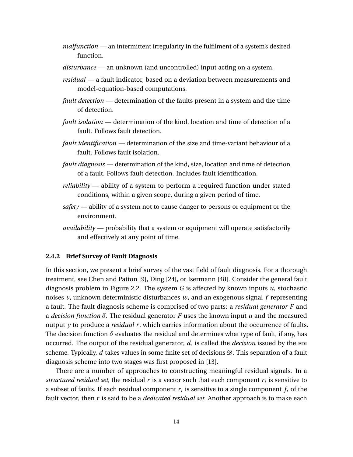- *malfunction* an intermittent irregularity in the fulfilment of a system's desired function.
- *disturbance* an unknown (and uncontrolled) input acting on a system.
- *residual* a fault indicator, based on a deviation between measurements and model-equation-based computations.
- *fault detection* determination of the faults present in a system and the time of detection.
- *fault isolation* determination of the kind, location and time of detection of a fault. Follows fault detection.
- *fault identification* determination of the size and time-variant behaviour of a fault. Follows fault isolation.
- *fault diagnosis* determination of the kind, size, location and time of detection of a fault. Follows fault detection. Includes fault identification.
- *reliability* ability of a system to perform a required function under stated conditions, within a given scope, during a given period of time.
- *safety* ability of a system not to cause danger to persons or equipment or the environment.
- *availability* probability that a system or equipment will operate satisfactorily and effectively at any point of time.

#### <span id="page-26-0"></span>**2.4.2 Brief Survey of Fault Diagnosis**

In this section, we present a brief survey of the vast field of fault diagnosis. For a thorough treatment, see Chen and Patton [\[9\]](#page-131-1), Ding [\[24\]](#page-132-1), or Isermann [\[48\]](#page-134-1). Consider the general fault diagnosis problem in Figure [2.2.](#page-27-0) The system *G* is affected by known inputs *u*, stochastic noises *v*, unknown deterministic disturbances *w*, and an exogenous signal *f* representing a fault. The fault diagnosis scheme is comprised of two parts: a *residual generator F* and a *decision function δ*. The residual generator *F* uses the known input *u* and the measured output *y* to produce a *residual r*, which carries information about the occurrence of faults. The decision function  $\delta$  evaluates the residual and determines what type of fault, if any, has occurred. The output of the residual generator,  $d$ , is called the *decision* issued by the FDI scheme. Typically,  $d$  takes values in some finite set of decisions  $\mathcal{D}$ . This separation of a fault diagnosis scheme into two stages was first proposed in [\[13\]](#page-132-3).

There are a number of approaches to constructing meaningful residual signals. In a *structured residual set*, the residual *r* is a vector such that each component *r<sup>i</sup>* is sensitive to a subset of faults. If each residual component  $r_i$  is sensitive to a single component  $f_i$  of the fault vector, then *r* is said to be a *dedicated residual set*. Another approach is to make each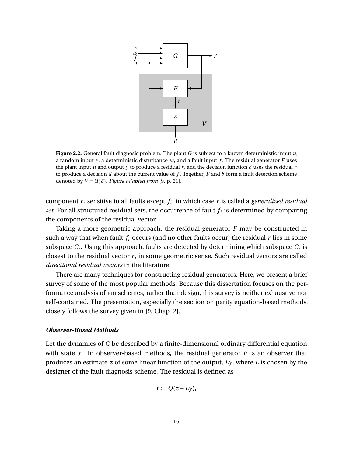<span id="page-27-0"></span>

**Figure 2.2.** General fault diagnosis problem. The plant *G* is subject to a known deterministic input *u*, a random input  $\nu$ , a deterministic disturbance  $\nu$ , and a fault input  $f$ . The residual generator  $F$  uses the plant input *u* and output *y* to produce a residual *r*, and the decision function  $\delta$  uses the residual *r* to produce a decision  $d$  about the current value of  $f$ . Together,  $F$  and  $\delta$  form a fault detection scheme denoted by  $V = (F, \delta)$ . *Figure adapted from* [\[9,](#page-131-1) p. 21].

component *r<sup>i</sup>* sensitive to all faults except *f<sup>i</sup>* , in which case *r* is called a *generalized residual set*. For all structured residual sets, the occurrence of fault *f<sup>i</sup>* is determined by comparing the components of the residual vector.

Taking a more geometric approach, the residual generator *F* may be constructed in such a way that when fault  $f_i$  occurs (and no other faults occur) the residual  $r$  lies in some subspace  $C_i.$  Using this approach, faults are detected by determining which subspace  $C_i$  is closest to the residual vector  $r$ , in some geometric sense. Such residual vectors are called *directional residual vectors* in the literature.

There are many techniques for constructing residual generators. Here, we present a brief survey of some of the most popular methods. Because this dissertation focuses on the performance analysis of FDI schemes, rather than design, this survey is neither exhaustive nor self-contained. The presentation, especially the section on parity equation-based methods, closely follows the survey given in [\[9,](#page-131-1) Chap. 2].

#### *Observer-Based Methods*

Let the dynamics of *G* be described by a finite-dimensional ordinary differential equation with state  $x$ . In observer-based methods, the residual generator  $F$  is an observer that produces an estimate *z* of some linear function of the output, *Ly*, where *L* is chosen by the designer of the fault diagnosis scheme. The residual is defined as

$$
r := Q(z - Ly),
$$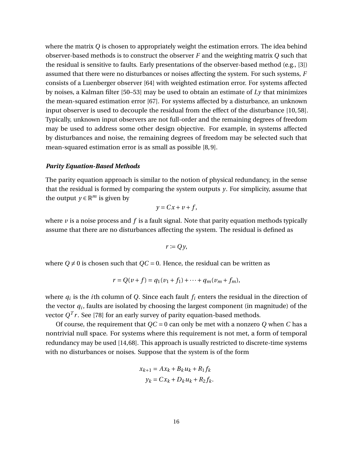where the matrix *Q* is chosen to appropriately weight the estimation errors. The idea behind observer-based methods is to construct the observer *F* and the weighting matrix *Q* such that the residual is sensitive to faults. Early presentations of the observer-based method (e.g., [\[3\]](#page-131-3)) assumed that there were no disturbances or noises affecting the system. For such systems, *F* consists of a Luenberger observer [\[64\]](#page-135-0) with weighted estimation error. For systems affected by noises, a Kalman filter [\[50](#page-134-2)[–53\]](#page-134-4) may be used to obtain an estimate of *Ly* that minimizes the mean-squared estimation error [\[67\]](#page-135-1). For systems affected by a disturbance, an unknown input observer is used to decouple the residual from the effect of the disturbance [\[10,](#page-131-4) [58\]](#page-135-2). Typically, unknown input observers are not full-order and the remaining degrees of freedom may be used to address some other design objective. For example, in systems affected by disturbances and noise, the remaining degrees of freedom may be selected such that mean-squared estimation error is as small as possible [\[8,](#page-131-5) [9\]](#page-131-1).

#### *Parity Equation-Based Methods*

The parity equation approach is similar to the notion of physical redundancy, in the sense that the residual is formed by comparing the system outputs *y*. For simplicity, assume that the output  $y \in \mathbb{R}^m$  is given by

$$
y = Cx + v + f,
$$

where  $\nu$  is a noise process and  $f$  is a fault signal. Note that parity equation methods typically assume that there are no disturbances affecting the system. The residual is defined as

$$
r := Qy,
$$

where  $Q \neq 0$  is chosen such that  $QC = 0$ . Hence, the residual can be written as

$$
r = Q(\nu + f) = q_1(\nu_1 + f_1) + \dots + q_m(\nu_m + f_m),
$$

where  $q_i$  is the *i*th column of Q. Since each fault  $f_i$  enters the residual in the direction of the vector  $q_i$ , faults are isolated by choosing the largest component (in magnitude) of the vector  $Q^T r$ . See [\[78\]](#page-136-4) for an early survey of parity equation-based methods.

Of course, the requirement that *QC* = 0 can only be met with a nonzero *Q* when *C* has a nontrivial null space. For systems where this requirement is not met, a form of temporal redundancy may be used [\[14,](#page-132-4)[68\]](#page-136-5). This approach is usually restricted to discrete-time systems with no disturbances or noises. Suppose that the system is of the form

$$
x_{k+1} = Ax_k + B_k u_k + R_1 f_k
$$
  

$$
y_k = Cx_k + D_k u_k + R_2 f_k.
$$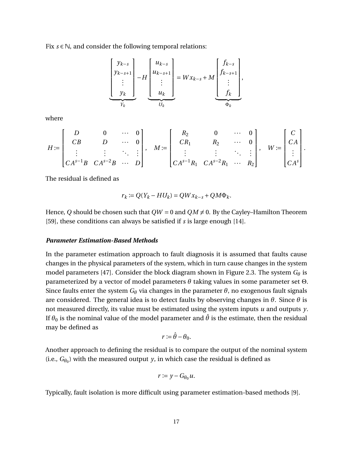Fix *s* ∈ N, and consider the following temporal relations:

$$
\underbrace{\begin{bmatrix} y_{k-s} \\ y_{k-s+1} \\ \vdots \\ y_k \end{bmatrix}}_{Y_k} - H \underbrace{\begin{bmatrix} u_{k-s} \\ u_{k-s+1} \\ \vdots \\ u_k \end{bmatrix}}_{U_k} = W x_{k-s} + M \underbrace{\begin{bmatrix} f_{k-s} \\ f_{k-s+1} \\ \vdots \\ f_k \end{bmatrix}}_{\Phi_k},
$$

where

$$
H := \begin{bmatrix} D & 0 & \cdots & 0 \\ CB & D & \cdots & 0 \\ \vdots & \vdots & \ddots & \vdots \\ CA^{s-1}B & CA^{s-2}B & \cdots & D \end{bmatrix}, \quad M := \begin{bmatrix} R_2 & 0 & \cdots & 0 \\ CR_1 & R_2 & \cdots & 0 \\ \vdots & \vdots & \ddots & \vdots \\ CA^{s-1}R_1 & CA^{s-2}R_1 & \cdots & R_2 \end{bmatrix}, \quad W := \begin{bmatrix} C \\ CA \\ \vdots \\ CA^s \end{bmatrix}.
$$

The residual is defined as

$$
r_k := Q(Y_k - HU_k) = QWx_{k-s} + QM\Phi_k.
$$

Hence, Q should be chosen such that  $QW = 0$  and  $QM \neq 0$ . By the Cayley–Hamilton Theorem [\[59\]](#page-135-3), these conditions can always be satisfied if *s* is large enough [\[14\]](#page-132-4).

#### *Parameter Estimation-Based Methods*

In the parameter estimation approach to fault diagnosis it is assumed that faults cause changes in the physical parameters of the system, which in turn cause changes in the system model parameters [\[47\]](#page-134-5). Consider the block diagram shown in Figure [2.3.](#page-30-2) The system *G<sup>θ</sup>* is parameterized by a vector of model parameters *θ* taking values in some parameter set Θ. Since faults enter the system  $G_{\theta}$  via changes in the parameter  $\theta$ , no exogenous fault signals are considered. The general idea is to detect faults by observing changes in *θ*. Since *θ* is not measured directly, its value must be estimated using the system inputs *u* and outputs *y*. If  $\theta_0$  is the nominal value of the model parameter and  $\hat{\theta}$  is the estimate, then the residual may be defined as

$$
r:=\hat{\theta}-\theta_0.
$$

Another approach to defining the residual is to compare the output of the nominal system (i.e.,  $G_{\theta_0}$ ) with the measured output *y*, in which case the residual is defined as

$$
r \coloneqq y - G_{\theta_0} u.
$$

Typically, fault isolation is more difficult using parameter estimation-based methods [\[9\]](#page-131-1).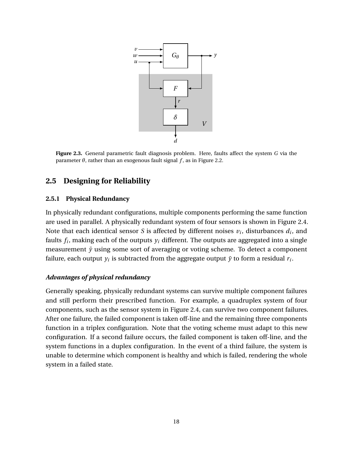<span id="page-30-2"></span>

**Figure 2.3.** General parametric fault diagnosis problem. Here, faults affect the system *G* via the parameter  $\theta$ , rather than an exogenous fault signal  $f$ , as in Figure [2.2.](#page-27-0)

# <span id="page-30-0"></span>**2.5 Designing for Reliability**

#### <span id="page-30-1"></span>**2.5.1 Physical Redundancy**

In physically redundant configurations, multiple components performing the same function are used in parallel. A physically redundant system of four sensors is shown in Figure [2.4.](#page-31-1) Note that each identical sensor *S* is affected by different noises  $v_i$ , disturbances  $d_i$ , and faults *f<sup>i</sup>* , making each of the outputs *y<sup>i</sup>* different. The outputs are aggregated into a single measurement  $\bar{y}$  using some sort of averaging or voting scheme. To detect a component failure, each output  $y_i$  is subtracted from the aggregate output  $\bar{y}$  to form a residual  $r_i.$ 

### *Advantages of physical redundancy*

Generally speaking, physically redundant systems can survive multiple component failures and still perform their prescribed function. For example, a quadruplex system of four components, such as the sensor system in Figure [2.4,](#page-31-1) can survive two component failures. After one failure, the failed component is taken off-line and the remaining three components function in a triplex configuration. Note that the voting scheme must adapt to this new configuration. If a second failure occurs, the failed component is taken off-line, and the system functions in a duplex configuration. In the event of a third failure, the system is unable to determine which component is healthy and which is failed, rendering the whole system in a failed state.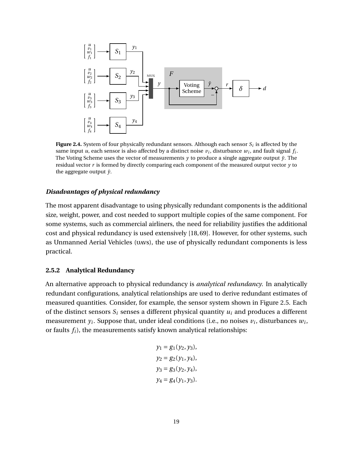<span id="page-31-1"></span>

**Figure 2.4.** System of four physically redundant sensors. Although each sensor  $S_i$  is affected by the same input *u*, each sensor is also affected by a distinct noise  $v_i$ , disturbance  $w_i$ , and fault signal  $f_i$ . The Voting Scheme uses the vector of measurements  $y$  to produce a single aggregate output  $\bar{y}$ . The residual vector *r* is formed by directly comparing each component of the measured output vector *y* to the aggregate output  $\bar{y}$ .

#### *Disadvantages of physical redundancy*

The most apparent disadvantage to using physically redundant components is the additional size, weight, power, and cost needed to support multiple copies of the same component. For some systems, such as commercial airliners, the need for reliability justifies the additional cost and physical redundancy is used extensively [\[18,](#page-132-0) [69\]](#page-136-6). However, for other systems, such as Unmanned Aerial Vehicles (uavs), the use of physically redundant components is less practical.

#### <span id="page-31-0"></span>**2.5.2 Analytical Redundancy**

An alternative approach to physical redundancy is *analytical redundancy*. In analytically redundant configurations, analytical relationships are used to derive redundant estimates of measured quantities. Consider, for example, the sensor system shown in Figure [2.5.](#page-33-2) Each of the distinct sensors  $S_i$  senses a different physical quantity  $u_i$  and produces a different measurement  $y_i$ . Suppose that, under ideal conditions (i.e., no noises  $v_i$ , disturbances  $w_i$ , or faults *fi*), the measurements satisfy known analytical relationships:

$$
y_1 = g_1(y_2, y_3),
$$
  
\n
$$
y_2 = g_2(y_1, y_4),
$$
  
\n
$$
y_3 = g_3(y_2, y_4),
$$
  
\n
$$
y_4 = g_4(y_1, y_3).
$$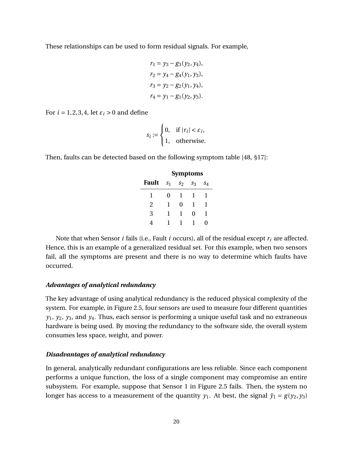These relationships can be used to form residual signals. For example,

$$
r_1 = y_3 - g_3(y_2, y_4),
$$
  
\n
$$
r_2 = y_4 - g_4(y_1, y_3),
$$
  
\n
$$
r_3 = y_2 - g_2(y_1, y_4),
$$
  
\n
$$
r_4 = y_1 - g_1(y_2, y_3).
$$

For  $i = 1, 2, 3, 4$ , let  $\varepsilon_i > 0$  and define

$$
s_i := \begin{cases} 0, & \text{if } |r_i| < \varepsilon_i, \\ 1, & \text{otherwise.} \end{cases}
$$

Then, faults can be detected based on the following symptom table [\[48,](#page-134-1) §17]:

|              | <b>Symptoms</b> |       |       |       |
|--------------|-----------------|-------|-------|-------|
| <b>Fault</b> | S <sub>1</sub>  | $S_2$ | $S_3$ | $S_4$ |
| 1            | 0               | -1    | I.    | 1     |
| 2            | 1               | 0     | 1     | 1     |
| 3            | 1               | -1    | 0     | 1     |
|              |                 |       |       | וו    |

Note that when Sensor *i* fails (i.e., Fault *i* occurs), all of the residual except *r<sup>i</sup>* are affected. Hence, this is an example of a generalized residual set. For this example, when two sensors fail, all the symptoms are present and there is no way to determine which faults have occurred.

#### *Advantages of analytical redundancy*

The key advantage of using analytical redundancy is the reduced physical complexity of the system. For example, in Figure [2.5,](#page-33-2) four sensors are used to measure four different quantities *y*1, *y*2, *y*3, and *y*4. Thus, each sensor is performing a unique useful task and no extraneous hardware is being used. By moving the redundancy to the software side, the overall system consumes less space, weight, and power.

#### *Disadvantages of analytical redundancy*

In general, analytically redundant configurations are less reliable. Since each component performs a unique function, the loss of a single component may compromise an entire subsystem. For example, suppose that Sensor 1 in Figure [2.5](#page-33-2) fails. Then, the system no longer has access to a measurement of the quantity  $y_1$ . At best, the signal  $\hat{y}_1 = g(y_2, y_3)$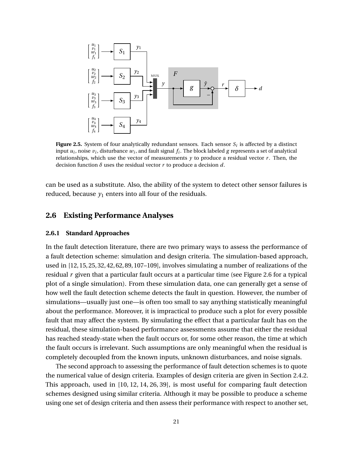<span id="page-33-2"></span>

**Figure 2.5.** System of four analytically redundant sensors. Each sensor  $S_i$  is affected by a distinct input  $u_i$ , noise  $v_i$ , disturbance  $w_i$ , and fault signal  $f_i$ . The block labeled  $g$  represents a set of analytical relationships, which use the vector of measurements *y* to produce a residual vector *r* . Then, the decision function *δ* uses the residual vector *r* to produce a decision *d*.

can be used as a substitute. Also, the ability of the system to detect other sensor failures is reduced, because  $y_1$  enters into all four of the residuals.

# <span id="page-33-0"></span>**2.6 Existing Performance Analyses**

#### <span id="page-33-1"></span>**2.6.1 Standard Approaches**

In the fault detection literature, there are two primary ways to assess the performance of a fault detection scheme: simulation and design criteria. The simulation-based approach, used in [\[12,](#page-132-5) [15,](#page-132-6) [25,](#page-132-7) [32,](#page-133-1) [42,](#page-134-6) [62,](#page-135-4) [89,](#page-137-2) [107](#page-138-3)[–109\]](#page-139-0), involves simulating a number of realizations of the residual *r* given that a particular fault occurs at a particular time (see Figure [2.6](#page-34-1) for a typical plot of a single simulation). From these simulation data, one can generally get a sense of how well the fault detection scheme detects the fault in question. However, the number of simulations—usually just one—is often too small to say anything statistically meaningful about the performance. Moreover, it is impractical to produce such a plot for every possible fault that may affect the system. By simulating the effect that a particular fault has on the residual, these simulation-based performance assessments assume that either the residual has reached steady-state when the fault occurs or, for some other reason, the time at which the fault occurs is irrelevant. Such assumptions are only meaningful when the residual is completely decoupled from the known inputs, unknown disturbances, and noise signals.

The second approach to assessing the performance of fault detection schemes is to quote the numerical value of design criteria. Examples of design criteria are given in Section [2.4.2.](#page-26-0) This approach, used in [\[10,](#page-131-4) [12,](#page-132-5) [14,](#page-132-4) [26,](#page-133-2) [39\]](#page-133-3), is most useful for comparing fault detection schemes designed using similar criteria. Although it may be possible to produce a scheme using one set of design criteria and then assess their performance with respect to another set,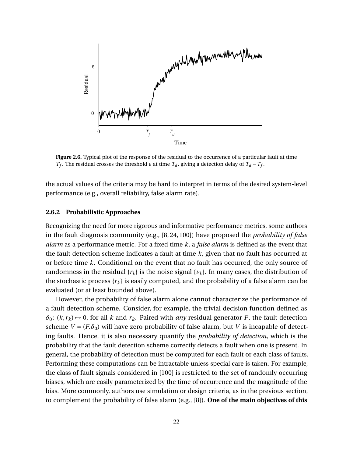<span id="page-34-1"></span>

**Figure 2.6.** Typical plot of the response of the residual to the occurrence of a particular fault at time *T*<sup>*f*</sup>. The residual crosses the threshold  $\varepsilon$  at time  $T_d$ , giving a detection delay of  $T_d - T_f$ .

the actual values of the criteria may be hard to interpret in terms of the desired system-level performance (e.g., overall reliability, false alarm rate).

#### <span id="page-34-0"></span>**2.6.2 Probabilistic Approaches**

Recognizing the need for more rigorous and informative performance metrics, some authors in the fault diagnosis community (e.g., [\[8,](#page-131-5) [24,](#page-132-1) [100\]](#page-138-4)) have proposed the *probability of false alarm* as a performance metric. For a fixed time *k*, a *false alarm* is defined as the event that the fault detection scheme indicates a fault at time *k*, given that no fault has occurred at or before time *k*. Conditional on the event that no fault has occurred, the only source of randomness in the residual  $\{r_k\}$  is the noise signal  $\{v_k\}$ . In many cases, the distribution of the stochastic process  $\{r_k\}$  is easily computed, and the probability of a false alarm can be evaluated (or at least bounded above).

However, the probability of false alarm alone cannot characterize the performance of a fault detection scheme. Consider, for example, the trivial decision function defined as  $\delta_0$ : ( $k, r_k$ )  $\rightarrow$  0, for all  $k$  and  $r_k$ . Paired with *any* residual generator *F*, the fault detection scheme  $V = (F, \delta_0)$  will have zero probability of false alarm, but *V* is incapable of detecting faults. Hence, it is also necessary quantify the *probability of detection*, which is the probability that the fault detection scheme correctly detects a fault when one is present. In general, the probability of detection must be computed for each fault or each class of faults. Performing these computations can be intractable unless special care is taken. For example, the class of fault signals considered in [\[100\]](#page-138-4) is restricted to the set of randomly occurring biases, which are easily parameterized by the time of occurrence and the magnitude of the bias. More commonly, authors use simulation or design criteria, as in the previous section, to complement the probability of false alarm (e.g., [\[8\]](#page-131-5)). **One of the main objectives of this**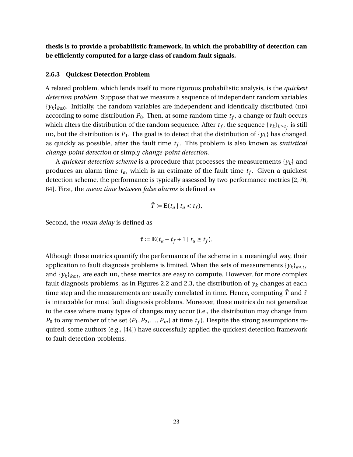**thesis is to provide a probabilistic framework, in which the probability of detection can be efficiently computed for a large class of random fault signals.**

#### <span id="page-35-0"></span>**2.6.3 Quickest Detection Problem**

A related problem, which lends itself to more rigorous probabilistic analysis, is the *quickest detection problem*. Suppose that we measure a sequence of independent random variables  ${y_k}_{k\geq0}$ . Initially, the random variables are independent and identically distributed (IID) according to some distribution  $P_0.$  Then, at some random time  $t_f,$  a change or fault occurs which alters the distribution of the random sequence. After  $t_f$ , the sequence  $\{y_k\}_{k\geq t_f}$  is still iid, but the distribution is  $P_1$ . The goal is to detect that the distribution of  $\{y_k\}$  has changed, as quickly as possible, after the fault time *t<sup>f</sup>* . This problem is also known as *statistical change-point detection* or simply *change-point detection*.

A *quickest detection scheme* is a procedure that processes the measurements  $\{y_k\}$  and produces an alarm time *ta*, which is an estimate of the fault time *t<sup>f</sup>* . Given a quickest detection scheme, the performance is typically assessed by two performance metrics [\[2,](#page-131-6) [76,](#page-136-7) [84\]](#page-137-3). First, the *mean time between false alarms* is defined as

$$
\bar{T} := \mathbf{E}(t_a \mid t_a < t_f),
$$

Second, the *mean delay* is defined as

$$
\bar{\tau} := \mathbf{E}(t_a - t_f + 1 \mid t_a \ge t_f).
$$

Although these metrics quantify the performance of the scheme in a meaningful way, their application to fault diagnosis problems is limited. When the sets of measurements  $\{y_k\}_{k \leq t_f}$ and  $\{y_k\}_{k \geq t_f}$  are each iid, these metrics are easy to compute. However, for more complex fault diagnosis problems, as in Figures [2.2](#page-27-0) and [2.3,](#page-30-2) the distribution of  $y_k$  changes at each time step and the measurements are usually correlated in time. Hence, computing  $\bar{T}$  and  $\bar{\tau}$ is intractable for most fault diagnosis problems. Moreover, these metrics do not generalize to the case where many types of changes may occur (i.e., the distribution may change from  $P_0$  to any member of the set  $\{P_1, P_2, \ldots, P_m\}$  at time  $t_f$ ). Despite the strong assumptions required, some authors (e.g., [\[44\]](#page-134-7)) have successfully applied the quickest detection framework to fault detection problems.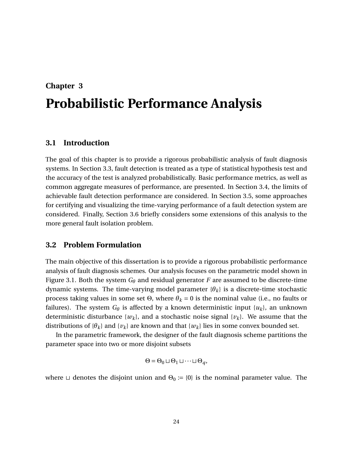# <span id="page-36-0"></span>**Chapter 3 Probabilistic Performance Analysis**

# **3.1 Introduction**

The goal of this chapter is to provide a rigorous probabilistic analysis of fault diagnosis systems. In Section [3.3,](#page-38-0) fault detection is treated as a type of statistical hypothesis test and the accuracy of the test is analyzed probabilistically. Basic performance metrics, as well as common aggregate measures of performance, are presented. In Section [3.4,](#page-42-0) the limits of achievable fault detection performance are considered. In Section [3.5,](#page-47-0) some approaches for certifying and visualizing the time-varying performance of a fault detection system are considered. Finally, Section [3.6](#page-52-0) briefly considers some extensions of this analysis to the more general fault isolation problem.

# **3.2 Problem Formulation**

The main objective of this dissertation is to provide a rigorous probabilistic performance analysis of fault diagnosis schemes. Our analysis focuses on the parametric model shown in Figure [3.1.](#page-37-0) Both the system *G<sup>θ</sup>* and residual generator *F* are assumed to be discrete-time dynamic systems. The time-varying model parameter {*θk*} is a discrete-time stochastic process taking values in some set  $Θ$ , where  $θ_k = 0$  is the nominal value (i.e., no faults or failures). The system  $G_{\theta}$  is affected by a known deterministic input  $\{u_k\}$ , an unknown deterministic disturbance  $\{w_k\}$ , and a stochastic noise signal  $\{v_k\}$ . We assume that the distributions of  $\{\theta_k\}$  and  $\{\nu_k\}$  are known and that  $\{\nu_k\}$  lies in some convex bounded set.

In the parametric framework, the designer of the fault diagnosis scheme partitions the parameter space into two or more disjoint subsets

$$
\Theta = \Theta_0 \sqcup \Theta_1 \sqcup \cdots \sqcup \Theta_q,
$$

where  $\sqcup$  denotes the disjoint union and  $\Theta_0 := \{0\}$  is the nominal parameter value. The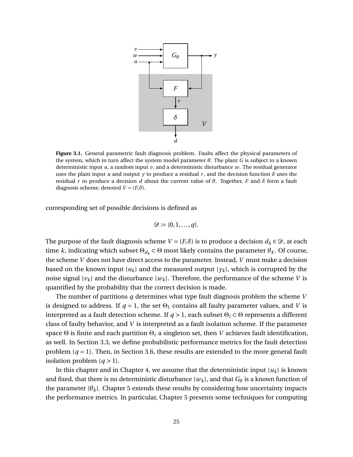<span id="page-37-0"></span>

**Figure 3.1.** General parametric fault diagnosis problem. Faults affect the physical parameters of the system, which in turn affect the system model parameter *θ*. The plant *G* is subject to a known deterministic input *u*, a random input *v*, and a deterministic disturbance *w*. The residual generator uses the plant input *u* and output *y* to produce a residual *r*, and the decision function  $\delta$  uses the residual *r* to produce a decision *d* about the current value of *θ*. Together, *F* and *δ* form a fault diagnosis scheme, denoted  $V = (F, \delta)$ .

corresponding set of possible decisions is defined as

$$
\mathcal{D} \coloneqq \{0, 1, \ldots, q\}.
$$

The purpose of the fault diagnosis scheme  $V = (F, \delta)$  is to produce a decision  $d_k \in \mathcal{D}$ , at each time *k*, indicating which subset  $\Theta_{d_k} \subset \Theta$  most likely contains the parameter  $\theta_k$ . Of course, the scheme *V* does not have direct access to the parameter. Instead, *V* must make a decision based on the known input  $\{u_k\}$  and the measured output  $\{y_k\}$ , which is corrupted by the noise signal  $\{v_k\}$  and the disturbance  $\{w_k\}$ . Therefore, the performance of the scheme *V* is quantified by the probability that the correct decision is made.

The number of partitions *q* determines what type fault diagnosis problem the scheme *V* is designed to address. If  $q = 1$ , the set  $\Theta_1$  contains all faulty parameter values, and *V* is interpreted as a fault detection scheme. If *q* > 1, each subset Θ*<sup>i</sup>* ⊂ Θ represents a different class of faulty behavior, and *V* is interpreted as a fault isolation scheme. If the parameter space Θ is finite and each partition Θ*<sup>i</sup>* a singleton set, then *V* achieves fault identification, as well. In Section [3.3,](#page-38-0) we define probabilistic performance metrics for the fault detection problem  $(q = 1)$ . Then, in Section [3.6,](#page-52-0) these results are extended to the more general fault isolation problem  $(q > 1)$ .

In this chapter and in Chapter [4,](#page-56-0) we assume that the deterministic input  $\{u_k\}$  is known and fixed, that there is no deterministic disturbance  $\{w_k\}$ , and that  $G_\theta$  is a known function of the parameter  $\{\theta_k\}$ . Chapter [5](#page-89-0) extends these results by considering how uncertainty impacts the performance metrics. In particular, Chapter [5](#page-89-0) presents some techniques for computing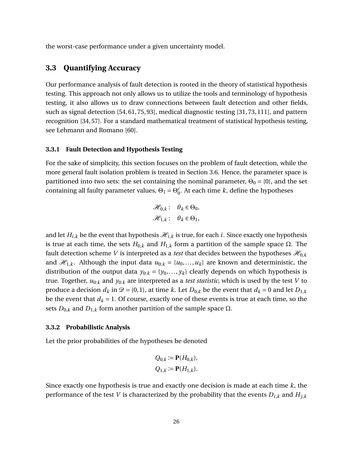the worst-case performance under a given uncertainty model.

# <span id="page-38-0"></span>**3.3 Quantifying Accuracy**

Our performance analysis of fault detection is rooted in the theory of statistical hypothesis testing. This approach not only allows us to utilize the tools and terminology of hypothesis testing, it also allows us to draw connections between fault detection and other fields, such as signal detection [\[54,](#page-135-0) [61,](#page-135-1) [75,](#page-136-0) [93\]](#page-137-0), medical diagnostic testing [\[31,](#page-133-0) [73,](#page-136-1) [111\]](#page-139-0), and pattern recognition [\[34,](#page-133-1) [57\]](#page-135-2). For a standard mathematical treatment of statistical hypothesis testing, see Lehmann and Romano [\[60\]](#page-135-3).

# **3.3.1 Fault Detection and Hypothesis Testing**

For the sake of simplicity, this section focuses on the problem of fault detection, while the more general fault isolation problem is treated in Section [3.6.](#page-52-0) Hence, the parameter space is partitioned into two sets: the set containing the nominal parameter,  $\Theta_0 = \{0\}$ , and the set containing all faulty parameter values,  $\Theta_1 = \Theta_0^c$  $_{0}^{c}$ . At each time *k*, define the hypotheses

$$
\mathcal{H}_{0,k}: \quad \theta_k \in \Theta_0,
$$
  

$$
\mathcal{H}_{1,k}: \quad \theta_k \in \Theta_1,
$$

and let  $H_{i,k}$  be the event that hypothesis  $\mathcal{H}_{i,k}$  is true, for each *i*. Since exactly one hypothesis is true at each time, the sets  $H_{0,k}$  and  $H_{1,k}$  form a partition of the sample space Ω. The fault detection scheme *V* is interpreted as a *test* that decides between the hypotheses  $\mathcal{H}_{0,k}$ and  $\mathcal{H}_{1,k}$ . Although the input data  $u_{0:k} = \{u_0, \ldots, u_k\}$  are known and deterministic, the distribution of the output data  $y_{0:k} = \{y_0, \ldots, y_k\}$  clearly depends on which hypothesis is true. Together, *u*0:*<sup>k</sup>* and *y*0:*<sup>k</sup>* are interpreted as a *test statistic*, which is used by the test *V* to produce a decision  $d_k$  in  $\mathcal{D} = \{0,1\}$ , at time *k*. Let  $D_{0,k}$  be the event that  $d_k = 0$  and let  $D_{1,k}$ be the event that  $d_k = 1$ . Of course, exactly one of these events is true at each time, so the sets  $D_{0,k}$  and  $D_{1,k}$  form another partition of the sample space Ω.

#### **3.3.2 Probabilistic Analysis**

Let the prior probabilities of the hypotheses be denoted

$$
Q_{0,k} := \mathbf{P}(H_{0,k}),
$$
  

$$
Q_{1,k} := \mathbf{P}(H_{1,k}).
$$

Since exactly one hypothesis is true and exactly one decision is made at each time *k*, the performance of the test *V* is characterized by the probability that the events  $D_{i,k}$  and  $H_{j,k}$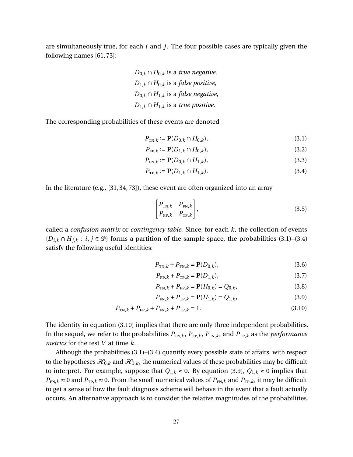are simultaneously true, for each *i* and *j*. The four possible cases are typically given the following names [\[61,](#page-135-1) [73\]](#page-136-1):

> *D*<sub>0,*k*</sub> ∩ *H*<sub>0,*k*</sub> is a *true negative*, *D*<sub>1,*k*</sub> ∩ *H*<sub>0,*k*</sub> is a *false positive*, *D*<sub>0,*k*</sub> ∩ *H*<sub>1,*k*</sub> is a *false negative*, *D*<sub>1,*k*</sub> ∩ *H*<sub>1,*k*</sub> is a *true positive*.

The corresponding probabilities of these events are denoted

<span id="page-39-0"></span>
$$
P_{\text{TN},k} := \mathbf{P}(D_{0,k} \cap H_{0,k}),\tag{3.1}
$$

$$
P_{\text{FP},k} := \mathbf{P}(D_{1,k} \cap H_{0,k}),\tag{3.2}
$$

$$
P_{\text{FN},k} := \mathbf{P}(D_{0,k} \cap H_{1,k}),\tag{3.3}
$$

$$
P_{\text{TP},k} := \mathbf{P}(D_{1,k} \cap H_{1,k}).\tag{3.4}
$$

In the literature (e.g., [\[31,](#page-133-0) [34,](#page-133-1) [73\]](#page-136-1)), these event are often organized into an array

<span id="page-39-1"></span>
$$
\begin{bmatrix} P_{\text{TN},k} & P_{\text{FN},k} \\ P_{\text{FP},k} & P_{\text{TP},k} \end{bmatrix},\tag{3.5}
$$

called a *confusion matrix* or *contingency table*. Since, for each *k*, the collection of events { $D_{i,k} ∩ H_{j,k}$  :  $i, j ∈ \mathcal{D}$ } forms a partition of the sample space, the probabilities [\(3.1\)](#page-39-0)–[\(3.4\)](#page-39-1) satisfy the following useful identities:

<span id="page-39-4"></span>
$$
P_{\text{TN},k} + P_{\text{FN},k} = \mathbf{P}(D_{0,k}),\tag{3.6}
$$

<span id="page-39-6"></span><span id="page-39-5"></span>
$$
P_{\text{FP},k} + P_{\text{TP},k} = \mathbf{P}(D_{1,k}),\tag{3.7}
$$

<span id="page-39-3"></span><span id="page-39-2"></span>
$$
P_{\text{TN},k} + P_{\text{FP},k} = \mathbf{P}(H_{0,k}) = Q_{0,k},\tag{3.8}
$$

$$
P_{\text{FN},k} + P_{\text{TP},k} = \mathbf{P}(H_{1,k}) = Q_{1,k},\tag{3.9}
$$

$$
P_{\text{TN},k} + P_{\text{FP},k} + P_{\text{FN},k} + P_{\text{TP},k} = 1.
$$
\n(3.10)

The identity in equation [\(3.10\)](#page-39-2) implies that there are only three independent probabilities. In the sequel, we refer to the probabilities  $P_{TN,k}$ ,  $P_{FP,k}$ ,  $P_{FN,k}$ , and  $P_{TP,k}$  as the *performance metrics* for the test *V* at time *k*.

Although the probabilities [\(3.1\)](#page-39-0)–[\(3.4\)](#page-39-1) quantify every possible state of affairs, with respect to the hypotheses  $\mathcal{H}_{0,k}$  and  $\mathcal{H}_{1,k}$ , the numerical values of these probabilities may be difficult to interpret. For example, suppose that  $Q_{1,k} \approx 0$ . By equation [\(3.9\)](#page-39-3),  $Q_{1,k} \approx 0$  implies that  $P_{FN,k} \approx 0$  and  $P_{TP,k} \approx 0$ . From the small numerical values of  $P_{FN,k}$  and  $P_{TP,k}$ , it may be difficult to get a sense of how the fault diagnosis scheme will behave in the event that a fault actually occurs. An alternative approach is to consider the relative magnitudes of the probabilities.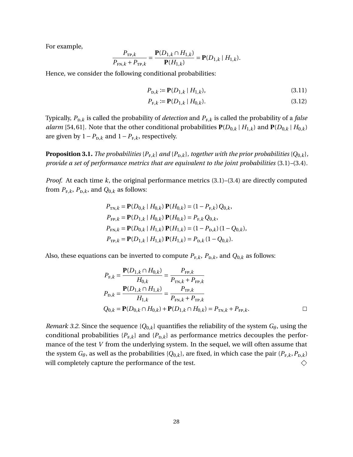For example,

$$
\frac{P_{\text{TP},k}}{P_{\text{FN},k} + P_{\text{TP},k}} = \frac{\mathbf{P}(D_{1,k} \cap H_{1,k})}{\mathbf{P}(H_{1,k})} = \mathbf{P}(D_{1,k} | H_{1,k}).
$$

Hence, we consider the following conditional probabilities:

$$
P_{\mathrm{D},k} := \mathbf{P}(D_{1,k} \mid H_{1,k}),\tag{3.11}
$$

$$
P_{F,k} := \mathbf{P}(D_{1,k} \mid H_{0,k}).\tag{3.12}
$$

Typically,  $P_{\text{D},k}$  is called the probability of *detection* and  $P_{\text{F},k}$  is called the probability of a *false alarm* [\[54,](#page-135-0) [61\]](#page-135-1). Note that the other conditional probabilities  $P(D_{0,k} | H_{1,k})$  and  $P(D_{0,k} | H_{0,k})$ are given by  $1-P_{D,k}$  and  $1-P_{F,k}$ , respectively.

**Proposition 3.1.** *The probabilities*  ${P_{F,k}}$ *and*  ${P_{D,k}}$ *, together with the prior probabilities*  ${Q_{0,k}}$ *, provide a set of performance metrics that are equivalent to the joint probabilities* [\(3.1\)](#page-39-0)*–*[\(3.4\)](#page-39-1)*.*

*Proof.* At each time *k*, the original performance metrics [\(3.1\)](#page-39-0)–[\(3.4\)](#page-39-1) are directly computed from  $P_{F,k}$ ,  $P_{D,k}$ , and  $Q_{0,k}$  as follows:

$$
P_{\text{TN},k} = \mathbf{P}(D_{0,k} | H_{0,k}) \mathbf{P}(H_{0,k}) = (1 - P_{\text{F},k}) Q_{0,k},
$$
  
\n
$$
P_{\text{FP},k} = \mathbf{P}(D_{1,k} | H_{0,k}) \mathbf{P}(H_{0,k}) = P_{\text{F},k} Q_{0,k},
$$
  
\n
$$
P_{\text{FN},k} = \mathbf{P}(D_{0,k} | H_{1,k}) \mathbf{P}(H_{1,k}) = (1 - P_{\text{D},k}) (1 - Q_{0,k}),
$$
  
\n
$$
P_{\text{TP},k} = \mathbf{P}(D_{1,k} | H_{1,k}) \mathbf{P}(H_{1,k}) = P_{\text{D},k} (1 - Q_{0,k}).
$$

Also, these equations can be inverted to compute  $P_{F,k}$ ,  $P_{D,k}$ , and  $Q_{0,k}$  as follows:

$$
P_{F,k} = \frac{\mathbf{P}(D_{1,k} \cap H_{0,k})}{H_{0,k}} = \frac{P_{\text{FP},k}}{P_{\text{TN},k} + P_{\text{FP},k}}
$$
  
\n
$$
P_{D,k} = \frac{\mathbf{P}(D_{1,k} \cap H_{1,k})}{H_{1,k}} = \frac{P_{\text{TP},k}}{P_{\text{FN},k} + P_{\text{TP},k}}
$$
  
\n
$$
Q_{0,k} = \mathbf{P}(D_{0,k} \cap H_{0,k}) + \mathbf{P}(D_{1,k} \cap H_{0,k}) = P_{\text{TN},k} + P_{\text{FP},k}.
$$

*Remark 3.2.* Since the sequence { $Q_{0,k}$ } quantifies the reliability of the system  $G_{\theta}$ , using the conditional probabilities  ${P_{F,k}}$  and  ${P_{D,k}}$  as performance metrics decouples the performance of the test *V* from the underlying system. In the sequel, we will often assume that the system  $G_{\theta}$ , as well as the probabilities  $\{Q_{0,k}\}\$ , are fixed, in which case the pair  $(P_{F,k}, P_{D,k})$ will completely capture the performance of the test.  $\Diamond$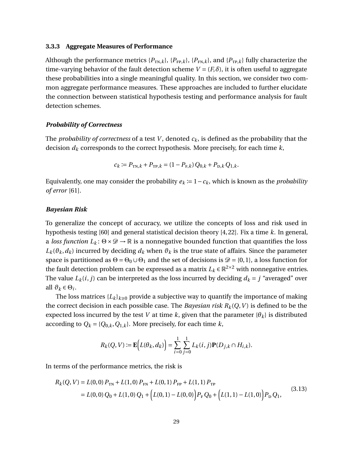## <span id="page-41-1"></span>**3.3.3 Aggregate Measures of Performance**

Although the performance metrics  $\{P_{\text{TN},k}\}\$ ,  $\{P_{\text{FP},k}\}\$ , and  $\{P_{\text{TP},k}\}\$  fully characterize the time-varying behavior of the fault detection scheme  $V = (F, \delta)$ , it is often useful to aggregate these probabilities into a single meaningful quality. In this section, we consider two common aggregate performance measures. These approaches are included to further elucidate the connection between statistical hypothesis testing and performance analysis for fault detection schemes.

# *Probability of Correctness*

The *probability of correctness* of a test *V*, denoted  $c_k$ , is defined as the probability that the decision *d<sup>k</sup>* corresponds to the correct hypothesis. More precisely, for each time *k*,

$$
c_k := P_{\text{TN},k} + P_{\text{TP},k} = (1 - P_{\text{F},k}) Q_{0,k} + P_{\text{D},k} Q_{1,k}.
$$

Equivalently, one may consider the probability  $e_k := 1 - c_k$ , which is known as the *probability of error* [\[61\]](#page-135-1).

## *Bayesian Risk*

To generalize the concept of accuracy, we utilize the concepts of loss and risk used in hypothesis testing [\[60\]](#page-135-3) and general statistical decision theory [\[4,](#page-131-0) [22\]](#page-132-0). Fix a time *k*. In general, a *loss function*  $L_k$ :  $\Theta \times \mathcal{D} \to \mathbb{R}$  is a nonnegative bounded function that quantifies the loss  $L_k(\theta_k, d_k)$  incurred by deciding  $d_k$  when  $\theta_k$  is the true state of affairs. Since the parameter space is partitioned as  $\Theta = \Theta_0 \cup \Theta_1$  and the set of decisions is  $\mathcal{D} = \{0, 1\}$ , a loss function for the fault detection problem can be expressed as a matrix  $L_k \in \mathbb{R}^{2 \times 2}$  with nonnegative entries. The value  $L_k(i, j)$  can be interpreted as the loss incurred by deciding  $d_k = j$  "averaged" over all  $\vartheta_k \in \Theta_i$ .

The loss matrices  ${L_k}_{k\geq0}$  provide a subjective way to quantify the importance of making the correct decision in each possible case. The *Bayesian risk*  $R_k(Q, V)$  is defined to be the expected loss incurred by the test *V* at time *k*, given that the parameter  $\{\theta_k\}$  is distributed according to  $Q_k = \{Q_{0,k}, Q_{1,k}\}\$ . More precisely, for each time *k*,

$$
R_k(Q, V) := \mathbf{E}\Big(L(\theta_k, d_k)\Big) = \sum_{i=0}^1 \sum_{j=0}^1 L_k(i, j) \mathbf{P}(D_{j,k} \cap H_{i,k}).
$$

In terms of the performance metrics, the risk is

<span id="page-41-0"></span>
$$
R_k(Q, V) = L(0, 0) P_{TN} + L(1, 0) P_{FN} + L(0, 1) P_{FP} + L(1, 1) P_{TP}
$$
  
= L(0, 0) Q<sub>0</sub> + L(1, 0) Q<sub>1</sub> + (L(0, 1) – L(0, 0)) P<sub>F</sub> Q<sub>0</sub> + (L(1, 1) – L(1, 0)) P<sub>D</sub> Q<sub>1</sub>, (3.13)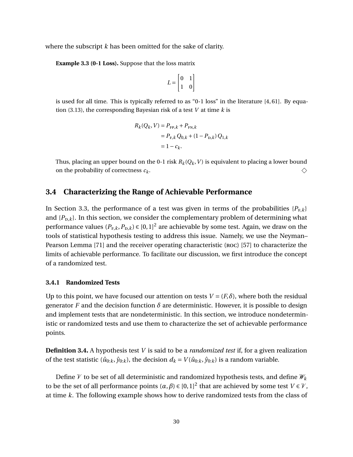where the subscript *k* has been omitted for the sake of clarity.

**Example 3.3 (0-1 Loss).** Suppose that the loss matrix

$$
L = \begin{bmatrix} 0 & 1 \\ 1 & 0 \end{bmatrix}
$$

is used for all time. This is typically referred to as "0-1 loss" in the literature  $[4, 61]$  $[4, 61]$ . By equation [\(3.13\)](#page-41-0), the corresponding Bayesian risk of a test *V* at time *k* is

$$
R_k(Q_k, V) = P_{\text{FP},k} + P_{\text{FN},k}
$$
  
=  $P_{\text{F},k} Q_{0,k} + (1 - P_{\text{D},k}) Q_{1,k}$   
=  $1 - c_k$ .

Thus, placing an upper bound on the 0-1 risk  $R_k(Q_k, V)$  is equivalent to placing a lower bound on the probability of correctness *c<sup>k</sup>* .  $\Diamond$ 

# <span id="page-42-0"></span>**3.4 Characterizing the Range of Achievable Performance**

In Section [3.3,](#page-38-0) the performance of a test was given in terms of the probabilities  $\{P_{F,k}\}\$ and  $\{P_{\text{D},k}\}\$ . In this section, we consider the complementary problem of determining what performance values  $(P_{\text{\tiny F},k}, P_{\text{\tiny D},k})$   $\in$  [0, 1] $^2$  are achievable by some test. Again, we draw on the tools of statistical hypothesis testing to address this issue. Namely, we use the Neyman– Pearson Lemma [\[71\]](#page-136-2) and the receiver operating characteristic (roc) [\[57\]](#page-135-2) to characterize the limits of achievable performance. To facilitate our discussion, we first introduce the concept of a randomized test.

# **3.4.1 Randomized Tests**

Up to this point, we have focused our attention on tests  $V = (F, \delta)$ , where both the residual generator *F* and the decision function  $\delta$  are deterministic. However, it is possible to design and implement tests that are nondeterministic. In this section, we introduce nondeterministic or randomized tests and use them to characterize the set of achievable performance points.

**Definition 3.4.** A hypothesis test *V* is said to be a *randomized test* if, for a given realization of the test statistic ( $\hat{u}_{0:k}$ ,  $\hat{y}_{0:k}$ ), the decision  $d_k = V(\hat{u}_{0:k}, \hat{y}_{0:k})$  is a random variable.

Define  $V$  to be set of all deterministic and randomized hypothesis tests, and define  $W_k$ to be the set of all performance points  $(\alpha, \beta) \in [0,1]^2$  that are achieved by some test  $V \in V$ , at time *k*. The following example shows how to derive randomized tests from the class of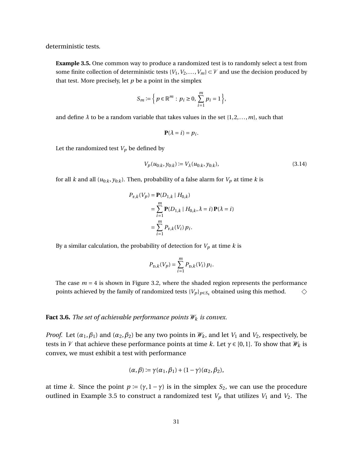deterministic tests.

<span id="page-43-0"></span>**Example 3.5.** One common way to produce a randomized test is to randomly select a test from some finite collection of deterministic tests  $\{V_1, V_2, \ldots, V_m\} \subset V$  and use the decision produced by that test. More precisely, let *p* be a point in the simplex

$$
S_m:=\Big\{\,p\in\mathbb{R}^m:\,p_i\geq 0,\,\sum_{i=1}^m p_i=1\,\Big\},
$$

and define  $\lambda$  to be a random variable that takes values in the set  $\{1, 2, \ldots, m\}$ , such that

$$
\mathbf{P}(\lambda = i) = p_i.
$$

Let the randomized test  $V_p$  be defined by

$$
V_p(u_{0:k}, y_{0:k}) \coloneqq V_\lambda(u_{0:k}, y_{0:k}),\tag{3.14}
$$

for all *k* and all  $(u_{0:k}, y_{0:k})$ . Then, probability of a false alarm for  $V_p$  at time *k* is

$$
P_{F,k}(V_p) = \mathbf{P}(D_{1,k} | H_{0,k})
$$
  
=  $\sum_{i=1}^{m} \mathbf{P}(D_{1,k} | H_{0,k}, \lambda = i) \mathbf{P}(\lambda = i)$   
=  $\sum_{i=1}^{m} P_{F,k}(V_i) p_i$ .

By a similar calculation, the probability of detection for  $V_p$  at time  $k$  is

$$
P_{\text{D},k}(V_p) = \sum_{i=1}^{m} P_{\text{D},k}(V_i) p_i.
$$

The case  $m = 4$  is shown in Figure [3.2,](#page-44-0) where the shaded region represents the performance points achieved by the family of randomized tests  ${V_p}_{p \in S_4}$  obtained using this method.  $\Diamond$ 

## <span id="page-43-1"></span>**Fact 3.6.** *The set of achievable performance points*  $W_k$  *is convex.*

*Proof.* Let  $(\alpha_1, \beta_1)$  and  $(\alpha_2, \beta_2)$  be any two points in  $\mathcal{W}_k$ , and let  $V_1$  and  $V_2$ , respectively, be tests in V that achieve these performance points at time k. Let  $\gamma \in [0,1]$ . To show that  $\mathcal{W}_k$  is convex, we must exhibit a test with performance

$$
(\alpha,\beta):=\gamma(\alpha_1,\beta_1)+(1-\gamma)(\alpha_2,\beta_2),
$$

at time *k*. Since the point  $p := (\gamma, 1 - \gamma)$  is in the simplex  $S_2$ , we can use the procedure outlined in Example [3.5](#page-43-0) to construct a randomized test  $V_p$  that utilizes  $V_1$  and  $V_2$ . The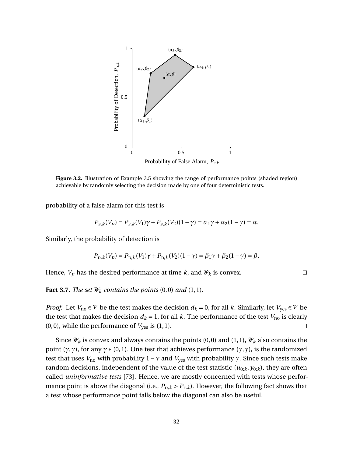<span id="page-44-0"></span>

**Figure 3.2.** Illustration of Example [3.5](#page-43-0) showing the range of performance points (shaded region) achievable by randomly selecting the decision made by one of four deterministic tests.

probability of a false alarm for this test is

$$
P_{F,k}(V_p) = P_{F,k}(V_1)\gamma + P_{F,k}(V_2)(1-\gamma) = \alpha_1\gamma + \alpha_2(1-\gamma) = \alpha.
$$

Similarly, the probability of detection is

$$
P_{\text{D},k}(V_p) = P_{\text{D},k}(V_1)\gamma + P_{\text{D},k}(V_2)(1-\gamma) = \beta_1\gamma + \beta_2(1-\gamma) = \beta.
$$

 $\Box$ 

Hence,  $V_p$  has the desired performance at time  $k$ , and  $W_k$  is convex.

<span id="page-44-1"></span>**Fact 3.7.** *The set*  $W_k$  *contains the points*  $(0,0)$  *and*  $(1,1)$ *.* 

*Proof.* Let  $V_{\text{no}} \in V$  be the test makes the decision  $d_k = 0$ , for all *k*. Similarly, let  $V_{\text{ves}} \in V$  be the test that makes the decision  $d_k = 1$ , for all k. The performance of the test  $V_{\text{no}}$  is clearly  $(0, 0)$ , while the performance of  $V_{\text{yes}}$  is  $(1, 1)$ .  $\Box$ 

Since  $\mathcal{W}_k$  is convex and always contains the points (0,0) and (1,1),  $\mathcal{W}_k$  also contains the point ( $γ, γ$ ), for any  $γ ∈ (0,1)$ . One test that achieves performance ( $γ, γ$ ), is the randomized test that uses *V*<sub>no</sub> with probability 1 − *γ* and *V*<sub>γes</sub> with probability *γ*. Since such tests make random decisions, independent of the value of the test statistic  $(u_{0:k}, y_{0:k})$ , they are often called *uninformative tests* [\[73\]](#page-136-1). Hence, we are mostly concerned with tests whose performance point is above the diagonal (i.e.,  $P_{\text{D},k} > P_{\text{F},k}$ ). However, the following fact shows that a test whose performance point falls below the diagonal can also be useful.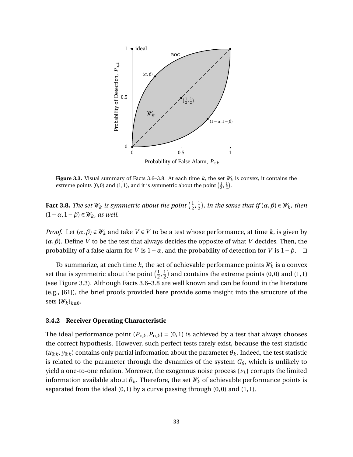<span id="page-45-1"></span>

**Figure 3.3.** Visual summary of Facts [3.6–](#page-43-1)[3.8.](#page-45-0) At each time  $k$ , the set  $\mathcal{W}_k$  is convex, it contains the extreme points (0,0) and (1,1), and it is symmetric about the point  $(\frac{1}{2}, \frac{1}{2})$ .

<span id="page-45-0"></span>**Fact 3.8.** *The set*  $W_k$  *is symmetric about the point*  $(\frac{1}{2})$  $\frac{1}{2}, \frac{1}{2}$  $(\frac{1}{2})$ , in the sense that if  $(\alpha, \beta) \in W_k$ , then  $(1 − \alpha, 1 − \beta) \in \mathcal{W}_k$ *, as well.* 

*Proof.* Let  $(\alpha, \beta) \in W_k$  and take  $V \in V$  to be a test whose performance, at time k, is given by  $(α, β)$ . Define  $\overline{V}$  to be the test that always decides the opposite of what *V* decides. Then, the probability of a false alarm for  $\bar{V}$  is 1−*α*, and the probability of detection for *V* is 1−*β*.  $\Box$ 

To summarize, at each time  $k$ , the set of achievable performance points  $\mathcal{W}_k$  is a convex set that is symmetric about the point  $(\frac{1}{2})$  $\frac{1}{2}, \frac{1}{2}$  $\frac{1}{2}$  and contains the extreme points (0,0) and (1,1) (see Figure [3.3\)](#page-45-1). Although Facts [3.6](#page-43-1)[–3.8](#page-45-0) are well known and can be found in the literature (e.g., [\[61\]](#page-135-1)), the brief proofs provided here provide some insight into the structure of the sets  $\{\mathscr{W}_k\}_{k\geq 0}$ .

#### **3.4.2 Receiver Operating Characteristic**

The ideal performance point  $(P_{F,k}, P_{D,k}) = (0,1)$  is achieved by a test that always chooses the correct hypothesis. However, such perfect tests rarely exist, because the test statistic  $(u_{0:k}, y_{0:k})$  contains only partial information about the parameter  $\theta_k$ . Indeed, the test statistic is related to the parameter through the dynamics of the system  $G_{\theta}$ , which is unlikely to yield a one-to-one relation. Moreover, the exogenous noise process  $\{v_k\}$  corrupts the limited information available about  $\theta_k$ . Therefore, the set  $\mathcal{W}_k$  of achievable performance points is separated from the ideal  $(0, 1)$  by a curve passing through  $(0, 0)$  and  $(1, 1)$ .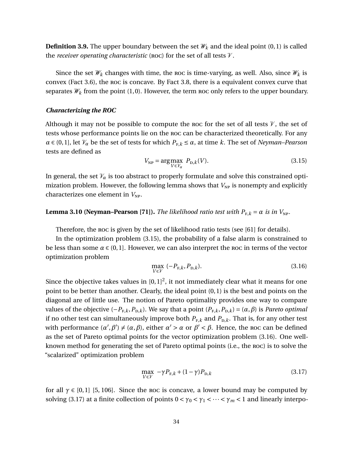<span id="page-46-3"></span>**Definition 3.9.** The upper boundary between the set  $\mathcal{W}_k$  and the ideal point (0, 1) is called the *receiver operating characteristic* (ROC) for the set of all tests  $V$ .

Since the set  $\mathcal{W}_k$  changes with time, the roc is time-varying, as well. Also, since  $\mathcal{W}_k$  is convex (Fact [3.6\)](#page-43-1), the roc is concave. By Fact [3.8,](#page-45-0) there is a equivalent convex curve that separates  $W_k$  from the point (1,0). However, the term roc only refers to the upper boundary.

#### *Characterizing the ROC*

Although it may not be possible to compute the roc for the set of all tests  $V$ , the set of tests whose performance points lie on the roc can be characterized theoretically. For any  $\alpha \in (0,1]$ , let  $V_\alpha$  be the set of tests for which  $P_{F,k} \leq \alpha$ , at time *k*. The set of *Neyman–Pearson* tests are defined as

<span id="page-46-0"></span>
$$
V_{\rm NP} = \underset{V \in \mathcal{V}_{\alpha}}{\text{arg}\max} \ P_{\text{D},k}(V). \tag{3.15}
$$

In general, the set  $V_\alpha$  is too abstract to properly formulate and solve this constrained optimization problem. However, the following lemma shows that  $V_{NP}$  is nonempty and explicitly characterizes one element in  $V_{NP}$ .

# <span id="page-46-4"></span>**Lemma 3.10 (Neyman–Pearson [\[71\]](#page-136-2)).** *The likelihood ratio test with*  $P_{F,k} = \alpha$  *is in*  $V_{NP}$ *.*

Therefore, the roc is given by the set of likelihood ratio tests (see [\[61\]](#page-135-1) for details).

In the optimization problem [\(3.15\)](#page-46-0), the probability of a false alarm is constrained to be less than some  $\alpha \in (0,1]$ . However, we can also interpret the roc in terms of the vector optimization problem

<span id="page-46-1"></span>
$$
\max_{V \in \mathcal{V}} \ (-P_{\mathrm{F},k}, P_{\mathrm{D},k}).\tag{3.16}
$$

Since the objective takes values in  $[0,1]^2$ , it not immediately clear what it means for one point to be better than another. Clearly, the ideal point (0,1) is the best and points on the diagonal are of little use. The notion of Pareto optimality provides one way to compare values of the objective  $(-P_{F,k}, P_{D,k})$ . We say that a point  $(P_{F,k}, P_{D,k}) = (\alpha, \beta)$  is *Pareto optimal* if no other test can simultaneously improve both  $P_{F,k}$  and  $P_{D,k}$ . That is, for any other test with performance  $(\alpha', \beta') \neq (\alpha, \beta)$ , either  $\alpha' > \alpha$  or  $\beta' < \beta$ . Hence, the roc can be defined as the set of Pareto optimal points for the vector optimization problem [\(3.16\)](#page-46-1). One wellknown method for generating the set of Pareto optimal points (i.e., the roc) is to solve the "scalarized" optimization problem

<span id="page-46-2"></span>
$$
\max_{V \in \mathcal{V}} \quad -\gamma P_{\mathrm{F},k} + (1 - \gamma) P_{\mathrm{D},k} \tag{3.17}
$$

for all  $\gamma \in [0,1]$  [\[5,](#page-131-1) [106\]](#page-138-0). Since the roc is concave, a lower bound may be computed by solving [\(3.17\)](#page-46-2) at a finite collection of points  $0 < \gamma_0 < \gamma_1 < \cdots < \gamma_m < 1$  and linearly interpo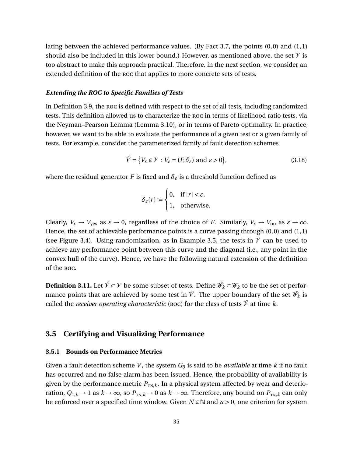lating between the achieved performance values. (By Fact [3.7,](#page-44-1) the points  $(0,0)$  and  $(1,1)$ ) should also be included in this lower bound.) However, as mentioned above, the set  $\mathcal V$  is too abstract to make this approach practical. Therefore, in the next section, we consider an extended definition of the roc that applies to more concrete sets of tests.

## *Extending the ROC to Specific Families of Tests*

In Definition [3.9,](#page-46-3) the roc is defined with respect to the set of all tests, including randomized tests. This definition allowed us to characterize the roc in terms of likelihood ratio tests, via the Neyman–Pearson Lemma (Lemma [3.10\)](#page-46-4), or in terms of Pareto optimality. In practice, however, we want to be able to evaluate the performance of a given test or a given family of tests. For example, consider the parameterized family of fault detection schemes

<span id="page-47-1"></span>
$$
\hat{\mathcal{V}} = \{ V_{\varepsilon} \in \mathcal{V} : V_{\varepsilon} = (F, \delta_{\varepsilon}) \text{ and } \varepsilon > 0 \},\tag{3.18}
$$

where the residual generator *F* is fixed and  $\delta_{\varepsilon}$  is a threshold function defined as

$$
\delta_{\varepsilon}(r) := \begin{cases} 0, & \text{if } |r| < \varepsilon, \\ 1, & \text{otherwise.} \end{cases}
$$

Clearly,  $V_{\varepsilon} \to V_{\text{yes}}$  as  $\varepsilon \to 0$ , regardless of the choice of *F*. Similarly,  $V_{\varepsilon} \to V_{\text{no}}$  as  $\varepsilon \to \infty$ . Hence, the set of achievable performance points is a curve passing through (0,0) and (1,1) (see Figure [3.4\)](#page-48-0). Using randomization, as in Example [3.5,](#page-43-0) the tests in  $\hat{V}$  can be used to achieve any performance point between this curve and the diagonal (i.e., any point in the convex hull of the curve). Hence, we have the following natural extension of the definition of the roc.

**Definition 3.11.** Let  $\hat{V}$  ⊂  $V$  be some subset of tests. Define  $\hat{W_k}$  ⊂  $W_k$  to be the set of performance points that are achieved by some test in  $\hat{\mathcal{V}}$ . The upper boundary of the set  $\hat{\mathscr{W}}_k$  is called the *receiver operating characteristic* (ROC) for the class of tests  $\hat{V}$  at time  $k$ .

# <span id="page-47-0"></span>**3.5 Certifying and Visualizing Performance**

# **3.5.1 Bounds on Performance Metrics**

Given a fault detection scheme *V* , the system *G<sup>θ</sup>* is said to be *available* at time *k* if no fault has occurred and no false alarm has been issued. Hence, the probability of availability is given by the performance metric  $P_{\text{TN},k}$ . In a physical system affected by wear and deterioration,  $Q_{1,k} \to 1$  as  $k \to \infty$ , so  $P_{TN,k} \to 0$  as  $k \to \infty$ . Therefore, any bound on  $P_{TN,k}$  can only be enforced over a specified time window. Given  $N \in \mathbb{N}$  and  $a > 0$ , one criterion for system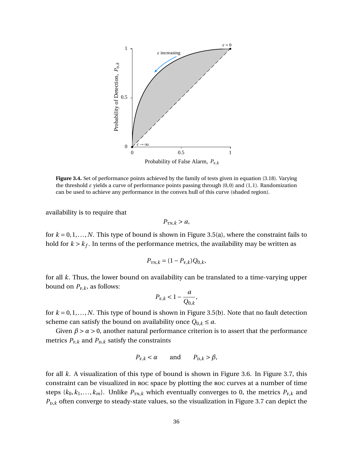<span id="page-48-0"></span>

**Figure 3.4.** Set of performance points achieved by the family of tests given in equation [\(3.18\)](#page-47-1). Varying the threshold *ε* yields a curve of performance points passing through (0,0) and (1,1). Randomization can be used to achieve any performance in the convex hull of this curve (shaded region).

availability is to require that

$$
P_{\text{TN},k} > a,
$$

for  $k = 0, 1, \ldots, N$ . This type of bound is shown in Figure [3.5\(](#page-49-0)a), where the constraint fails to hold for  $k > k_f$ . In terms of the performance metrics, the availability may be written as

$$
P_{\text{TN},k} = (1 - P_{\text{F},k})Q_{0,k},
$$

for all *k*. Thus, the lower bound on availability can be translated to a time-varying upper bound on  $P_{F,k}$ , as follows:

$$
P_{\mathrm{F},k} < 1 - \frac{a}{Q_{0,k}},
$$

for  $k = 0, 1, \ldots, N$ . This type of bound is shown in Figure [3.5\(](#page-49-0)b). Note that no fault detection scheme can satisfy the bound on availability once  $Q_{0,k} \le a$ .

Given  $\beta > \alpha > 0$ , another natural performance criterion is to assert that the performance metrics  $P_{F,k}$  and  $P_{D,k}$  satisfy the constraints

$$
P_{F,k} < \alpha \qquad \text{and} \qquad P_{D,k} > \beta,
$$

for all *k*. A visualization of this type of bound is shown in Figure [3.6.](#page-50-0) In Figure [3.7,](#page-51-0) this constraint can be visualized in roc space by plotting the roc curves at a number of time steps  $\{k_0, k_1, \ldots, k_m\}$ . Unlike  $P_{\text{TN},k}$  which eventually converges to 0, the metrics  $P_{\text{F},k}$  and  $P_{\text{D},k}$  often converge to steady-state values, so the visualization in Figure [3.7](#page-51-0) can depict the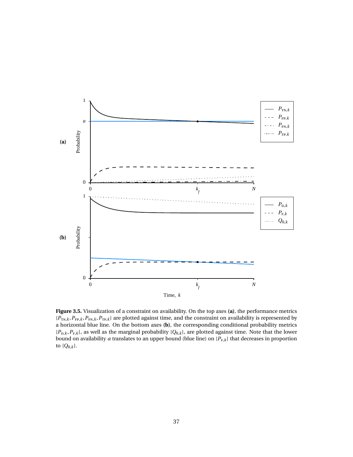<span id="page-49-0"></span>

**Figure 3.5.** Visualization of a constraint on availability. On the top axes **(a)**, the performance metrics  ${P_{TN,k}, P_{FP,k}, P_{FN,k}, P_{TP,k}}$  are plotted against time, and the constraint on availability is represented by a horizontal blue line. On the bottom axes **(b)**, the corresponding conditional probability metrics  ${P_{D,k}, P_{F,k}}$ , as well as the marginal probability  ${Q_{0,k}}$ , are plotted against time. Note that the lower bound on availability *a* translates to an upper bound (blue line) on  $\{P_{F,k}\}$  that decreases in proportion to  $\{Q_{0,k}\}.$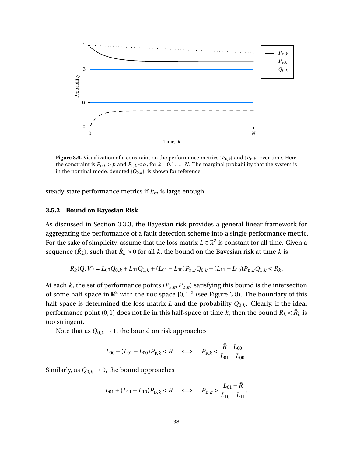<span id="page-50-0"></span>

**Figure 3.6.** Visualization of a constraint on the performance metrics  $\{P_{F,k}\}\$  and  $\{P_{D,k}\}\$  over time. Here, the constraint is  $P_{\text{D},k}$  >  $\beta$  and  $P_{\text{F},k}$  <  $\alpha$ , for  $k = 0,1,...,N$ . The marginal probability that the system is in the nominal mode, denoted  ${Q_{0,k}}$ , is shown for reference.

steady-state performance metrics if *k<sup>m</sup>* is large enough.

## **3.5.2 Bound on Bayesian Risk**

As discussed in Section [3.3.3,](#page-41-1) the Bayesian risk provides a general linear framework for aggregating the performance of a fault detection scheme into a single performance metric. For the sake of simplicity, assume that the loss matrix  $L \in \mathbb{R}^2$  is constant for all time. Given a sequence  $\{\bar{R}_k\}$ , such that  $\bar{R}_k$  > 0 for all  $k$ , the bound on the Bayesian risk at time  $k$  is

$$
R_k(Q, V) = L_{00}Q_{0,k} + L_{01}Q_{1,k} + (L_{01} - L_{00})P_{F,k}Q_{0,k} + (L_{11} - L_{10})P_{D,k}Q_{1,k} < \bar{R}_k.
$$

At each *k*, the set of performance points  $(P_{F,k}, P_{D,k})$  satisfying this bound is the intersection of some half-space in  $\mathbb{R}^2$  with the roc space  $[0,1]^2$  (see Figure [3.8\)](#page-51-1). The boundary of this half-space is determined the loss matrix *L* and the probability *Q*0,*k*. Clearly, if the ideal performance point (0, 1) does not lie in this half-space at time  $k$ , then the bound  $R_k < \bar{R}_k$  is too stringent.

Note that as  $Q_{0,k} \rightarrow 1$ , the bound on risk approaches

$$
L_{00} + (L_{01} - L_{00})P_{F,k} < \bar{R} \quad \iff \quad P_{F,k} < \frac{\bar{R} - L_{00}}{L_{01} - L_{00}}.
$$

Similarly, as  $Q_{0,k} \rightarrow 0$ , the bound approaches

$$
L_{01} + (L_{11} - L_{10})P_{\text{D},k} < \bar{R} \quad \Longleftrightarrow \quad P_{\text{D},k} > \frac{L_{01} - \bar{R}}{L_{10} - L_{11}}.
$$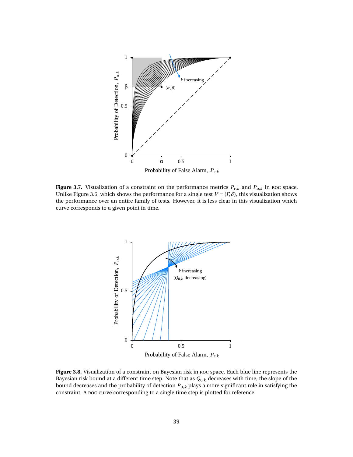<span id="page-51-0"></span>

<span id="page-51-1"></span>**Figure 3.7.** Visualization of a constraint on the performance metrics  $P_{F,k}$  and  $P_{D,k}$  in roc space. Unlike Figure [3.6,](#page-50-0) which shows the performance for a single test  $V = (F, \delta)$ , this visualization shows the performance over an entire family of tests. However, it is less clear in this visualization which curve corresponds to a given point in time.



**Figure 3.8.** Visualization of a constraint on Bayesian risk in roc space. Each blue line represents the Bayesian risk bound at a different time step. Note that as *Q*0,*<sup>k</sup>* decreases with time, the slope of the bound decreases and the probability of detection  $P_{\text{D},k}$  plays a more significant role in satisfying the constraint. A roc curve corresponding to a single time step is plotted for reference.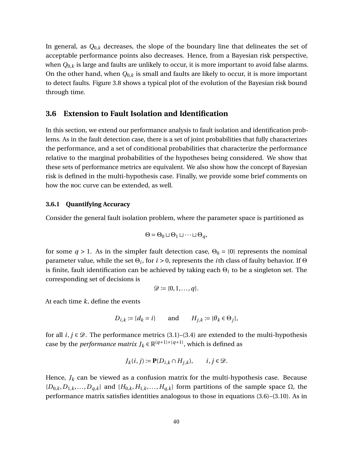In general, as  $Q_{0,k}$  decreases, the slope of the boundary line that delineates the set of acceptable performance points also decreases. Hence, from a Bayesian risk perspective, when *Q*0,*<sup>k</sup>* is large and faults are unlikely to occur, it is more important to avoid false alarms. On the other hand, when *Q*0,*<sup>k</sup>* is small and faults are likely to occur, it is more important to detect faults. Figure [3.8](#page-51-1) shows a typical plot of the evolution of the Bayesian risk bound through time.

# <span id="page-52-0"></span>**3.6 Extension to Fault Isolation and Identification**

In this section, we extend our performance analysis to fault isolation and identification problems. As in the fault detection case, there is a set of joint probabilities that fully characterizes the performance, and a set of conditional probabilities that characterize the performance relative to the marginal probabilities of the hypotheses being considered. We show that these sets of performance metrics are equivalent. We also show how the concept of Bayesian risk is defined in the multi-hypothesis case. Finally, we provide some brief comments on how the roc curve can be extended, as well.

# **3.6.1 Quantifying Accuracy**

Consider the general fault isolation problem, where the parameter space is partitioned as

$$
\Theta = \Theta_0 \sqcup \Theta_1 \sqcup \cdots \sqcup \Theta_q,
$$

for some  $q > 1$ . As in the simpler fault detection case,  $\Theta_0 = \{0\}$  represents the nominal parameter value, while the set Θ*<sup>i</sup>* , for *i* > 0, represents the *i*th class of faulty behavior. If Θ is finite, fault identification can be achieved by taking each Θ*<sup>i</sup>* to be a singleton set. The corresponding set of decisions is

$$
\mathscr{D} \coloneqq \{0, 1, \ldots, q\}.
$$

At each time *k*, define the events

$$
D_{i,k} := \{d_k = i\} \qquad \text{and} \qquad H_{j,k} := \{\theta_k \in \Theta_j\},
$$

for all  $i, j \in \mathcal{D}$ . The performance metrics [\(3.1\)](#page-39-0)–[\(3.4\)](#page-39-1) are extended to the multi-hypothesis case by the *performance matrix*  $J_k \in \mathbb{R}^{(q+1)\times(q+1)}$ , which is defined as

$$
J_k(i, j) := \mathbf{P}(D_{i,k} \cap H_{j,k}), \qquad i, j \in \mathcal{D}.
$$

Hence,  $J_k$  can be viewed as a confusion matrix for the multi-hypothesis case. Because  ${D_{0,k}, D_{1,k}, \ldots, D_{q,k}}$  and  ${H_{0,k}, H_{1,k}, \ldots, H_{q,k}}$  form partitions of the sample space  $\Omega$ , the performance matrix satisfies identities analogous to those in equations [\(3.6\)](#page-39-4)–[\(3.10\)](#page-39-2). As in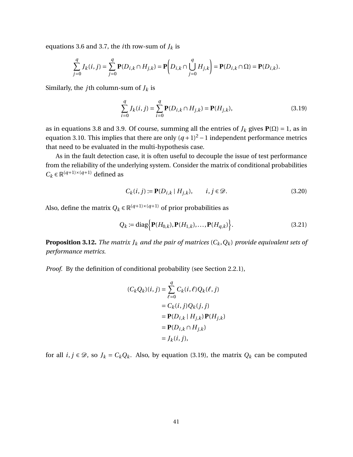equations [3.6](#page-39-4) and [3.7,](#page-39-5) the *i*th row-sum of  $J_k$  is

$$
\sum_{j=0}^{q} J_k(i,j) = \sum_{j=0}^{q} \mathbf{P}(D_{i,k} \cap H_{j,k}) = \mathbf{P}\left(D_{i,k} \cap \bigcup_{j=0}^{q} H_{j,k}\right) = \mathbf{P}(D_{i,k} \cap \Omega) = \mathbf{P}(D_{i,k}).
$$

Similarly, the *j*th column-sum of  $J_k$  is

<span id="page-53-0"></span>
$$
\sum_{i=0}^{q} J_k(i, j) = \sum_{i=0}^{q} \mathbf{P}(D_{i,k} \cap H_{j,k}) = \mathbf{P}(H_{j,k}),
$$
\n(3.19)

as in equations [3.8](#page-39-6) and [3.9.](#page-39-3) Of course, summing all the entries of  $J_k$  gives  $P(\Omega) = 1$ , as in equation [3.10.](#page-39-2) This implies that there are only  $(q + 1)^2 - 1$  independent performance metrics that need to be evaluated in the multi-hypothesis case.

As in the fault detection case, it is often useful to decouple the issue of test performance from the reliability of the underlying system. Consider the matrix of conditional probabilities  $C_k \in \mathbb{R}^{(q+1)\times(q+1)}$  defined as

$$
C_k(i, j) := \mathbf{P}(D_{i,k} | H_{j,k}), \qquad i, j \in \mathcal{D}.
$$
\n
$$
(3.20)
$$

Also, define the matrix  $Q_k \in \mathbb{R}^{(q+1)\times (q+1)}$  of prior probabilities as

$$
Q_k := \text{diag}\Big\{\mathbf{P}(H_{0,k}), \mathbf{P}(H_{1,k}), \dots, \mathbf{P}(H_{q,k})\Big\}.
$$
\n(3.21)

**Proposition 3.12.** *The matrix*  $J_k$  *and the pair of matrices*  $(C_k, Q_k)$  *provide equivalent sets of performance metrics.*

*Proof.* By the definition of conditional probability (see Section [2.2.1\)](#page-17-0),

$$
(C_k Q_k)(i, j) = \sum_{\ell=0}^q C_k(i, \ell) Q_k(\ell, j)
$$
  
=  $C_k(i, j) Q_k(j, j)$   
=  $\mathbf{P}(D_{i,k} | H_{j,k}) \mathbf{P}(H_{j,k})$   
=  $\mathbf{P}(D_{i,k} \cap H_{j,k})$   
=  $J_k(i, j),$ 

for all  $i, j \in \mathcal{D}$ , so  $J_k = C_k Q_k$ . Also, by equation [\(3.19\)](#page-53-0), the matrix  $Q_k$  can be computed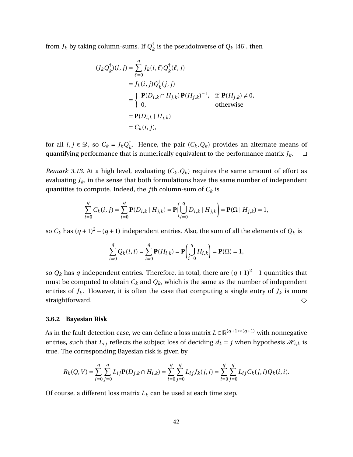from  $J_k$  by taking column-sums. If  $Q_k^\dagger$  $\frac{1}{k}$  is the pseudoinverse of  $Q_k$  [\[46\]](#page-134-0), then

$$
(J_k Q_k^{\dagger})(i, j) = \sum_{\ell=0}^{q} J_k(i, \ell) Q_k^{\dagger}(\ell, j)
$$
  
=  $J_k(i, j) Q_k^{\dagger}(j, j)$   
=  $\begin{cases} \mathbf{P}(D_{i,k} \cap H_{j,k}) \mathbf{P}(H_{j,k})^{-1}, & \text{if } \mathbf{P}(H_{j,k}) \neq 0, \\ 0, & \text{otherwise} \end{cases}$   
=  $\mathbf{P}(D_{i,k} | H_{j,k})$   
=  $C_k(i, j)$ ,

for all  $i, j \in \mathcal{D}$ , so  $C_k = J_k Q_k^{\dagger}$  $\bar{k}$ . Hence, the pair  $(C_k, Q_k)$  provides an alternate means of quantifying performance that is numerically equivalent to the performance matrix *Jk*.  $\Box$ 

*Remark 3.13.* At a high level, evaluating  $(C_k, Q_k)$  requires the same amount of effort as evaluating  $J_k$ , in the sense that both formulations have the same number of independent quantities to compute. Indeed, the *j*th column-sum of *C<sup>k</sup>* is

$$
\sum_{i=0}^{q} C_k(i,j) = \sum_{i=0}^{q} \mathbf{P}(D_{i,k} | H_{j,k}) = \mathbf{P} \left( \bigcup_{i=0}^{q} D_{i,k} | H_{j,k} \right) = \mathbf{P}(\Omega | H_{j,k}) = 1,
$$

so  $C_k$  has  $(q+1)^2 - (q+1)$  independent entries. Also, the sum of all the elements of  $Q_k$  is

$$
\sum_{i=0}^{q} Q_k(i, i) = \sum_{i=0}^{q} \mathbf{P}(H_{i,k}) = \mathbf{P}\left(\bigcup_{i=0}^{q} H_{i,k}\right) = \mathbf{P}(\Omega) = 1,
$$

so  $Q_k$  has *q* independent entries. Therefore, in total, there are  $(q + 1)^2 - 1$  quantities that must be computed to obtain  $C_k$  and  $Q_k$ , which is the same as the number of independent entries of  $J_k$ . However, it is often the case that computing a single entry of  $J_k$  is more straightforward.  $\diamondsuit$ 

#### **3.6.2 Bayesian Risk**

As in the fault detection case, we can define a loss matrix  $L \in \mathbb{R}^{(q+1)\times (q+1)}$  with nonnegative entries, such that  $L_{ij}$  reflects the subject loss of deciding  $d_k = j$  when hypothesis  $\mathcal{H}_{i,k}$  is true. The corresponding Bayesian risk is given by

$$
R_k(Q, V) = \sum_{i=0}^{q} \sum_{j=0}^{q} L_{ij} \mathbf{P}(D_{j,k} \cap H_{i,k}) = \sum_{i=0}^{q} \sum_{j=0}^{q} L_{ij} J_k(j, i) = \sum_{i=0}^{q} \sum_{j=0}^{q} L_{ij} C_k(j, i) Q_k(i, i).
$$

Of course, a different loss matrix  $L_k$  can be used at each time step.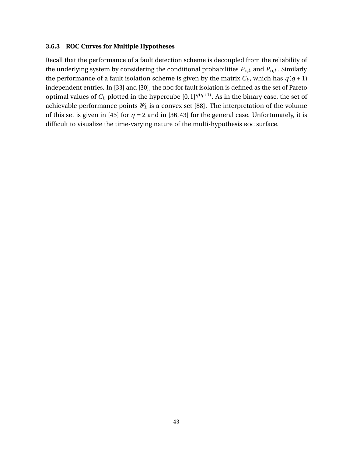# **3.6.3 ROC Curves for Multiple Hypotheses**

Recall that the performance of a fault detection scheme is decoupled from the reliability of the underlying system by considering the conditional probabilities  $P_{F,k}$  and  $P_{D,k}$ . Similarly, the performance of a fault isolation scheme is given by the matrix  $C_k$ , which has  $q(q+1)$ independent entries. In [\[33\]](#page-133-2) and [\[30\]](#page-133-3), the roc for fault isolation is defined as the set of Pareto optimal values of  $C_k$  plotted in the hypercube  $[0,1]^{q(q+1)}$ . As in the binary case, the set of achievable performance points  $W_k$  is a convex set [\[88\]](#page-137-1). The interpretation of the volume of this set is given in [\[45\]](#page-134-1) for  $q = 2$  and in [\[36,](#page-133-4) [43\]](#page-134-2) for the general case. Unfortunately, it is difficult to visualize the time-varying nature of the multi-hypothesis roc surface.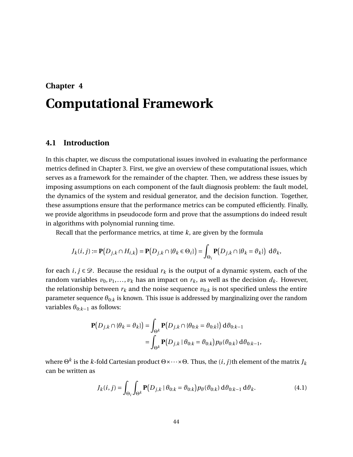# <span id="page-56-0"></span>**Chapter 4 Computational Framework**

# <span id="page-56-1"></span>**4.1 Introduction**

In this chapter, we discuss the computational issues involved in evaluating the performance metrics defined in Chapter [3.](#page-36-0) First, we give an overview of these computational issues, which serves as a framework for the remainder of the chapter. Then, we address these issues by imposing assumptions on each component of the fault diagnosis problem: the fault model, the dynamics of the system and residual generator, and the decision function. Together, these assumptions ensure that the performance metrics can be computed efficiently. Finally, we provide algorithms in pseudocode form and prove that the assumptions do indeed result in algorithms with polynomial running time.

Recall that the performance metrics, at time *k*, are given by the formula

$$
J_k(i,j) := \mathbf{P}\big(D_{j,k} \cap H_{i,k}\big) = \mathbf{P}\big(D_{j,k} \cap \{\theta_k \in \Theta_i\}\big) = \int_{\Theta_i} \mathbf{P}\big(D_{j,k} \cap \{\theta_k = \theta_k\}\big) \; \mathrm{d}\theta_k,
$$

for each  $i, j \in \mathcal{D}$ . Because the residual  $r_k$  is the output of a dynamic system, each of the random variables  $v_0, v_1, \ldots, v_k$  has an impact on  $r_k$ , as well as the decision  $d_k$ . However, the relationship between  $r_k$  and the noise sequence  $v_{0:k}$  is not specified unless the entire parameter sequence  $\theta_{0:k}$  is known. This issue is addressed by marginalizing over the random variables  $\theta_{0:k-1}$  as follows:

$$
\mathbf{P}(D_{j,k} \cap \{\theta_k = \theta_k\}) = \int_{\Theta^k} \mathbf{P}(D_{j,k} \cap \{\theta_{0:k} = \theta_{0:k}\}) \, d\theta_{0:k-1}
$$

$$
= \int_{\Theta^k} \mathbf{P}(D_{j,k} \mid \theta_{0:k} = \theta_{0:k}) p_{\theta}(\theta_{0:k}) \, d\theta_{0:k-1},
$$

where  $\Theta^k$  is the  $k$ -fold Cartesian product  $\Theta {\times} {\cdots} {\times} \Theta.$  Thus, the  $(i,j)$ th element of the matrix  $J_k$ can be written as

<span id="page-56-2"></span>
$$
J_k(i,j) = \int_{\Theta_i} \int_{\Theta^k} \mathbf{P}\big(D_{j,k} \mid \theta_{0:k} = \vartheta_{0:k}\big) p_{\theta}(\vartheta_{0:k}) \, d\vartheta_{0:k-1} \, d\vartheta_k. \tag{4.1}
$$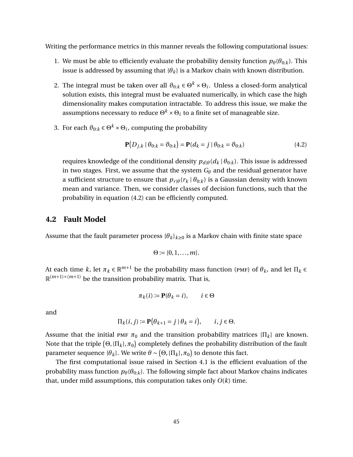Writing the performance metrics in this manner reveals the following computational issues:

- 1. We must be able to efficiently evaluate the probability density function  $p_{\theta}(\theta_{0:k})$ . This issue is addressed by assuming that  ${\lbrace \theta_k \rbrace}$  is a Markov chain with known distribution.
- 2. The integral must be taken over all  $\vartheta_{0:k} \in \Theta^k \times \Theta_i.$  Unless a closed-form analytical solution exists, this integral must be evaluated numerically, in which case the high dimensionality makes computation intractable. To address this issue, we make the assumptions necessary to reduce  $\Theta^k \times \Theta_i$  to a finite set of manageable size.
- 3. For each  $\vartheta_{0:k} \in \Theta^k \times \Theta_i$ , computing the probability

<span id="page-57-0"></span>
$$
\mathbf{P}(D_{j,k} | \theta_{0:k} = \theta_{0:k}) = \mathbf{P}(d_k = j | \theta_{0:k} = \theta_{0:k})
$$
\n(4.2)

requires knowledge of the conditional density  $p_{d|\theta}(d_k | \theta_{0:k})$ . This issue is addressed in two stages. First, we assume that the system  $G_{\theta}$  and the residual generator have a sufficient structure to ensure that  $p_{r|\theta}(r_k | \theta_{0:k})$  is a Gaussian density with known mean and variance. Then, we consider classes of decision functions, such that the probability in equation [\(4.2\)](#page-57-0) can be efficiently computed.

# **4.2 Fault Model**

Assume that the fault parameter process  $\{\theta_k\}_{k\geq0}$  is a Markov chain with finite state space

$$
\Theta:=\{0,1,\ldots,m\}.
$$

At each time *k*, let  $\pi_k \in \mathbb{R}^{m+1}$  be the probability mass function (PMF) of  $\theta_k$ , and let  $\Pi_k \in$  $\mathbb{R}^{(m+1)\times(m+1)}$  be the transition probability matrix. That is,

$$
\pi_k(i) := \mathbf{P}(\theta_k = i), \qquad i \in \Theta
$$

and

$$
\Pi_k(i,j) := \mathbf{P}\big(\theta_{k+1} = j \mid \theta_k = i\big), \qquad i, j \in \Theta.
$$

Assume that the initial PMF  $\pi_0$  and the transition probability matrices  $\{\Pi_k\}$  are known. Note that the triple  $\left(\Theta, \{\Pi_k\}, \pi_0\right)$  completely defines the probability distribution of the fault parameter sequence { $\theta_k$ }. We write  $\theta \sim (\Theta, \{\Pi_k\}, \pi_0)$  to denote this fact.

The first computational issue raised in Section [4.1](#page-56-1) is the efficient evaluation of the probability mass function  $p_{\theta}(\theta_{0:k})$ . The following simple fact about Markov chains indicates that, under mild assumptions, this computation takes only  $O(k)$  time.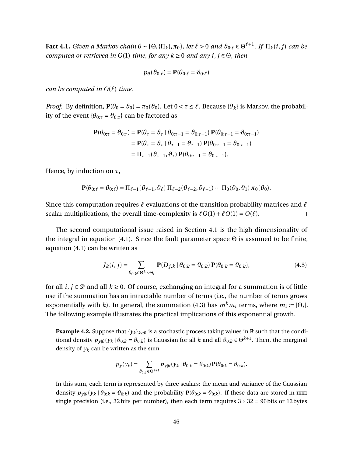**Fact 4.1.** Given a Markov chain  $\theta \sim (\Theta, \{\Pi_k\}, \pi_0\)$ , let  $\ell > 0$  and  $\vartheta_{0:\ell} \in \Theta^{\ell+1}$ . If  $\Pi_k(i,j)$  can be *computed or retrieved in O*(1) *time, for any k* ≥ 0 *and any i*, *j* ∈ Θ*, then*

$$
p_{\theta}(\vartheta_{0:\ell}) = \mathbf{P}(\theta_{0:\ell} = \vartheta_{0:\ell})
$$

*can be computed in*  $O(\ell)$  *time.* 

*Proof.* By definition,  $P(\theta_0 = \theta_0) = \pi_0(\theta_0)$ . Let  $0 < \tau \leq \ell$ . Because  $\{\theta_k\}$  is Markov, the probability of the event  $\{\theta_{0:\tau} = \vartheta_{0:\tau}\}$  can be factored as

$$
\mathbf{P}(\theta_{0:\tau} = \vartheta_{0:\tau}) = \mathbf{P}(\theta_{\tau} = \vartheta_{\tau} | \theta_{0:\tau-1} = \vartheta_{0:\tau-1}) \mathbf{P}(\theta_{0:\tau-1} = \vartheta_{0:\tau-1})
$$
  
=  $\mathbf{P}(\theta_{\tau} = \vartheta_{\tau} | \theta_{\tau-1} = \vartheta_{\tau-1}) \mathbf{P}(\theta_{0:\tau-1} = \vartheta_{0:\tau-1})$   
=  $\Pi_{\tau-1}(\vartheta_{\tau-1}, \vartheta_{\tau}) \mathbf{P}(\theta_{0:\tau-1} = \vartheta_{0:\tau-1}).$ 

Hence, by induction on *τ*,

$$
\mathbf{P}(\theta_{0:\ell} = \vartheta_{0:\ell}) = \Pi_{\ell-1}(\vartheta_{\ell-1}, \vartheta_{\ell}) \Pi_{\ell-2}(\vartheta_{\ell-2}, \vartheta_{\ell-1}) \cdots \Pi_0(\vartheta_0, \vartheta_1) \pi_0(\vartheta_0).
$$

Since this computation requires  $\ell$  evaluations of the transition probability matrices and  $\ell$ scalar multiplications, the overall time-complexity is  $\ell O(1) + \ell O(1) = O(\ell)$ . П

The second computational issue raised in Section [4.1](#page-56-1) is the high dimensionality of the integral in equation [\(4.1\)](#page-56-2). Since the fault parameter space  $\Theta$  is assumed to be finite, equation [\(4.1\)](#page-56-2) can be written as

<span id="page-58-0"></span>
$$
J_k(i,j) = \sum_{\partial_{0:k} \in \Theta^k \times \Theta_i} \mathbf{P}(D_{j,k} | \theta_{0:k} = \partial_{0:k}) \mathbf{P}(\theta_{0:k} = \partial_{0:k}),
$$
\n(4.3)

for all  $i, j \in \mathcal{D}$  and all  $k \ge 0$ . Of course, exchanging an integral for a summation is of little use if the summation has an intractable number of terms (i.e., the number of terms grows exponentially with *k*). In general, the summation [\(4.3\)](#page-58-0) has  $m^k m_i$  terms, where  $m_i \coloneqq |\Theta_i|.$ The following example illustrates the practical implications of this exponential growth.

<span id="page-58-1"></span>**Example 4.2.** Suppose that  $\{y_k\}_{k\geq 0}$  is a stochastic process taking values in R such that the conditional density  $p_{y|\theta}(y_k | \theta_{0:k} = \theta_{0:k})$  is Gaussian for all  $k$  and all  $\theta_{0:k} \in \Theta^{k+1}$ . Then, the marginal density of  $y_k$  can be written as the sum

$$
p_y(y_k) = \sum_{\theta_{0:k} \in \Theta^{k+1}} p_{y|\theta}(y_k | \theta_{0:k} = \theta_{0:k}) \mathbf{P}(\theta_{0:k} = \theta_{0:k}).
$$

In this sum, each term is represented by three scalars: the mean and variance of the Gaussian density  $p_{\gamma|\theta}(y_k | \theta_{0:k} = \theta_{0:k})$  and the probability  $P(\theta_{0:k} = \theta_{0:k})$ . If these data are stored in rece single precision (i.e., 32 bits per number), then each term requires  $3 \times 32 = 96$  bits or 12 bytes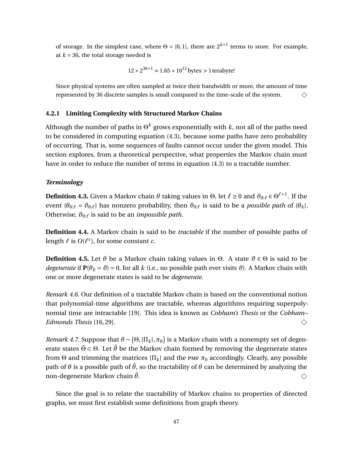of storage. In the simplest case, where  $\Theta = \{0, 1\}$ , there are  $2^{k+1}$  terms to store. For example, at  $k = 36$ , the total storage needed is

$$
12 \times 2^{36+1} \approx 1.65 \times 10^{12}
$$
 bytes > 1 terabyte!

Since physical systems are often sampled at twice their bandwidth or more, the amount of time represented by 36 discrete samples is small compared to the time-scale of the system.  $\Diamond$ 

#### **4.2.1 Limiting Complexity with Structured Markov Chains**

Although the number of paths in  $\Theta^k$  grows exponentially with  $k$ , not all of the paths need to be considered in computing equation [\(4.3\)](#page-58-0), because some paths have zero probability of occurring. That is, some sequences of faults cannot occur under the given model. This section explores, from a theoretical perspective, what properties the Markov chain must have in order to reduce the number of terms in equation [\(4.3\)](#page-58-0) to a tractable number.

# *Terminology*

 ${\bf Definition \ 4.3.}$  Given a Markov chain  $\theta$  taking values in  $\Theta$ , let  $\ell \geq 0$  and  $\vartheta_{0:\ell} \in \Theta^{\ell+1}.$  If the event { $\theta_{0:\ell} = \vartheta_{0:\ell}$ } has nonzero probability, then  $\vartheta_{0:\ell}$  is said to be a *possible path* of { $\theta_k$ }. Otherwise,  $\vartheta_{0:\ell}$  is said to be an *impossible path*.

**Definition 4.4.** A Markov chain is said to be *tractable* if the number of possible paths of length  $\ell$  is  $O(\ell^c)$ , for some constant *c*.

**Definition 4.5.** Let  $\theta$  be a Markov chain taking values in  $\Theta$ . A state  $\theta \in \Theta$  is said to be *degenerate* if  $P(\theta_k = \theta) = 0$ , for all *k* (i.e., no possible path ever visits  $\theta$ ). A Markov chain with one or more degenerate states is said to be *degenerate*.

*Remark 4.6.* Our definition of a tractable Markov chain is based on the conventional notion that polynomial-time algorithms are tractable, whereas algorithms requiring superpolynomial time are intractable [\[19\]](#page-132-1). This idea is known as *Cobham's Thesis* or the *Cobham– Edmonds Thesis* [\[16,](#page-132-2) [29\]](#page-133-5).  $\Diamond$ 

*Remark 4.7.* Suppose that  $\theta \sim (\Theta, {\{\Pi_k\}, \pi_0\})$  is a Markov chain with a nonempty set of degenerate states  $\bar{\Theta} \subset \Theta$ . Let  $\hat{\theta}$  be the Markov chain formed by removing the degenerate states from Θ and trimming the matrices  $\{\Pi_k\}$  and the PMF  $\pi_0$  accordingly. Clearly, any possible path of  $\theta$  is a possible path of  $\hat{\theta}$ , so the tractability of  $\theta$  can be determined by analyzing the non-degenerate Markov chain *θ*ˆ.  $\Diamond$ 

Since the goal is to relate the tractability of Markov chains to properties of directed graphs, we must first establish some definitions from graph theory.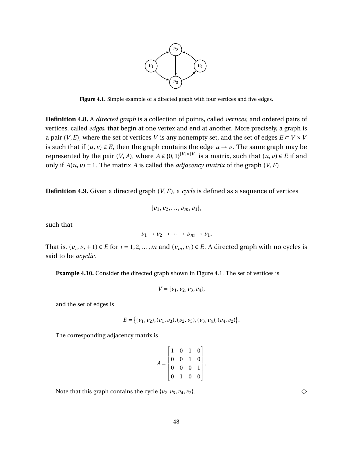

<span id="page-60-0"></span>Figure 4.1. Simple example of a directed graph with four vertices and five edges.

**Definition 4.8.** A *directed graph* is a collection of points, called *vertices*, and ordered pairs of vertices, called *edges*, that begin at one vertex and end at another. More precisely, a graph is a pair (*V*,*E*), where the set of vertices *V* is any nonempty set, and the set of edges  $E \subset V \times V$ is such that if  $(u, v) \in E$ , then the graph contains the edge  $u \to v$ . The same graph may be represented by the pair  $(V, A)$ , where  $A \in \{0,1\}^{|V| \times |V|}$  is a matrix, such that  $(u, v) \in E$  if and only if  $A(u, v) = 1$ . The matrix *A* is called the *adjacency matrix* of the graph  $(V, E)$ .

**Definition 4.9.** Given a directed graph (*V*,*E*), a *cycle* is defined as a sequence of vertices

$$
\{v_1, v_2, \ldots, v_m, v_1\},\
$$

such that

$$
v_1 \to v_2 \to \cdots \to v_m \to v_1.
$$

That is,  $(v_i, v_i + 1) \in E$  for  $i = 1, 2, ..., m$  and  $(v_m, v_1) \in E$ . A directed graph with no cycles is said to be *acyclic*.

**Example 4.10.** Consider the directed graph shown in Figure [4.1.](#page-60-0) The set of vertices is

$$
V = \{v_1, v_2, v_3, v_4\},\
$$

and the set of edges is

$$
E = \{ (v_1, v_2), (v_1, v_3), (v_2, v_3), (v_3, v_4), (v_4, v_2) \}.
$$

The corresponding adjacency matrix is

$$
A = \begin{bmatrix} 1 & 0 & 1 & 0 \\ 0 & 0 & 1 & 0 \\ 0 & 0 & 0 & 1 \\ 0 & 1 & 0 & 0 \end{bmatrix}
$$

.

Note that this graph contains the cycle  $\{v_2, v_3, v_4, v_2\}$ .

 $\Diamond$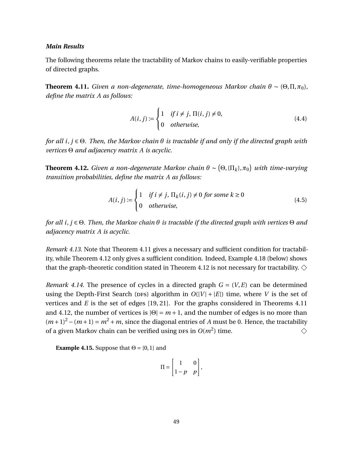## *Main Results*

The following theorems relate the tractability of Markov chains to easily-verifiable properties of directed graphs.

<span id="page-61-0"></span>**Theorem 4.11.** *Given a non-degenerate, time-homogeneous Markov chain*  $\theta \sim (\Theta, \Pi, \pi_0)$ , *define the matrix A as follows:*

$$
A(i, j) := \begin{cases} 1 & \text{if } i \neq j, \Pi(i, j) \neq 0, \\ 0 & \text{otherwise,} \end{cases}
$$
 (4.4)

*for all i*, *j* ∈ Θ*. Then, the Markov chain θ is tractable if and only if the directed graph with vertices* Θ *and adjacency matrix A is acyclic.*

<span id="page-61-1"></span>**Theorem 4.12.** *Given a non-degenerate Markov chain*  $\theta \sim (\Theta, \{\Pi_k\}, \pi_0\})$  *with time-varying transition probabilities, define the matrix A as follows:*

<span id="page-61-3"></span>
$$
A(i, j) := \begin{cases} 1 & \text{if } i \neq j, \Pi_k(i, j) \neq 0 \text{ for some } k \geq 0 \\ 0 & \text{otherwise,} \end{cases}
$$
(4.5)

*for all i*, *j* ∈ Θ*. Then, the Markov chain θ is tractable if the directed graph with vertices* Θ *and adjacency matrix A is acyclic.*

*Remark 4.13.* Note that Theorem [4.11](#page-61-0) gives a necessary and sufficient condition for tractability, while Theorem [4.12](#page-61-1) only gives a sufficient condition. Indeed, Example [4.18](#page-62-0) (below) shows that the graph-theoretic condition stated in Theorem [4.12](#page-61-1) is not necessary for tractability.  $\diamondsuit$ 

*Remark 4.14.* The presence of cycles in a directed graph  $G = (V, E)$  can be determined using the Depth-First Search (DFS) algorithm in  $O(|V| + |E|)$  time, where *V* is the set of vertices and *E* is the set of edges [\[19,](#page-132-1) [21\]](#page-132-3). For the graphs considered in Theorems [4.11](#page-61-0) and [4.12,](#page-61-1) the number of vertices is  $|\Theta| = m + 1$ , and the number of edges is no more than  $(m+1)^2 - (m+1) = m^2 + m$ , since the diagonal entries of *A* must be 0. Hence, the tractability of a given Markov chain can be verified using  $DFS$  in  $O(m^2)$  time.  $\Diamond$ 

<span id="page-61-2"></span>**Example 4.15.** Suppose that  $\Theta = \{0, 1\}$  and

$$
\Pi = \begin{bmatrix} 1 & 0 \\ 1 - p & p \end{bmatrix},
$$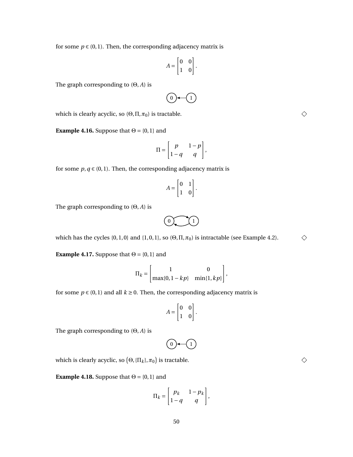for some  $p \in (0, 1)$ . Then, the corresponding adjacency matrix is

$$
A = \begin{bmatrix} 0 & 0 \\ 1 & 0 \end{bmatrix}.
$$

The graph corresponding to (Θ, *A*) is

0 1

which is clearly acyclic, so  $(\Theta, \Pi, \pi_0)$  is tractable.

<span id="page-62-1"></span>**Example 4.16.** Suppose that  $\Theta = \{0, 1\}$  and

$$
\Pi = \begin{bmatrix} p & 1-p \\ 1-q & q \end{bmatrix},
$$

for some  $p, q \in (0, 1)$ . Then, the corresponding adjacency matrix is

$$
A = \begin{bmatrix} 0 & 1 \\ 1 & 0 \end{bmatrix}.
$$

The graph corresponding to (Θ, *A*) is



which has the cycles  $\{0, 1, 0\}$  and  $\{1, 0, 1\}$ , so  $(\Theta, \Pi, \pi_0)$  is intractable (see Example [4.2\)](#page-58-1).

**Example 4.17.** Suppose that  $\Theta = \{0, 1\}$  and

$$
\Pi_k = \begin{bmatrix} 1 & 0 \\ \max\{0, 1 - kp\} & \min\{1, kp\} \end{bmatrix},
$$

for some  $p \in (0, 1)$  and all  $k \ge 0$ . Then, the corresponding adjacency matrix is

$$
A = \begin{bmatrix} 0 & 0 \\ 1 & 0 \end{bmatrix}.
$$

The graph corresponding to (Θ, *A*) is

$$
\textcircled{\scriptsize{0}\leftarrow\textcircled{\scriptsize{1}}}
$$

which is clearly acyclic, so  $\big(\Theta, \{\Pi_k\}, \pi_0\big)$  is tractable.

<span id="page-62-0"></span>**Example 4.18.** Suppose that  $\Theta = \{0, 1\}$  and

$$
\Pi_k = \begin{bmatrix} p_k & 1-p_k \\ 1-q & q \end{bmatrix},
$$

50

 $\Diamond$ 

 $\Diamond$ 

 $\Diamond$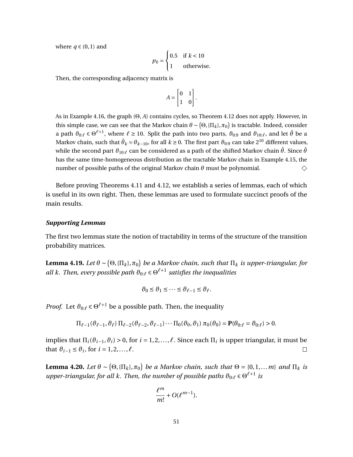where  $q \in (0,1)$  and

$$
p_k = \begin{cases} 0.5 & \text{if } k < 10 \\ 1 & \text{otherwise.} \end{cases}
$$

Then, the corresponding adjacency matrix is

$$
A = \begin{bmatrix} 0 & 1 \\ 1 & 0 \end{bmatrix}.
$$

As in Example [4.16,](#page-62-1) the graph (Θ, *A*) contains cycles, so Theorem [4.12](#page-61-1) does not apply. However, in this simple case, we can see that the Markov chain  $\theta \sim (\Theta, \{\Pi_k\}, \pi_0)$  is tractable. Indeed, consider a path  $\vartheta_{0:\ell} \in \Theta^{\ell+1}$ , where  $\ell \ge 10$ . Split the path into two parts,  $\vartheta_{0:9}$  and  $\vartheta_{10:\ell}$ , and let  $\hat{\theta}$  be a Markov chain, such that  $\hat{\theta}_k$  =  $\theta_{k-10}$ , for all  $k$  ≥ 0. The first part  $\vartheta_{0:9}$  can take  $2^{10}$  different values, while the second part  $\vartheta_{10:\ell}$  can be considered as a path of the shifted Markov chain  $\hat{\theta}$ . Since  $\hat{\theta}$ has the same time-homogeneous distribution as the tractable Markov chain in Example [4.15,](#page-61-2) the number of possible paths of the original Markov chain *θ* must be polynomial.  $\diamondsuit$ 

Before proving Theorems [4.11](#page-61-0) and [4.12,](#page-61-1) we establish a series of lemmas, each of which is useful in its own right. Then, these lemmas are used to formulate succinct proofs of the main results.

## *Supporting Lemmas*

The first two lemmas state the notion of tractability in terms of the structure of the transition probability matrices.

<span id="page-63-0"></span>**Lemma 4.19.** Let  $\theta \sim (\Theta, \{\Pi_k\}, \pi_0)$  be a Markov chain, such that  $\Pi_k$  is upper-triangular, for all k. Then, every possible path  $\vartheta_{0:\ell} \in \Theta^{\ell+1}$  satisfies the inequalities

$$
\vartheta_0 \le \vartheta_1 \le \cdots \le \vartheta_{\ell-1} \le \vartheta_\ell.
$$

*Proof.* Let  $\theta_{0:\ell} \in \Theta^{\ell+1}$  be a possible path. Then, the inequality

$$
\Pi_{\ell-1}(\vartheta_{\ell-1},\vartheta_\ell)\Pi_{\ell-2}(\vartheta_{\ell-2},\vartheta_{\ell-1})\cdots\Pi_0(\vartheta_0,\vartheta_1)\,\pi_0(\vartheta_0)=\mathbf{P}(\theta_{0:\ell}=\vartheta_{0:\ell})>0.
$$

implies that  $\Pi_i(\vartheta_{i-1},\vartheta_i) > 0$ , for  $i = 1,2,...,\ell$ . Since each  $\Pi_i$  is upper triangular, it must be that  $\vartheta_{i-1} \leq \vartheta_i$ , for  $i = 1, 2, ..., \ell$ .  $\Box$ 

<span id="page-63-1"></span>**Lemma 4.20.** *Let*  $\theta \sim (\Theta, {\{\Pi_k\}}, \pi_0)$  *be a Markov chain, such that*  $\Theta = \{0, 1, \dots m\}$  *and*  $\Pi_k$  *is* upper-triangular, for all k. Then, the number of possible paths  $\vartheta_{0:\ell} \in \Theta^{\ell+1}$  is

$$
\frac{\ell^m}{m!}+O(\ell^{m-1}).
$$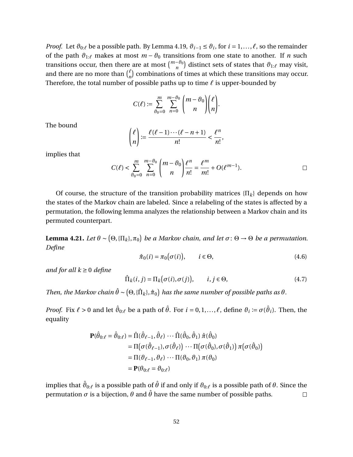*Proof.* Let  $\vartheta_{0:\ell}$  be a possible path. By Lemma [4.19,](#page-63-0)  $\vartheta_{i-1} \leq \vartheta_i$ , for  $i = 1, ..., \ell$ , so the remainder of the path  $\vartheta_{1:\ell}$  makes at most  $m - \vartheta_0$  transitions from one state to another. If *n* such transitions occur, then there are at most  $\binom{m-\theta_0}{n}$  distinct sets of states that  $\partial_{1:\ell}$  may visit, and there are no more than  $\binom{\ell}{n}$  $\binom{\ell}{n}$  combinations of times at which these transitions may occur. Therefore, the total number of possible paths up to time  $\ell$  is upper-bounded by

$$
C(\ell) := \sum_{\theta_0=0}^m \sum_{n=0}^{m-\theta_0} \binom{m-\theta_0}{n} \binom{\ell}{n}.
$$

The bound

$$
\binom{\ell}{n} := \frac{\ell(\ell-1)\cdots(\ell-n+1)}{n!} < \frac{\ell^n}{n!},
$$

implies that

$$
C(\ell) < \sum_{\theta_0=0}^m \sum_{n=0}^{m-\theta_0} \binom{m-\theta_0}{n} \frac{\ell^n}{n!} = \frac{\ell^m}{m!} + O(\ell^{m-1}).\tag{}
$$

Of course, the structure of the transition probability matrices  $\{\Pi_k\}$  depends on how the states of the Markov chain are labeled. Since a relabeling of the states is affected by a permutation, the following lemma analyzes the relationship between a Markov chain and its permuted counterpart.

<span id="page-64-0"></span>**Lemma 4.21.** *Let*  $\theta \sim (\Theta, {\{\Pi_k\}}, \pi_0)$  *be a Markov chain, and let*  $\sigma: \Theta \to \Theta$  *be a permutation. Define*

$$
\hat{\pi}_0(i) = \pi_0(\sigma(i)), \qquad i \in \Theta,
$$
\n(4.6)

*and for all*  $k \geq 0$  *define* 

$$
\hat{\Pi}_k(i,j) = \Pi_k(\sigma(i), \sigma(j)), \qquad i, j \in \Theta,
$$
\n(4.7)

*Then, the Markov chain*  $\hat{\theta} \sim (\Theta, \{\hat{\Pi}_k\}, \hat{\pi}_0)$  has the same number of possible paths as  $\theta$ .

*Proof.* Fix  $\ell > 0$  and let  $\hat{\vartheta}_{0:\ell}$  be a path of  $\hat{\theta}$ . For  $i = 0, 1, ..., \ell$ , define  $\vartheta_i := \sigma(\hat{\vartheta}_i)$ . Then, the equality

$$
\mathbf{P}(\hat{\theta}_{0:\ell} = \hat{\vartheta}_{0:\ell}) = \hat{\Pi}(\hat{\vartheta}_{\ell-1}, \hat{\vartheta}_{\ell}) \cdots \hat{\Pi}(\hat{\vartheta}_{0}, \hat{\vartheta}_{1}) \hat{\pi}(\hat{\vartheta}_{0}) \n= \Pi(\sigma(\hat{\vartheta}_{\ell-1}), \sigma(\hat{\vartheta}_{\ell})) \cdots \Pi(\sigma(\hat{\vartheta}_{0}), \sigma(\hat{\vartheta}_{1})) \pi(\sigma(\hat{\vartheta}_{0})) \n= \Pi(\vartheta_{\ell-1}, \vartheta_{\ell}) \cdots \Pi(\vartheta_{0}, \vartheta_{1}) \pi(\vartheta_{0}) \n= \mathbf{P}(\theta_{0:\ell} = \vartheta_{0:\ell})
$$

implies that  $\hat\vartheta_{0:\ell}$  is a possible path of  $\hat\theta$  if and only if  $\vartheta_{0:\ell}$  is a possible path of  $\theta.$  Since the permutation *σ* is a bijection, *θ* and  $\hat{\theta}$  have the same number of possible paths.  $\Box$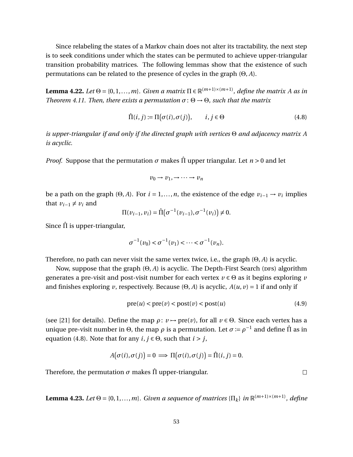Since relabeling the states of a Markov chain does not alter its tractability, the next step is to seek conditions under which the states can be permuted to achieve upper-triangular transition probability matrices. The following lemmas show that the existence of such permutations can be related to the presence of cycles in the graph (Θ, *A*).

<span id="page-65-1"></span>**Lemma 4.22.** Let  $\Theta = \{0, 1, ..., m\}$ . Given a matrix  $\Pi \in \mathbb{R}^{(m+1)\times(m+1)}$ , define the matrix A as in *Theorem [4.11.](#page-61-0) Then, there exists a permutation*  $\sigma$ :  $\Theta \rightarrow \Theta$ *, such that the matrix* 

<span id="page-65-0"></span>
$$
\hat{\Pi}(i,j) := \Pi(\sigma(i), \sigma(j)), \qquad i, j \in \Theta \tag{4.8}
$$

*is upper-triangular if and only if the directed graph with vertices* Θ *and adjacency matrix A is acyclic.*

*Proof.* Suppose that the permutation  $\sigma$  makes  $\hat{\Pi}$  upper triangular. Let  $n > 0$  and let

$$
v_0 \to v_1, \to \cdots \to v_n
$$

be a path on the graph  $(\Theta, A)$ . For  $i = 1, ..., n$ , the existence of the edge  $v_{i-1} \rightarrow v_i$  implies that  $v_{i-1} \neq v_i$  and

$$
\Pi(v_{i-1}, v_i) = \hat{\Pi}(\sigma^{-1}(v_{i-1}), \sigma^{-1}(v_i)) \neq 0.
$$

Since  $\hat{\Pi}$  is upper-triangular,

$$
\sigma^{-1}(\nu_0) < \sigma^{-1}(\nu_1) < \cdots < \sigma^{-1}(\nu_n).
$$

Therefore, no path can never visit the same vertex twice, i.e., the graph (Θ, *A*) is acyclic.

Now, suppose that the graph (Θ, *A*) is acyclic. The Depth-First Search (DFs) algorithm generates a pre-visit and post-visit number for each vertex  $v \in \Theta$  as it begins exploring *v* and finishes exploring *v*, respectively. Because (Θ, *A*) is acyclic,  $A(u, v) = 1$  if and only if

$$
pre(u) < pre(v) < post(v) < post(u) \tag{4.9}
$$

(see [\[21\]](#page-132-3) for details). Define the map  $\rho: v \mapsto \text{pre}(v)$ , for all  $v \in \Theta$ . Since each vertex has a unique pre-visit number in Θ, the map  $\rho$  is a permutation. Let  $\sigma \coloneqq \rho^{-1}$  and define  $\hat{\Pi}$  as in equation [\(4.8\)](#page-65-0). Note that for any  $i, j \in \Theta$ , such that  $i > j$ ,

$$
A(\sigma(i), \sigma(j)) = 0 \implies \Pi(\sigma(i), \sigma(j)) = \hat{\Pi}(i, j) = 0.
$$

Therefore, the permutation  $\sigma$  makes  $\hat{\Pi}$  upper-triangular.

<span id="page-65-2"></span>**Lemma 4.23.** Let  $\Theta = \{0, 1, ..., m\}$ . Given a sequence of matrices  $\{\Pi_k\}$  in  $\mathbb{R}^{(m+1)\times(m+1)}$ , define

 $\Box$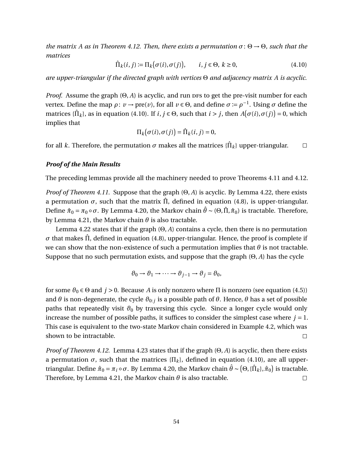*the matrix A as in Theorem* [4.12.](#page-61-1) *Then, there exists a permutation*  $\sigma$ : Θ  $\rightarrow$  Θ, *such that the matrices*

<span id="page-66-0"></span>
$$
\hat{\Pi}_k(i,j) := \Pi_k(\sigma(i), \sigma(j)), \qquad i, j \in \Theta, k \ge 0,
$$
\n(4.10)

*are upper-triangular if the directed graph with vertices* Θ *and adjacency matrix A is acyclic.*

*Proof.* Assume the graph  $(\Theta, A)$  is acyclic, and run prs to get the pre-visit number for each vertex. Define the map *ρ* : *v* → pre(*v*), for all *v* ∈ Θ, and define *σ* := *ρ* −1 . Using *σ* define the matrices { $\hat{\Pi}_k$ }, as in equation [\(4.10\)](#page-66-0). If  $i, j \in \Theta$ , such that  $i > j$ , then  $A(\sigma(i), \sigma(j)) = 0$ , which implies that

$$
\Pi_k(\sigma(i), \sigma(j)) = \hat{\Pi}_k(i, j) = 0,
$$

for all  $k.$  Therefore, the permutation  $\sigma$  makes all the matrices  $\{\hat{\Pi}_k\}$  upper-triangular.  $\Box$ 

## *Proof of the Main Results*

The preceding lemmas provide all the machinery needed to prove Theorems [4.11](#page-61-0) and [4.12.](#page-61-1)

*Proof of Theorem [4.11.](#page-61-0)* Suppose that the graph (Θ, *A*) is acyclic. By Lemma [4.22,](#page-65-1) there exists a permutation  $\sigma$ , such that the matrix  $\hat{\Pi}$ , defined in equation [\(4.8\)](#page-65-0), is upper-triangular. Define  $\hat{\pi}_0 = \pi_0 \circ \sigma$ . By Lemma [4.20,](#page-63-1) the Markov chain  $\hat{\theta}$  ∼ (Θ, Π̂,  $\hat{\pi}_0$ ) is tractable. Therefore, by Lemma [4.21,](#page-64-0) the Markov chain *θ* is also tractable.

Lemma [4.22](#page-65-1) states that if the graph (Θ, *A*) contains a cycle, then there is no permutation  $\sigma$  that makes  $\hat{\Pi}$ , defined in equation [\(4.8\)](#page-65-0), upper-triangular. Hence, the proof is complete if we can show that the non-existence of such a permutation implies that  $\theta$  is not tractable. Suppose that no such permutation exists, and suppose that the graph (Θ, *A*) has the cycle

$$
\vartheta_0 \to \vartheta_1 \to \cdots \to \vartheta_{j-1} \to \vartheta_j = \vartheta_0,
$$

for some  $\vartheta_0 \in \Theta$  and  $j > 0$ . Because A is only nonzero where  $\Pi$  is nonzero (see equation [\(4.5\)](#page-61-3)) and *θ* is non-degenerate, the cycle *ϑ*0:*<sup>j</sup>* is a possible path of *θ*. Hence, *θ* has a set of possible paths that repeatedly visit  $\theta_0$  by traversing this cycle. Since a longer cycle would only increase the number of possible paths, it suffices to consider the simplest case where  $j = 1$ . This case is equivalent to the two-state Markov chain considered in Example [4.2,](#page-58-1) which was shown to be intractable.  $\Box$ 

*Proof of Theorem [4.12.](#page-61-1)* Lemma [4.23](#page-65-2) states that if the graph (Θ, *A*) is acyclic, then there exists a permutation  $\sigma$ , such that the matrices  $\{\Pi_k\}$ , defined in equation [\(4.10\)](#page-66-0), are all uppertriangular. Define  $\hat\pi_0 = \pi_i\circ\sigma.$  By Lemma [4.20,](#page-63-1) the Markov chain  $\hat\theta\sim\big(\Theta,\{\hat\Pi_k\},\hat\pi_0\big)$  is tractable. Therefore, by Lemma [4.21,](#page-64-0) the Markov chain  $\theta$  is also tractable.  $\Box$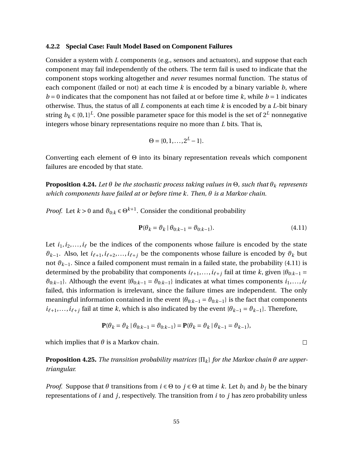#### **4.2.2 Special Case: Fault Model Based on Component Failures**

Consider a system with *L* components (e.g., sensors and actuators), and suppose that each component may fail independently of the others. The term fail is used to indicate that the component stops working altogether and *never* resumes normal function. The status of each component (failed or not) at each time *k* is encoded by a binary variable *b*, where  $b = 0$  indicates that the component has not failed at or before time  $k$ , while  $b = 1$  indicates otherwise. Thus, the status of all *L* components at each time *k* is encoded by a *L*-bit binary string  $b_k$   $\in$  {0, 1}<sup>L</sup>. One possible parameter space for this model is the set of  $2^L$  nonnegative integers whose binary representations require no more than *L* bits. That is,

$$
\Theta = \{0, 1, \ldots, 2^L - 1\}.
$$

Converting each element of Θ into its binary representation reveals which component failures are encoded by that state.

<span id="page-67-1"></span>**Proposition 4.24.** *Let θ be the stochastic process taking values in* Θ*, such that θ<sup>k</sup> represents which components have failed at or before time k. Then, θ is a Markov chain.*

*Proof.* Let  $k > 0$  and  $\vartheta_{0:k} \in \Theta^{k+1}$ . Consider the conditional probability

<span id="page-67-0"></span>
$$
\mathbf{P}(\theta_k = \theta_k \mid \theta_{0:k-1} = \theta_{0:k-1}).\tag{4.11}
$$

Let  $i_1, i_2, \ldots, i_\ell$  be the indices of the components whose failure is encoded by the state  $\vartheta_{k-1}$ . Also, let *i*<sub>ℓ+1</sub>, *i*<sub>ℓ+2</sub>,..., *i*<sub>ℓ+j</sub> be the components whose failure is encoded by  $\vartheta_k$  but not *ϑk*−1. Since a failed component must remain in a failed state, the probability [\(4.11\)](#page-67-0) is determined by the probability that components  $i_{\ell+1},...,i_{\ell+j}$  fail at time *k*, given { $\theta_{0:k-1}$  =  $\vartheta_{0:k-1}$ . Although the event { $\theta_{0:k-1} = \vartheta_{0:k-1}$ } indicates at what times components  $i_1,...,i_\ell$ failed, this information is irrelevant, since the failure times are independent. The only meaningful information contained in the event  ${\theta_{0:k-1} = \theta_{0:k-1}}$  is the fact that components  $i_{\ell+1},...,i_{\ell+j}$  fail at time *k*, which is also indicated by the event { $\theta_{k-1} = \theta_{k-1}$ }. Therefore,

$$
\mathbf{P}(\theta_k = \theta_k \mid \theta_{0:k-1} = \theta_{0:k-1}) = \mathbf{P}(\theta_k = \theta_k \mid \theta_{k-1} = \theta_{k-1}),
$$

which implies that  $\theta$  is a Markov chain.

<span id="page-67-2"></span>**Proposition 4.25.** *The transition probability matrices*  $\{\Pi_k\}$  *for the Markov chain*  $\theta$  *are uppertriangular.*

*Proof.* Suppose that  $\theta$  transitions from  $i \in \Theta$  to  $j \in \Theta$  at time  $k$ . Let  $b_i$  and  $b_j$  be the binary representations of *i* and *j*, respectively. The transition from *i* to *j* has zero probability unless

 $\Box$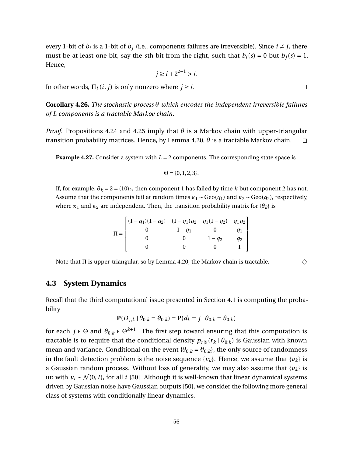every 1-bit of  $b_i$  is a 1-bit of  $b_j$  (i.e., components failures are irreversible). Since  $i \neq j$ , there must be at least one bit, say the *s*th bit from the right, such that  $b_i(s) = 0$  but  $b_j(s) = 1$ . Hence,

$$
j \ge i + 2^{s-1} > i.
$$

In other words,  $\Pi_k(i, j)$  is only nonzero where  $j \geq i$ .

**Corollary 4.26.** *The stochastic process θ which encodes the independent irreversible failures of L components is a tractable Markov chain.*

*Proof.* Propositions [4.24](#page-67-1) and [4.25](#page-67-2) imply that  $\theta$  is a Markov chain with upper-triangular transition probability matrices. Hence, by Lemma [4.20,](#page-63-1)  $\theta$  is a tractable Markov chain.  $\Box$ 

**Example 4.27.** Consider a system with  $L = 2$  components. The corresponding state space is

 $\Theta = \{0, 1, 2, 3\}.$ 

If, for example,  $\theta_k = 2 = (10)_2$ , then component 1 has failed by time *k* but component 2 has not. Assume that the components fail at random times  $\kappa_1 \sim \text{Geo}(q_1)$  and  $\kappa_2 \sim \text{Geo}(q_2)$ , respectively, where  $\kappa_1$  and  $\kappa_2$  are independent. Then, the transition probability matrix for  $\{\theta_k\}$  is

$$
\Pi = \begin{bmatrix}\n(1 - q_1)(1 - q_2) & (1 - q_1)q_2 & q_1(1 - q_2) & q_1q_2 \\
0 & 1 - q_1 & 0 & q_1 \\
0 & 0 & 1 - q_2 & q_2 \\
0 & 0 & 0 & 1\n\end{bmatrix}
$$

Note that Π is upper-triangular, so by Lemma [4.20,](#page-63-1) the Markov chain is tractable.

# **4.3 System Dynamics**

Recall that the third computational issue presented in Section [4.1](#page-56-1) is computing the probability

$$
\mathbf{P}(D_{j,k} | \theta_{0:k} = \theta_{0:k}) = \mathbf{P}(d_k = j | \theta_{0:k} = \theta_{0:k})
$$

for each  $j \in \Theta$  and  $\vartheta_{0:k} \in \Theta^{k+1}$ . The first step toward ensuring that this computation is tractable is to require that the conditional density  $p_{r|\theta}(r_k | \theta_{0:k})$  is Gaussian with known mean and variance. Conditional on the event  $\{\theta_{0:k} = \theta_{0:k}\}$ , the only source of randomness in the fault detection problem is the noise sequence  $\{v_k\}$ . Hence, we assume that  $\{v_k\}$  is a Gaussian random process. Without loss of generality, we may also assume that  $\{v_k\}$  is IID with  $v_i$  ∼  $\mathcal{N}(0, I)$ , for all *i* [\[50\]](#page-134-3). Although it is well-known that linear dynamical systems driven by Gaussian noise have Gaussian outputs [\[50\]](#page-134-3), we consider the following more general class of systems with conditionally linear dynamics.

 $\Box$ 

♦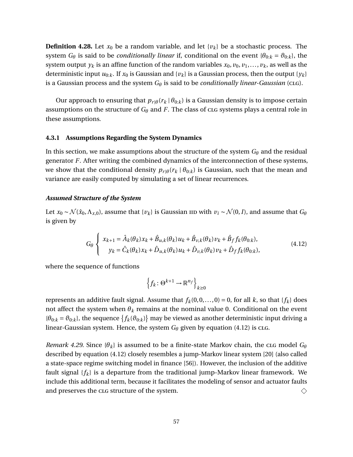**Definition 4.28.** Let  $x_0$  be a random variable, and let  $\{v_k\}$  be a stochastic process. The system *G*<sup> $\theta$ </sup> is said to be *conditionally linear* if, conditional on the event { $\theta_{0:k} = \theta_{0:k}$ }, the system output  $y_k$  is an affine function of the random variables  $x_0, v_0, v_1, \ldots, v_k$ , as well as the deterministic input  $u_{0:k}$ . If  $x_0$  is Gaussian and  $\{v_k\}$  is a Gaussian process, then the output  $\{y_k\}$ is a Gaussian process and the system *G<sup>θ</sup>* is said to be *conditionally linear-Gaussian* (clg).

Our approach to ensuring that  $p_{r|\theta}(r_k | \theta_{0:k})$  is a Gaussian density is to impose certain assumptions on the structure of  $G_{\theta}$  and *F*. The class of clg systems plays a central role in these assumptions.

# **4.3.1 Assumptions Regarding the System Dynamics**

In this section, we make assumptions about the structure of the system  $G_{\theta}$  and the residual generator *F*. After writing the combined dynamics of the interconnection of these systems, we show that the conditional density  $p_{r|\theta}(r_k | \theta_{0:k})$  is Gaussian, such that the mean and variance are easily computed by simulating a set of linear recurrences.

## *Assumed Structure of the System*

Let  $x_0 \sim \mathcal{N}(\hat{x}_0, \Lambda_{x,0})$ , assume that  $\{v_k\}$  is Gaussian iid with  $v_i \sim \mathcal{N}(0, I)$ , and assume that  $G_\theta$ is given by

<span id="page-69-0"></span>
$$
G_{\theta}\begin{cases} x_{k+1} = \hat{A}_{k}(\theta_{k})x_{k} + \hat{B}_{u,k}(\theta_{k})u_{k} + \hat{B}_{v,k}(\theta_{k})v_{k} + \hat{B}_{f}f_{k}(\theta_{0:k}),\\ y_{k} = \hat{C}_{k}(\theta_{k})x_{k} + \hat{D}_{u,k}(\theta_{k})u_{k} + \hat{D}_{v,k}(\theta_{k})v_{k} + \hat{D}_{f}f_{k}(\theta_{0:k}), \end{cases}
$$
(4.12)

where the sequence of functions

$$
\left\{f_k\colon \Theta^{k+1}\to \mathbb{R}^{n_f}\right\}_{k\geq 0}
$$

represents an additive fault signal. Assume that  $f_k(0,0,\ldots,0) = 0$ , for all *k*, so that  $\{f_k\}$  does not affect the system when  $\theta_k$  remains at the nominal value 0. Conditional on the event  ${\theta}_{0:k} = \theta_{0:k}$ , the sequence  ${f_k(\theta_{0:k})}$  may be viewed as another deterministic input driving a linear-Gaussian system. Hence, the system  $G_{\theta}$  given by equation [\(4.12\)](#page-69-0) is clg.

*Remark 4.29.* Since  $\{\theta_k\}$  is assumed to be a finite-state Markov chain, the clg model  $G_\theta$ described by equation [\(4.12\)](#page-69-0) closely resembles a jump-Markov linear system [\[20\]](#page-132-4) (also called a state-space regime switching model in finance [\[56\]](#page-135-4)). However, the inclusion of the additive fault signal {*fk*} is a departure from the traditional jump-Markov linear framework. We include this additional term, because it facilitates the modeling of sensor and actuator faults and preserves the clg structure of the system.  $\diamondsuit$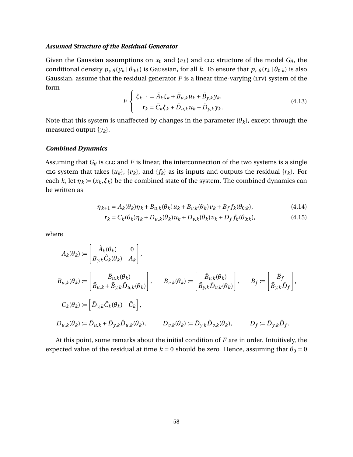## *Assumed Structure of the Residual Generator*

Given the Gaussian assumptions on  $x_0$  and  $\{v_k\}$  and clg structure of the model  $G_\theta$ , the conditional density  $p_{\gamma|\theta}(y_k | \theta_{0:k})$  is Gaussian, for all *k*. To ensure that  $p_{r|\theta}(r_k | \theta_{0:k})$  is also Gaussian, assume that the residual generator  $F$  is a linear time-varying (LTV) system of the form

$$
F\begin{cases} \xi_{k+1} = \tilde{A}_k \xi_k + \tilde{B}_{u,k} u_k + \tilde{B}_{y,k} y_k, \\ r_k = \tilde{C}_k \xi_k + \tilde{D}_{u,k} u_k + \tilde{D}_{y,k} y_k. \end{cases} \tag{4.13}
$$

Note that this system is unaffected by changes in the parameter  $\{\theta_k\}$ , except through the measured output {*yk*}.

## *Combined Dynamics*

Assuming that  $G_{\theta}$  is clg and *F* is linear, the interconnection of the two systems is a single clas system that takes  $\{u_k\}$ ,  $\{v_k\}$ , and  $\{f_k\}$  as its inputs and outputs the residual  $\{r_k\}$ . For each *k*, let  $\eta_k := (x_k, \xi_k)$  be the combined state of the system. The combined dynamics can be written as

$$
\eta_{k+1} = A_k(\theta_k)\eta_k + B_{u,k}(\theta_k)u_k + B_{v,k}(\theta_k)v_k + B_f f_k(\theta_{0:k}),
$$
\n(4.14)

$$
r_k = C_k(\theta_k)\eta_k + D_{u,k}(\theta_k)u_k + D_{v,k}(\theta_k)v_k + D_f f_k(\theta_{0:k}),
$$
\n(4.15)

where

$$
A_k(\theta_k) := \begin{bmatrix} \hat{A}_k(\theta_k) & 0 \\ \tilde{B}_{y,k}\hat{C}_k(\theta_k) & \tilde{A}_k \end{bmatrix},
$$
  
\n
$$
B_{u,k}(\theta_k) := \begin{bmatrix} \hat{B}_{u,k}(\theta_k) & 0 \\ \tilde{B}_{u,k} + \tilde{B}_{y,k}\hat{D}_{u,k}(\theta_k) \end{bmatrix}, \qquad B_{v,k}(\theta_k) := \begin{bmatrix} \hat{B}_{v,k}(\theta_k) \\ \tilde{B}_{y,k}\hat{D}_{v,k}(\theta_k) \end{bmatrix}, \qquad B_f := \begin{bmatrix} \hat{B}_f \\ \tilde{B}_{y,k}\hat{D}_f \end{bmatrix},
$$
  
\n
$$
C_k(\theta_k) := \begin{bmatrix} \tilde{D}_{y,k}\hat{C}_k(\theta_k) & \tilde{C}_k \end{bmatrix},
$$
  
\n
$$
D_{u,k}(\theta_k) := \tilde{D}_{u,k} + \tilde{D}_{y,k}\hat{D}_{u,k}(\theta_k), \qquad D_{v,k}(\theta_k) := \tilde{D}_{y,k}\hat{D}_{v,k}(\theta_k), \qquad D_f := \tilde{D}_{y,k}\hat{D}_f.
$$

At this point, some remarks about the initial condition of *F* are in order. Intuitively, the expected value of the residual at time  $k = 0$  should be zero. Hence, assuming that  $\theta_0 = 0$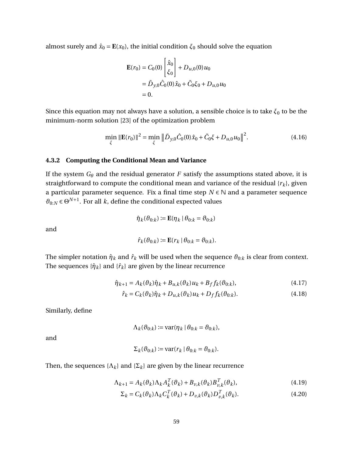almost surely and  $\hat{x}_0 = \mathbf{E}(x_0)$ , the initial condition  $\xi_0$  should solve the equation

$$
\mathbf{E}(r_0) = C_0(0) \begin{bmatrix} \hat{x}_0 \\ \xi_0 \end{bmatrix} + D_{u,0}(0) u_0
$$
  
=  $\tilde{D}_{y,0} \hat{C}_0(0) \hat{x}_0 + \tilde{C}_0 \xi_0 + D_{u,0} u_0$   
= 0.

Since this equation may not always have a solution, a sensible choice is to take  $\xi_0$  to be the minimum-norm solution [\[23\]](#page-132-5) of the optimization problem

$$
\min_{\xi} \|\mathbf{E}(r_0)\|^2 = \min_{\xi} \left\| \tilde{D}_{y,0} \hat{C}_0(0)\hat{x}_0 + \tilde{C}_0 \xi + D_{u,0} u_0 \right\|^2. \tag{4.16}
$$

## **4.3.2 Computing the Conditional Mean and Variance**

If the system  $G_{\theta}$  and the residual generator *F* satisfy the assumptions stated above, it is straightforward to compute the conditional mean and variance of the residual {*rk*}, given a particular parameter sequence. Fix a final time step  $N \in \mathbb{N}$  and a parameter sequence  $\vartheta_{0:N} \in \Theta^{N+1}$ . For all *k*, define the conditional expected values

$$
\hat{\eta}_k(\vartheta_{0:k}) \coloneqq \mathbf{E}(\eta_k \mid \theta_{0:k} = \vartheta_{0:k})
$$

and

$$
\hat{r}_k(\theta_{0:k}) \coloneqq \mathbf{E}(r_k \mid \theta_{0:k} = \theta_{0:k}).
$$

The simpler notation  $\hat{\eta}_k$  and  $\hat{r}_k$  will be used when the sequence  $\theta_{0:k}$  is clear from context. The sequences  $\{\hat{\eta}_k\}$  and  $\{\hat{r}_k\}$  are given by the linear recurrence

$$
\hat{\eta}_{k+1} = A_k(\vartheta_k)\hat{\eta}_k + B_{u,k}(\vartheta_k)u_k + B_f f_k(\vartheta_{0:k}),\tag{4.17}
$$

$$
\hat{r}_k = C_k(\vartheta_k)\hat{\eta}_k + D_{u,k}(\vartheta_k)u_k + D_f f_k(\vartheta_{0:k}).
$$
\n(4.18)

Similarly, define

$$
\Lambda_k(\vartheta_{0:k}) \coloneqq \text{var}(\eta_k \mid \theta_{0:k} = \vartheta_{0:k}),
$$

and

$$
\Sigma_k(\vartheta_{0:k}) := \text{var}(r_k \mid \theta_{0:k} = \vartheta_{0:k}).
$$

Then, the sequences  $\{\Lambda_k\}$  and  $\{\Sigma_k\}$  are given by the linear recurrence

$$
\Lambda_{k+1} = A_k(\vartheta_k) \Lambda_k A_k^T(\vartheta_k) + B_{\nu,k}(\vartheta_k) B_{\nu,k}^T(\vartheta_k),
$$
\n(4.19)

$$
\Sigma_k = C_k(\vartheta_k) \Lambda_k C_k^T(\vartheta_k) + D_{\nu,k}(\vartheta_k) D_{\nu,k}^T(\vartheta_k).
$$
\n(4.20)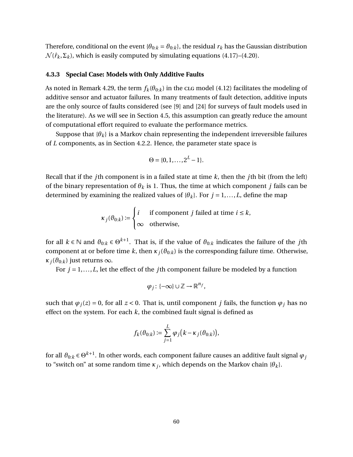Therefore, conditional on the event { $\theta_{0:k} = \theta_{0:k}$ }, the residual  $r_k$  has the Gaussian distribution  $\mathcal{N}(\hat{r}_k, \Sigma_k)$ , which is easily computed by simulating equations [\(4.17\)](#page-71-0)–[\(4.20\)](#page-71-1).

#### <span id="page-72-0"></span>**4.3.3 Special Case: Models with Only Additive Faults**

As noted in Remark [4.29,](#page-69-0) the term  $f_k(\theta_{0:k})$  in the clg model [\(4.12\)](#page-69-1) facilitates the modeling of additive sensor and actuator failures. In many treatments of fault detection, additive inputs are the only source of faults considered (see [\[9\]](#page-131-0) and [\[24\]](#page-132-0) for surveys of fault models used in the literature). As we will see in Section [4.5,](#page-80-0) this assumption can greatly reduce the amount of computational effort required to evaluate the performance metrics.

Suppose that  ${\lbrace \theta_k \rbrace}$  is a Markov chain representing the independent irreversible failures of *L* components, as in Section [4.2.2.](#page-67-0) Hence, the parameter state space is

$$
\Theta = \{0, 1, \ldots, 2^L - 1\}.
$$

Recall that if the *j*th component is in a failed state at time *k*, then the *j*th bit (from the left) of the binary representation of  $\theta_k$  is 1. Thus, the time at which component *j* fails can be determined by examining the realized values of  $\{\theta_k\}$ . For  $j = 1, \ldots, L$ , define the map

$$
\kappa_j(\theta_{0:k}) := \begin{cases} i & \text{if component } j \text{ failed at time } i \leq k, \\ \infty & \text{otherwise,} \end{cases}
$$

for all  $k \in \mathbb{N}$  and  $\vartheta_{0:k} \in \Theta^{k+1}$ . That is, if the value of  $\vartheta_{0:k}$  indicates the failure of the *j*th component at or before time *k*, then  $\kappa_j(\theta_{0:k})$  is the corresponding failure time. Otherwise, *κ*<sub>*j*</sub>( $\vartheta$ <sub>0:*k*</sub>) just returns ∞.

For  $j = 1, \ldots, L$ , let the effect of the *j*th component failure be modeled by a function

$$
\varphi_j\colon\{-\infty\}\cup\mathbb{Z}\to\mathbb{R}^{n_f},
$$

such that  $\varphi_i(z) = 0$ , for all  $z < 0$ . That is, until component *j* fails, the function  $\varphi_i$  has no effect on the system. For each  $k$ , the combined fault signal is defined as

$$
f_k(\vartheta_{0:k}) \coloneqq \sum_{j=1}^L \varphi_j(k - \kappa_j(\vartheta_{0:k})),
$$

for all  $\vartheta_{0:k} \in \Theta^{k+1}.$  In other words, each component failure causes an additive fault signal  $\varphi_j$ to "switch on" at some random time *κ<sup>j</sup>* , which depends on the Markov chain {*θk*}.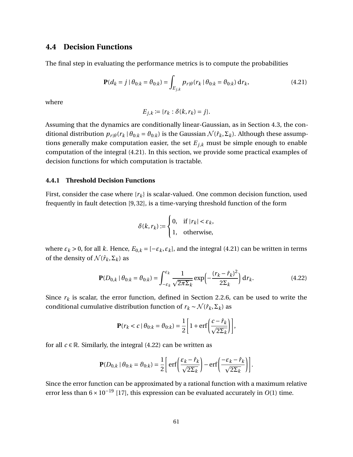## <span id="page-73-3"></span>**4.4 Decision Functions**

The final step in evaluating the performance metrics is to compute the probabilities

<span id="page-73-0"></span>
$$
\mathbf{P}(d_k = j \mid \theta_{0:k} = \theta_{0:k}) = \int_{E_{j,k}} p_{r|\theta}(r_k \mid \theta_{0:k} = \theta_{0:k}) \, \mathrm{d}r_k,\tag{4.21}
$$

where

$$
E_{j,k} := \{r_k : \delta(k, r_k) = j\}.
$$

Assuming that the dynamics are conditionally linear-Gaussian, as in Section [4.3,](#page-68-0) the conditional distribution  $p_{r|\theta}(r_k | \theta_{0:k} = \theta_{0:k})$  is the Gaussian  $\mathcal{N}(\hat{r}_k, \Sigma_k)$ . Although these assumptions generally make computation easier, the set  $E_{j,k}$  must be simple enough to enable computation of the integral [\(4.21\)](#page-73-0). In this section, we provide some practical examples of decision functions for which computation is tractable.

#### <span id="page-73-2"></span>**4.4.1 Threshold Decision Functions**

First, consider the case where  $\{r_k\}$  is scalar-valued. One common decision function, used frequently in fault detection [\[9,](#page-131-0) [32\]](#page-133-0), is a time-varying threshold function of the form

$$
\delta(k, r_k) := \begin{cases} 0, & \text{if } |r_k| < \varepsilon_k, \\ 1, & \text{otherwise,} \end{cases}
$$

where  $\varepsilon_k$  > 0, for all *k*. Hence,  $E_{0,k} = [-\varepsilon_k, \varepsilon_k]$ , and the integral [\(4.21\)](#page-73-0) can be written in terms of the density of  $\mathcal{N}(\hat{r}_k, \Sigma_k)$  as

<span id="page-73-1"></span>
$$
\mathbf{P}(D_{0,k} \mid \theta_{0:k} = \theta_{0:k}) = \int_{-\varepsilon_k}^{\varepsilon_k} \frac{1}{\sqrt{2\pi\Sigma_k}} \exp\left(-\frac{(r_k - \hat{r}_k)^2}{2\Sigma_k}\right) \mathrm{d}r_k. \tag{4.22}
$$

Since  $r_k$  is scalar, the error function, defined in Section [2.2.6,](#page-21-0) can be used to write the conditional cumulative distribution function of  $r_k \sim \mathcal{N}(\hat{r}_k, \Sigma_k)$  as

$$
\mathbf{P}(r_k < c \mid \theta_{0:k} = \theta_{0:k}) = \frac{1}{2} \left[ 1 + \text{erf} \left( \frac{c - \hat{r}_k}{\sqrt{2\Sigma_k}} \right) \right],
$$

for all  $c \in \mathbb{R}$ . Similarly, the integral [\(4.22\)](#page-73-1) can be written as

$$
\mathbf{P}(D_{0,k} | \theta_{0:k} = \theta_{0:k}) = \frac{1}{2} \left[ \text{erf} \left( \frac{\varepsilon_k - \hat{r}_k}{\sqrt{2\Sigma_k}} \right) - \text{erf} \left( \frac{-\varepsilon_k - \hat{r}_k}{\sqrt{2\Sigma_k}} \right) \right].
$$

Since the error function can be approximated by a rational function with a maximum relative error less than 6×10−<sup>19</sup> [\[17\]](#page-132-1), this expression can be evaluated accurately in *O*(1) time.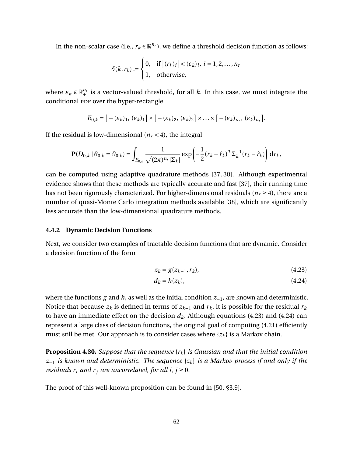In the non-scalar case (i.e.,  $r_k \in \mathbb{R}^{n_r}$ ), we define a threshold decision function as follows:

$$
\delta(k, r_k) := \begin{cases} 0, & \text{if } \left| (r_k)_i \right| < (\varepsilon_k)_i, \ i = 1, 2, \dots, n_r \\ 1, & \text{otherwise,} \end{cases}
$$

where  $\varepsilon_k \in \mathbb{R}^{n_r}_+$  is a vector-valued threshold, for all  $k.$  In this case, we must integrate the conditional PDF over the hyper-rectangle

$$
E_{0,k} = [-(\varepsilon_k)_1, (\varepsilon_k)_1] \times [-(\varepsilon_k)_2, (\varepsilon_k)_2] \times ... \times [-(\varepsilon_k)_{n_r}, (\varepsilon_k)_{n_r}].
$$

If the residual is low-dimensional  $(n_r < 4)$ , the integral

$$
\mathbf{P}(D_{0,k} \mid \theta_{0:k} = \theta_{0:k}) = \int_{E_{0,k}} \frac{1}{\sqrt{(2\pi)^{n_r} |\Sigma_k|}} \exp\left(-\frac{1}{2}(r_k - \hat{r}_k)^T \Sigma_k^{-1} (r_k - \hat{r}_k)\right) d r_k,
$$

can be computed using adaptive quadrature methods [\[37,](#page-133-1) [38\]](#page-133-2). Although experimental evidence shows that these methods are typically accurate and fast [\[37\]](#page-133-1), their running time has not been rigorously characterized. For higher-dimensional residuals ( $n_r \geq 4$ ), there are a number of quasi-Monte Carlo integration methods available [\[38\]](#page-133-2), which are significantly less accurate than the low-dimensional quadrature methods.

#### **4.4.2 Dynamic Decision Functions**

Next, we consider two examples of tractable decision functions that are dynamic. Consider a decision function of the form

<span id="page-74-1"></span><span id="page-74-0"></span>
$$
z_k = g(z_{k-1}, r_k),
$$
\n(4.23)

$$
d_k = h(z_k),\tag{4.24}
$$

where the functions *g* and *h*, as well as the initial condition *z*−1, are known and deterministic. Notice that because  $z_k$  is defined in terms of  $z_{k-1}$  and  $r_k$ , it is possible for the residual  $r_k$ to have an immediate effect on the decision  $d_k$ . Although equations [\(4.23\)](#page-74-0) and [\(4.24\)](#page-74-1) can represent a large class of decision functions, the original goal of computing [\(4.21\)](#page-73-0) efficiently must still be met. Our approach is to consider cases where  $\{z_k\}$  is a Markov chain.

<span id="page-74-2"></span>**Proposition 4.30.** *Suppose that the sequence* {*rk*} *is Gaussian and that the initial condition z*−<sup>1</sup> *is known and deterministic. The sequence* {*zk*} *is a Markov process if and only if the residuals*  $r_i$  *and*  $r_j$  *are uncorrelated, for all i, j* ≥ 0*.* 

The proof of this well-known proposition can be found in [\[50,](#page-134-0) §3.9].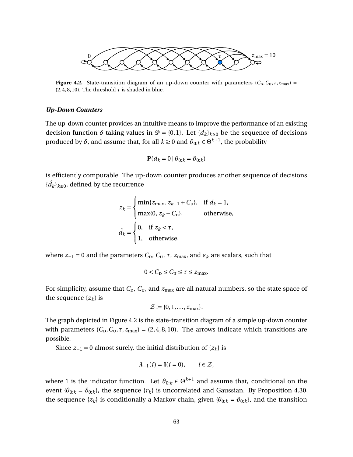<span id="page-75-0"></span>

**Figure 4.2.** State-transition diagram of an up-down counter with parameters  $(C_D, C_U, \tau, z_{\text{max}})$  =  $(2, 4, 8, 10)$ . The threshold  $\tau$  is shaded in blue.

#### *Up-Down Counters*

The up-down counter provides an intuitive means to improve the performance of an existing decision function  $\delta$  taking values in  $\mathcal{D} = \{0,1\}$ . Let  $\{d_k\}_{k\geq 0}$  be the sequence of decisions produced by  $\delta$ , and assume that, for all  $k \geq 0$  and  $\vartheta_{0:k} \in \Theta^{k+1}$ , the probability

$$
\mathbf{P}(d_k = 0 \mid \theta_{0:k} = \theta_{0:k})
$$

is efficiently computable. The up-down counter produces another sequence of decisions  ${ \{ \hat{d}_k \}_{k≥0} , }$  defined by the recurrence

$$
z_k = \begin{cases} \min\{z_{\max}, z_{k-1} + C_{\text{U}}\}, & \text{if } d_k = 1, \\ \max\{0, z_k - C_{\text{D}}\}, & \text{otherwise,} \end{cases}
$$
\n
$$
\hat{d}_k = \begin{cases} 0, & \text{if } z_k < \tau, \\ 1, & \text{otherwise,} \end{cases}
$$

where  $z_{-1} = 0$  and the parameters  $C_{\text{D}}$ ,  $C_{\text{U}}$ ,  $\tau$ ,  $z_{\text{max}}$ , and  $\varepsilon_k$  are scalars, such that

$$
0 < C_{\text{D}} \leq C_{\text{U}} \leq \tau \leq z_{\text{max}}.
$$

For simplicity, assume that  $C_{\text{D}}$ ,  $C_{\text{U}}$ , and  $z_{\text{max}}$  are all natural numbers, so the state space of the sequence  $\{z_k\}$  is

$$
\mathcal{Z} \coloneqq \{0, 1, \ldots, z_{\text{max}}\}.
$$

The graph depicted in Figure [4.2](#page-75-0) is the state-transition diagram of a simple up-down counter with parameters  $(C_{\rm p}, C_{\rm u}, \tau, z_{\rm max}) = (2, 4, 8, 10)$ . The arrows indicate which transitions are possible.

Since  $z_{-1} = 0$  almost surely, the initial distribution of  $\{z_k\}$  is

$$
\lambda_{-1}(i) = \mathbb{I}(i=0), \qquad i \in \mathcal{Z},
$$

where 1 is the indicator function. Let  $\vartheta_{0:k} \in \Theta^{k+1}$  and assume that, conditional on the event { $\theta_{0:k} = \theta_{0:k}$ }, the sequence { $r_k$ } is uncorrelated and Gaussian. By Proposition [4.30,](#page-74-2) the sequence  $\{z_k\}$  is conditionally a Markov chain, given  $\{\theta_{0:k} = \theta_{0:k}\}$ , and the transition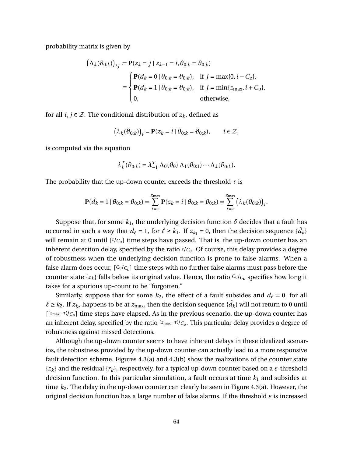probability matrix is given by

$$
\left(\Lambda_{k}(\theta_{0:k})\right)_{ij} := \mathbf{P}(z_{k} = j \mid z_{k-1} = i, \theta_{0:k} = \theta_{0:k})
$$
\n
$$
= \begin{cases} \mathbf{P}(d_{k} = 0 \mid \theta_{0:k} = \theta_{0:k}), & \text{if } j = \max\{0, i - C_{\text{D}}\}, \\ \mathbf{P}(d_{k} = 1 \mid \theta_{0:k} = \theta_{0:k}), & \text{if } j = \min\{z_{\text{max}}, i + C_{\text{U}}\}, \\ 0, & \text{otherwise}, \end{cases}
$$

for all  $i, j \in \mathcal{Z}$ . The conditional distribution of  $z_k$ , defined as

$$
\left(\lambda_k(\vartheta_{0:k})\right)_i = \mathbf{P}(z_k = i \mid \theta_{0:k} = \vartheta_{0:k}), \qquad i \in \mathcal{Z},
$$

is computed via the equation

$$
\lambda_k^T(\vartheta_{0:k}) = \lambda_{-1}^T \Lambda_0(\vartheta_0) \Lambda_1(\vartheta_{0:1}) \cdots \Lambda_k(\vartheta_{0:k}).
$$

The probability that the up-down counter exceeds the threshold  $\tau$  is

$$
\mathbf{P}(\hat{d}_k = 1 \mid \theta_{0:k} = \theta_{0:k}) = \sum_{i=\tau}^{z_{\text{max}}} \mathbf{P}(z_k = i \mid \theta_{0:k} = \theta_{0:k}) = \sum_{i=\tau}^{z_{\text{max}}} (\lambda_k(\theta_{0:k}))_i.
$$

Suppose that, for some  $k_1$ , the underlying decision function  $\delta$  decides that a fault has occurred in such a way that  $d_\ell = 1$ , for  $\ell \geq k_1$ . If  $z_{k_1} = 0$ , then the decision sequence  $\{\hat{d}_k\}$ will remain at 0 until  $\lceil \tau / c_{\text{u}} \rceil$  time steps have passed. That is, the up-down counter has an inherent detection delay, specified by the ratio *τ*/*C*<sub>u</sub>. Of course, this delay provides a degree of robustness when the underlying decision function is prone to false alarms. When a false alarm does occur,  $\lceil C_u/C_{\text{D}} \rceil$  time steps with no further false alarms must pass before the counter state  $\{z_k\}$  falls below its original value. Hence, the ratio  $C_v/C_p$  specifies how long it takes for a spurious up-count to be "forgotten."

Similarly, suppose that for some  $k_2$ , the effect of a fault subsides and  $d_\ell = 0$ , for all  $\ell \geq k_2$ . If  $z_{k_2}$  happens to be at  $z_{\max}$ , then the decision sequence { $\hat{d}_k$ } will not return to 0 until  $\lceil$ <sup>(*z*max<sup>−*τ*)</sup>/ $C_{\rm D}$ </sub> time steps have elapsed. As in the previous scenario, the up-down counter has</sup> an inherent delay, specified by the ratio (*z*<sub>max</sub>-*τ*)/<sub>*C*p</sub>. This particular delay provides a degree of robustness against missed detections.

Although the up-down counter seems to have inherent delays in these idealized scenarios, the robustness provided by the up-down counter can actually lead to a more responsive fault detection scheme. Figures [4.3\(](#page-77-0)a) and [4.3\(](#page-77-0)b) show the realizations of the counter state  $\{z_k\}$  and the residual  $\{r_k\}$ , respectively, for a typical up-down counter based on a  $\varepsilon$ -threshold decision function. In this particular simulation, a fault occurs at time  $k_1$  and subsides at time *k*2. The delay in the up-down counter can clearly be seen in Figure [4.3\(](#page-77-0)a). However, the original decision function has a large number of false alarms. If the threshold *ε* is increased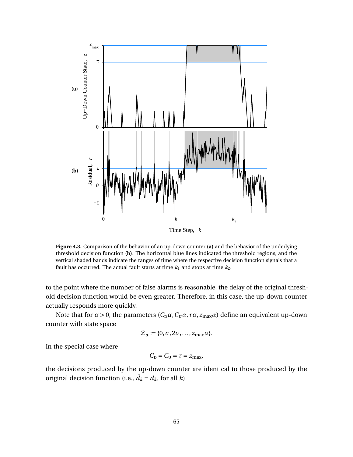<span id="page-77-0"></span>

**Figure 4.3.** Comparison of the behavior of an up-down counter **(a)** and the behavior of the underlying threshold decision function **(b)**. The horizontal blue lines indicated the threshold regions, and the vertical shaded bands indicate the ranges of time where the respective decision function signals that a fault has occurred. The actual fault starts at time  $k_1$  and stops at time  $k_2$ .

to the point where the number of false alarms is reasonable, the delay of the original threshold decision function would be even greater. Therefore, in this case, the up-down counter actually responds more quickly.

Note that for  $\alpha > 0$ , the parameters  $(C_{D}\alpha, C_{U}\alpha, \tau\alpha, z_{\text{max}}\alpha)$  define an equivalent up-down counter with state space

$$
\mathcal{Z}_{\alpha} \coloneqq \{0, \alpha, 2\alpha, \ldots, z_{\max}\alpha\}.
$$

In the special case where

$$
C_{\rm D}=C_{\rm U}=\tau=z_{\rm max},
$$

the decisions produced by the up-down counter are identical to those produced by the original decision function (i.e.,  $\hat{d}_k = d_k$ , for all *k*).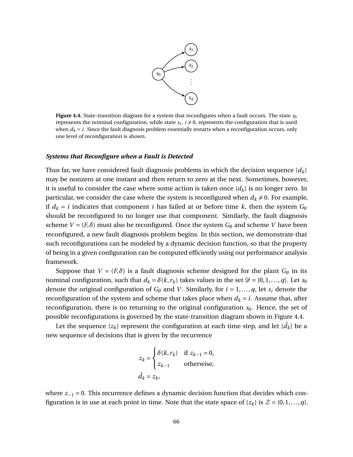

<span id="page-78-0"></span>**Figure 4.4.** State-transition diagram for a system that reconfigures when a fault occurs. The state  $s_0$ represents the nominal configuration, while state  $s_i$ ,  $i \neq 0$ , represents the configuration that is used when  $d_k = i$ . Since the fault diagnosis problem essentially restarts when a reconfiguration occurs, only one level of reconfiguration is shown.

#### *Systems that Reconfigure when a Fault is Detected*

Thus far, we have considered fault diagnosis problems in which the decision sequence  $\{d_k\}$ may be nonzero at one instant and then return to zero at the next. Sometimes, however, it is useful to consider the case where some action is taken once  $\{d_k\}$  is no longer zero. In particular, we consider the case where the system is reconfigured when  $d_k \neq 0$ . For example, if  $d_k = i$  indicates that component *i* has failed at or before time *k*, then the system  $G_\theta$ should be reconfigured to no longer use that component. Similarly, the fault diagnosis scheme  $V = (F, \delta)$  must also be reconfigured. Once the system  $G_{\theta}$  and scheme *V* have been reconfigured, a new fault diagnosis problem begins. In this section, we demonstrate that such reconfigurations can be modeled by a dynamic decision function, so that the property of being in a given configuration can be computed efficiently using our performance analysis framework.

Suppose that  $V = (F, \delta)$  is a fault diagnosis scheme designed for the plant  $G_{\theta}$  in its nominal configuration, such that  $d_k = \delta(k, r_k)$  takes values in the set  $\mathcal{D} = \{0, 1, \ldots, q\}$ . Let  $s_0$ denote the original configuration of  $G_{\theta}$  and *V*. Similarly, for  $i = 1, ..., q$ , let  $s_i$  denote the reconfiguration of the system and scheme that takes place when  $d_k = i$ . Assume that, after reconfiguration, there is no returning to the original configuration  $s_0$ . Hence, the set of possible reconfigurations is governed by the state-transition diagram shown in Figure [4.4.](#page-78-0)

Let the sequence  $\{z_k\}$  represent the configuration at each time step, and let  $\{\hat d_k\}$  be a new sequence of decisions that is given by the recurrence

$$
z_k = \begin{cases} \delta(k, r_k) & \text{if } z_{k-1} = 0, \\ z_{k-1} & \text{otherwise,} \end{cases}
$$
  

$$
\hat{d}_k = z_k,
$$

where *z*<sub>−1</sub> = 0. This recurrence defines a dynamic decision function that decides which configuration is in use at each point in time. Note that the state space of  $\{z_k\}$  is  $\mathcal{Z} = \{0, 1, \ldots, q\}$ .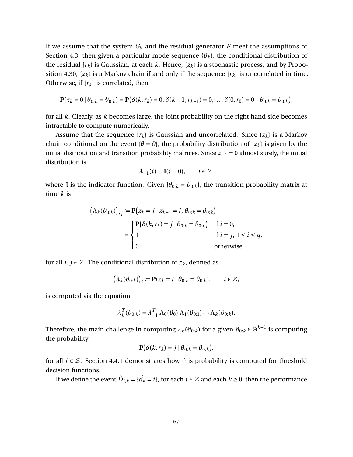If we assume that the system *G<sup>θ</sup>* and the residual generator *F* meet the assumptions of Section [4.3,](#page-68-0) then given a particular mode sequence  $\{\theta_k\}$ , the conditional distribution of the residual  $\{r_k\}$  is Gaussian, at each *k*. Hence,  $\{z_k\}$  is a stochastic process, and by Propo-sition [4.30,](#page-74-2)  $\{z_k\}$  is a Markov chain if and only if the sequence  $\{r_k\}$  is uncorrelated in time. Otherwise, if  $\{r_k\}$  is correlated, then

$$
\mathbf{P}(z_k=0 \mid \theta_{0:k}=\theta_{0:k}) = \mathbf{P}(\delta(k,r_k)=0, \delta(k-1,r_{k-1})=0,\ldots,\delta(0,r_0)=0 \mid \theta_{0:k}=\theta_{0:k}).
$$

for all *k*. Clearly, as *k* becomes large, the joint probability on the right hand side becomes intractable to compute numerically.

Assume that the sequence  $\{r_k\}$  is Gaussian and uncorrelated. Since  $\{z_k\}$  is a Markov chain conditional on the event  $\{\theta = \vartheta\}$ , the probability distribution of  $\{z_k\}$  is given by the initial distribution and transition probability matrices. Since *z*−<sup>1</sup> = 0 almost surely, the initial distribution is

$$
\lambda_{-1}(i) = \mathbb{I}(i=0), \qquad i \in \mathcal{Z},
$$

where 1 is the indicator function. Given  $\{\theta_{0:k} = \theta_{0:k}\}$ , the transition probability matrix at time *k* is

$$
\left(\Lambda_k(\vartheta_{0:k})\right)_{ij} := \mathbf{P}\left(z_k = j \mid z_{k-1} = i, \theta_{0:k} = \vartheta_{0:k}\right)
$$
\n
$$
= \begin{cases} \mathbf{P}\left(\delta(k, r_k) = j \mid \theta_{0:k} = \vartheta_{0:k}\right) & \text{if } i = 0, \\ 1 & \text{if } i = j, 1 \le i \le q, \\ 0 & \text{otherwise,} \end{cases}
$$

for all  $i, j \in \mathcal{Z}$ . The conditional distribution of  $z_k$ , defined as

$$
\left(\lambda_k(\vartheta_{0:k})\right)_i := \mathbf{P}(z_k = i \mid \theta_{0:k} = \vartheta_{0:k}), \qquad i \in \mathcal{Z},
$$

is computed via the equation

$$
\lambda_k^T(\vartheta_{0:k}) = \lambda_{-1}^T \Lambda_0(\vartheta_0) \Lambda_1(\vartheta_{0:1}) \cdots \Lambda_k(\vartheta_{0:k}).
$$

Therefore, the main challenge in computing  $\lambda_k(\vartheta_{0:k})$  for a given  $\vartheta_{0:k}\in\Theta^{k+1}$  is computing the probability

$$
\mathbf{P}(\delta(k,r_k) = j \mid \theta_{0:k} = \theta_{0:k}),
$$

for all  $i \in \mathcal{Z}$ . Section [4.4.1](#page-73-2) demonstrates how this probability is computed for threshold decision functions.

If we define the event  $\hat{D}_{i,k}$  = { $\hat{d}_k$  =  $i$ }, for each  $i \in \mathcal{Z}$  and each  $k$  ≥ 0, then the performance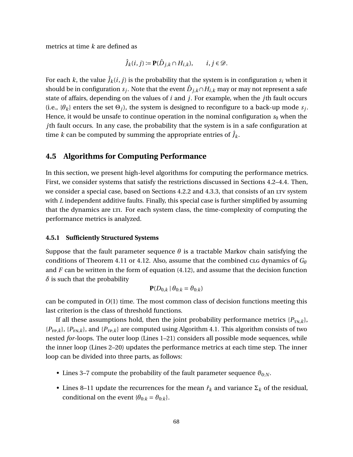metrics at time *k* are defined as

$$
\hat{J}_k(i,j) := \mathbf{P}(\hat{D}_{j,k} \cap H_{i,k}), \qquad i, j \in \mathcal{D}.
$$

For each *k*, the value  $\hat{J}_k(i, j)$  is the probability that the system is in configuration  $s_i$  when it should be in configuration  $s_j$ . Note that the event  $\hat{D}_{j,k}\cap H_{i,k}$  may or may not represent a safe state of affairs, depending on the values of *i* and *j*. For example, when the *j*th fault occurs (i.e.,  $\{\theta_k\}$  enters the set  $\Theta_j$ ), the system is designed to reconfigure to a back-up mode  $s_j$ . Hence, it would be unsafe to continue operation in the nominal configuration  $s_0$  when the *j*th fault occurs. In any case, the probability that the system is in a safe configuration at time *k* can be computed by summing the appropriate entries of  $\hat{J}_k$ .

## <span id="page-80-0"></span>**4.5 Algorithms for Computing Performance**

In this section, we present high-level algorithms for computing the performance metrics. First, we consider systems that satisfy the restrictions discussed in Sections [4.2–](#page-57-0)[4.4.](#page-73-3) Then, we consider a special case, based on Sections [4.2.2](#page-67-0) and [4.3.3,](#page-72-0) that consists of an LTV system with *L* independent additive faults. Finally, this special case is further simplified by assuming that the dynamics are LTI. For each system class, the time-complexity of computing the performance metrics is analyzed.

#### **4.5.1 Sufficiently Structured Systems**

Suppose that the fault parameter sequence  $\theta$  is a tractable Markov chain satisfying the conditions of Theorem [4.11](#page-61-0) or [4.12.](#page-61-1) Also, assume that the combined clg dynamics of  $G_{\theta}$ and *F* can be written in the form of equation [\(4.12\)](#page-69-1), and assume that the decision function *δ* is such that the probability

$$
\mathbf{P}(D_{0,k} | \theta_{0:k} = \vartheta_{0:k})
$$

can be computed in *O*(1) time. The most common class of decision functions meeting this last criterion is the class of threshold functions.

If all these assumptions hold, then the joint probability performance metrics  $\{P_{TN,k}\},$  ${P_{FP,k}}$ ,  ${P_{FN,k}}$ , and  ${P_{TP,k}}$  are computed using Algorithm [4.1.](#page-81-0) This algorithm consists of two nested *for*-loops. The outer loop (Lines 1–21) considers all possible mode sequences, while the inner loop (Lines 2–20) updates the performance metrics at each time step. The inner loop can be divided into three parts, as follows:

- Lines 3–7 compute the probability of the fault parameter sequence  $\vartheta_{0:N}$ .
- Lines 8–11 update the recurrences for the mean  $\hat{r}_k$  and variance  $\Sigma_k$  of the residual, conditional on the event  $\{\theta_{0:k} = \theta_{0:k}\}.$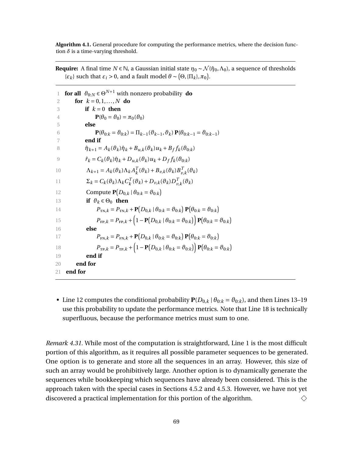<span id="page-81-0"></span>**Algorithm 4.1.** General procedure for computing the performance metrics, where the decision function  $\delta$  is a time-varying threshold.

**Require:** A final time  $N \in \mathbb{N}$ , a Gaussian initial state  $\eta_0 \sim \mathcal{N}(\hat{\eta}_0, \Lambda_0)$ , a sequence of thresholds *{* $\epsilon_k$ } such that  $\epsilon_i > 0$ , and a fault model  $\theta \sim (\Theta, {\{\Pi_k\}}, \pi_0)$ .

| 1  | for all $\vartheta_{0:N} \in \Theta^{N+1}$ with nonzero probability do                                                                           |
|----|--------------------------------------------------------------------------------------------------------------------------------------------------|
| 2  | for $k = 0, 1, , N$ do                                                                                                                           |
| 3  | if $k=0$ then                                                                                                                                    |
| 4  | $\mathbf{P}(\theta_0 = \theta_0) = \pi_0(\theta_0)$                                                                                              |
| 5  | else                                                                                                                                             |
| 6  | $\mathbf{P}(\theta_{0:k} = \theta_{0:k}) = \prod_{k=1} (\theta_{k-1}, \theta_k) \mathbf{P}(\theta_{0:k-1} = \theta_{0:k-1})$                     |
| 7  | end if                                                                                                                                           |
| 8  | $\hat{\eta}_{k+1} = A_k(\vartheta_k)\hat{\eta}_k + B_{u,k}(\vartheta_k)u_k + B_{f,k}(\vartheta_{0:k})$                                           |
| 9  | $\hat{r}_k = C_k(\vartheta_k)\hat{\eta}_k + D_{u,k}(\vartheta_k)u_k + D_f f_k(\vartheta_{0:k})$                                                  |
| 10 | $\Lambda_{k+1} = A_k(\vartheta_k) \Lambda_k A_k^T(\vartheta_k) + B_{v,k}(\vartheta_k) B_{v,k}^T(\vartheta_k)$                                    |
| 11 | $\Sigma_k = C_k(\vartheta_k) \Lambda_k C_k^T(\vartheta_k) + D_{v,k}(\vartheta_k) D_{v,k}^T(\vartheta_k)$                                         |
| 12 | Compute $\mathbf{P}(D_{0,k}   \theta_{0:k} = \theta_{0:k})$                                                                                      |
| 13 | if $\vartheta_k \in \Theta_0$ then                                                                                                               |
| 14 | $P_{\text{TN},k} = P_{\text{TN},k} + \mathbf{P}(D_{0,k}   \theta_{0:k} = \partial_{0:k}) \mathbf{P}(\theta_{0:k} = \partial_{0:k})$              |
| 15 | $P_{\text{FP},k} = P_{\text{FP},k} + \left(1 - \mathbf{P}(D_{0,k}   \theta_{0:k} = \theta_{0:k})\right) \mathbf{P}(\theta_{0:k} = \theta_{0:k})$ |
| 16 | else                                                                                                                                             |
| 17 | $P_{\text{FN},k} = P_{\text{FN},k} + \mathbf{P}(D_{0,k}   \theta_{0:k} = \partial_{0:k}) \mathbf{P}(\theta_{0:k} = \partial_{0:k})$              |
| 18 | $P_{\text{TP},k} = P_{\text{TP},k} + \left(1 - \mathbf{P}(D_{0,k}   \theta_{0:k} = \theta_{0:k})\right) \mathbf{P}(\theta_{0:k} = \theta_{0:k})$ |
| 19 | end if                                                                                                                                           |
| 20 | end for                                                                                                                                          |
| 21 | end for                                                                                                                                          |

• Line 12 computes the conditional probability  $P(D_{0,k} | \theta_{0:k} = \theta_{0:k})$ , and then Lines 13–19 use this probability to update the performance metrics. Note that Line 18 is technically superfluous, because the performance metrics must sum to one.

*Remark 4.31.* While most of the computation is straightforward, Line 1 is the most difficult portion of this algorithm, as it requires all possible parameter sequences to be generated. One option is to generate and store all the sequences in an array. However, this size of such an array would be prohibitively large. Another option is to dynamically generate the sequences while bookkeeping which sequences have already been considered. This is the approach taken with the special cases in Sections [4.5.2](#page-82-0) and [4.5.3.](#page-86-0) However, we have not yet discovered a practical implementation for this portion of the algorithm.  $\Diamond$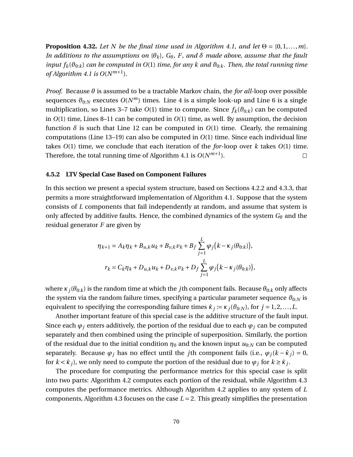<span id="page-82-1"></span>**Proposition 4.32.** Let N be the final time used in Algorithm [4.1,](#page-81-0) and let  $\Theta = \{0, 1, \ldots, m\}$ . *In additions to the assumptions on*  $\{\theta_k\}$ *, G*<sup> $\theta$ </sup>*, F, and*  $\delta$  *made above, assume that the fault input*  $f_k(\theta_{0:k})$  *can be computed in*  $O(1)$  *time, for any k and*  $\theta_{0:k}$ *. Then, the total running time of Algorithm* [4.1](#page-81-0) *is*  $O(N^{m+1})$ *.* 

*Proof.* Because *θ* is assumed to be a tractable Markov chain, the *for all*-loop over possible sequences  $\vartheta_{0:N}$  executes  $O(N^m)$  times. Line 4 is a simple look-up and Line 6 is a single multiplication, so Lines 3–7 take  $O(1)$  time to compute. Since  $f_k(\theta_{0:k})$  can be computed in *O*(1) time, Lines 8–11 can be computed in *O*(1) time, as well. By assumption, the decision function  $\delta$  is such that Line 12 can be computed in  $O(1)$  time. Clearly, the remaining computations (Line 13–19) can also be computed in *O*(1) time. Since each individual line takes *O*(1) time, we conclude that each iteration of the *for*-loop over *k* takes *O*(1) time. Therefore, the total running time of Algorithm [4.1](#page-81-0) is  $O(N^{m+1})$ .  $\Box$ 

#### <span id="page-82-0"></span>**4.5.2 LTV Special Case Based on Component Failures**

In this section we present a special system structure, based on Sections [4.2.2](#page-67-0) and [4.3.3,](#page-72-0) that permits a more straightforward implementation of Algorithm [4.1.](#page-81-0) Suppose that the system consists of *L* components that fail independently at random, and assume that system is only affected by additive faults. Hence, the combined dynamics of the system  $G_{\theta}$  and the residual generator *F* are given by

$$
\eta_{k+1} = A_k \eta_k + B_{u,k} u_k + B_{v,k} v_k + B_f \sum_{j=1}^L \varphi_j (k - \kappa_j(\theta_{0:k})),
$$
  

$$
r_k = C_k \eta_k + D_{u,k} u_k + D_{v,k} v_k + D_f \sum_{j=1}^L \varphi_j (k - \kappa_j(\theta_{0:k})),
$$

where  $\kappa_j(\theta_{0:k})$  is the random time at which the *j*th component fails. Because  $\theta_{0:k}$  only affects the system via the random failure times, specifying a particular parameter sequence  $\vartheta_{0:N}$  is equivalent to specifying the corresponding failure times  $\hat{\kappa}_j := \kappa_j(\theta_{0:N})$ , for  $j = 1, 2, ..., L$ .

Another important feature of this special case is the additive structure of the fault input. Since each  $\varphi_i$  enters additively, the portion of the residual due to each  $\varphi_i$  can be computed separately and then combined using the principle of superposition. Similarly, the portion of the residual due to the initial condition  $\eta_0$  and the known input  $u_{0:N}$  can be computed separately. Because  $\varphi_j$  has no effect until the *j*th component fails (i.e.,  $\varphi_j(k - \hat{\kappa}_j) = 0$ , for  $k < \hat{\kappa}_j$ ), we only need to compute the portion of the residual due to  $\varphi_j$  for  $k \geq \hat{\kappa}_j$ .

The procedure for computing the performance metrics for this special case is split into two parts: Algorithm [4.2](#page-84-0) computes each portion of the residual, while Algorithm [4.3](#page-85-0) computes the performance metrics. Although Algorithm [4.2](#page-84-0) applies to any system of *L* components, Algorithm [4.3](#page-85-0) focuses on the case  $L = 2$ . This greatly simplifies the presentation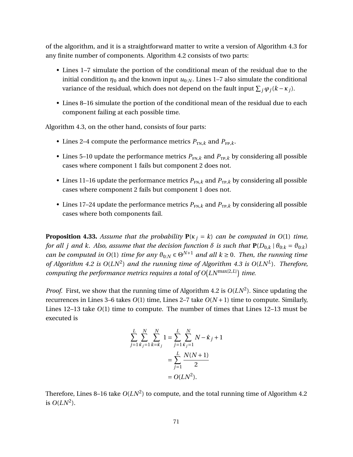of the algorithm, and it is a straightforward matter to write a version of Algorithm [4.3](#page-85-0) for any finite number of components. Algorithm [4.2](#page-84-0) consists of two parts:

- Lines 1–7 simulate the portion of the conditional mean of the residual due to the initial condition  $\eta_0$  and the known input  $u_{0:N}$ . Lines 1–7 also simulate the conditional variance of the residual, which does not depend on the fault input  $\sum_j \varphi_j (k - \kappa_j)$ .
- Lines 8–16 simulate the portion of the conditional mean of the residual due to each component failing at each possible time.

Algorithm [4.3,](#page-85-0) on the other hand, consists of four parts:

- Lines 2–4 compute the performance metrics  $P_{TN,k}$  and  $P_{FP,k}$ .
- Lines 5–10 update the performance metrics  $P_{FN,k}$  and  $P_{TP,k}$  by considering all possible cases where component 1 fails but component 2 does not.
- Lines 11–16 update the performance metrics  $P_{FN,k}$  and  $P_{TP,k}$  by considering all possible cases where component 2 fails but component 1 does not.
- Lines 17–24 update the performance metrics  $P_{FN,k}$  and  $P_{TP,k}$  by considering all possible cases where both components fail.

<span id="page-83-0"></span>**Proposition 4.33.** *Assume that the probability*  $P(\kappa_j = k)$  *can be computed in*  $O(1)$  *time, for all j and k. Also, assume that the decision function*  $\delta$  *is such that*  $P(D_{0,k} | \theta_{0:k} = \theta_{0:k})$ *can be computed in*  $O(1)$  *time for any*  $\vartheta_{0:N} \in \Theta^{N+1}$  *and all*  $k \ge 0$ *. Then, the running time of Algorithm [4.2](#page-84-0) is O*(*LN*<sup>2</sup> ) *and the running time of Algorithm [4.3](#page-85-0) is O*(*LN<sup>L</sup>* )*. Therefore, computing the performance metrics requires a total of*  $O(LN^{\max\{2,L\}})$  *time.* 

*Proof.* First, we show that the running time of Algorithm [4.2](#page-84-0) is *O*(*LN*<sup>2</sup> ). Since updating the recurrences in Lines 3–6 takes  $O(1)$  time, Lines 2–7 take  $O(N + 1)$  time to compute. Similarly, Lines 12–13 take *O*(1) time to compute. The number of times that Lines 12–13 must be executed is

$$
\sum_{j=1}^{L} \sum_{\hat{\kappa}_j=1}^{N} \sum_{k=\hat{\kappa}_j}^{N} 1 = \sum_{j=1}^{L} \sum_{\hat{\kappa}_j=1}^{N} N - \hat{\kappa}_j + 1
$$

$$
= \sum_{j=1}^{L} \frac{N(N+1)}{2}
$$

$$
= O(LN^2).
$$

Therefore, Lines 8–16 take  $O(LN^2)$  to compute, and the total running time of Algorithm [4.2](#page-84-0) is  $O(LN^2)$ .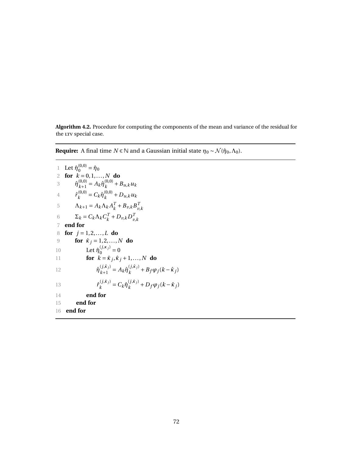<span id="page-84-0"></span>**Algorithm 4.2.** Procedure for computing the components of the mean and variance of the residual for the LTV special case.

**Require:** A final time  $N \in \mathbb{N}$  and a Gaussian initial state  $\eta_0 \sim \mathcal{N}(\hat{\eta}_0, \Lambda_0)$ .

1 Let  $\hat{\eta}_0^{(0,0)} = \hat{\eta}_0$ 2 **for**  $k = 0, 1, ..., N$  **do** 3  $\hat{\eta}_{k+1}^{(0,0)} = A_k \hat{\eta}_k^{(0,0)}$  $\binom{(0,0)}{k}$  +  $B_{u,k}$ *u*<sub>*k*</sub> 4  $\hat{r}_{k}^{(0,0)}$  $C_k^{(0,0)} = C_k \hat{\eta}_k^{(0,0)}$  $_{k}^{(0,0)}$  +  $D_{u,k}$ *u*<sub>*k*</sub> 5  $Λ_{k+1} = A_k Λ_k A_k^T$  $K^T + B_{\nu,k} B_{\nu,k}^T$ *v*,*k* 6  $\Sigma_k = C_k \Lambda_k C_k^T$  $\frac{d}{dt}$ <sup>*k*</sup> + *D*<sub>*v*</sub>, $kD_v^T$ *v*,*k* 7 **end for** 8 **for** *j* = 1, 2,...,*L* **do** 9 **for**  $\hat{\kappa}_j = 1, 2, ..., N$  **do** 10 Let  $\hat{\eta}_0^{(j,\kappa_j)} = 0$ 11 **for**  $\vec{k} = \hat{\kappa}_j, \hat{\kappa}_j + 1, ..., N$  **do** 12  $\hat{\eta}_{k+1}^{(j, \hat{\kappa}_j)}$  $(k+1) = A_k \hat{\eta}_k^{(j, \hat{\kappa}_j)}$  $(k + B_f \varphi_j(k - \hat{\kappa}_j))$ 13  $\hat{r}_k^{(j, \hat{\kappa}_j)}$  $C_k^{(j,\hat{\kappa}_j)} = C_k \hat{\eta}_k^{(j,\hat{\kappa}_j)}$  $E_k^{(J,K_j)}$  +  $D_f \varphi_j (k - \hat{\kappa}_j)$ 14 **end for** 15 **end for** 16 **end for**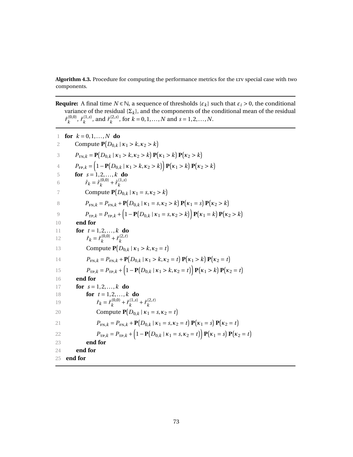<span id="page-85-0"></span>Algorithm 4.3. Procedure for computing the performance metrics for the LTV special case with two components.

**Require:** A final time  $N \in \mathbb{N}$ , a sequence of thresholds  $\{\varepsilon_k\}$  such that  $\varepsilon_i > 0$ , the conditional variance of the residual { $\Sigma_k$ }, and the components of the conditional mean of the residual  $\hat{r}_{k}^{(0,0)}$  $\hat{r}_k^{(0,0)}$ ,  $\hat{r}_k^{(1,s)}$  $\hat{r}_k^{(1,s)}$ , and  $\hat{r}_k^{(2,s)}$  $k^{(2,s)}$ , for  $k = 0, 1, ..., N$  and  $s = 1, 2, ..., N$ .

| for $k = 0, 1, , N$ do<br>$\mathbf{1}$                                                                                                                          |
|-----------------------------------------------------------------------------------------------------------------------------------------------------------------|
| Compute $P(D_{0,k}   \kappa_1 > k, \kappa_2 > k)$<br>2                                                                                                          |
| $P_{\text{TN},k} = \mathbf{P}(D_{0,k}   \kappa_1 > k, \kappa_2 > k) \mathbf{P}(\kappa_1 > k) \mathbf{P}(\kappa_2 > k)$<br>3                                     |
| $P_{\text{FP},k} = (1 - P(D_{0,k}   \kappa_1 > k, \kappa_2 > k)) P(\kappa_1 > k) P(\kappa_2 > k)$<br>$\overline{4}$                                             |
| for $s = 1, 2, , k$ do<br>5                                                                                                                                     |
| $\hat{r}_k = \hat{r}_k^{(0,0)} + \hat{r}_k^{(1,s)}$<br>6                                                                                                        |
| Compute $P(D_{0,k}   \kappa_1 = s, \kappa_2 > k)$<br>7                                                                                                          |
| $P_{\text{FN},k} = P_{\text{FN},k} + \mathbf{P}(D_{0,k}   \kappa_1 = s, \kappa_2 > k) \mathbf{P}(\kappa_1 = s) \mathbf{P}(\kappa_2 > k)$<br>8                   |
| $P_{\text{TP},k} = P_{\text{TP},k} + (1 - P(D_{0,k}   \kappa_1 = s, \kappa_2 > k)) P(\kappa_1 = k) P(\kappa_2 > k)$<br>9                                        |
| end for<br>10                                                                                                                                                   |
| for $t = 1, 2, , k$ do<br>11                                                                                                                                    |
| $\hat{r}_k = \hat{r}_k^{(0,0)} + \hat{r}_k^{(2,t)}$<br>12                                                                                                       |
| Compute $P(D_{0,k}   \kappa_1 > k, \kappa_2 = t)$<br>13                                                                                                         |
| $P_{\text{FN},k} = P_{\text{FN},k} + \mathbf{P}(D_{0,k}   \kappa_1 > k, \kappa_2 = t) \mathbf{P}(\kappa_1 > k) \mathbf{P}(\kappa_2 = t)$<br>14                  |
| $P_{\text{TP},k} = P_{\text{TP},k} + \left(1 - \mathbf{P}(D_{0,k}   \kappa_1 > k, \kappa_2 = t)\right) \mathbf{P}(\kappa_1 > k) \mathbf{P}(\kappa_2 = t)$<br>15 |
| end for<br>16                                                                                                                                                   |
| for $s = 1, 2, , k$ do<br>17                                                                                                                                    |
| for $t = 1, 2, , k$ do<br>18                                                                                                                                    |
| $\hat{r}_k = \hat{r}_k^{(0,0)} + \hat{r}_k^{(1,s)} + \hat{r}_k^{(2,t)}$<br>19                                                                                   |
| Compute $P(D_{0,k}   \kappa_1 = s, \kappa_2 = t)$<br>20                                                                                                         |
| $P_{\text{FN},k} = P_{\text{FN},k} + \mathbf{P}(D_{0,k}   \kappa_1 = s, \kappa_2 = t) \mathbf{P}(\kappa_1 = s) \mathbf{P}(\kappa_2 = t)$<br>21                  |
| $P_{\text{TP},k} = P_{\text{TP},k} + \left(1 - \mathbf{P}(D_{0,k}   \kappa_1 = s, \kappa_2 = t)\right) \mathbf{P}(\kappa_1 = s) \mathbf{P}(\kappa_2 = t)$<br>22 |
| end for<br>23                                                                                                                                                   |
| end for<br>24                                                                                                                                                   |
| 25<br>end for                                                                                                                                                   |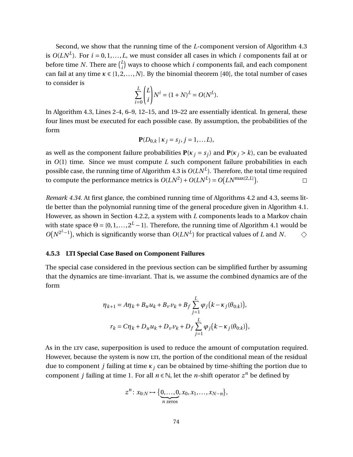Second, we show that the running time of the *L*-component version of Algorithm [4.3](#page-85-0) is  $O(LN^L)$ . For  $i = 0, 1, ..., L$ , we must consider all cases in which  $i$  components fail at or before time *N*. There are  $\binom{L}{i}$  $\binom{L}{i}$  ways to choose which *i* components fail, and each component can fail at any time  $\kappa \in \{1, 2, ..., N\}$ . By the binomial theorem [\[40\]](#page-134-1), the total number of cases to consider is

$$
\sum_{i=0}^{L} {L \choose i} N^{i} = (1+N)^{L} = O(N^{L}).
$$

In Algorithm [4.3,](#page-85-0) Lines 2-4, 6–9, 12–15, and 19–22 are essentially identical. In general, these four lines must be executed for each possible case. By assumption, the probabilities of the form

$$
\mathbf{P}(D_{0,k} | \kappa_j = s_j, j = 1,...L),
$$

as well as the component failure probabilities  $P(\kappa_i = s_i)$  and  $P(\kappa_i > k)$ , can be evaluated in *O*(1) time. Since we must compute *L* such component failure probabilities in each possible case, the running time of Algorithm [4.3](#page-85-0) is  $O(LN^L)$ . Therefore, the total time required to compute the performance metrics is  $O(LN^2) + O(LN^L) = O(LN^{\max\{2,L\}})$ .  $\Box$ 

*Remark 4.34.* At first glance, the combined running time of Algorithms [4.2](#page-84-0) and [4.3,](#page-85-0) seems little better than the polynomial running time of the general procedure given in Algorithm [4.1.](#page-81-0) However, as shown in Section [4.2.2,](#page-67-0) a system with *L* components leads to a Markov chain with state space  $\Theta = \{0, 1, \ldots, 2^L - 1\}$ . Therefore, the running time of Algorithm [4.1](#page-81-0) would be  $O(N^{2^{L}-1})$ , which is significantly worse than  $O(LN^{L})$  for practical values of *L* and *N*.  $\Diamond$ 

### <span id="page-86-0"></span>**4.5.3 LTI Special Case Based on Component Failures**

The special case considered in the previous section can be simplified further by assuming that the dynamics are time-invariant. That is, we assume the combined dynamics are of the form

$$
\eta_{k+1} = A\eta_k + B_u u_k + B_v v_k + B_f \sum_{j=1}^{L} \varphi_j (k - \kappa_j(\theta_{0:k})),
$$
  

$$
r_k = C\eta_k + D_u u_k + D_v v_k + D_f \sum_{j=1}^{L} \varphi_j (k - \kappa_j(\theta_{0:k})),
$$

As in the LTV case, superposition is used to reduce the amount of computation required. However, because the system is now LTI, the portion of the conditional mean of the residual due to component *j* failing at time *κ<sup>j</sup>* can be obtained by time-shifting the portion due to component *j* failing at time 1. For all  $n \in \mathbb{N}$ , let the *n*-shift operator  $z^n$  be defined by

$$
z^n \colon x_{0:N} \mapsto \{ \underbrace{0,\ldots,0}_{n \text{ zeros}}, x_0, x_1,\ldots,x_{N-n} \},
$$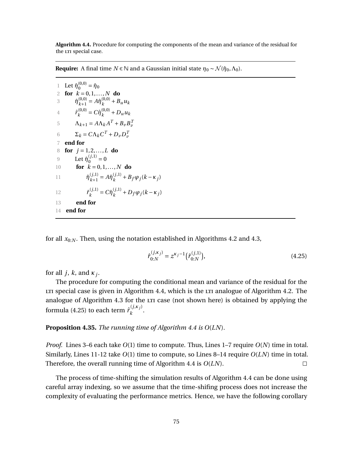<span id="page-87-0"></span>**Algorithm 4.4.** Procedure for computing the components of the mean and variance of the residual for the LTI special case.

**Require:** A final time  $N \in \mathbb{N}$  and a Gaussian initial state  $\eta_0 \sim \mathcal{N}(\hat{\eta}_0, \Lambda_0)$ .

1 Let  $\hat{\eta}_0^{(0,0)} = \hat{\eta}_0$ 2 **for**  $k = 0, 1, ..., N$  **do** 3  $\hat{\eta}_{k+1}^{(0,0)} = A \hat{\eta}_k^{(0,0)}$  $\binom{(0,0)}{k}$  +  $B_u u_k$ 4  $\hat{r}_k^{(0,0)}$  $\hat{R}_k^{(0,0)} = C \hat{\eta}_k^{(0,0)}$  $_{k}^{(0,0)}$  +  $D_{u}u_{k}$ 5  $\Lambda_{k+1} = A\Lambda_k A^T + B_v B_v^T$ 6  $\Sigma_k = C \Lambda_k C^T + D_v D_v^T$ 7 **end for** 8 **for** *j* = 1, 2,...,*L* **do** 9 Let  $\hat{\eta}_0^{(j,1)} = 0$ 10 **for**  $k = 0, 1, ..., N$  **do** 11  $\hat{\eta}_{k+1}^{(j,1)}$  $\hat{h}_{k+1}^{(j,1)} = A \hat{\eta}_k^{(j,1)}$  $\frac{(J,1)}{k}$  +  $B_f \varphi_j (k - \kappa_j)$ 12  $\hat{r}_{k}^{(j,1)}$  $c_k^{(j,1)} = C \hat{\eta}_k^{(j,1)}$  $\frac{(J,1)}{k}$  +  $D_f \varphi_j (k - \kappa_j)$ 13 **end for** 14 **end for**

for all  $x_{0:N}$ . Then, using the notation established in Algorithms [4.2](#page-84-0) and [4.3,](#page-85-0)

<span id="page-87-1"></span>
$$
\hat{r}_{0:N}^{(j,\kappa_j)} = z^{\kappa_j - 1} \left( \hat{r}_{0:N}^{(j,1)} \right),\tag{4.25}
$$

for all *j*, *k*, and *κ<sup>j</sup>* .

The procedure for computing the conditional mean and variance of the residual for the Let ur special case is given in Algorithm [4.4,](#page-87-0) which is the Let analogue of Algorithm [4.2.](#page-84-0) The analogue of Algorithm [4.3](#page-85-0) for the LTI case (not shown here) is obtained by applying the formula [\(4.25\)](#page-87-1) to each term  $\hat{r}_{k}^{(j, \kappa_{j})}$  $k$ .

<span id="page-87-2"></span>**Proposition 4.35.** *The running time of Algorithm [4.4](#page-87-0) is O*(*LN*)*.*

*Proof.* Lines 3–6 each take *O*(1) time to compute. Thus, Lines 1–7 require *O*(*N*) time in total. Similarly, Lines 11-12 take *O*(1) time to compute, so Lines 8–14 require *O*(*LN*) time in total. Therefore, the overall running time of Algorithm [4.4](#page-87-0) is *O*(*LN*).  $\Box$ 

The process of time-shifting the simulation results of Algorithm [4.4](#page-87-0) can be done using careful array indexing, so we assume that the time-shifing process does not increase the complexity of evaluating the performance metrics. Hence, we have the following corollary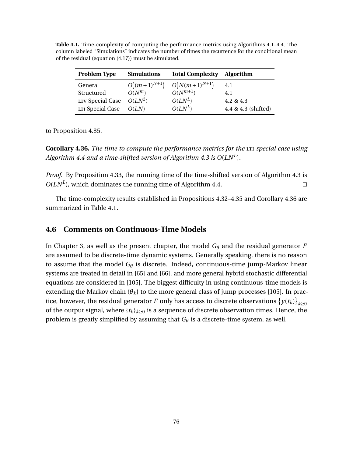| <b>Problem Type</b> | <b>Simulations</b> | <b>Total Complexity</b> | <b>Algorithm</b>    |
|---------------------|--------------------|-------------------------|---------------------|
| General             | $O((m+1)^{N+1})$   | $O(N(m+1)^{N+1})$       | 4.1                 |
| Structured          | $O(N^m)$           | $O(N^{m+1})$            | 4.1                 |
| LTV Special Case    | $O(LN^2)$          | $O(LN^L)$               | 4.2 & 4.3           |
| LTI Special Case    | O(LN)              | $O(LN^L)$               | 4.4 & 4.3 (shifted) |

<span id="page-88-1"></span>**Table 4.1.** Time-complexity of computing the performance metrics using Algorithms [4.1–](#page-81-0)[4.4.](#page-87-0) The column labeled "Simulations" indicates the number of times the recurrence for the conditional mean of the residual (equation [\(4.17\)](#page-71-0)) must be simulated.

to Proposition [4.35.](#page-87-2)

<span id="page-88-0"></span>**Corollary 4.36.** *The time to compute the performance metrics for the LTI special case using Algorithm [4.4](#page-87-0) and a time-shifted version of Algorithm [4.3](#page-85-0) is O*(*LN<sup>L</sup>* )*.*

*Proof.* By Proposition [4.33,](#page-83-0) the running time of the time-shifted version of Algorithm [4.3](#page-85-0) is  $O(LN^L)$ , which dominates the running time of Algorithm [4.4.](#page-87-0)  $\Box$ 

The time-complexity results established in Propositions [4.32–](#page-82-1)[4.35](#page-87-2) and Corollary [4.36](#page-88-0) are summarized in Table [4.1.](#page-88-1)

## **4.6 Comments on Continuous-Time Models**

In Chapter [3,](#page-36-0) as well as the present chapter, the model  $G_{\theta}$  and the residual generator *F* are assumed to be discrete-time dynamic systems. Generally speaking, there is no reason to assume that the model  $G_{\theta}$  is discrete. Indeed, continuous-time jump-Markov linear systems are treated in detail in [\[65\]](#page-135-0) and [\[66\]](#page-135-1), and more general hybrid stochastic differential equations are considered in [\[105\]](#page-138-0). The biggest difficulty in using continuous-time models is extending the Markov chain  $\{\theta_k\}$  to the more general class of jump processes [\[105\]](#page-138-0). In practice, however, the residual generator  $F$  only has access to discrete observations  $\left\{y(t_k)\right\}_{k\geq 0}$ of the output signal, where  $\{t_k\}_{k\geq 0}$  is a sequence of discrete observation times. Hence, the problem is greatly simplified by assuming that *G<sup>θ</sup>* is a discrete-time system, as well.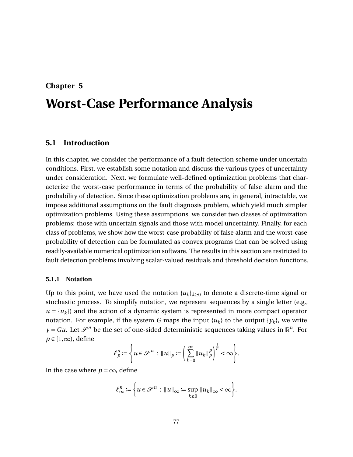## **Chapter 5**

# **Worst-Case Performance Analysis**

## **5.1 Introduction**

In this chapter, we consider the performance of a fault detection scheme under uncertain conditions. First, we establish some notation and discuss the various types of uncertainty under consideration. Next, we formulate well-defined optimization problems that characterize the worst-case performance in terms of the probability of false alarm and the probability of detection. Since these optimization problems are, in general, intractable, we impose additional assumptions on the fault diagnosis problem, which yield much simpler optimization problems. Using these assumptions, we consider two classes of optimization problems: those with uncertain signals and those with model uncertainty. Finally, for each class of problems, we show how the worst-case probability of false alarm and the worst-case probability of detection can be formulated as convex programs that can be solved using readily-available numerical optimization software. The results in this section are restricted to fault detection problems involving scalar-valued residuals and threshold decision functions.

#### **5.1.1 Notation**

Up to this point, we have used the notation  $\{u_k\}_{k\geq 0}$  to denote a discrete-time signal or stochastic process. To simplify notation, we represent sequences by a single letter (e.g.,  $u = {u_k}$ ) and the action of a dynamic system is represented in more compact operator notation. For example, if the system *G* maps the input  $\{u_k\}$  to the output  $\{y_k\}$ , we write  $y = Gu$ . Let  $\mathcal{S}^n$  be the set of one-sided deterministic sequences taking values in  $\mathbb{R}^n$ . For *p* ∈ [1,∞), define

$$
\ell_p^n := \left\{ u \in \mathcal{S}^n : \|u\|_p := \left( \sum_{k=0}^\infty \|u_k\|_p^p \right)^{\frac{1}{p}} < \infty \right\}.
$$

In the case where  $p = \infty$ , define

$$
\ell_{\infty}^n := \left\{ u \in \mathcal{S}^n : \|u\|_{\infty} := \sup_{k \geq 0} \|u_k\|_{\infty} < \infty \right\}.
$$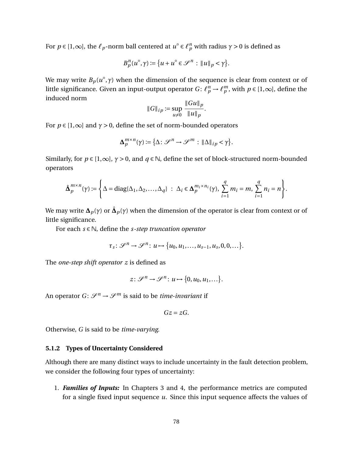For  $p \in [1,\infty]$ , the  $\ell_p$ -norm ball centered at  $u^{\circ} \in \ell_p^n$  with radius  $\gamma > 0$  is defined as

$$
B_p^n(u^{\circ}, \gamma) := \{u + u^{\circ} \in \mathcal{S}^n : ||u||_p < \gamma\}.
$$

We may write  $B_p(u^{\circ}, \gamma)$  when the dimension of the sequence is clear from context or of little significance. Given an input-output operator *G*:  $\ell_p^n \to \ell_p^m$ , with  $p \in [1,\infty]$ , define the induced norm

$$
||G||_{ip} := \sup_{u \neq 0} \frac{||Gu||_p}{||u||_p}
$$

.

For  $p \in [1,\infty]$  and  $\gamma > 0$ , define the set of norm-bounded operators

$$
\Delta_p^{m \times n}(\gamma) \coloneqq \{\Delta \colon \mathscr{S}^n \to \mathscr{S}^m : \|\Delta\|_{ip} < \gamma\}.
$$

Similarly, for  $p \in [1,\infty]$ ,  $\gamma > 0$ , and  $q \in \mathbb{N}$ , define the set of block-structured norm-bounded operators

$$
\hat{\mathbf{\Delta}}_p^{m \times n}(\gamma) := \left\{ \Delta = \mathrm{diag}\{\Delta_1, \Delta_2, \ldots, \Delta_q\} \ : \ \Delta_i \in \mathbf{\Delta}_p^{m_i \times n_i}(\gamma), \ \sum_{i=1}^q m_i = m, \ \sum_{i=1}^q n_i = n \right\}.
$$

We may write  $\bm{\Delta}_p(\gamma)$  or  $\hat{\bm{\Delta}}_p(\gamma)$  when the dimension of the operator is clear from context or of little significance.

For each *s* ∈ N, define the *s-step truncation operator*

$$
\tau_s\colon\mathscr{S}^n\to\mathscr{S}^n\colon u\mapsto\{u_0,u_1,\ldots,u_{s-1},u_s,0,0,\ldots\}.
$$

The *one-step shift operator z* is defined as

$$
z\colon\mathscr{S}^n\to\mathscr{S}^n\colon u\mapsto\{0,u_0,u_1,\ldots\}.
$$

An operator  $G: \mathcal{S}^n \to \mathcal{S}^m$  is said to be *time-invariant* if

$$
Gz=zG.
$$

Otherwise, *G* is said to be *time-varying*.

#### **5.1.2 Types of Uncertainty Considered**

Although there are many distinct ways to include uncertainty in the fault detection problem, we consider the following four types of uncertainty:

1. *Families of Inputs:* In Chapters [3](#page-36-0) and [4,](#page-56-0) the performance metrics are computed for a single fixed input sequence *u*. Since this input sequence affects the values of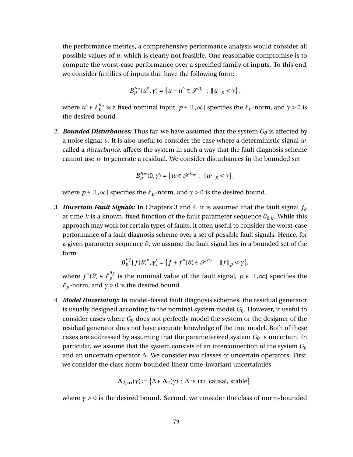the performance metrics, a comprehensive performance analysis would consider all possible values of *u*, which is clearly not feasible. One reasonable compromise is to compute the worst-case performance over a specified family of inputs. To this end, we consider families of inputs that have the following form:

$$
B_p^{n_u}(u^{\circ}, \gamma) = \{u + u^{\circ} \in \mathcal{S}^{n_u} : ||u||_p < \gamma\},\
$$

where  $u^{\circ} \in \ell_p^{n_u}$  is a fixed nominal input,  $p \in [1,\infty]$  specifies the  $\ell_p$ -norm, and  $\gamma > 0$  is the desired bound.

2. **Bounded Disturbances:** Thus far, we have assumed that the system  $G_{\theta}$  is affected by a noise signal *v*. It is also useful to consider the case where a deterministic signal *w*, called a *disturbance*, affects the system in such a way that the fault diagnosis scheme cannot use *w* to generate a residual. We consider disturbances in the bounded set

$$
B_p^{n_w}(0,\gamma) = \{w \in \mathcal{S}^{n_w} : ||w||_p < \gamma\},\
$$

where  $p \in [1,\infty]$  specifies the  $\ell_p$ -norm, and  $\gamma > 0$  is the desired bound.

3. *Uncertain Fault Signals:* In Chapters [3](#page-36-0) and [4,](#page-56-0) it is assumed that the fault signal *f<sup>k</sup>* at time *k* is a known, fixed function of the fault parameter sequence  $\theta_{0:k}$ . While this approach may work for certain types of faults, it often useful to consider the worst-case performance of a fault diagnosis scheme over a set of possible fault signals. Hence, for a given parameter sequence *ϑ*, we assume the fault signal lies in a bounded set of the form

$$
B_p^{n_f}\big(f(\vartheta)^\circ,\gamma\big)=\big\{f+f^\circ(\vartheta)\in\mathscr{S}^{n_f}:\|f\|_p<\gamma\big\},\
$$

where  $f^{\circ}(\vartheta) \in {\ell}_{p}^{n_{f}}$  is the nominal value of the fault signal,  $p \in [1,\infty]$  specifies the  $\ell_p$ -norm, and  $\gamma > 0$  is the desired bound.

4. *Model Uncertainty:* In model-based fault diagnosis schemes, the residual generator is usually designed according to the nominal system model  $G_0$ . However, it useful to consider cases where *G*<sup>0</sup> does not perfectly model the system or the designer of the residual generator does not have accurate knowledge of the true model. Both of these cases are addressed by assuming that the parameterized system *G<sup>θ</sup>* is uncertain. In particular, we assume that the system consists of an interconnection of the system *G<sup>θ</sup>* and an uncertain operator ∆. We consider two classes of uncertain operators. First, we consider the class norm-bounded linear time-invariant uncertainties

$$
\Delta_{2,\text{LTI}}(\gamma) := \big\{ \Delta \in \Delta_2(\gamma) \, : \, \Delta \text{ is LTI, causal, stable} \big\},
$$

where  $\gamma > 0$  is the desired bound. Second, we consider the class of norm-bounded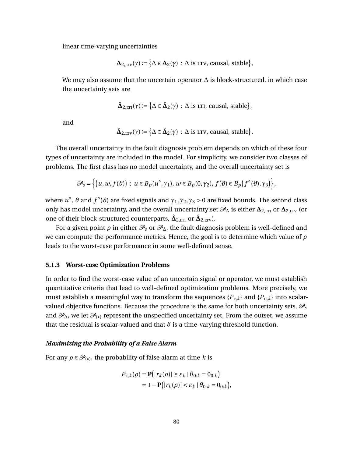linear time-varying uncertainties

$$
\Delta_{2,\text{LTV}}(\gamma) := \big\{ \Delta \in \Delta_2(\gamma) \, : \, \Delta \text{ is } \text{LTV, causal, stable} \big\},
$$

We may also assume that the uncertain operator ∆ is block-structured, in which case the uncertainty sets are

$$
\hat{\Delta}_{2,\text{LTI}}(\gamma) := \{ \Delta \in \hat{\Delta}_2(\gamma) : \Delta \text{ is LTI, causal, stable} \},
$$

and

$$
\hat{\Delta}_{2,\text{trv}}(\gamma) \coloneqq \big\{ \Delta \in \hat{\Delta}_2(\gamma) \, : \, \Delta \text{ is } \text{trv, causal, stable} \big\}.
$$

The overall uncertainty in the fault diagnosis problem depends on which of these four types of uncertainty are included in the model. For simplicity, we consider two classes of problems. The first class has no model uncertainty, and the overall uncertainty set is

$$
\mathscr{P}_s = \left\{ \left( u, w, f(\vartheta) \right) : u \in B_p(u^\circ, \gamma_1), w \in B_p(0, \gamma_2), f(\vartheta) \in B_p(f^\circ(\vartheta), \gamma_3) \right\},\
$$

where  $u^{\circ}$ ,  $\vartheta$  and  $f^{\circ}(\vartheta)$  are fixed signals and  $\gamma_1, \gamma_2, \gamma_3 > 0$  are fixed bounds. The second class only has model uncertainty, and the overall uncertainty set  $\mathscr{P}_{\Delta}$  is either  $\Delta_{2,\text{LTI}}$  or  $\Delta_{2,\text{LTI}}$  (or one of their block-structured counterparts,  $\hat{\mathbf{\Delta}}_{2,\text{LTI}}$  or  $\hat{\mathbf{\Delta}}_{2,\text{LTV}}$ ).

For a given point  $\rho$  in either  $\mathcal{P}_s$  or  $\mathcal{P}_\Delta$ , the fault diagnosis problem is well-defined and we can compute the performance metrics. Hence, the goal is to determine which value of *ρ* leads to the worst-case performance in some well-defined sense.

#### **5.1.3 Worst-case Optimization Problems**

In order to find the worst-case value of an uncertain signal or operator, we must establish quantitative criteria that lead to well-defined optimization problems. More precisely, we must establish a meaningful way to transform the sequences  $\{P_{F,k}\}\$  and  $\{P_{D,k}\}\$  into scalarvalued objective functions. Because the procedure is the same for both uncertainty sets,  $\mathcal{P}_s$ and  $\mathscr{P}_{\Delta}$ , we let  $\mathscr{P}_{(\bullet)}$  represent the unspecified uncertainty set. From the outset, we assume that the residual is scalar-valued and that  $\delta$  is a time-varying threshold function.

#### *Maximizing the Probability of a False Alarm*

For any  $\rho \in \mathscr{P}_{(\bullet)}$ , the probability of false alarm at time *k* is

$$
P_{F,k}(\rho) = \mathbf{P}(|r_k(\rho)| \ge \varepsilon_k | \theta_{0:k} = 0_{0:k})
$$
  
= 1 -  $\mathbf{P}(|r_k(\rho)| < \varepsilon_k | \theta_{0:k} = 0_{0:k}),$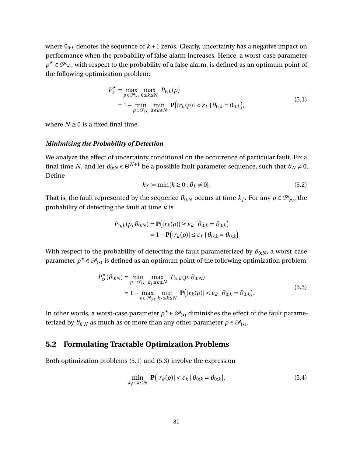where  $0_{0:k}$  denotes the sequence of  $k+1$  zeros. Clearly, uncertainty has a negative impact on performance when the probability of false alarm increases. Hence, a worst-case parameter  $\rho^{\star} \in \mathscr{P}_{(\bullet)}$ , with respect to the probability of a false alarm, is defined as an optimum point of the following optimization problem:

$$
P_{\mathrm{F}}^{\star} = \max_{\rho \in \mathcal{P}_{(\bullet)}} \max_{0 \le k \le N} P_{\mathrm{F},k}(\rho)
$$
  
= 1 - min min\_{\rho \in \mathcal{P}\_{(\bullet)}} \min\_{0 \le k \le N} \mathbf{P}(|r\_k(\rho)| < \varepsilon\_k | \theta\_{0:k} = 0\_{0:k}), \tag{5.1}

<span id="page-93-0"></span>where  $N \geq 0$  is a fixed final time.

#### *Minimizing the Probability of Detection*

We analyze the effect of uncertainty conditional on the occurrence of particular fault. Fix a final time  $N$ , and let  $\vartheta_{0:N}$   $\in$   $\Theta^{N+1}$  be a possible fault parameter sequence, such that  $\vartheta_N\neq 0.$ Define

<span id="page-93-3"></span>
$$
k_f := \min\{k \ge 0 : \vartheta_k \ne 0\}.\tag{5.2}
$$

That is, the fault represented by the sequence  $\vartheta_{0:N}$  occurs at time  $k_f$ . For any  $\rho \in \mathscr{P}_{(\bullet)}$ , the probability of detecting the fault at time *k* is

$$
P_{\text{D},k}(\rho,\vartheta_{0:N}) = \mathbf{P}(|r_k(\rho)| \ge \varepsilon_k \mid \theta_{0:k} = \vartheta_{0:k})
$$
  
= 1 -  $\mathbf{P}(|r_k(\rho)| \le \varepsilon_k \mid \theta_{0:k} = \vartheta_{0:k})$ 

With respect to the probability of detecting the fault parameterized by  $\vartheta_{0:N}$ , a worst-case parameter  $\rho^{\star} \in \mathscr{P}_{(\bullet)}$  is defined as an optimum point of the following optimization problem:

$$
P_{\mathbf{D}}^{\star}(\theta_{0:N}) = \min_{\rho \in \mathcal{P}_{(\bullet)}} \max_{k_f \le k \le N} P_{\mathbf{D},k}(\rho, \theta_{0:N})
$$
  
= 1 - \max\_{\rho \in \mathcal{P}\_{(\bullet)}} \min\_{k\_f \le k \le N} \mathbf{P}(|r\_k(\rho)| < \varepsilon\_k | \theta\_{0:k} = \theta\_{0:k}). \tag{5.3}

<span id="page-93-1"></span>In other words, a worst-case parameter  $\rho^* \in \mathscr{P}_{(\bullet)}$  diminishes the effect of the fault parameterized by  $\vartheta_{0:N}$  as much as or more than any other parameter  $\rho \in \mathscr{P}_{(\bullet)}$ .

## **5.2 Formulating Tractable Optimization Problems**

Both optimization problems [\(5.1\)](#page-93-0) and [\(5.3\)](#page-93-1) involve the expression

<span id="page-93-2"></span>
$$
\min_{k_f \le k \le N} \mathbf{P}(|r_k(\rho)| < \varepsilon_k \, | \, \theta_{0:k} = \vartheta_{0:k}),\tag{5.4}
$$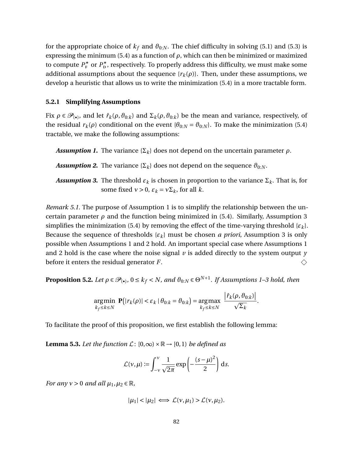for the appropriate choice of  $k_f$  and  $\theta_{0:N}$ . The chief difficulty in solving [\(5.1\)](#page-93-0) and [\(5.3\)](#page-93-1) is expressing the minimum [\(5.4\)](#page-93-2) as a function of  $\rho$ , which can then be minimized or maximized to compute  $P_{\rm F}^{\star}$  or  $P_{\rm D}^{\star}$ , respectively. To properly address this difficulty, we must make some additional assumptions about the sequence  $\{r_k(\rho)\}\$ . Then, under these assumptions, we develop a heuristic that allows us to write the minimization [\(5.4\)](#page-93-2) in a more tractable form.

#### <span id="page-94-2"></span>**5.2.1 Simplifying Assumptions**

Fix  $\rho \in \mathcal{P}_{(\bullet)}$ , and let  $\hat{r}_k(\rho, \theta_{0:k})$  and  $\Sigma_k(\rho, \theta_{0:k})$  be the mean and variance, respectively, of the residual  $r_k(\rho)$  conditional on the event  $\{\theta_{0:N} = \theta_{0:N}\}$ . To make the minimization [\(5.4\)](#page-93-2) tractable, we make the following assumptions:

*Assumption 1.* The variance  $\{\Sigma_k\}$  does not depend on the uncertain parameter  $\rho$ .

*Assumption 2.* The variance  $\{\Sigma_k\}$  does not depend on the sequence  $\vartheta_{0:N}$ .

*Assumption 3.* The threshold  $\varepsilon_k$  is chosen in proportion to the variance  $\Sigma_k$ . That is, for some fixed  $v > 0$ ,  $\varepsilon_k = v \Sigma_k$ , for all *k*.

*Remark 5.1.* The purpose of Assumption 1 is to simplify the relationship between the uncertain parameter  $\rho$  and the function being minimized in [\(5.4\)](#page-93-2). Similarly, Assumption 3 simplifies the minimization [\(5.4\)](#page-93-2) by removing the effect of the time-varying threshold  $\{\varepsilon_k\}$ . Because the sequence of thresholds  $\{\varepsilon_k\}$  must be chosen *a priori*, Assumption 3 is only possible when Assumptions 1 and 2 hold. An important special case where Assumptions 1 and 2 hold is the case where the noise signal  $\nu$  is added directly to the system output  $\nu$ before it enters the residual generator *F*.  $\Diamond$ 

<span id="page-94-0"></span>**Proposition 5.2.** Let  $\rho \in \mathscr{P}_{(\bullet)}$ ,  $0 \le k_f < N$ , and  $\vartheta_{0:N} \in \Theta^{N+1}$ . If Assumptions 1–3 hold, then

$$
\underset{k_f \leq k \leq N}{\text{argmin}} \ \mathbf{P}\big(|r_k(\rho)| < \varepsilon_k \,|\, \theta_{0:k} = \theta_{0:k}\big) = \underset{k_f \leq k \leq N}{\text{argmax}} \ \frac{\left|\hat{r}_k(\rho, \theta_{0:k})\right|}{\sqrt{\Sigma_k}}.
$$

To facilitate the proof of this proposition, we first establish the following lemma:

<span id="page-94-1"></span>**Lemma 5.3.** *Let the function*  $\mathcal{L}: [0,\infty) \times \mathbb{R} \to [0,1]$  *be defined as* 

$$
\mathcal{L}(v,\mu) \coloneqq \int_{-v}^{v} \frac{1}{\sqrt{2\pi}} \exp\left(-\frac{(s-\mu)^2}{2}\right) \,\mathrm{d}s.
$$

*For any*  $v > 0$  *and all*  $\mu_1, \mu_2 \in \mathbb{R}$ *,* 

$$
|\mu_1| < |\mu_2| \iff \mathcal{L}(v, \mu_1) > \mathcal{L}(v, \mu_2).
$$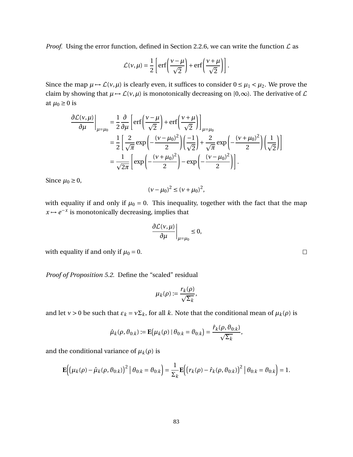*Proof.* Using the error function, defined in Section [2.2.6,](#page-21-0) we can write the function  $\mathcal L$  as

$$
\mathcal{L}(v,\mu) = \frac{1}{2} \left[ erf \left( \frac{v - \mu}{\sqrt{2}} \right) + erf \left( \frac{v + \mu}{\sqrt{2}} \right) \right].
$$

Since the map  $\mu \mapsto \mathcal{L}(v, \mu)$  is clearly even, it suffices to consider  $0 \le \mu_1 < \mu_2$ . We prove the claim by showing that  $\mu \mapsto \mathcal{L}(v, \mu)$  is monotonically decreasing on [0, $\infty$ ). The derivative of  $\mathcal{L}$ at  $\mu_0 \geq 0$  is

$$
\frac{\partial \mathcal{L}(v,\mu)}{\partial \mu}\bigg|_{\mu=\mu_0} = \frac{1}{2} \frac{\partial}{\partial \mu} \left[ \text{erf}\left(\frac{v-\mu}{\sqrt{2}}\right) + \text{erf}\left(\frac{v+\mu}{\sqrt{2}}\right) \right]_{\mu=\mu_0}
$$

$$
= \frac{1}{2} \left[ \frac{2}{\sqrt{\pi}} \exp\left(-\frac{(v-\mu_0)^2}{2}\right) \left(\frac{-1}{\sqrt{2}}\right) + \frac{2}{\sqrt{\pi}} \exp\left(-\frac{(v+\mu_0)^2}{2}\right) \left(\frac{1}{\sqrt{2}}\right) \right]
$$

$$
= \frac{1}{\sqrt{2\pi}} \left[ \exp\left(-\frac{(v+\mu_0)^2}{2}\right) - \exp\left(-\frac{(v-\mu_0)^2}{2}\right) \right].
$$

Since  $\mu_0 \geq 0$ ,

$$
(\nu - \mu_0)^2 \le (\nu + \mu_0)^2,
$$

with equality if and only if  $\mu_0 = 0$ . This inequality, together with the fact that the map  $x \mapsto e^{-x}$  is monotonically decreasing, implies that

$$
\left.\frac{\partial \mathcal{L}(v,\mu)}{\partial \mu}\right|_{\mu=\mu_0} \leq 0,
$$

with equality if and only if  $\mu_0 = 0$ .

*Proof of Proposition [5.2.](#page-94-0)* Define the "scaled" residual

$$
\mu_k(\rho) := \frac{r_k(\rho)}{\sqrt{\Sigma_k}},
$$

and let *ν* > 0 be such that  $\varepsilon_k = v \Sigma_k$ , for all *k*. Note that the conditional mean of  $\mu_k(\rho)$  is

$$
\hat{\mu}_k(\rho,\vartheta_{0:k}) := \mathbf{E}(\mu_k(\rho) | \theta_{0:k} = \vartheta_{0:k}) = \frac{\hat{r}_k(\rho,\vartheta_{0:k})}{\sqrt{\Sigma_k}},
$$

and the conditional variance of  $\mu_k(\rho)$  is

$$
\mathbf{E}\Big(\big(\mu_{k}(\rho) - \hat{\mu}_{k}(\rho, \vartheta_{0:k})\big)^{2} | \theta_{0:k} = \vartheta_{0:k}\Big) = \frac{1}{\Sigma_{k}}\mathbf{E}\Big(\big(r_{k}(\rho) - \hat{r}_{k}(\rho, \vartheta_{0:k})\big)^{2} | \theta_{0:k} = \vartheta_{0:k}\Big) = 1.
$$

 $\Box$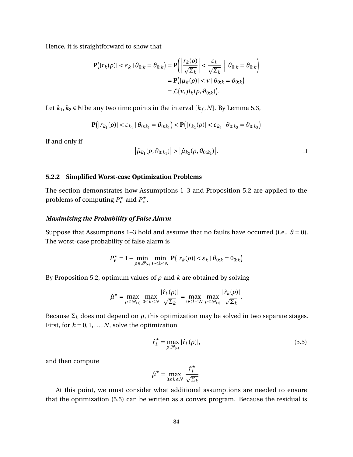Hence, it is straightforward to show that

$$
\mathbf{P}(|r_k(\rho)| < \varepsilon_k | \theta_{0:k} = \vartheta_{0:k}) = \mathbf{P}\left(\left|\frac{r_k(\rho)}{\sqrt{\Sigma_k}}\right| < \frac{\varepsilon_k}{\sqrt{\Sigma_k}} \middle| \theta_{0:k} = \vartheta_{0:k}\right)
$$

$$
= \mathbf{P}(|\mu_k(\rho)| < \nu | \theta_{0:k} = \vartheta_{0:k})
$$

$$
= \mathcal{L}(\nu, \hat{\mu}_k(\rho, \vartheta_{0:k})).
$$

Let  $k_1, k_2 \in \mathbb{N}$  be any two time points in the interval  $[k_f, N]$ . By Lemma [5.3,](#page-94-1)

$$
\mathbf{P}(|r_{k_1}(\rho)| < \varepsilon_{k_1} | \theta_{0:k_1} = \vartheta_{0:k_1} \big) < \mathbf{P}(|r_{k_2}(\rho)| < \varepsilon_{k_2} | \theta_{0:k_2} = \vartheta_{0:k_2} \big)
$$

if and only if

$$
\left|\hat{\mu}_{k_1}(\rho,\partial_{0:k_1})\right| > \left|\hat{\mu}_{k_2}(\rho,\partial_{0:k_2})\right|.
$$

#### <span id="page-96-1"></span>**5.2.2 Simplified Worst-case Optimization Problems**

The section demonstrates how Assumptions 1–3 and Proposition [5.2](#page-94-0) are applied to the problems of computing  $P_{\rm F}^{\star}$  and  $P_{\rm D}^{\star}$ .

#### *Maximizing the Probability of False Alarm*

Suppose that Assumptions 1–3 hold and assume that no faults have occurred (i.e.,  $\theta = 0$ ). The worst-case probability of false alarm is

$$
P_{\mathrm{F}}^{\star} = 1 - \min_{\rho \in \mathcal{P}_{(\star)}} \min_{0 \le k \le N} \mathbf{P}(|r_k(\rho)| < \varepsilon_k \mid \theta_{0:k} = 0_{0:k})
$$

By Proposition [5.2,](#page-94-0) optimum values of *ρ* and *k* are obtained by solving

$$
\hat{\mu}^\star = \max_{\rho \in \mathcal{P}_{(\bullet)}} \max_{0 \leq k \leq N} \frac{|\hat{r}_k(\rho)|}{\sqrt{\Sigma_k}} = \max_{0 \leq k \leq N} \max_{\rho \in \mathcal{P}_{(\bullet)}} \frac{|\hat{r}_k(\rho)|}{\sqrt{\Sigma_k}}.
$$

Because  $\Sigma_k$  does not depend on  $\rho$ , this optimization may be solved in two separate stages. First, for  $k = 0, 1, \ldots, N$ , solve the optimization

<span id="page-96-0"></span>
$$
\hat{r}_k^* = \max_{\rho \mathcal{P}_{(\bullet)}} |\hat{r}_k(\rho)|,\tag{5.5}
$$

and then compute

$$
\hat{\mu}^{\star} = \max_{0 \le k \le N} \frac{\hat{r}_k^{\star}}{\sqrt{\Sigma_k}}.
$$

At this point, we must consider what additional assumptions are needed to ensure that the optimization [\(5.5\)](#page-96-0) can be written as a convex program. Because the residual is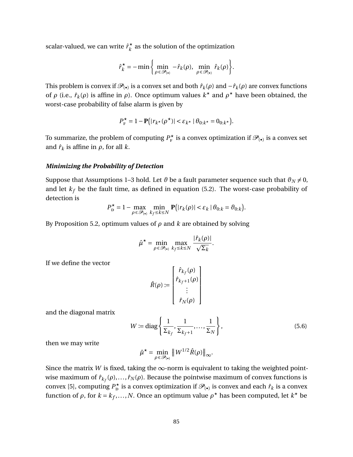scalar-valued, we can write  $\hat{r}_k^{\star}$  $\vec{k}$  as the solution of the optimization

$$
\hat{r}_k^* = -\min\left\{\min_{\rho \in \mathcal{P}_{(\bullet)}} - \hat{r}_k(\rho), \min_{\rho \in \mathcal{P}_{(\bullet)}} \hat{r}_k(\rho)\right\}.
$$

This problem is convex if  $\mathscr{P}_{(\bullet)}$  is a convex set and both  $\hat{r}_k(\rho)$  and  $-\hat{r}_k(\rho)$  are convex functions of  $\rho$  (i.e.,  $\hat{r}_k(\rho)$  is affine in  $\rho$ ). Once optimum values  $k^*$  and  $\rho^*$  have been obtained, the worst-case probability of false alarm is given by

$$
P_{\mathrm{F}}^{\star} = 1 - \mathbf{P}(|r_{k^{\star}}(\rho^{\star})| < \varepsilon_{k^{\star}} | \theta_{0:k^{\star}} = 0_{0:k^{\star}}).
$$

To summarize, the problem of computing  $P_{\rm F}^\star$  is a convex optimization if  $\mathscr{P}_{(\bullet)}$  is a convex set and  $\hat{r}_k$  is affine in  $\rho$ , for all  $k$ .

#### *Minimizing the Probability of Detection*

Suppose that Assumptions 1–3 hold. Let  $\vartheta$  be a fault parameter sequence such that  $\vartheta_N \neq 0$ , and let  $k_f$  be the fault time, as defined in equation [\(5.2\)](#page-93-3). The worst-case probability of detection is

$$
P_{\mathbf{D}}^{\star} = 1 - \max_{\rho \in \mathcal{P}_{(\bullet)}} \min_{k_f \le k \le N} \mathbf{P}(|r_k(\rho)| < \varepsilon_k \, | \, \theta_{0:k} = \theta_{0:k}).
$$

By Proposition [5.2,](#page-94-0) optimum values of *ρ* and *k* are obtained by solving

$$
\hat{\mu}^{\star} = \min_{\rho \in \mathcal{P}_{(\star)}} \max_{k_f \leq k \leq N} \frac{|\hat{r}_k(\rho)|}{\sqrt{\Sigma_k}}.
$$

 $\overline{a}$ 

If we define the vector

$$
\hat{R}(\rho) := \left[ \begin{array}{c} \hat{r}_{k_f}(\rho) \\ \hat{r}_{k_f+1}(\rho) \\ \vdots \\ \hat{r}_N(\rho) \end{array} \right]
$$

and the diagonal matrix

<span id="page-97-0"></span>
$$
W := \text{diag}\left\{\frac{1}{\Sigma_{k_f}}, \frac{1}{\Sigma_{k_f+1}}, \dots, \frac{1}{\Sigma_N}\right\},\tag{5.6}
$$

then we may write

$$
\hat{\mu}^{\star} = \min_{\rho \in \mathcal{P}_{(\bullet)}} \|W^{1/2}\hat{R}(\rho)\|_{\infty}.
$$

Since the matrix *W* is fixed, taking the  $\infty$ -norm is equivalent to taking the weighted pointwise maximum of  $\hat{r}_{k_f}(\rho),..., \hat{r}_N(\rho).$  Because the pointwise maximum of convex functions is convex [\[5\]](#page-131-1), computing  $P_{\text{D}}^{\star}$  is a convex optimization if  $\mathscr{P}_{(\bullet)}$  is convex and each  $\hat{r}_k$  is a convex function of  $\rho$ , for  $k = k_f, ..., N$ . Once an optimum value  $\rho^*$  has been computed, let  $k^*$  be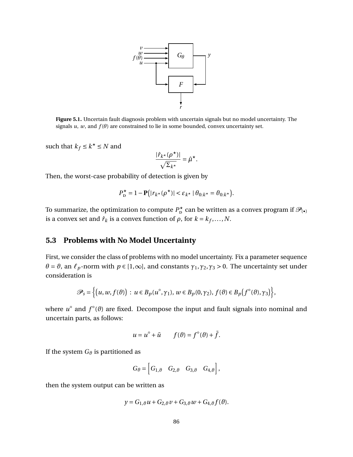

**Figure 5.1.** Uncertain fault diagnosis problem with uncertain signals but no model uncertainty. The signals  $u$ ,  $w$ , and  $f(\theta)$  are constrained to lie in some bounded, convex uncertainty set.

such that  $k_f \leq k^* \leq N$  and

$$
\frac{|\hat{r}_{k^\star}(\rho^\star)|}{\sqrt{\Sigma_{k^\star}}} = \hat{\mu}^\star.
$$

Then, the worst-case probability of detection is given by

$$
P_{\mathbf{D}}^{\star} = 1 - \mathbf{P}(|r_{k^{\star}}(\rho^{\star})| < \varepsilon_{k^{\star}} | \theta_{0:k^{\star}} = \theta_{0:k^{\star}}).
$$

To summarize, the optimization to compute  $P_{\texttt{D}}^\star$  can be written as a convex program if  $\mathscr{P}_{(\bullet)}$ is a convex set and  $\hat{r}_k$  is a convex function of  $\rho$ , for  $k = k_f, \ldots, N$ .

# **5.3 Problems with No Model Uncertainty**

First, we consider the class of problems with no model uncertainty. Fix a parameter sequence  $\theta = \theta$ , an  $\ell_p$ -norm with  $p \in [1,\infty]$ , and constants  $\gamma_1, \gamma_2, \gamma_3 > 0$ . The uncertainty set under consideration is

$$
\mathscr{P}_s = \left\{ \left( u, w, f(\vartheta) \right) : u \in B_p(u^\circ, \gamma_1), w \in B_p(0, \gamma_2), f(\vartheta) \in B_p(f^\circ(\vartheta), \gamma_3) \right\},\
$$

where  $u^{\circ}$  and  $f^{\circ}(\theta)$  are fixed. Decompose the input and fault signals into nominal and uncertain parts, as follows:

$$
u = u^{\circ} + \tilde{u} \qquad f(\vartheta) = f^{\circ}(\vartheta) + \tilde{f}.
$$

If the system  $G_{\theta}$  is partitioned as

$$
G_{\vartheta} = \begin{bmatrix} G_{1,\vartheta} & G_{2,\vartheta} & G_{3,\vartheta} & G_{4,\vartheta} \end{bmatrix},
$$

then the system output can be written as

$$
y = G_{1,\vartheta}u + G_{2,\vartheta}v + G_{3,\vartheta}w + G_{4,\vartheta}f(\vartheta).
$$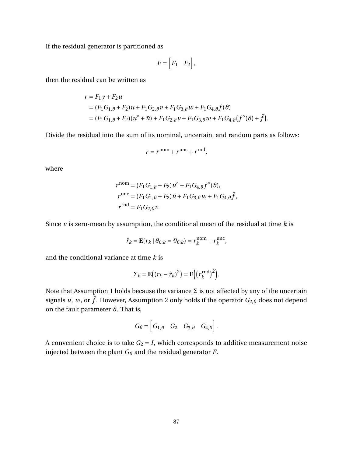If the residual generator is partitioned as

$$
F = \begin{bmatrix} F_1 & F_2 \end{bmatrix},
$$

then the residual can be written as

$$
r = F_1 y + F_2 u
$$
  
=  $(F_1 G_{1,\theta} + F_2) u + F_1 G_{2,\theta} v + F_1 G_{3,\theta} w + F_1 G_{4,\theta} f(\theta)$   
=  $(F_1 G_{1,\theta} + F_2) (u^{\circ} + \tilde{u}) + F_1 G_{2,\theta} v + F_1 G_{3,\theta} w + F_1 G_{4,\theta} (f^{\circ}(\theta) + \tilde{f}).$ 

Divide the residual into the sum of its nominal, uncertain, and random parts as follows:

$$
r = r^{\text{nom}} + r^{\text{unc}} + r^{\text{rnd}},
$$

where

$$
r^{\text{nom}} = (F_1 G_{1,\theta} + F_2) u^{\circ} + F_1 G_{4,\theta} f^{\circ}(\theta),
$$
  
\n
$$
r^{\text{unc}} = (F_1 G_{1,\theta} + F_2) \tilde{u} + F_1 G_{3,\theta} w + F_1 G_{4,\theta} \tilde{f},
$$
  
\n
$$
r^{\text{rnd}} = F_1 G_{2,\theta} v.
$$

Since  $\nu$  is zero-mean by assumption, the conditional mean of the residual at time  $k$  is

$$
\hat{r}_k = \mathbf{E}(r_k \mid \theta_{0:k} = \theta_{0:k}) = r_k^{\text{nom}} + r_k^{\text{unc}},
$$

and the conditional variance at time *k* is

$$
\Sigma_k = \mathbf{E}((r_k - \hat{r}_k)^2) = \mathbf{E}((r_k^{\text{rnd}})^2).
$$

Note that Assumption 1 holds because the variance  $\Sigma$  is not affected by any of the uncertain signals  $\tilde{u}$ ,  $w$ , or  $\tilde{f}$ . However, Assumption 2 only holds if the operator  $G_{2,\vartheta}$  does not depend on the fault parameter  $\vartheta$ . That is,

$$
G_{\vartheta} = \begin{bmatrix} G_{1,\vartheta} & G_2 & G_{3,\vartheta} & G_{4,\vartheta} \end{bmatrix}.
$$

A convenient choice is to take  $G_2 = I$ , which corresponds to additive measurement noise injected between the plant  $G_{\theta}$  and the residual generator *F*.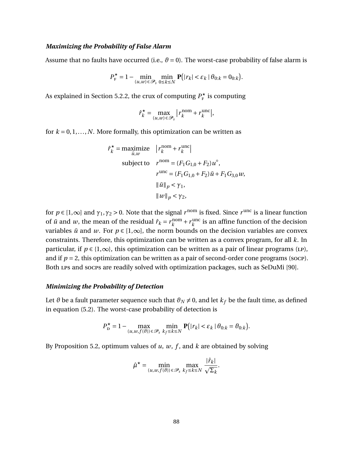#### *Maximizing the Probability of False Alarm*

Assume that no faults have occurred (i.e.,  $\theta = 0$ ). The worst-case probability of false alarm is

$$
P_{\mathrm{F}}^{\star} = 1 - \min_{(u,w)\in\mathcal{P}_{s}} \min_{0\leq k\leq N} \mathbf{P}(|r_{k}| < \varepsilon_{k} \mid \theta_{0:k} = 0_{0:k}).
$$

As explained in Section [5.2.2,](#page-96-1) the crux of computing  $P_{\rm F}^{\star}$  is computing

$$
\hat{r}_k^* = \max_{(u,w)\in\mathcal{P}_s} |r_k^{\text{nom}} + r_k^{\text{unc}}|,
$$

for  $k = 0, 1, \ldots, N$ . More formally, this optimization can be written as

$$
\hat{r}_k^* = \underset{\tilde{u}, w}{\text{maximize}} \quad |r_k^{\text{nom}} + r_k^{\text{unc}}|
$$
\n
$$
\text{subject to} \quad r^{\text{nom}} = (F_1 G_{1,0} + F_2) u^{\circ},
$$
\n
$$
r^{\text{unc}} = (F_1 G_{1,0} + F_2) \tilde{u} + F_1 G_{3,0} w,
$$
\n
$$
\|\tilde{u}\|_p < \gamma_1,
$$
\n
$$
\|w\|_p < \gamma_2,
$$

for  $p \in [1,\infty]$  and  $\gamma_1, \gamma_2 > 0$ . Note that the signal  $r^{\text{nom}}$  is fixed. Since  $r^{\text{unc}}$  is a linear function of  $\tilde{u}$  and *w*, the mean of the residual  $\hat{r}_k = r_k^{\text{nom}}$  $\frac{n}{k}$  +  $r_k$ <sup>unc</sup>  $\frac{u}{k}$  is an affine function of the decision variables  $\tilde{u}$  and *w*. For  $p \in [1,\infty]$ , the norm bounds on the decision variables are convex constraints. Therefore, this optimization can be written as a convex program, for all *k*. In particular, if  $p \in \{1,\infty\}$ , this optimization can be written as a pair of linear programs (LP), and if  $p = 2$ , this optimization can be written as a pair of second-order cone programs (socp). Both lps and socps are readily solved with optimization packages, such as SeDuMi [\[90\]](#page-137-0).

#### *Minimizing the Probability of Detection*

Let  $\vartheta$  be a fault parameter sequence such that  $\vartheta_N \neq 0$ , and let  $k_f$  be the fault time, as defined in equation [\(5.2\)](#page-93-3). The worst-case probability of detection is

$$
P_{\mathbf{D}}^{\star} = 1 - \max_{(u, w, f(\theta)) \in \mathcal{P}_s} \min_{k_f \le k \le N} \mathbf{P}\big(|r_k| < \varepsilon_k \,|\, \theta_{0:k} = \theta_{0:k}\big).
$$

By Proposition [5.2,](#page-94-0) optimum values of *u*, *w*, *f* , and *k* are obtained by solving

$$
\hat{\mu}^\star = \min_{(u,w,f(\vartheta))\,\in\,\mathcal{P}_s}\,\max_{k_f\leq k\leq N}\frac{|\hat{r}_k|}{\sqrt{\Sigma_k}}.
$$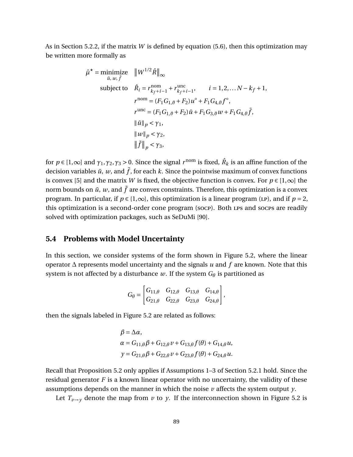As in Section [5.2.2,](#page-96-1) if the matrix *W* is defined by equation [\(5.6\)](#page-97-0), then this optimization may be written more formally as

$$
\hat{\mu}^* = \underset{\tilde{u}, w, \tilde{f}}{\text{minimize}} \quad ||W^{1/2}\hat{R}||_{\infty} \n \text{subject to} \quad \hat{R}_i = r_{k_f + i - 1}^{\text{nom}} + r_{k_f + i - 1}^{\text{unc}}, \quad i = 1, 2, \dots N - k_f + 1, \n r^{\text{nom}} = (F_1 G_{1, \theta} + F_2) u^{\circ} + F_1 G_{4, \theta} f^{\circ}, \n r^{\text{unc}} = (F_1 G_{1, \theta} + F_2) \tilde{u} + F_1 G_{3, \theta} w + F_1 G_{4, \theta} \tilde{f}, \n || \tilde{u} ||_p < \gamma_1, \n || w ||_p < \gamma_2, \n || \tilde{f} ||_p < \gamma_3,
$$

for  $p \in [1,\infty]$  and  $\gamma_1, \gamma_2, \gamma_3 > 0$ . Since the signal  $r^{\rm nom}$  is fixed,  $\hat{R}_k$  is an affine function of the decision variables  $\tilde{u}$ , *w*, and  $\tilde{f}$ , for each *k*. Since the pointwise maximum of convex functions is convex [\[5\]](#page-131-1) and the matrix *W* is fixed, the objective function is convex. For  $p \in [1,\infty]$  the norm bounds on  $\tilde{u}$ , *w*, and  $\tilde{f}$  are convex constraints. Therefore, this optimization is a convex program. In particular, if  $p \in \{1,\infty\}$ , this optimization is a linear program (LP), and if  $p = 2$ , this optimization is a second-order cone program (socp). Both lps and socps are readily solved with optimization packages, such as SeDuMi [\[90\]](#page-137-0).

## **5.4 Problems with Model Uncertainty**

In this section, we consider systems of the form shown in Figure [5.2,](#page-102-0) where the linear operator ∆ represents model uncertainty and the signals *u* and *f* are known. Note that this system is not affected by a disturbance  $w$ . If the system  $G_{\theta}$  is partitioned as

$$
G_{\theta} = \begin{bmatrix} G_{11,\theta} & G_{12,\theta} & G_{13,\theta} & G_{14,\theta} \\ G_{21,\theta} & G_{22,\theta} & G_{23,\theta} & G_{24,\theta} \end{bmatrix},
$$

then the signals labeled in Figure [5.2](#page-102-0) are related as follows:

$$
\beta = \Delta \alpha,
$$
  
\n
$$
\alpha = G_{11,\theta}\beta + G_{12,\theta}\nu + G_{13,\theta}f(\theta) + G_{14,\theta}\nu,
$$
  
\n
$$
y = G_{21,\theta}\beta + G_{22,\theta}\nu + G_{23,\theta}f(\theta) + G_{24,\theta}\nu.
$$

Recall that Proposition [5.2](#page-94-0) only applies if Assumptions 1–3 of Section [5.2.1](#page-94-2) hold. Since the residual generator *F* is a known linear operator with no uncertainty, the validity of these assumptions depends on the manner in which the noise *v* affects the system output *y*.

Let  $T_{v\rightarrow v}$  denote the map from *v* to *y*. If the interconnection shown in Figure [5.2](#page-102-0) is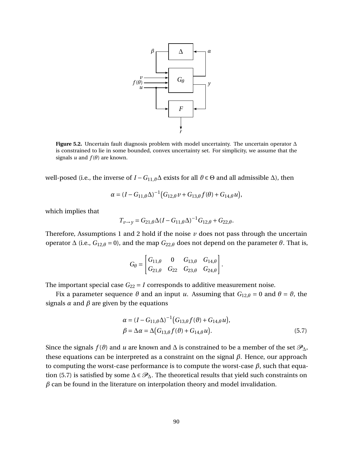<span id="page-102-0"></span>

**Figure 5.2.** Uncertain fault diagnosis problem with model uncertainty. The uncertain operator ∆ is constrained to lie in some bounded, convex uncertainty set. For simplicity, we assume that the signals  $u$  and  $f(\theta)$  are known.

well-posed (i.e., the inverse of *I* − *G*<sub>11,*θ*</sub>Δ exists for all *θ* ∈ Θ and all admissible Δ), then

$$
\alpha = (I - G_{11,\theta} \Delta)^{-1} (G_{12,\theta} \nu + G_{13,\theta} f(\theta) + G_{14,\theta} u),
$$

which implies that

$$
T_{\nu \to y} = G_{21,\theta} \Delta (I - G_{11,\theta} \Delta)^{-1} G_{12,\theta} + G_{22,\theta}.
$$

Therefore, Assumptions 1 and 2 hold if the noise  $\nu$  does not pass through the uncertain operator  $\Delta$  (i.e.,  $G_{12,\theta} = 0$ ), and the map  $G_{22,\theta}$  does not depend on the parameter *θ*. That is,

$$
G_{\theta} = \begin{bmatrix} G_{11,\theta} & 0 & G_{13,\theta} & G_{14,\theta} \\ G_{21,\theta} & G_{22} & G_{23,\theta} & G_{24,\theta} \end{bmatrix}.
$$

The important special case  $G_{22} = I$  corresponds to additive measurement noise.

Fix a parameter sequence  $\theta$  and an input *u*. Assuming that  $G_{12,\theta} = 0$  and  $\theta = \theta$ , the signals  $\alpha$  and  $\beta$  are given by the equations

<span id="page-102-1"></span>
$$
\alpha = (I - G_{11,\theta} \Delta)^{-1} (G_{13,\theta} f(\theta) + G_{14,\theta} u), \n\beta = \Delta \alpha = \Delta (G_{13,\theta} f(\theta) + G_{14,\theta} u).
$$
\n(5.7)

Since the signals  $f(\theta)$  and *u* are known and  $\Delta$  is constrained to be a member of the set  $\mathscr{P}_{\Delta}$ , these equations can be interpreted as a constraint on the signal *β*. Hence, our approach to computing the worst-case performance is to compute the worst-case *β*, such that equa-tion [\(5.7\)](#page-102-1) is satisfied by some  $\Delta \in \mathcal{P}_{\Delta}$ . The theoretical results that yield such constraints on  $\beta$  can be found in the literature on interpolation theory and model invalidation.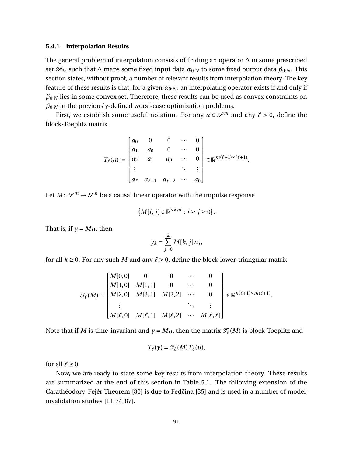#### **5.4.1 Interpolation Results**

The general problem of interpolation consists of finding an operator ∆ in some prescribed set  $\mathscr{P}_{\Delta}$ , such that  $\Delta$  maps some fixed input data  $\alpha_{0:N}$  to some fixed output data  $\beta_{0:N}$ . This section states, without proof, a number of relevant results from interpolation theory. The key feature of these results is that, for a given  $\alpha_{0:N}$ , an interpolating operator exists if and only if  $\beta_{0:N}$  lies in some convex set. Therefore, these results can be used as convex constraints on  $\beta_{0:N}$  in the previously-defined worst-case optimization problems.

First, we establish some useful notation. For any  $a \in \mathcal{S}^m$  and any  $\ell > 0$ , define the block-Toeplitz matrix

$$
T_{\ell}(a) := \begin{bmatrix} a_0 & 0 & 0 & \cdots & 0 \\ a_1 & a_0 & 0 & \cdots & 0 \\ a_2 & a_1 & a_0 & \cdots & 0 \\ \vdots & & & \ddots & \vdots \\ a_{\ell} & a_{\ell-1} & a_{\ell-2} & \cdots & a_0 \end{bmatrix} \in \mathbb{R}^{m(\ell+1) \times (\ell+1)}.
$$

Let  $M: \mathscr{S}^m \to \mathscr{S}^n$  be a causal linear operator with the impulse response

$$
\big\{M[i,j]\in\mathbb{R}^{n\times m}:i\geq j\geq 0\big\}.
$$

That is, if  $y = Mu$ , then

$$
y_k = \sum_{j=0}^k M[k, j] u_j,
$$

for all  $k \ge 0$ . For any such M and any  $\ell > 0$ , define the block lower-triangular matrix

$$
\mathcal{T}_{\ell}(M) = \begin{bmatrix} M[0,0] & 0 & 0 & \cdots & 0 \\ M[1,0] & M[1,1] & 0 & \cdots & 0 \\ M[2,0] & M[2,1] & M[2,2] & \cdots & 0 \\ \vdots & & \ddots & & \vdots \\ M[\ell,0] & M[\ell,1] & M[\ell,2] & \cdots & M[\ell,\ell] \end{bmatrix} \in \mathbb{R}^{n(\ell+1)\times m(\ell+1)}
$$

.

Note that if *M* is time-invariant and  $y = Mu$ , then the matrix  $\mathcal{T}_{\ell}(M)$  is block-Toeplitz and

$$
T_{\ell}(y) = \mathcal{T}_{\ell}(M) T_{\ell}(u),
$$

for all  $\ell \geq 0$ .

Now, we are ready to state some key results from interpolation theory. These results are summarized at the end of this section in Table [5.1.](#page-107-0) The following extension of the Carathéodory–Fejér Theorem [\[80\]](#page-136-0) is due to Fedčina [\[35\]](#page-133-3) and is used in a number of modelinvalidation studies [\[11,](#page-131-2) [74,](#page-136-1) [87\]](#page-137-1).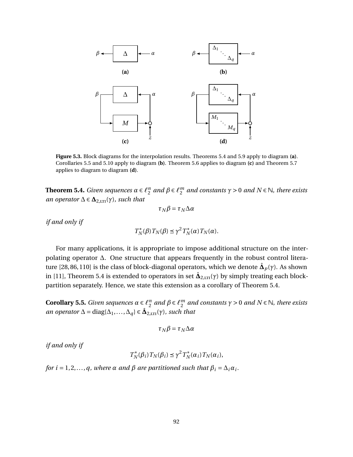<span id="page-104-2"></span>

**Figure 5.3.** Block diagrams for the interpolation results. Theorems [5.4](#page-104-0) and [5.9](#page-106-0) apply to diagram **(a)**. Corollaries [5.5](#page-104-1) and [5.10](#page-106-1) apply to diagram **(b)**. Theorem [5.6](#page-105-0) applies to diagram **(c)** and Theorem [5.7](#page-105-1) applies to diagram to diagram **(d)**.

<span id="page-104-0"></span>**Theorem 5.4.** *Given sequences*  $\alpha \in \ell_{2}^{n}$  $\binom{n}{2}$  and  $\beta \in \ell_2^m$  $\frac{m}{2}$  and constants  $\gamma > 0$  and  $N \in \mathbb{N}$ , there exists *an operator*  $\Delta \in \Delta_{2,\text{LTI}}(\gamma)$ *, such that* 

$$
\tau_N \beta = \tau_N \Delta \alpha
$$

*if and only if*

*T* ∗  $T_N^*(β) T_N(β)$  ≤ γ<sup>2</sup>  $T_N^*$  $T_N^*(\alpha) T_N(\alpha)$ .

For many applications, it is appropriate to impose additional structure on the interpolating operator ∆. One structure that appears frequently in the robust control litera-ture [\[28,](#page-133-4)86,110] is the class of block-diagonal operators, which we denote  $\hat{\bm{\Delta}}_p(\gamma).$  As shown in [\[11\]](#page-131-2), Theorem [5.4](#page-104-0) is extended to operators in set  $\hat{\bf\Delta}_{2,\rm LTI}(\gamma)$  by simply treating each blockpartition separately. Hence, we state this extension as a corollary of Theorem [5.4.](#page-104-0)

<span id="page-104-1"></span>**Corollary 5.5.** *Given sequences*  $\alpha \in \ell_{2}^{n}$  $^{\textit{n}}_2$  and  $\beta \in \ell_2^{\textit{m}}$  $\frac{m}{2}$  and constants  $\gamma > 0$  and  $N \in \mathbb{N}$ , there exists *an operator*  $\Delta = \text{diag}\{\Delta_1, \ldots, \Delta_q\} \in \hat{\mathbf{\Delta}}_{2,\text{LTI}}(\gamma)$ *, such that* 

$$
\tau_N \beta = \tau_N \Delta \alpha
$$

*if and only if*

$$
T_N^*(\beta_i) T_N(\beta_i) \le \gamma^2 T_N^*(\alpha_i) T_N(\alpha_i),
$$

*for i* = 1, 2, ..., q, where  $\alpha$  *and*  $\beta$  *are partitioned such that*  $\beta_i = \Delta_i \alpha_i$ .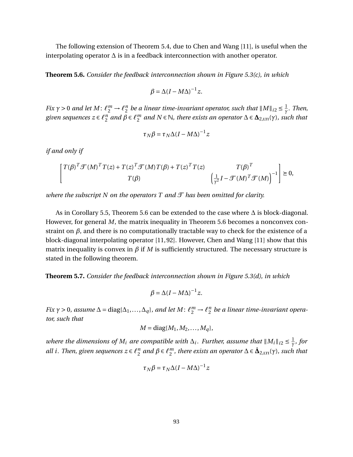The following extension of Theorem [5.4,](#page-104-0) due to Chen and Wang [\[11\]](#page-131-2), is useful when the interpolating operator ∆ is in a feedback interconnection with another operator.

<span id="page-105-0"></span>**Theorem 5.6.** *Consider the feedback interconnection shown in Figure [5.3\(](#page-104-2)c), in which*

$$
\beta = \Delta (I - M\Delta)^{-1} z.
$$

*Fix*  $\gamma > 0$  *and let*  $M: \ell_2^m \to \ell_2^n$  $\frac{n}{2}$  be a linear time-invariant operator, such that  $\|M\|_{i2} \leq \frac{1}{\gamma}$ *γ . Then, given sequences*  $z \in \ell_2^n$  $^{\textit{n}}_2$  and  $\beta \in \ell^{\textit{m}}_2$  $\frac{m}{2}$  and  $N \in \mathbb{N}$ *, there exists an operator* ∆ ∈  $\Delta_{2,\text{LTI}}(\gamma)$ *, such that* 

$$
\tau_N \beta = \tau_N \Delta (I - M \Delta)^{-1} z
$$

*if and only if*

$$
\begin{bmatrix} T(\beta)^T \mathcal{T}(M)^T T(z) + T(z)^T \mathcal{T}(M) T(\beta) + T(z)^T T(z) & T(\beta)^T \\ T(\beta) & \left( \frac{1}{\gamma^2} I - \mathcal{T}(M)^T \mathcal{T}(M) \right)^{-1} \end{bmatrix} \succeq 0,
$$

*where the subscript N on the operators T and*  $\mathcal T$  *has been omitted for clarity.* 

As in Corollary [5.5,](#page-104-1) Theorem [5.6](#page-105-0) can be extended to the case where ∆ is block-diagonal. However, for general *M*, the matrix inequality in Theorem [5.6](#page-105-0) becomes a nonconvex constraint on  $\beta$ , and there is no computationally tractable way to check for the existence of a block-diagonal interpolating operator [\[11,](#page-131-2) [92\]](#page-137-3). However, Chen and Wang [\[11\]](#page-131-2) show that this matrix inequality is convex in  $\beta$  if M is sufficiently structured. The necessary structure is stated in the following theorem.

<span id="page-105-1"></span>**Theorem 5.7.** *Consider the feedback interconnection shown in Figure [5.3\(](#page-104-2)d), in which*

$$
\beta = \Delta (I - M\Delta)^{-1} z.
$$

*Fix*  $\gamma > 0$ *, assume*  $\Delta = \text{diag}\{\Delta_1, ..., \Delta_q\}$ *, and let*  $M: \ell_2^m \to \ell_2^n$ 2 *be a linear time-invariant operator, such that*

$$
M = \text{diag}\{M_1, M_2, \dots, M_q\},\
$$

*where the dimensions of*  $M_i$  *are compatible with*  $\Delta_i$ . *Further, assume that*  $||M_i||_{i2} \leq \frac{1}{\gamma}$ *γ , for all i*. Then, given sequences  $z \in \ell_2^n$  $^{\textit{n}}_2$  and  $\beta \in \ell_2^{\textit{m}}$ 2 *, there exists an operator* ∆ ∈ **∆**ˆ 2,lti(*γ*)*, such that*

$$
\tau_N \beta = \tau_N \Delta (I - M\Delta)^{-1} z
$$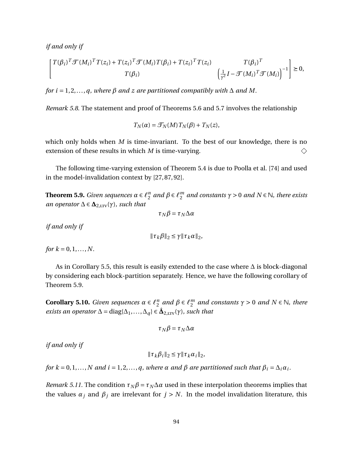*if and only if*

$$
\begin{bmatrix}\nT(\beta_i)^T \mathcal{F}(M_i)^T T(z_i) + T(z_i)^T \mathcal{F}(M_i) T(\beta_i) + T(z_i)^T T(z_i) & T(\beta_i)^T \\
T(\beta_i) & \left(\frac{1}{\gamma^2} I - \mathcal{F}(M_i)^T \mathcal{F}(M_i)\right)^{-1}\n\end{bmatrix} \geq 0,
$$

*for i* = 1, 2, ..., *q*, where  $\beta$  *and*  $z$  *are partitioned compatibly with*  $\Delta$  *and*  $M$ .

*Remark 5.8.* The statement and proof of Theorems [5.6](#page-105-0) and [5.7](#page-105-1) involves the relationship

$$
T_N(\alpha) = \mathcal{T}_N(M) T_N(\beta) + T_N(z),
$$

which only holds when *M* is time-invariant. To the best of our knowledge, there is no extension of these results in which *M* is time-varying.  $\diamondsuit$ 

The following time-varying extension of Theorem [5.4](#page-104-0) is due to Poolla et al. [\[74\]](#page-136-1) and used in the model-invalidation context by [\[27,](#page-133-5) [87,](#page-137-1) [92\]](#page-137-3).

<span id="page-106-0"></span>**Theorem 5.9.** *Given sequences*  $\alpha \in \ell_2^n$  $^{\textit{n}}_2$  and  $\beta \in \ell_2^{\textit{m}}$  $\frac{m}{2}$  and constants  $\gamma > 0$  and  $N \in \mathbb{N}$ , there exists *an operator*  $\Delta \in \Delta_{2,\text{LTV}}(\gamma)$ *, such that* 

$$
\tau_N \beta = \tau_N \Delta \alpha
$$

*if and only if*

$$
\|\tau_k\beta\|_2 \leq \gamma \|\tau_k\alpha\|_2,
$$

*for*  $k = 0, 1, ..., N$ .

As in Corollary [5.5,](#page-104-1) this result is easily extended to the case where  $\Delta$  is block-diagonal by considering each block-partition separately. Hence, we have the following corollary of Theorem [5.9.](#page-106-0)

<span id="page-106-1"></span>**Corollary 5.10.** *Given sequences*  $\alpha \in \ell_2^n$  $\binom{n}{2}$  and  $\beta \in \ell_2^m$  $\frac{m}{2}$  and constants  $\gamma > 0$  and  $N \in \mathbb{N}$ , there *exists an operator*  $\Delta = \text{diag}\{\Delta_1, \ldots, \Delta_q\} \in \hat{\Delta}_{2,\text{LTV}}(\gamma)$ *, such that* 

$$
\tau_N \beta = \tau_N \Delta \alpha
$$

*if and only if*

$$
\|\tau_k\beta_i\|_2 \leq \gamma \|\tau_k\alpha_i\|_2,
$$

*for*  $k = 0, 1, \ldots, N$  *and*  $i = 1, 2, \ldots, q$ , where  $\alpha$  *and*  $\beta$  *are partitioned such that*  $\beta_i = \Delta_i \alpha_i$ .

*Remark 5.11.* The condition  $\tau_N \beta = \tau_N \Delta \alpha$  used in these interpolation theorems implies that the values  $\alpha_j$  and  $\beta_j$  are irrelevant for  $j > N$ . In the model invalidation literature, this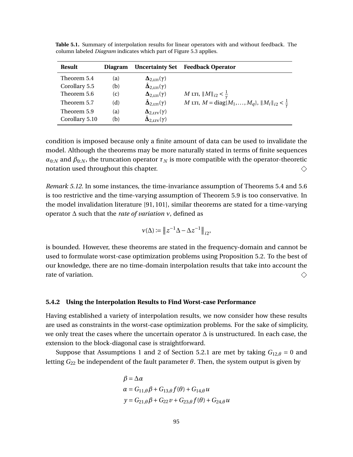| <b>Result</b>  | <b>Diagram</b> | <b>Uncertainty Set</b>                         | <b>Feedback Operator</b>                                          |
|----------------|----------------|------------------------------------------------|-------------------------------------------------------------------|
| Theorem 5.4    | (a)            | $\Delta_{2,\text{LTI}}(\gamma)$                |                                                                   |
| Corollary 5.5  | (b)            | $\hat{\mathbf{\Delta}}_{2,\text{LTI}}(\gamma)$ |                                                                   |
| Theorem 5.6    | (c)            | $\Delta_{2,\text{LTI}}(\gamma)$                | <i>M</i> LTI, $  M  _{i2} < \frac{1}{\gamma}$                     |
| Theorem 5.7    | (d)            | $\hat{\mathbf{\Delta}}_{2,\text{LTI}}(\gamma)$ | M LTI, $M = diag{M_1, , M_q}$ , $  M_i  _{i2} < \frac{1}{\gamma}$ |
| Theorem 5.9    | (a)            | $\Delta_{2,\text{LTV}}(\gamma)$                |                                                                   |
| Corollary 5.10 | (h)            | $\hat{\mathbf{\Delta}}_{2,\text{LTV}}(\gamma)$ |                                                                   |

<span id="page-107-0"></span>**Table 5.1.** Summary of interpolation results for linear operators with and without feedback. The column labeled *Diagram* indicates which part of Figure [5.3](#page-104-2) applies.

condition is imposed because only a finite amount of data can be used to invalidate the model. Although the theorems may be more naturally stated in terms of finite sequences  $\alpha_{0:N}$  and  $\beta_{0:N}$ , the truncation operator  $\tau_N$  is more compatible with the operator-theoretic notation used throughout this chapter.  $\Diamond$ 

*Remark 5.12.* In some instances, the time-invariance assumption of Theorems [5.4](#page-104-0) and [5.6](#page-105-0) is too restrictive and the time-varying assumption of Theorem [5.9](#page-106-0) is too conservative. In the model invalidation literature [\[91,](#page-137-4) [101\]](#page-138-1), similar theorems are stated for a time-varying operator ∆ such that the *rate of variation ν*, defined as

$$
\nu(\Delta) := \left\|z^{-1}\Delta - \Delta z^{-1}\right\|_{i2},
$$

is bounded. However, these theorems are stated in the frequency-domain and cannot be used to formulate worst-case optimization problems using Proposition [5.2.](#page-94-0) To the best of our knowledge, there are no time-domain interpolation results that take into account the rate of variation.  $\diamondsuit$ 

#### **5.4.2 Using the Interpolation Results to Find Worst-case Performance**

Having established a variety of interpolation results, we now consider how these results are used as constraints in the worst-case optimization problems. For the sake of simplicity, we only treat the cases where the uncertain operator ∆ is unstructured. In each case, the extension to the block-diagonal case is straightforward.

Suppose that Assumptions 1 and 2 of Section [5.2.1](#page-94-2) are met by taking  $G_{12,\theta} = 0$  and letting *G*<sup>22</sup> be independent of the fault parameter *θ*. Then, the system output is given by

$$
\beta = \Delta \alpha
$$
  
\n
$$
\alpha = G_{11,\theta}\beta + G_{13,\theta}f(\theta) + G_{14,\theta}u
$$
  
\n
$$
y = G_{21,\theta}\beta + G_{22}v + G_{23,\theta}f(\theta) + G_{24,\theta}u
$$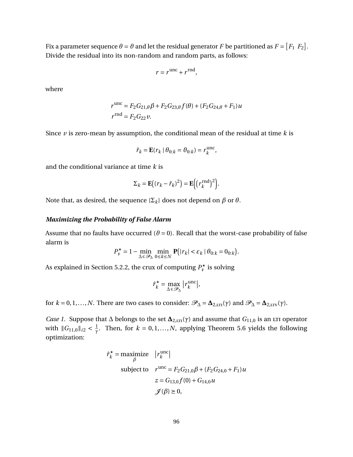Fix a parameter sequence  $\theta = \vartheta$  and let the residual generator  $F$  be partitioned as  $F = [F_1 \; F_2].$ Divide the residual into its non-random and random parts, as follows:

$$
r = r^{\text{unc}} + r^{\text{rnd}},
$$

where

$$
r^{\text{unc}} = F_2 G_{21,\theta} \beta + F_2 G_{23,\theta} f(\theta) + (F_2 G_{24,\theta} + F_1) u
$$
  

$$
r^{\text{rnd}} = F_2 G_{22} v.
$$

Since *v* is zero-mean by assumption, the conditional mean of the residual at time *k* is

$$
\hat{r}_k = \mathbf{E}(r_k \mid \theta_{0:k} = \theta_{0:k}) = r_k^{\text{unc}},
$$

and the conditional variance at time *k* is

$$
\Sigma_k = \mathbf{E} \big( (r_k - \hat{r}_k)^2 \big) = \mathbf{E} \Big( \big( r_k^{\text{rnd}} \big)^2 \Big).
$$

Note that, as desired, the sequence  $\{\Sigma_k\}$  does not depend on *β* or *θ*.

#### *Maximizing the Probability of False Alarm*

Assume that no faults have occurred ( $\theta = 0$ ). Recall that the worst-case probability of false alarm is

$$
P_{\mathrm{F}}^{\star} = 1 - \min_{\Delta \in \mathcal{P}_{\Delta}} \min_{0 \le k \le N} \mathbf{P}(|r_k| < \varepsilon_k \, | \, \theta_{0:k} = 0_{0:k}).
$$

As explained in Section [5.2.2,](#page-96-0) the crux of computing  $P_{\rm F}^{\star}$  is solving

$$
\hat{r}_k^* = \max_{\Delta \in \mathcal{P}_{\Delta}} |r_k^{\text{unc}}|,
$$

for  $k = 0, 1, ..., N$ . There are two cases to consider:  $\mathcal{P}_{\Delta} = \Delta_{2,\text{LIT}}(\gamma)$  and  $\mathcal{P}_{\Delta} = \Delta_{2,\text{LTV}}(\gamma)$ .

*Case 1.* Suppose that  $\Delta$  belongs to the set  $\Delta_{2,\text{LTI}}(\gamma)$  and assume that  $G_{11,0}$  is an LTI operator with  $\|G_{11,0}\|_{i2} < \frac{1}{\gamma}$ *<sup>1</sup>*</sup>/<sub>7</sub>. Then, for *k* = 0, 1, ..., *N*, applying Theorem [5.6](#page-105-0) yields the following optimization:

$$
\hat{r}_k^* = \underset{\beta}{\text{maximize}} \quad |r_k^{\text{unc}}|
$$
\n
$$
\text{subject to} \quad r^{\text{unc}} = F_2 G_{21,0} \beta + (F_2 G_{24,0} + F_1) u
$$
\n
$$
z = G_{13,0} f(0) + G_{14,0} u
$$
\n
$$
\mathcal{J}(\beta) \ge 0,
$$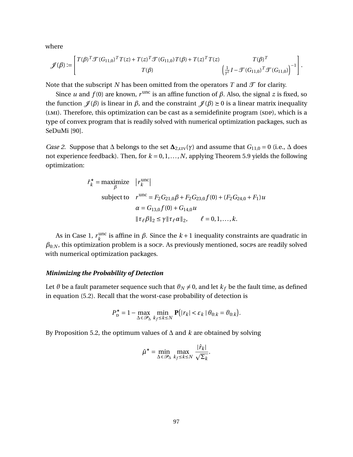where

$$
\mathscr{J}(\beta) := \begin{bmatrix} T(\beta)^T \mathcal{T}(G_{11,0})^T T(z) + T(z)^T \mathcal{T}(G_{11,0}) T(\beta) + T(z)^T T(z) & T(\beta)^T \\ T(\beta) & \left( \frac{1}{\gamma^2} I - \mathcal{T}(G_{11,0})^T \mathcal{T}(G_{11,0}) \right)^{-1} \end{bmatrix}.
$$

Note that the subscript *N* has been omitted from the operators *T* and  $\mathcal{T}$  for clarity.

Since *u* and  $f(0)$  are known,  $r^{\text{unc}}$  is an affine function of  $\beta$ . Also, the signal *z* is fixed, so the function  $\mathcal{J}(\beta)$  is linear in  $\beta$ , and the constraint  $\mathcal{J}(\beta) \geq 0$  is a linear matrix inequality  $(LMI)$ . Therefore, this optimization can be cast as a semidefinite program (SDP), which is a type of convex program that is readily solved with numerical optimization packages, such as SeDuMi [\[90\]](#page-137-0).

*Case 2.* Suppose that  $\Delta$  belongs to the set  $\Delta_{2,\text{LTV}}(\gamma)$  and assume that  $G_{11,0} = 0$  (i.e.,  $\Delta$  does not experience feedback). Then, for  $k = 0, 1, ..., N$ , applying Theorem [5.9](#page-106-0) yields the following optimization:

$$
\hat{r}_k^* = \underset{\beta}{\text{maximize}} \quad |r_k^{\text{unc}}|
$$
\n
$$
\text{subject to} \quad r^{\text{unc}} = F_2 G_{21,0} \beta + F_2 G_{23,0} f(0) + (F_2 G_{24,0} + F_1) u
$$
\n
$$
\alpha = G_{13,0} f(0) + G_{14,0} u
$$
\n
$$
\|\tau_\ell \beta\|_2 \le \gamma \|\tau_\ell \alpha\|_2, \qquad \ell = 0, 1, \dots, k.
$$

As in Case 1,  $r_k^{\text{unc}}$ <sup>unc</sup> is affine in *β*. Since the  $k+1$  inequality constraints are quadratic in  $\beta_{0:N}$ , this optimization problem is a socp. As previously mentioned, socps are readily solved with numerical optimization packages.

## *Minimizing the Probability of Detection*

Let  $\vartheta$  be a fault parameter sequence such that  $\vartheta_N \neq 0$ , and let  $k_f$  be the fault time, as defined in equation [\(5.2\)](#page-93-0). Recall that the worst-case probability of detection is

$$
P_{\mathbf{D}}^{\star} = 1 - \max_{\Delta \in \mathcal{P}_{\Delta}} \min_{k_f \le k \le N} \mathbf{P}(|r_k| < \varepsilon_k \, | \, \theta_{0:k} = \theta_{0:k}).
$$

By Proposition [5.2,](#page-94-0) the optimum values of ∆ and *k* are obtained by solving

$$
\hat{\mu}^\star = \min_{\Delta \in \mathcal{P}_\Delta} \max_{k_f \leq k \leq N} \frac{|\hat{r}_k|}{\sqrt{\Sigma_k}}.
$$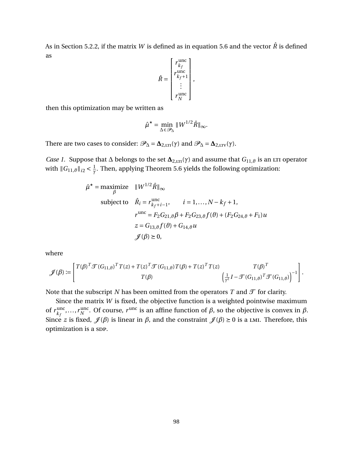As in Section [5.2.2,](#page-96-0) if the matrix *W* is defined as in equation [5.6](#page-97-0) and the vector  $\hat{R}$  is defined as  $\mathbf{r}$  $\mathbf{I}$ 

$$
\hat{R} = \begin{bmatrix} r_{k_f}^{\text{unc}} \\ r_{k_f+1}^{\text{unc}} \\ \vdots \\ r_N^{\text{unc}} \end{bmatrix},
$$

then this optimization may be written as

$$
\hat{\mu}^{\star} = \min_{\Delta \in \mathscr{P}_{\Delta}} \|W^{1/2}\hat{R}\|_{\infty}.
$$

There are two cases to consider:  $\mathcal{P}_{\Delta} = \Delta_{2,\text{LTT}}(\gamma)$  and  $\mathcal{P}_{\Delta} = \Delta_{2,\text{LTV}}(\gamma)$ .

*Case 1.* Suppose that  $\Delta$  belongs to the set  $\Delta_{2,\text{LIT}}(\gamma)$  and assume that  $G_{11,\vartheta}$  is an LTI operator with  $\|G_{11,\vartheta}\|_{i2} < \frac{1}{\gamma}$ *γ* . Then, applying Theorem [5.6](#page-105-0) yields the following optimization:

$$
\hat{\mu}^* = \underset{\beta}{\text{maximize}} \quad ||W^{1/2}\hat{R}||_{\infty}
$$
  
\nsubject to 
$$
\hat{R}_i = r_{k_f+i-1}^{\text{unc}}, \qquad i = 1,..., N - k_f + 1,
$$
  
\n
$$
r^{\text{unc}} = F_2 G_{21,\vartheta} \beta + F_2 G_{23,\vartheta} f(\vartheta) + (F_2 G_{24,\vartheta} + F_1) u
$$
  
\n
$$
z = G_{13,\vartheta} f(\vartheta) + G_{14,\vartheta} u
$$
  
\n
$$
\mathcal{J}(\beta) \ge 0,
$$

where

$$
\mathscr{J}(\beta) := \left[ \begin{matrix} T(\beta)^T \mathcal{T}(G_{11,\theta})^T T(z) + T(z)^T \mathcal{T}(G_{11,\theta}) T(\beta) + T(z)^T T(z) & T(\beta)^T \\ T(\beta) & \left( \frac{1}{\gamma^2} I - \mathcal{T}(G_{11,\theta})^T \mathcal{T}(G_{11,\theta}) \right)^{-1} \end{matrix} \right].
$$

Note that the subscript *N* has been omitted from the operators *T* and  $\mathcal{T}$  for clarity.

Since the matrix *W* is fixed, the objective function is a weighted pointwise maximum of  $r_{k_{c}}^{\text{unc}}$  $\lim_{k_f}$ , ..., *r*<sub>N</sub>  $N<sup>unc</sup>$ . Of course, *r*<sup>unc</sup> is an affine function of *β*, so the objective is convex in *β*. Since *z* is fixed,  $\mathcal{J}(\beta)$  is linear in  $\beta$ , and the constraint  $\mathcal{J}(\beta) \ge 0$  is a LMI. Therefore, this optimization is a spp.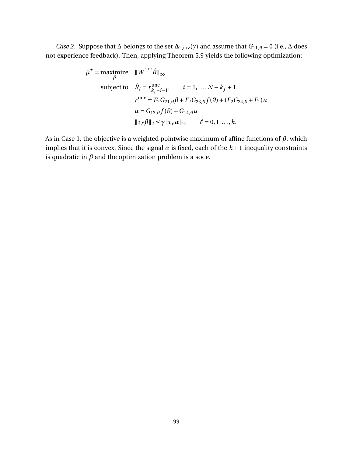*Case 2.* Suppose that  $\Delta$  belongs to the set  $\Delta_{2,\text{LTV}}(\gamma)$  and assume that  $G_{11,\vartheta} = 0$  (i.e.,  $\Delta$  does not experience feedback). Then, applying Theorem [5.9](#page-106-0) yields the following optimization:

$$
\hat{\mu}^* = \underset{\beta}{\text{maximize}} \quad ||W^{1/2}\hat{R}||_{\infty}
$$
  
\nsubject to 
$$
\hat{R}_i = r_{k_f+i-1}^{\text{unc}}, \qquad i = 1,..., N - k_f + 1,
$$
  
\n
$$
r^{\text{unc}} = F_2 G_{21,\theta} \beta + F_2 G_{23,\theta} f(\theta) + (F_2 G_{24,\theta} + F_1) u
$$
  
\n
$$
\alpha = G_{13,\theta} f(\theta) + G_{14,\theta} u
$$
  
\n
$$
||\tau_\ell \beta||_2 \le \gamma ||\tau_\ell \alpha||_2, \qquad \ell = 0, 1,..., k.
$$

As in Case 1, the objective is a weighted pointwise maximum of affine functions of *β*, which implies that it is convex. Since the signal  $\alpha$  is fixed, each of the  $k+1$  inequality constraints is quadratic in  $\beta$  and the optimization problem is a socp.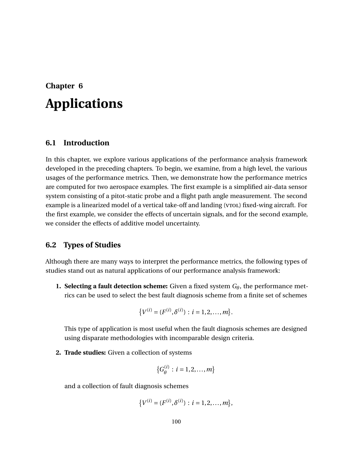# <span id="page-112-0"></span>**Chapter 6 Applications**

## **6.1 Introduction**

In this chapter, we explore various applications of the performance analysis framework developed in the preceding chapters. To begin, we examine, from a high level, the various usages of the performance metrics. Then, we demonstrate how the performance metrics are computed for two aerospace examples. The first example is a simplified air-data sensor system consisting of a pitot-static probe and a flight path angle measurement. The second example is a linearized model of a vertical take-off and landing (vrol) fixed-wing aircraft. For the first example, we consider the effects of uncertain signals, and for the second example, we consider the effects of additive model uncertainty.

## **6.2 Types of Studies**

Although there are many ways to interpret the performance metrics, the following types of studies stand out as natural applications of our performance analysis framework:

**1. Selecting a fault detection scheme:** Given a fixed system *Gθ*, the performance metrics can be used to select the best fault diagnosis scheme from a finite set of schemes

$$
\{V^{(i)} = (F^{(i)}, \delta^{(i)}): i = 1, 2, ..., m\}.
$$

This type of application is most useful when the fault diagnosis schemes are designed using disparate methodologies with incomparable design criteria.

**2. Trade studies:** Given a collection of systems

$$
\{G_{\theta}^{(i)}: i = 1, 2, ..., m\}
$$

and a collection of fault diagnosis schemes

$$
\{V^{(i)} = (F^{(i)}, \delta^{(i)}): i = 1, 2, \ldots, m\},\
$$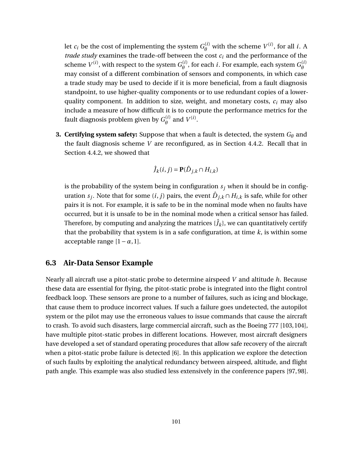let  $c_i$  be the cost of implementing the system  $G^{(i)}_\theta$  $\theta^{(i)}$  with the scheme  $V^{(i)}$ , for all *i*. A *trade study* examines the trade-off between the cost  $c_i$  and the performance of the scheme  $V^{(i)}$ , with respect to the system  $G^{(i)}_\theta$  $\theta^{(i)}$ , for each *i*. For example, each system  $G^{(i)}_{\theta}$ *θ* may consist of a different combination of sensors and components, in which case a trade study may be used to decide if it is more beneficial, from a fault diagnosis standpoint, to use higher-quality components or to use redundant copies of a lowerquality component. In addition to size, weight, and monetary costs, *c<sup>i</sup>* may also include a measure of how difficult it is to compute the performance metrics for the fault diagnosis problem given by  $G^{(i)}_\theta$  $\theta^{(i)}$  and  $V^{(i)}$ .

**3. Certifying system safety:** Suppose that when a fault is detected, the system *G<sup>θ</sup>* and the fault diagnosis scheme *V* are reconfigured, as in Section [4.4.2.](#page-74-0) Recall that in Section [4.4.2,](#page-74-0) we showed that

$$
\hat{J}_k(i,j) = \mathbf{P}(\hat{D}_{j,k} \cap H_{i,k})
$$

is the probability of the system being in configuration  $s_j$  when it should be in configuration  $s_j$ . Note that for some  $(i,j)$  pairs, the event  $\hat{D}_{j,k} \cap H_{i,k}$  is safe, while for other pairs it is not. For example, it is safe to be in the nominal mode when no faults have occurred, but it is unsafe to be in the nominal mode when a critical sensor has failed. Therefore, by computing and analyzing the matrices  $\{ \hat{J}_k \}$ , we can quantitatively certify that the probability that system is in a safe configuration, at time *k*, is within some acceptable range [1−*α*, 1].

## <span id="page-113-0"></span>**6.3 Air-Data Sensor Example**

Nearly all aircraft use a pitot-static probe to determine airspeed *V* and altitude *h*. Because these data are essential for flying, the pitot-static probe is integrated into the flight control feedback loop. These sensors are prone to a number of failures, such as icing and blockage, that cause them to produce incorrect values. If such a failure goes undetected, the autopilot system or the pilot may use the erroneous values to issue commands that cause the aircraft to crash. To avoid such disasters, large commercial aircraft, such as the Boeing 777 [\[103,](#page-138-0)[104\]](#page-138-1), have multiple pitot-static probes in different locations. However, most aircraft designers have developed a set of standard operating procedures that allow safe recovery of the aircraft when a pitot-static probe failure is detected [\[6\]](#page-131-0). In this application we explore the detection of such faults by exploiting the analytical redundancy between airspeed, altitude, and flight path angle. This example was also studied less extensively in the conference papers [\[97,](#page-138-2) [98\]](#page-138-3).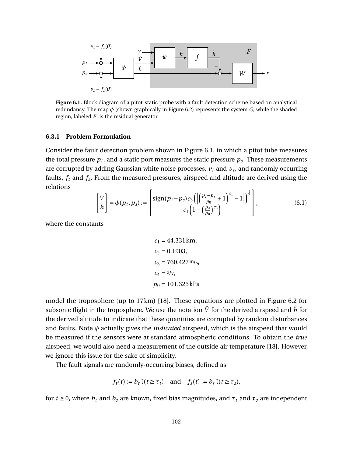<span id="page-114-0"></span>

**Figure 6.1.** Block diagram of a pitot-static probe with a fault detection scheme based on analytical redundancy. The map *φ* (shown graphically in Figure [6.2\)](#page-116-0) represents the system *G*, while the shaded region, labeled *F*, is the residual generator.

### **6.3.1 Problem Formulation**

Consider the fault detection problem shown in Figure [6.1,](#page-114-0) in which a pitot tube measures the total pressure  $p_t$ , and a static port measures the static pressure  $p_s$ . These measurements are corrupted by adding Gaussian white noise processes,  $v_t$  and  $v_s$ , and randomly occurring faults, *f<sup>t</sup>* and *f<sup>s</sup>* . From the measured pressures, airspeed and altitude are derived using the relations

$$
\begin{bmatrix} V \\ h \end{bmatrix} = \phi(p_t, p_s) := \begin{bmatrix} \text{sign}(p_t - p_s)c_3 \left( \left| \left( \frac{p_t - p_s}{p_0} + 1 \right)^{c_4} - 1 \right| \right)^{\frac{1}{2}} \\ c_1 \left( 1 - \left( \frac{p_s}{p_0} \right)^{c_2} \right) \end{bmatrix}, \tag{6.1}
$$

where the constants

$$
c_1 = 44.331 \text{ km},
$$
  
\n
$$
c_2 = 0.1903,
$$
  
\n
$$
c_3 = 760.427 \text{ m/s},
$$
  
\n
$$
c_4 = 2/7,
$$
  
\n
$$
p_0 = 101.325 \text{ kPa}
$$

model the troposphere (up to 17km) [\[18\]](#page-132-0). These equations are plotted in Figure [6.2](#page-116-0) for subsonic flight in the troposphere. We use the notation  $\hat{V}$  for the derived airspeed and  $\hat{h}$  for the derived altitude to indicate that these quantities are corrupted by random disturbances and faults. Note *φ* actually gives the *indicated* airspeed, which is the airspeed that would be measured if the sensors were at standard atmospheric conditions. To obtain the *true* airspeed, we would also need a measurement of the outside air temperature [\[18\]](#page-132-0). However, we ignore this issue for the sake of simplicity.

The fault signals are randomly-occurring biases, defined as

$$
f_t(t) := b_t \mathbb{I}(t \ge \tau_t)
$$
 and  $f_s(t) := b_s \mathbb{I}(t \ge \tau_s)$ ,

for  $t \geq 0$ , where  $b_t$  and  $b_s$  are known, fixed bias magnitudes, and  $\tau_t$  and  $\tau_s$  are independent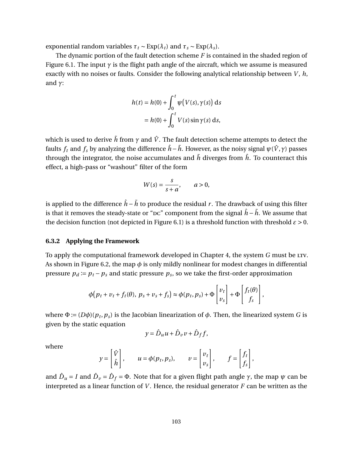exponential random variables  $\tau_t \sim \text{Exp}(\lambda_t)$  and  $\tau_s \sim \text{Exp}(\lambda_s)$ .

The dynamic portion of the fault detection scheme *F* is contained in the shaded region of Figure [6.1.](#page-114-0) The input  $\gamma$  is the flight path angle of the aircraft, which we assume is measured exactly with no noises or faults. Consider the following analytical relationship between *V*, *h*, and *γ*:

$$
h(t) = h(0) + \int_0^t \psi\big(V(s), \gamma(s)\big) ds
$$

$$
= h(0) + \int_0^t V(s) \sin \gamma(s) ds,
$$

which is used to derive  $\tilde{h}$  from  $\gamma$  and  $\hat{V}$ . The fault detection scheme attempts to detect the faults  $f_t$  and  $f_s$  by analyzing the difference  $\hat{h} - \tilde{h}$ . However, as the noisy signal  $\psi(\hat{V}, \gamma)$  passes through the integrator, the noise accumulates and  $\tilde{h}$  diverges from  $\hat{h}$ . To counteract this effect, a high-pass or "washout" filter of the form

$$
W(s) = \frac{s}{s+a}, \qquad a > 0,
$$

is applied to the difference  $\hat{h} - \tilde{h}$  to produce the residual *r*. The drawback of using this filter is that it removes the steady-state or " $\alpha$ " component from the signal  $\hat{h} - \tilde{h}$ . We assume that the decision function (not depicted in Figure [6.1\)](#page-114-0) is a threshold function with threshold  $\varepsilon > 0$ .

## **6.3.2 Applying the Framework**

To apply the computational framework developed in Chapter [4,](#page-56-0) the system *G* must be LTV. As shown in Figure [6.2,](#page-116-0) the map  $\phi$  is only mildly nonlinear for modest changes in differential pressure  $p_d \coloneqq p_t - p_s$  and static pressure  $p_s$ , so we take the first-order approximation

$$
\phi(p_t + v_t + f_t(\theta), p_s + v_s + f_s) \approx \phi(p_t, p_s) + \Phi \begin{bmatrix} v_t \\ v_s \end{bmatrix} + \Phi \begin{bmatrix} f_t(\theta) \\ f_s \end{bmatrix},
$$

where  $\Phi := (D\phi)(p_t, p_s)$  is the Jacobian linearization of  $\phi$ . Then, the linearized system *G* is given by the static equation

$$
y = \hat{D}_u u + \hat{D}_v v + \hat{D}_f f,
$$

where

$$
y = \begin{bmatrix} \hat{V} \\ \hat{h} \end{bmatrix}, \qquad u = \phi(p_t, p_s), \qquad v = \begin{bmatrix} v_t \\ v_s \end{bmatrix}, \qquad f = \begin{bmatrix} f_t \\ f_s \end{bmatrix},
$$

and  $\hat{D}_u$  = *I* and  $\hat{D}_v$  =  $\hat{D}_f$  =  $\Phi$ . Note that for a given flight path angle  $\gamma$ , the map  $\psi$  can be interpreted as a linear function of  $V$ . Hence, the residual generator  $F$  can be written as the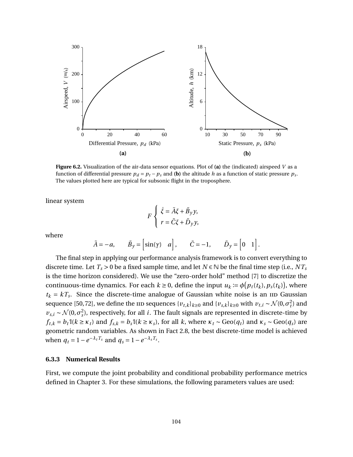<span id="page-116-0"></span>

**Figure 6.2.** Visualization of the air-data sensor equations. Plot of **(a)** the (indicated) airspeed *V* as a function of differential pressure  $p_d = p_t - p_s$  and **(b)** the altitude *h* as a function of static pressure  $p_s$ . The values plotted here are typical for subsonic flight in the troposphere.

linear system

$$
F\begin{cases} \dot{\xi} = \tilde{A}\xi + \tilde{B}_y y, \\ r = \tilde{C}\xi + \tilde{D}_y y, \end{cases}
$$

where

$$
\tilde{A} = -a
$$
,  $\tilde{B}_y = [\sin(\gamma) \quad a]$ ,  $\tilde{C} = -1$ ,  $\tilde{D}_y = \begin{bmatrix} 0 & 1 \end{bmatrix}$ .

The final step in applying our performance analysis framework is to convert everything to discrete time. Let  $T_s > 0$  be a fixed sample time, and let  $N \in \mathbb{N}$  be the final time step (i.e.,  $NT_s$ is the time horizon considered). We use the "zero-order hold" method [\[7\]](#page-131-1) to discretize the continuous-time dynamics. For each  $k \ge 0$ , define the input  $u_k := \phi(p_t(t_k), p_s(t_k))$ , where  $t_k = kT_s$ . Since the discrete-time analogue of Gaussian white noise is an IID Gaussian sequence [\[50,](#page-134-0)[72\]](#page-136-0), we define the  $\pi$ ID sequences  $\{v_{t,k}\}_{k\geq0}$  and  $\{v_{s,k}\}_{k\geq0}$  with  $v_{t,i} \sim \mathcal{N}(0,\sigma_t^2)$  and  $v_{s,i} \sim \mathcal{N}(0, \sigma_s^2)$ , respectively, for all *i*. The fault signals are represented in discrete-time by  $f_{t,k} = b_t \mathbb{I}(k \ge \kappa_t)$  and  $f_{s,k} = b_s \mathbb{I}(k \ge \kappa_s)$ , for all k, where  $\kappa_t \sim \text{Geo}(q_t)$  and  $\kappa_s \sim \text{Geo}(q_s)$  are geometric random variables. As shown in Fact [2.8,](#page-24-0) the best discrete-time model is achieved when  $q_t = 1 - e^{-\lambda_t T_s}$  and  $q_s = 1 - e^{-\lambda_s T_s}$ .

#### **6.3.3 Numerical Results**

First, we compute the joint probability and conditional probability performance metrics defined in Chapter [3.](#page-36-0) For these simulations, the following parameters values are used: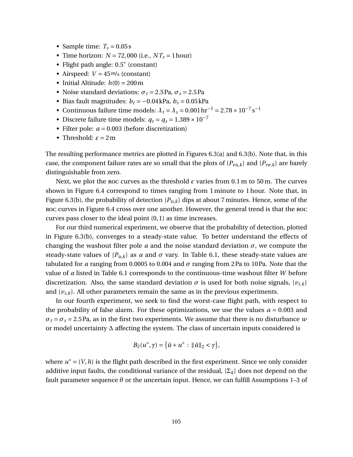- Sample time:  $T_s = 0.05$  s
- Time horizon:  $N = 72,000$  (i.e.,  $NT_s = 1$  hour)
- Flight path angle: 0.5◦ (constant)
- Airspeed:  $V = 45 \text{ m/s}$  (constant)
- Initial Altitude:  $h(0) = 200 \text{ m}$
- Noise standard deviations:  $\sigma_t = 2.5 \text{ Pa}, \sigma_s = 2.5 \text{ Pa}$
- Bias fault magnitudes:  $b_t = -0.04 \text{ kPa}, b_s = 0.05 \text{ kPa}$
- Continuous failure time models:  $\lambda_t = \lambda_s = 0.001 \,\text{hr}^{-1} = 2.78 \times 10^{-7} \,\text{s}^{-1}$
- Discrete failure time models:  $q_t = q_s = 1.389 \times 10^{-7}$
- Filter pole:  $a = 0.003$  (before discretization)
- Threshold:  $\varepsilon = 2m$

The resulting performance metrics are plotted in Figures [6.3\(](#page-118-0)a) and [6.3\(](#page-118-0)b). Note that, in this case, the component failure rates are so small that the plots of  $\{P_{FN,k}\}\$  and  $\{P_{TP,k}\}\$  are barely distinguishable from zero.

Next, we plot the roc curves as the threshold *ε* varies from 0.1 m to 50 m. The curves shown in Figure [6.4](#page-119-0) correspond to times ranging from 1 minute to 1 hour. Note that, in Figure [6.3\(](#page-118-0)b), the probability of detection  $\{P_{D,k}\}\$  dips at about 7 minutes. Hence, some of the roc curves in Figure [6.4](#page-119-0) cross over one another. However, the general trend is that the roc curves pass closer to the ideal point (0, 1) as time increases.

For our third numerical experiment, we observe that the probability of detection, plotted in Figure [6.3\(](#page-118-0)b), converges to a steady-state value. To better understand the effects of changing the washout filter pole  $a$  and the noise standard deviation  $\sigma$ , we compute the steady-state values of  ${P_{\text{D},k}}$  as *a* and  $\sigma$  vary. In Table [6.1,](#page-118-1) these steady-state values are tabulated for *a* ranging from 0.0005 to 0.004 and *σ* ranging from 2Pa to 10Pa. Note that the value of *a* listed in Table [6.1](#page-118-1) corresponds to the continuous-time washout filter *W* before discretization. Also, the same standard deviation  $\sigma$  is used for both noise signals,  $\{v_{t,k}\}\$ and  $\{v_{s,k}\}\$ . All other parameters remain the same as in the previous experiments.

In our fourth experiment, we seek to find the worst-case flight path, with respect to the probability of false alarm. For these optimizations, we use the values  $a = 0.003$  and  $\sigma_t = \sigma_s = 2.5$  Pa, as in the first two experiments. We assume that there is no disturbance *w* or model uncertainty ∆ affecting the system. The class of uncertain inputs considered is

$$
B_2(u^{\circ}, \gamma) = \{\tilde{u} + u^{\circ} : \|\tilde{u}\|_2 < \gamma\},\
$$

where  $u^{\circ} = (V, h)$  is the flight path described in the first experiment. Since we only consider additive input faults, the conditional variance of the residual, {Σ*k*} does not depend on the fault parameter sequence *θ* or the uncertain input. Hence, we can fulfill Assumptions 1–3 of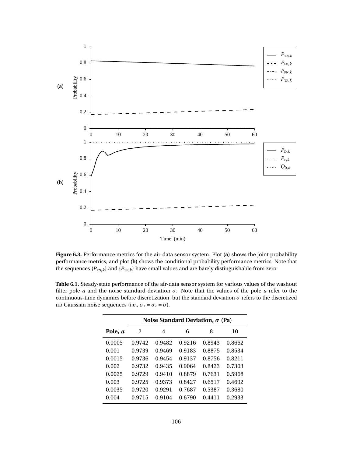<span id="page-118-0"></span>

**Figure 6.3.** Performance metrics for the air-data sensor system. Plot **(a)** shows the joint probability performance metrics, and plot **(b)** shows the conditional probability performance metrics. Note that the sequences  ${P_{\text{FN},k}}$  and  ${P_{\text{TP},k}}$  have small values and are barely distinguishable from zero.

<span id="page-118-1"></span>**Table 6.1.** Steady-state performance of the air-data sensor system for various values of the washout filter pole *a* and the noise standard deviation  $\sigma$ . Note that the values of the pole *a* refer to the continuous-time dynamics before discretization, but the standard deviation *σ* refers to the discretized  $\text{IID}$  Gaussian noise sequences (i.e.,  $\sigma_s = \sigma_t = \sigma$ ).

|         | Noise Standard Deviation, $\sigma$ (Pa) |        |        |        |        |  |  |  |
|---------|-----------------------------------------|--------|--------|--------|--------|--|--|--|
| Pole, a | 2                                       | 4      | 6      | 8      | 10     |  |  |  |
| 0.0005  | 0.9742                                  | 0.9482 | 0.9216 | 0.8943 | 0.8662 |  |  |  |
| 0.001   | 0.9739                                  | 0.9469 | 0.9183 | 0.8875 | 0.8534 |  |  |  |
| 0.0015  | 0.9736                                  | 0.9454 | 0.9137 | 0.8756 | 0.8211 |  |  |  |
| 0.002   | 0.9732                                  | 0.9435 | 0.9064 | 0.8423 | 0.7303 |  |  |  |
| 0.0025  | 0.9729                                  | 0.9410 | 0.8879 | 0.7631 | 0.5968 |  |  |  |
| 0.003   | 0.9725                                  | 0.9373 | 0.8427 | 0.6517 | 0.4692 |  |  |  |
| 0.0035  | 0.9720                                  | 0.9291 | 0.7687 | 0.5387 | 0.3680 |  |  |  |
| 0.004   | 0.9715                                  | 0.9104 | 0.6790 | 0.4411 | 0.2933 |  |  |  |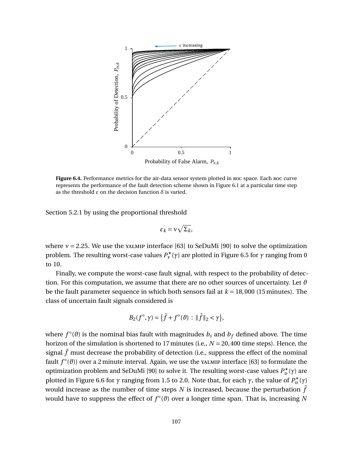<span id="page-119-0"></span>

Figure 6.4. Performance metrics for the air-data sensor system plotted in Roc space. Each Roc curve represents the performance of the fault detection scheme shown in Figure [6.1](#page-114-0) at a particular time step as the threshold  $\varepsilon$  on the decision function  $\delta$  is varied.

Section [5.2.1](#page-94-1) by using the proportional threshold

$$
\varepsilon_k = v \sqrt{\Sigma_k},
$$

where  $v = 2.25$ . We use the yalmip interface [\[63\]](#page-135-0) to SeDuMi [\[90\]](#page-137-0) to solve the optimization problem. The resulting worst-case values  $P^{\star}_{\text{F}}(\gamma)$  are plotted in Figure [6.5](#page-120-0) for *γ* ranging from 0 to 10.

Finally, we compute the worst-case fault signal, with respect to the probability of detection. For this computation, we assume that there are no other sources of uncertainty. Let *ϑ* be the fault parameter sequence in which both sensors fail at *k* = 18,000 (15 minutes). The class of uncertain fault signals considered is

$$
B_2(f^{\circ}, \gamma) = \{ \tilde{f} + f^{\circ}(\vartheta) : ||\tilde{f}||_2 < \gamma \},
$$

where  $f^{\circ}(\vartheta)$  is the nominal bias fault with magnitudes  $b_{s}$  and  $b_{f}$  defined above. The time horizon of the simulation is shortened to 17 minutes (i.e., *N* = 20,400 time steps). Hence, the signal  $\tilde{f}$  must decrease the probability of detection (i.e., suppress the effect of the nominal fault *f* °(θ)) over a 2 minute interval. Again, we use the YALMIP interface [\[63\]](#page-135-0) to formulate the optimization problem and SeDuMi [\[90\]](#page-137-0) to solve it. The resulting worst-case values  $P_{p}^{\star}(\gamma)$  are plotted in Figure [6.6](#page-120-1) for  $\gamma$  ranging from 1.5 to 2.0. Note that, for each  $\gamma$ , the value of  $P_{\rm p}^{\star}(\gamma)$ would increase as the number of time steps *N* is increased, because the perturbation  $\tilde{f}$ would have to suppress the effect of  $f^{\circ}(\vartheta)$  over a longer time span. That is, increasing N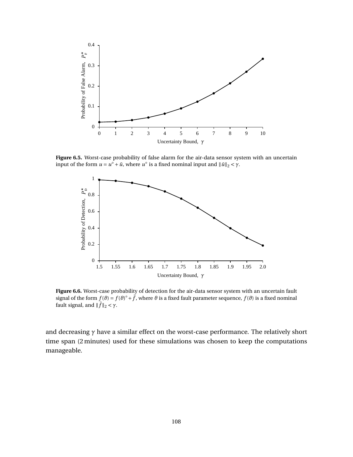<span id="page-120-0"></span>

<span id="page-120-1"></span>**Figure 6.5.** Worst-case probability of false alarm for the air-data sensor system with an uncertain input of the form  $u = u^{\circ} + \tilde{u}$ , where  $u^{\circ}$  is a fixed nominal input and  $\|\tilde{u}\|_{2} < \gamma$ .



**Figure 6.6.** Worst-case probability of detection for the air-data sensor system with an uncertain fault signal of the form  $f(\theta) = f(\theta)^{\circ} + \tilde{f}$ , where  $\theta$  is a fixed fault parameter sequence,  $f(\theta)$  is a fixed nominal fault signal, and  $\|\tilde{f}\|_2 < \gamma$ .

and decreasing *γ* have a similar effect on the worst-case performance. The relatively short time span (2 minutes) used for these simulations was chosen to keep the computations manageable.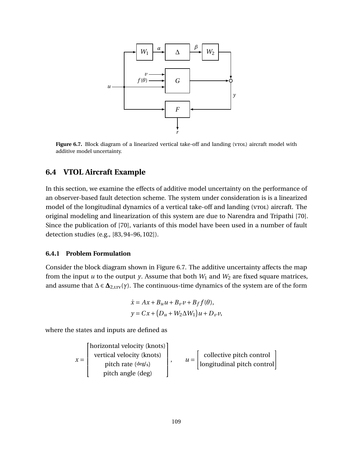<span id="page-121-0"></span>

Figure 6.7. Block diagram of a linearized vertical take-off and landing (vrol.) aircraft model with additive model uncertainty.

## **6.4 VTOL Aircraft Example**

In this section, we examine the effects of additive model uncertainty on the performance of an observer-based fault detection scheme. The system under consideration is is a linearized model of the longitudinal dynamics of a vertical take-off and landing (vroL) aircraft. The original modeling and linearization of this system are due to Narendra and Tripathi [\[70\]](#page-136-1). Since the publication of [\[70\]](#page-136-1), variants of this model have been used in a number of fault detection studies (e.g., [\[83,](#page-137-1) [94–](#page-137-2)[96,](#page-138-4) [102\]](#page-138-5)).

## **6.4.1 Problem Formulation**

Consider the block diagram shown in Figure [6.7.](#page-121-0) The additive uncertainty affects the map from the input  $u$  to the output  $y$ . Assume that both  $W_1$  and  $W_2$  are fixed square matrices, and assume that  $\Delta \in \Delta_{2,\text{LTV}}(\gamma)$ . The continuous-time dynamics of the system are of the form

$$
\dot{x} = Ax + B_u u + B_v v + B_f f(\theta),
$$
  

$$
y = Cx + (D_u + W_2 \Delta W_1)u + D_v v,
$$

where the states and inputs are defined as

$$
x = \begin{bmatrix} \text{horizontal velocity (knots)} \\ \text{vertical velocity (knots)} \\ \text{pitch rate (deg/s)} \\ \text{pitch angle (deg)} \end{bmatrix}, \quad u = \begin{bmatrix} \text{collective pitch control} \\ \text{longitudinal pitch control} \\ \text{longitudinal pitch control} \end{bmatrix}
$$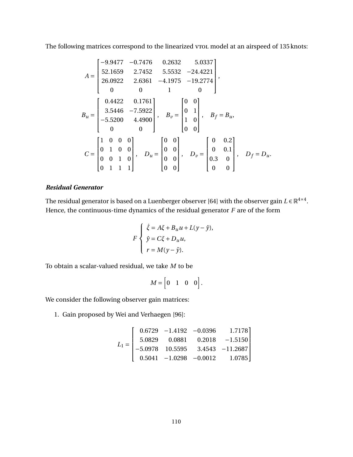The following matrices correspond to the linearized vroL model at an airspeed of 135 knots:

$$
A = \begin{bmatrix} -9.9477 & -0.7476 & 0.2632 & 5.0337 \\ 52.1659 & 2.7452 & 5.5532 & -24.4221 \\ 26.0922 & 2.6361 & -4.1975 & -19.2774 \\ 0 & 0 & 1 & 0 \end{bmatrix},
$$
  
\n
$$
B_u = \begin{bmatrix} 0.4422 & 0.1761 \\ 3.5446 & -7.5922 \\ -5.5200 & 4.4900 \\ 0 & 0 \end{bmatrix}, B_v = \begin{bmatrix} 0 & 0 \\ 0 & 1 \\ 1 & 0 \\ 0 & 0 \end{bmatrix}, B_f = B_u,
$$
  
\n
$$
C = \begin{bmatrix} 1 & 0 & 0 & 0 \\ 0 & 1 & 0 & 0 \\ 0 & 0 & 1 & 0 \\ 0 & 0 & 1 & 1 \end{bmatrix}, D_u = \begin{bmatrix} 0 & 0 \\ 0 & 0 \\ 0 & 0 \end{bmatrix}, D_v = \begin{bmatrix} 0 & 0.2 \\ 0 & 0.1 \\ 0.3 & 0 \\ 0 & 0 \end{bmatrix}, D_f = D_u.
$$

## *Residual Generator*

The residual generator is based on a Luenberger observer [\[64\]](#page-135-1) with the observer gain  $L \in \mathbb{R}^{4 \times 4}.$ Hence, the continuous-time dynamics of the residual generator *F* are of the form

$$
F\begin{cases} \dot{\xi} = A\xi + B_u u + L(y - \hat{y}), \\ \hat{y} = C\xi + D_u u, \\ r = M(y - \hat{y}). \end{cases}
$$

To obtain a scalar-valued residual, we take *M* to be

$$
M = \begin{bmatrix} 0 & 1 & 0 & 0 \end{bmatrix}.
$$

We consider the following observer gain matrices:

1. Gain proposed by Wei and Verhaegen [\[96\]](#page-138-4):

$$
L_1 = \begin{bmatrix} 0.6729 & -1.4192 & -0.0396 & 1.7178 \\ 5.0829 & 0.0881 & 0.2018 & -1.5150 \\ -5.0978 & 10.5595 & 3.4543 & -11.2687 \\ 0.5041 & -1.0298 & -0.0012 & 1.0785 \end{bmatrix}
$$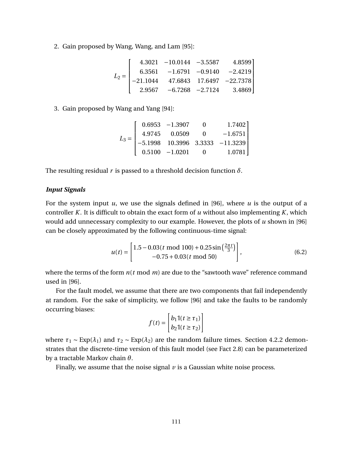2. Gain proposed by Wang, Wang, and Lam [\[95\]](#page-138-6):

$$
L_2 = \begin{bmatrix} 4.3021 & -10.0144 & -3.5587 & 4.8599 \\ 6.3561 & -1.6791 & -0.9140 & -2.4219 \\ -21.1044 & 47.6843 & 17.6497 & -22.7378 \\ 2.9567 & -6.7268 & -2.7124 & 3.4869 \end{bmatrix}
$$

3. Gain proposed by Wang and Yang [\[94\]](#page-137-2):

$$
L_3 = \begin{bmatrix} 0.6953 & -1.3907 & 0 & 1.7402 \\ 4.9745 & 0.0509 & 0 & -1.6751 \\ -5.1998 & 10.3996 & 3.3333 & -11.3239 \\ 0.5100 & -1.0201 & 0 & 1.0781 \end{bmatrix}
$$

The resulting residual *r* is passed to a threshold decision function  $\delta$ .

## *Input Signals*

For the system input *u*, we use the signals defined in [\[96\]](#page-138-4), where *u* is the output of a controller *K*. It is difficult to obtain the exact form of *u* without also implementing *K*, which would add unnecessary complexity to our example. However, the plots of *u* shown in [\[96\]](#page-138-4) can be closely approximated by the following continuous-time signal:

<span id="page-123-0"></span>
$$
u(t) = \begin{bmatrix} 1.5 - 0.03(t \text{ mod } 100) + 0.25 \sin\left(\frac{2\pi t}{3}\right) \\ -0.75 + 0.03(t \text{ mod } 50) \end{bmatrix},
$$
(6.2)

where the terms of the form *n*(*t* mod *m*) are due to the "sawtooth wave" reference command used in [\[96\]](#page-138-4).

For the fault model, we assume that there are two components that fail independently at random. For the sake of simplicity, we follow [\[96\]](#page-138-4) and take the faults to be randomly occurring biases:

$$
f(t) = \begin{bmatrix} b_1 \mathbb{1}(t \ge \tau_1) \\ b_2 \mathbb{1}(t \ge \tau_2) \end{bmatrix}
$$

where  $\tau_1 \sim \text{Exp}(\lambda_1)$  and  $\tau_2 \sim \text{Exp}(\lambda_2)$  are the random failure times. Section [4.2.2](#page-67-0) demonstrates that the discrete-time version of this fault model (see Fact [2.8\)](#page-24-0) can be parameterized by a tractable Markov chain *θ*.

Finally, we assume that the noise signal *v* is a Gaussian white noise process.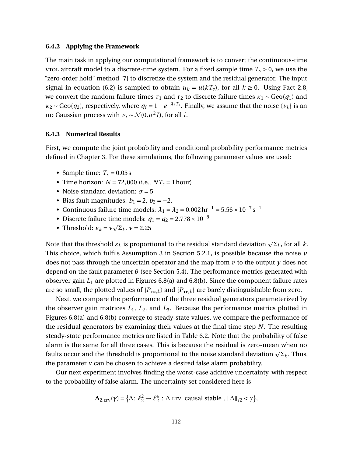### **6.4.2 Applying the Framework**

The main task in applying our computational framework is to convert the continuous-time vrol aircraft model to a discrete-time system. For a fixed sample time  $T_s > 0$ , we use the "zero-order hold" method [\[7\]](#page-131-1) to discretize the system and the residual generator. The input signal in equation [\(6.2\)](#page-123-0) is sampled to obtain  $u_k = u(kT_s)$ , for all  $k \ge 0$ . Using Fact [2.8,](#page-24-0) we convert the random failure times  $\tau_1$  and  $\tau_2$  to discrete failure times  $\kappa_1 \sim \text{Geo}(q_1)$  and  $\kappa_2$  ∼ Geo( $q_2$ ), respectively, where  $q_i = 1 - e^{-\lambda_i T_s}$ . Finally, we assume that the noise { $v_k$ } is an  $\text{IID}$  Gaussian process with  $v_i \sim \mathcal{N}(0, \sigma^2 I)$ , for all *i*.

#### **6.4.3 Numerical Results**

First, we compute the joint probability and conditional probability performance metrics defined in Chapter [3.](#page-36-0) For these simulations, the following parameter values are used:

- Sample time:  $T_s = 0.05$  s
- Time horizon:  $N = 72,000$  (i.e.,  $NT_s = 1$  hour)
- Noise standard deviation:  $\sigma = 5$
- Bias fault magnitudes:  $b_1 = 2$ ,  $b_2 = -2$ .
- Continuous failure time models:  $\lambda_1 = \lambda_2 = 0.002 \,\text{hr}^{-1} = 5.56 \times 10^{-7} \,\text{s}^{-1}$
- Discrete failure time models:  $q_1 = q_2 = 2.778 \times 10^{-8}$
- Threshold:  $\varepsilon_k = v\sqrt{\Sigma_k}$ ,  $v = 2.25$

Note that the threshold  $\varepsilon_k$  is proportional to the residual standard deviation  $\sqrt{\Sigma_k}$ , for all  $k.$ This choice, which fulfils Assumption 3 in Section [5.2.1,](#page-94-1) is possible because the noise *v* does not pass through the uncertain operator and the map from *v* to the output *y* does not depend on the fault parameter *θ* (see Section [5.4\)](#page-101-0). The performance metrics generated with observer gain *L*<sup>1</sup> are plotted in Figures [6.8\(](#page-125-0)a) and [6.8\(](#page-125-0)b). Since the component failure rates are so small, the plotted values of  $\{P_{FN,k}\}$  and  $\{P_{TP,k}\}$  are barely distinguishable from zero.

Next, we compare the performance of the three residual generators parameterized by the observer gain matrices  $L_1$ ,  $L_2$ , and  $L_3$ . Because the performance metrics plotted in Figures [6.8\(](#page-125-0)a) and [6.8\(](#page-125-0)b) converge to steady-state values, we compare the performance of the residual generators by examining their values at the final time step *N*. The resulting steady-state performance metrics are listed in Table [6.2.](#page-125-1) Note that the probability of false alarm is the same for all three cases. This is because the residual is zero-mean when no  $f$ al the same for an time cases. This is because the residual is zero-filearl when no<br>faults occur and the threshold is proportional to the noise standard deviation  $\sqrt{\Sigma_k}$ . Thus, the parameter *ν* can be chosen to achieve a desired false alarm probability.

Our next experiment involves finding the worst-case additive uncertainty, with respect to the probability of false alarm. The uncertainty set considered here is

> $\Delta_{2,\text{LTV}}(\gamma) = \left\{ \Delta: \ell_2^2 \to \ell_2^4 \right\}$  $\frac{4}{2}$  :  $\Delta$  LTV, causal stable ,  $\|\Delta\|_{i2} < \gamma$ },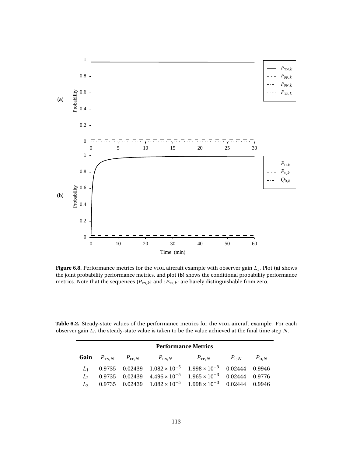<span id="page-125-0"></span>

**Figure 6.8.** Performance metrics for the vrol aircraft example with observer gain  $L_1$ . Plot (a) shows the joint probability performance metrics, and plot **(b)** shows the conditional probability performance metrics. Note that the sequences  ${P_{FN,k}}$  and  ${P_{TP,k}}$  are barely distinguishable from zero.

<span id="page-125-1"></span>Table 6.2. Steady-state values of the performance metrics for the vroL aircraft example. For each observer gain *L<sup>i</sup>* , the steady-state value is taken to be the value achieved at the final time step *N*.

| <b>Performance Metrics</b> |  |                                                                                       |  |  |  |  |  |
|----------------------------|--|---------------------------------------------------------------------------------------|--|--|--|--|--|
|                            |  | <b>Gain</b> $P_{TN,N}$ $P_{FP,N}$ $P_{FN,N}$ $P_{TP,N}$ $P_{FN,N}$ $P_{DN}$           |  |  |  |  |  |
|                            |  | $L_1$ 0.9735 0.02439 1.082 × 10 <sup>-5</sup> 1.998 × 10 <sup>-3</sup> 0.02444 0.9946 |  |  |  |  |  |
|                            |  | $L_2$ 0.9735 0.02439 4.496 × 10 <sup>-5</sup> 1.965 × 10 <sup>-3</sup> 0.02444 0.9776 |  |  |  |  |  |
|                            |  | $L_3$ 0.9735 0.02439 1.082 × 10 <sup>-5</sup> 1.998 × 10 <sup>-3</sup> 0.02444 0.9946 |  |  |  |  |  |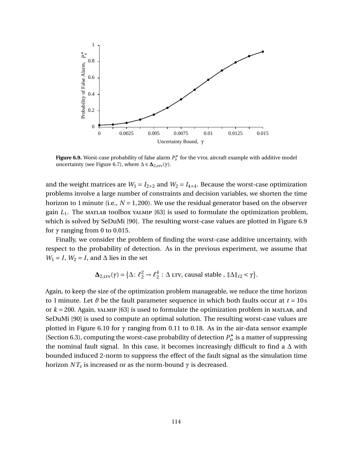<span id="page-126-0"></span>

**Figure 6.9.** Worst-case probability of false alarm  $P_{\rm F}^{\star}$  for the vrol aircraft example with additive model uncertainty (see Figure [6.7\)](#page-121-0), where  $\Delta \in \Delta_{2,\text{LTV}}(\gamma)$ .

and the weight matrices are  $W_1 = I_{2 \times 2}$  and  $W_2 = I_{4 \times 4}$ . Because the worst-case optimization problems involve a large number of constraints and decision variables, we shorten the time horizon to 1 minute (i.e., *N* = 1,200). We use the residual generator based on the observer gain  $L_1$ . The MATLAB toolbox yALMIP [\[63\]](#page-135-0) is used to formulate the optimization problem, which is solved by SeDuMi [\[90\]](#page-137-0). The resulting worst-case values are plotted in Figure [6.9](#page-126-0) for  $\gamma$  ranging from 0 to 0.015.

Finally, we consider the problem of finding the worst-case additive uncertainty, with respect to the probability of detection. As in the previous experiment, we assume that  $W_1 = I$ ,  $W_2 = I$ , and  $\Delta$  lies in the set

$$
\Delta_{2,\text{LTV}}(\gamma) = \left\{ \Delta \colon \ell_2^2 \to \ell_2^4 : \Delta \text{ LTV, causal stable }, ||\Delta||_{i2} < \gamma \right\}.
$$

Again, to keep the size of the optimization problem manageable, we reduce the time horizon to 1 minute. Let  $\theta$  be the fault parameter sequence in which both faults occur at  $t = 10$  s or  $k = 200$ . Again, yalmip [\[63\]](#page-135-0) is used to formulate the optimization problem in MATLAB, and SeDuMi [\[90\]](#page-137-0) is used to compute an optimal solution. The resulting worst-case values are plotted in Figure [6.10](#page-127-0) for *γ* ranging from 0.11 to 0.18. As in the air-data sensor example (Section [6.3\)](#page-113-0), computing the worst-case probability of detection  $P_p^{\star}$  is a matter of suppressing the nominal fault signal. In this case, it becomes increasingly difficult to find a  $\Delta$  with bounded induced 2-norm to suppress the effect of the fault signal as the simulation time horizon *NT<sup>s</sup>* is increased or as the norm-bound *γ* is decreased.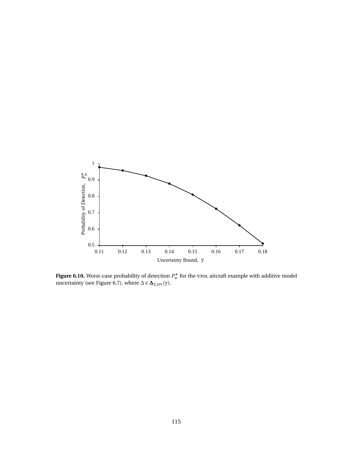<span id="page-127-0"></span>

**Figure 6.10.** Worst-case probability of detection  $P_{\text{D}}^{\star}$  for the vrol aircraft example with additive model uncertainty (see Figure [6.7\)](#page-121-0), where  $\Delta \in \mathbf{\Delta}_{2,\text{LTV}}(\gamma)$ .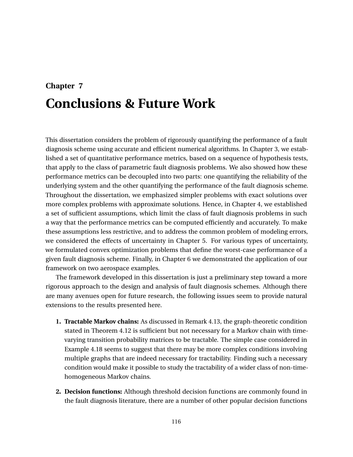## **Chapter 7 Conclusions & Future Work**

This dissertation considers the problem of rigorously quantifying the performance of a fault diagnosis scheme using accurate and efficient numerical algorithms. In Chapter [3,](#page-36-0) we established a set of quantitative performance metrics, based on a sequence of hypothesis tests, that apply to the class of parametric fault diagnosis problems. We also showed how these performance metrics can be decoupled into two parts: one quantifying the reliability of the underlying system and the other quantifying the performance of the fault diagnosis scheme. Throughout the dissertation, we emphasized simpler problems with exact solutions over more complex problems with approximate solutions. Hence, in Chapter [4,](#page-56-0) we established a set of sufficient assumptions, which limit the class of fault diagnosis problems in such a way that the performance metrics can be computed efficiently and accurately. To make these assumptions less restrictive, and to address the common problem of modeling errors, we considered the effects of uncertainty in Chapter [5.](#page-89-0) For various types of uncertainty, we formulated convex optimization problems that define the worst-case performance of a given fault diagnosis scheme. Finally, in Chapter [6](#page-112-0) we demonstrated the application of our framework on two aerospace examples.

The framework developed in this dissertation is just a preliminary step toward a more rigorous approach to the design and analysis of fault diagnosis schemes. Although there are many avenues open for future research, the following issues seem to provide natural extensions to the results presented here.

- **1. Tractable Markov chains:** As discussed in Remark [4.13,](#page-61-0) the graph-theoretic condition stated in Theorem [4.12](#page-61-1) is sufficient but not necessary for a Markov chain with timevarying transition probability matrices to be tractable. The simple case considered in Example [4.18](#page-62-0) seems to suggest that there may be more complex conditions involving multiple graphs that are indeed necessary for tractability. Finding such a necessary condition would make it possible to study the tractability of a wider class of non-timehomogeneous Markov chains.
- **2. Decision functions:** Although threshold decision functions are commonly found in the fault diagnosis literature, there are a number of other popular decision functions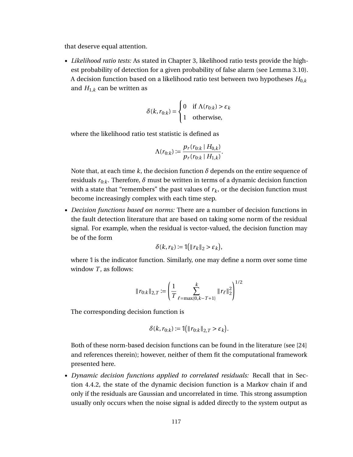that deserve equal attention.

• *Likelihood ratio tests:* As stated in Chapter [3,](#page-36-0) likelihood ratio tests provide the highest probability of detection for a given probability of false alarm (see Lemma [3.10\)](#page-46-0). A decision function based on a likelihood ratio test between two hypotheses  $H_{0,k}$ and  $H_{1,k}$  can be written as

$$
\delta(k, r_{0:k}) = \begin{cases} 0 & \text{if } \Lambda(r_{0:k}) > \varepsilon_k \\ 1 & \text{otherwise,} \end{cases}
$$

where the likelihood ratio test statistic is defined as

$$
\Lambda(r_{0:k}) := \frac{p_r(r_{0:k} \mid H_{0,k})}{p_r(r_{0:k} \mid H_{1,k})}.
$$

Note that, at each time  $k$ , the decision function  $\delta$  depends on the entire sequence of residuals  $r_{0:k}$ . Therefore,  $\delta$  must be written in terms of a dynamic decision function with a state that "remembers" the past values of  $r_k$ , or the decision function must become increasingly complex with each time step.

• *Decision functions based on norms:* There are a number of decision functions in the fault detection literature that are based on taking some norm of the residual signal. For example, when the residual is vector-valued, the decision function may be of the form

$$
\delta(k, r_k) := \mathbb{1}(|r_k|_2 > \varepsilon_k),
$$

where 1 is the indicator function. Similarly, one may define a norm over some time window *T*, as follows:

$$
\|r_{0:k}\|_{2,T} := \left(\frac{1}{T}\sum_{\ell=\max\{0,k-T+1\}}^k \|r_\ell\|_2^2\right)^{1/2}
$$

The corresponding decision function is

$$
\delta(k, r_{0:k}) := \mathbb{I}(\|r_{0:k}\|_{2,T} > \varepsilon_k).
$$

Both of these norm-based decision functions can be found in the literature (see [\[24\]](#page-132-1) and references therein); however, neither of them fit the computational framework presented here.

• *Dynamic decision functions applied to correlated residuals:* Recall that in Section [4.4.2,](#page-74-0) the state of the dynamic decision function is a Markov chain if and only if the residuals are Gaussian and uncorrelated in time. This strong assumption usually only occurs when the noise signal is added directly to the system output as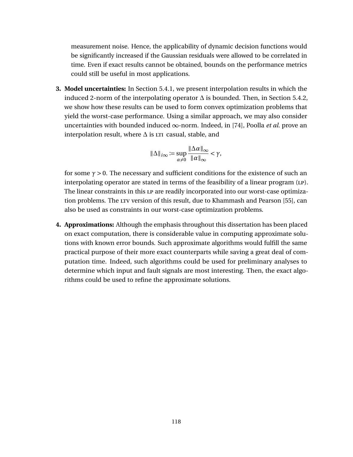measurement noise. Hence, the applicability of dynamic decision functions would be significantly increased if the Gaussian residuals were allowed to be correlated in time. Even if exact results cannot be obtained, bounds on the performance metrics could still be useful in most applications.

**3. Model uncertainties:** In Section [5.4.1,](#page-103-0) we present interpolation results in which the induced 2-norm of the interpolating operator  $\Delta$  is bounded. Then, in Section [5.4.2,](#page-107-0) we show how these results can be used to form convex optimization problems that yield the worst-case performance. Using a similar approach, we may also consider uncertainties with bounded induced ∞-norm. Indeed, in [\[74\]](#page-136-2), Poolla *et al*. prove an interpolation result, where  $\Delta$  is  $LST$  casual, stable, and

$$
\|\Delta\|_{i\infty} := \sup_{\alpha \neq 0} \frac{\|\Delta \alpha\|_{\infty}}{\|\alpha\|_{\infty}} < \gamma,
$$

for some  $\gamma > 0$ . The necessary and sufficient conditions for the existence of such an interpolating operator are stated in terms of the feasibility of a linear program (LP). The linear constraints in this LP are readily incorporated into our worst-case optimiza-tion problems. The LTV version of this result, due to Khammash and Pearson [\[55\]](#page-135-2), can also be used as constraints in our worst-case optimization problems.

**4. Approximations:** Although the emphasis throughout this dissertation has been placed on exact computation, there is considerable value in computing approximate solutions with known error bounds. Such approximate algorithms would fulfill the same practical purpose of their more exact counterparts while saving a great deal of computation time. Indeed, such algorithms could be used for preliminary analyses to determine which input and fault signals are most interesting. Then, the exact algorithms could be used to refine the approximate solutions.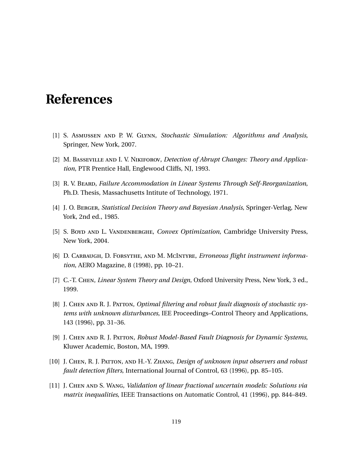## **References**

- [1] S. Asmussen and P. W. Glynn, *Stochastic Simulation: Algorithms and Analysis*, Springer, New York, 2007.
- [2] M. Basseville and I. V. Nikiforov, *Detection of Abrupt Changes: Theory and Application*, PTR Prentice Hall, Englewood Cliffs, NJ, 1993.
- [3] R. V. Beard, *Failure Accommodation in Linear Systems Through Self-Reorganization*, Ph.D. Thesis, Massachusetts Intitute of Technology, 1971.
- [4] J. O. Berger, *Statistical Decision Theory and Bayesian Analysis*, Springer-Verlag, New York, 2nd ed., 1985.
- [5] S. Boyd and L. Vandenberghe, *Convex Optimization*, Cambridge University Press, New York, 2004.
- <span id="page-131-0"></span>[6] D. Carbaugh, D. Forsythe, and M. McIntyre, *Erroneous flight instrument information*, AERO Magazine, 8 (1998), pp. 10–21.
- <span id="page-131-1"></span>[7] C.-T. Chen, *Linear System Theory and Design*, Oxford University Press, New York, 3 ed., 1999.
- [8] J. CHEN AND R. J. PATTON, *Optimal filtering and robust fault diagnosis of stochastic systems with unknown disturbances*, IEE Proceedings–Control Theory and Applications, 143 (1996), pp. 31–36.
- [9] J. Chen and R. J. Patton, *Robust Model-Based Fault Diagnosis for Dynamic Systems*, Kluwer Academic, Boston, MA, 1999.
- [10] J. Chen, R. J. Patton, and H.-Y. Zhang, *Design of unknown input observers and robust fault detection filters*, International Journal of Control, 63 (1996), pp. 85–105.
- [11] J. Chen and S. Wang, *Validation of linear fractional uncertain models: Solutions via matrix inequalities*, IEEE Transactions on Automatic Control, 41 (1996), pp. 844–849.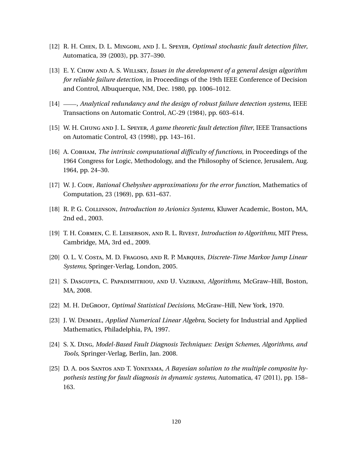- [12] R. H. Chen, D. L. Mingori, and J. L. Speyer, *Optimal stochastic fault detection filter*, Automatica, 39 (2003), pp. 377–390.
- [13] E. Y. Chow and A. S. Willsky, *Issues in the development of a general design algorithm for reliable failure detection*, in Proceedings of the 19th IEEE Conference of Decision and Control, Albuquerque, NM, Dec. 1980, pp. 1006–1012.
- [14] , *Analytical redundancy and the design of robust failure detection systems*, IEEE Transactions on Automatic Control, AC-29 (1984), pp. 603–614.
- [15] W. H. Chung and J. L. Speyer, *A game theoretic fault detection filter*, IEEE Transactions on Automatic Control, 43 (1998), pp. 143–161.
- [16] A. Cobham, *The intrinsic computational difficulty of functions*, in Proceedings of the 1964 Congress for Logic, Methodology, and the Philosophy of Science, Jerusalem, Aug. 1964, pp. 24–30.
- [17] W. J. Copy, *Rational Chebyshev approximations for the error function*, Mathematics of Computation, 23 (1969), pp. 631–637.
- <span id="page-132-0"></span>[18] R. P. G. Collinson, *Introduction to Avionics Systems*, Kluwer Academic, Boston, MA, 2nd ed., 2003.
- [19] T. H. Cormen, C. E. Leiserson, and R. L. Rivest, *Introduction to Algorithms*, MIT Press, Cambridge, MA, 3rd ed., 2009.
- [20] O. L. V. Costa, M. D. Fragoso, and R. P. Marques, *Discrete-Time Markov Jump Linear Systems*, Springer-Verlag, London, 2005.
- [21] S. Dasgupta, C. Papadimitriou, and U. Vazirani, *Algorithms*, McGraw–Hill, Boston, MA, 2008.
- [22] M. H. DeGroot, *Optimal Statistical Decisions*, McGraw–Hill, New York, 1970.
- [23] J. W. Demmel, *Applied Numerical Linear Algebra*, Society for Industrial and Applied Mathematics, Philadelphia, PA, 1997.
- <span id="page-132-1"></span>[24] S. X. Ding, *Model-Based Fault Diagnosis Techniques: Design Schemes, Algorithms, and Tools*, Springer-Verlag, Berlin, Jan. 2008.
- [25] D. A. dos Santos and T. Yoneyama, *A Bayesian solution to the multiple composite hypothesis testing for fault diagnosis in dynamic systems*, Automatica, 47 (2011), pp. 158– 163.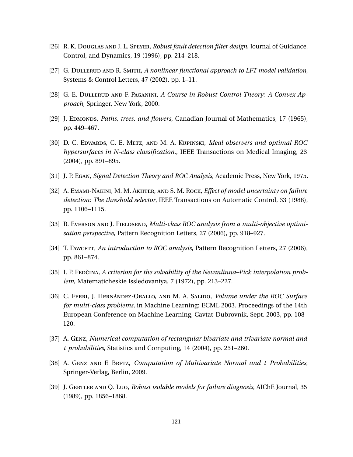- [26] R. K. Douglas and J. L. Speyer, *Robust fault detection filter design*, Journal of Guidance, Control, and Dynamics, 19 (1996), pp. 214–218.
- [27] G. DULLERUD AND R. SMITH, *A nonlinear functional approach to LFT model validation*, Systems & Control Letters, 47 (2002), pp. 1–11.
- [28] G. E. Dullerud and F. Paganini, *A Course in Robust Control Theory: A Convex Approach*, Springer, New York, 2000.
- [29] J. Edmonder, *Paths, trees, and flowers*, Canadian Journal of Mathematics, 17 (1965), pp. 449–467.
- [30] D. C. Edwards, C. E. Metz, and M. A. Kupinski, *Ideal observers and optimal ROC hypersurfaces in N-class classification.*, IEEE Transactions on Medical Imaging, 23 (2004), pp. 891–895.
- [31] J. P. Egan, *Signal Detection Theory and ROC Analysis*, Academic Press, New York, 1975.
- [32] A. Emami-Naeini, M. M. Akhter, and S. M. Rock, *Effect of model uncertainty on failure detection: The threshold selector*, IEEE Transactions on Automatic Control, 33 (1988), pp. 1106–1115.
- [33] R. Everson AND J. FIELDSEND, *Multi-class ROC analysis from a multi-objective optimisation perspective*, Pattern Recognition Letters, 27 (2006), pp. 918–927.
- [34] T. Fawcettr, *An introduction to ROC analysis*, Pattern Recognition Letters, 27 (2006), pp. 861–874.
- [35] I. P. Fedčina, *A criterion for the solvability of the Nevanlinna–Pick interpolation problem*, Matematicheskie Issledovaniya, 7 (1972), pp. 213–227.
- [36] C. Ferri, J. Hernández-Orallo, and M. A. Salido, *Volume under the ROC Surface for multi-class problems*, in Machine Learning: ECML 2003. Proceedings of the 14th European Conference on Machine Learning, Cavtat-Dubrovnik, Sept. 2003, pp. 108– 120.
- [37] A. Genz, *Numerical computation of rectangular bivariate and trivariate normal and t probabilities*, Statistics and Computing, 14 (2004), pp. 251–260.
- [38] A. Genz and F. Bretz, *Computation of Multivariate Normal and t Probabilities*, Springer-Verlag, Berlin, 2009.
- [39] J. Gertler and Q. Luo, *Robust isolable models for failure diagnosis*, AIChE Journal, 35 (1989), pp. 1856–1868.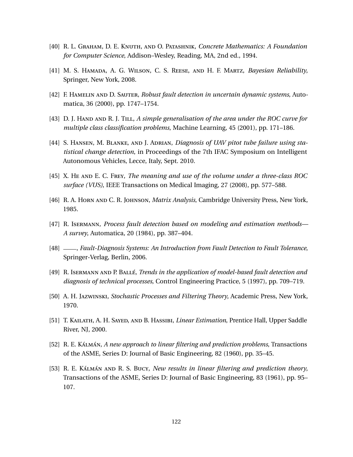- [40] R. L. Graham, D. E. Knuth, and O. Patashnik, *Concrete Mathematics: A Foundation for Computer Science*, Addison–Wesley, Reading, MA, 2nd ed., 1994.
- [41] M. S. Hamada, A. G. Wilson, C. S. Reese, and H. F. Martz, *Bayesian Reliability*, Springer, New York, 2008.
- [42] F. Hamelin and D. Sauter, *Robust fault detection in uncertain dynamic systems*, Automatica, 36 (2000), pp. 1747–1754.
- [43] D. J. Hand and R. J. Till, *A simple generalisation of the area under the ROC curve for multiple class classification problems*, Machine Learning, 45 (2001), pp. 171–186.
- [44] S. Hansen, M. Blanke, and J. Adrian, *Diagnosis of UAV pitot tube failure using statistical change detection*, in Proceedings of the 7th IFAC Symposium on Intelligent Autonomous Vehicles, Lecce, Italy, Sept. 2010.
- [45] X. He and E. C. Frey, *The meaning and use of the volume under a three-class ROC surface (VUS)*, IEEE Transactions on Medical Imaging, 27 (2008), pp. 577–588.
- [46] R. A. Horn and C. R. Johnson, *Matrix Analysis*, Cambridge University Press, New York, 1985.
- [47] R. Isermann, *Process fault detection based on modeling and estimation methods— A survey*, Automatica, 20 (1984), pp. 387–404.
- [48] , *Fault-Diagnosis Systems: An Introduction from Fault Detection to Fault Tolerance*, Springer-Verlag, Berlin, 2006.
- [49] R. Isermann and P. Ballé, *Trends in the application of model-based fault detection and diagnosis of technical processes*, Control Engineering Practice, 5 (1997), pp. 709–719.
- <span id="page-134-0"></span>[50] A. H. Jazwinski, *Stochastic Processes and Filtering Theory*, Academic Press, New York, 1970.
- [51] T. KAILATH, A. H. SAYED, AND B. HASSIBI, *Linear Estimation*, Prentice Hall, Upper Saddle River, NJ, 2000.
- [52] R. E. Kálmán, *A new approach to linear filtering and prediction problems*, Transactions of the ASME, Series D: Journal of Basic Engineering, 82 (1960), pp. 35–45.
- [53] R. E. Kálmán and R. S. Bucy, *New results in linear filtering and prediction theory*, Transactions of the ASME, Series D: Journal of Basic Engineering, 83 (1961), pp. 95– 107.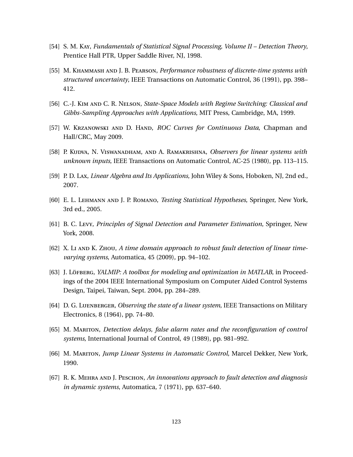- [54] S. M. Kay, *Fundamentals of Statistical Signal Processing, Volume II Detection Theory*, Prentice Hall PTR, Upper Saddle River, NJ, 1998.
- <span id="page-135-2"></span>[55] M. Khammash and J. B. Pearson, *Performance robustness of discrete-time systems with structured uncertainty*, IEEE Transactions on Automatic Control, 36 (1991), pp. 398– 412.
- [56] C.-J. Kim and C. R. Nelson, *State-Space Models with Regime Switching: Classical and Gibbs-Sampling Approaches with Applications*, MIT Press, Cambridge, MA, 1999.
- [57] W. Krzanowski and D. Hand, *ROC Curves for Continuous Data*, Chapman and Hall/CRC, May 2009.
- [58] P. Kudva, N. Viswanadham, and A. Ramakrishna, *Observers for linear systems with unknown inputs*, IEEE Transactions on Automatic Control, AC-25 (1980), pp. 113–115.
- [59] P. D. Lax, *Linear Algebra and Its Applications*, John Wiley & Sons, Hoboken, NJ, 2nd ed., 2007.
- [60] E. L. Lehmann and J. P. Romano, *Testing Statistical Hypotheses*, Springer, New York, 3rd ed., 2005.
- [61] B. C. Levy, *Principles of Signal Detection and Parameter Estimation*, Springer, New York, 2008.
- [62] X. Li AND K. Zhou, *A time domain approach to robust fault detection of linear timevarying systems*, Automatica, 45 (2009), pp. 94–102.
- <span id="page-135-0"></span>[63] J. Löffberg, *YALMIP: A toolbox for modeling and optimization in MATLAB*, in Proceedings of the 2004 IEEE International Symposium on Computer Aided Control Systems Design, Taipei, Taiwan, Sept. 2004, pp. 284–289.
- <span id="page-135-1"></span>[64] D. G. Luenberger, *Observing the state of a linear system*, IEEE Transactions on Military Electronics, 8 (1964), pp. 74–80.
- [65] M. MARITON, *Detection delays, false alarm rates and the reconfiguration of control systems*, International Journal of Control, 49 (1989), pp. 981–992.
- [66] M. Mariton, *Jump Linear Systems in Automatic Control*, Marcel Dekker, New York, 1990.
- [67] R. K. Mehra and J. Peschon, *An innovations approach to fault detection and diagnosis in dynamic systems*, Automatica, 7 (1971), pp. 637–640.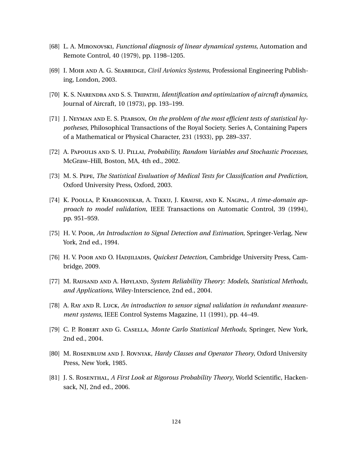- [68] L. A. Mironovski, *Functional diagnosis of linear dynamical systems*, Automation and Remote Control, 40 (1979), pp. 1198–1205.
- [69] I. Moir AND A. G. SEABRIDGE, *Civil Avionics Systems*, Professional Engineering Publishing, London, 2003.
- <span id="page-136-1"></span>[70] K. S. Narendra and S. S. Tripathi, *Identification and optimization of aircraft dynamics*, Journal of Aircraft, 10 (1973), pp. 193–199.
- [71] J. Neyman and E. S. Pearson, *On the problem of the most efficient tests of statistical hypotheses*, Philosophical Transactions of the Royal Society. Series A, Containing Papers of a Mathematical or Physical Character, 231 (1933), pp. 289–337.
- <span id="page-136-0"></span>[72] A. Papoulis and S. U. Pillai, *Probability, Random Variables and Stochastic Processes*, McGraw–Hill, Boston, MA, 4th ed., 2002.
- [73] M. S. Pepe, *The Statistical Evaluation of Medical Tests for Classification and Prediction*, Oxford University Press, Oxford, 2003.
- <span id="page-136-2"></span>[74] K. Poolla, P. Khargonekar, A. Tikku, J. Krause, and K. Nagpal, *A time-domain approach to model validation*, IEEE Transactions on Automatic Control, 39 (1994), pp. 951–959.
- [75] H. V. Poor, *An Introduction to Signal Detection and Estimation*, Springer-Verlag, New York, 2nd ed., 1994.
- [76] H. V. Poor and O. Hadjiliadis, *Quickest Detection*, Cambridge University Press, Cambridge, 2009.
- [77] M. Rausand and A. Høyland, *System Reliability Theory: Models, Statistical Methods, and Applications*, Wiley-Interscience, 2nd ed., 2004.
- [78] A. Ray AND R. Luck, An introduction to sensor signal validation in redundant measure*ment systems*, IEEE Control Systems Magazine, 11 (1991), pp. 44–49.
- [79] C. P. Robert and G. Casella, *Monte Carlo Statistical Methods*, Springer, New York, 2nd ed., 2004.
- [80] M. Rosenblum and J. Rovnyak, *Hardy Classes and Operator Theory*, Oxford University Press, New York, 1985.
- [81] J. S. Rosenthal, *A First Look at Rigorous Probability Theory*, World Scientific, Hackensack, NJ, 2nd ed., 2006.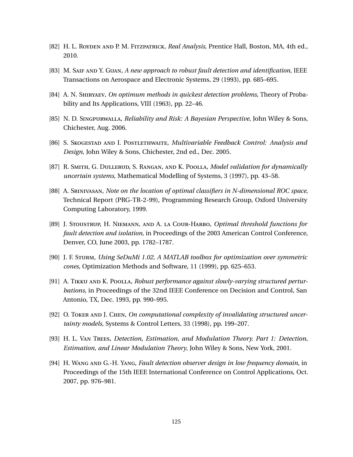- [82] H. L. Royden and P. M. Fitzpatrick, *Real Analysis*, Prentice Hall, Boston, MA, 4th ed., 2010.
- <span id="page-137-1"></span>[83] M. SAIF AND Y. GUAN, A new approach to robust fault detection and identification, IEEE Transactions on Aerospace and Electronic Systems, 29 (1993), pp. 685–695.
- [84] A. N. Shiryaev, *On optimum methods in quickest detection problems*, Theory of Probability and Its Applications, VIII (1963), pp. 22–46.
- [85] N. D. Singpurwalla, *Reliability and Risk: A Bayesian Perspective*, John Wiley & Sons, Chichester, Aug. 2006.
- [86] S. SKOGESTAD AND I. POSTLETHWAITE, *Multivariable Feedback Control: Analysis and Design*, John Wiley & Sons, Chichester, 2nd ed., Dec. 2005.
- [87] R. Smith, G. Dullerud, S. Rangan, and K. Poolla, *Model validation for dynamically uncertain systems*, Mathematical Modelling of Systems, 3 (1997), pp. 43–58.
- [88] A. Srinivasan, *Note on the location of optimal classifiers in N-dimensional ROC space*, Technical Report (PRG-TR-2-99), Programming Research Group, Oxford University Computing Laboratory, 1999.
- [89] J. Stoustrup, H. Niemann, and A. la Cour-Harbo, *Optimal threshold functions for fault detection and isolation*, in Proceedings of the 2003 American Control Conference, Denver, CO, June 2003, pp. 1782–1787.
- <span id="page-137-0"></span>[90] J. F. Sturm, *Using SeDuMi 1.02, A MATLAB toolbox for optimization over symmetric cones*, Optimization Methods and Software, 11 (1999), pp. 625–653.
- [91] A. TIKKU AND K. POOLLA, *Robust performance against slowly-varying structured perturbations*, in Proceedings of the 32nd IEEE Conference on Decision and Control, San Antonio, TX, Dec. 1993, pp. 990–995.
- [92] O. Toker and J. Chen, *On computational complexity of invalidating structured uncertainty models*, Systems & Control Letters, 33 (1998), pp. 199–207.
- [93] H. L. Van Trees, *Detection, Estimation, and Modulation Theory. Part 1: Detection, Estimation, and Linear Modulation Theory*, John Wiley & Sons, New York, 2001.
- <span id="page-137-2"></span>[94] H. Wang and G.-H. Yang, *Fault detection observer design in low frequency domain*, in Proceedings of the 15th IEEE International Conference on Control Applications, Oct. 2007, pp. 976–981.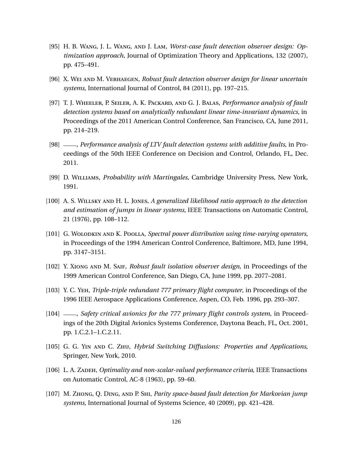- <span id="page-138-6"></span>[95] H. B. Wang, J. L. Wang, and J. Lam, *Worst-case fault detection observer design: Optimization approach*, Journal of Optimization Theory and Applications, 132 (2007), pp. 475–491.
- <span id="page-138-4"></span>[96] X. Wei and M. Verhaegen, *Robust fault detection observer design for linear uncertain systems*, International Journal of Control, 84 (2011), pp. 197–215.
- <span id="page-138-2"></span>[97] T. J. Wheeler, P. Seiler, A. K. Packard, and G. J. Balas, *Performance analysis of fault detection systems based on analytically redundant linear time-invariant dynamics*, in Proceedings of the 2011 American Control Conference, San Francisco, CA, June 2011, pp. 214–219.
- <span id="page-138-3"></span>[98] , *Performance analysis of LTV fault detection systems with additive faults*, in Proceedings of the 50th IEEE Conference on Decision and Control, Orlando, FL, Dec. 2011.
- [99] D. Williams, *Probability with Martingales*, Cambridge University Press, New York, 1991.
- [100] A. S. Willsky and H. L. Jones, *A generalized likelihood ratio approach to the detection and estimation of jumps in linear systems*, IEEE Transactions on Automatic Control, 21 (1976), pp. 108–112.
- [101] G. Wolodkin and K. Poolla, *Spectral power distribution using time-varying operators*, in Proceedings of the 1994 American Control Conference, Baltimore, MD, June 1994, pp. 3147–3151.
- <span id="page-138-5"></span>[102] Y. Xiong and M. Saif, *Robust fault isolation observer design*, in Proceedings of the 1999 American Control Conference, San Diego, CA, June 1999, pp. 2077–2081.
- <span id="page-138-0"></span>[103] Y. C. Yeh, *Triple-triple redundant 777 primary flight computer*, in Proceedings of the 1996 IEEE Aerospace Applications Conference, Aspen, CO, Feb. 1996, pp. 293–307.
- <span id="page-138-1"></span>[104] , *Safety critical avionics for the 777 primary flight controls system*, in Proceedings of the 20th Digital Avionics Systems Conference, Daytona Beach, FL, Oct. 2001, pp. 1.C.2.1–1.C.2.11.
- [105] G. G. Yin and C. Zhu, *Hybrid Switching Diffusions: Properties and Applications*, Springer, New York, 2010.
- [106] L. A. Zadeh, *Optimality and non-scalar-valued performance criteria*, IEEE Transactions on Automatic Control, AC-8 (1963), pp. 59–60.
- [107] M. Zhong, Q. Ding, and P. Shi, *Parity space-based fault detection for Markovian jump systems*, International Journal of Systems Science, 40 (2009), pp. 421–428.